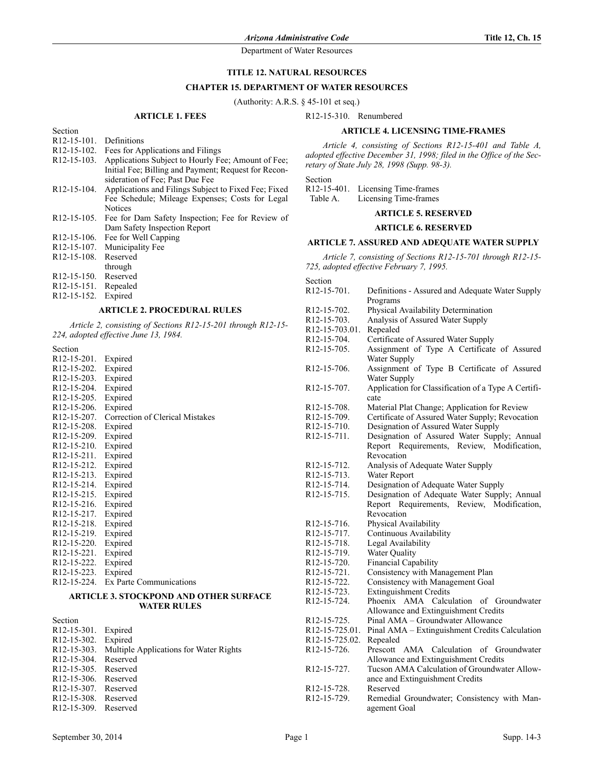# **TITLE 12. NATURAL RESOURCES**

#### **CHAPTER 15. DEPARTMENT OF WATER RESOURCES**

(Authority: A.R.S. § 45-101 et seq.)

## **ARTICLE 1. FEES**

R12-15-310. Renumbered

## **ARTICLE 4. LICENSING TIME-FRAMES**

*Article 4, consisting of Sections R12-15-401 and Table A, adopted effective December 31, 1998; filed in the Office of the Secretary of State July 28, 1998 (Supp. 98-3).*

Section

R12-15-401. Licensing Time-frames<br>Table A. Licensing Time-frames Licensing Time-frames

# **ARTICLE 5. RESERVED**

## **ARTICLE 6. RESERVED**

# **ARTICLE 7. ASSURED AND ADEQUATE WATER SUPPLY**

*Article 7, consisting of Sections R12-15-701 through R12-15- 725, adopted effective February 7, 1995.*

| Section                  |                                                     |  |  |
|--------------------------|-----------------------------------------------------|--|--|
| R <sub>12</sub> -15-701. | Definitions - Assured and Adequate Water Supply     |  |  |
|                          | Programs                                            |  |  |
| R <sub>12</sub> -15-702. | Physical Availability Determination                 |  |  |
| R12-15-703.              | Analysis of Assured Water Supply                    |  |  |
| R12-15-703.01.           | Repealed                                            |  |  |
| R12-15-704.              | Certificate of Assured Water Supply                 |  |  |
| R <sub>12</sub> -15-705. | Assignment of Type A Certificate of Assured         |  |  |
|                          | Water Supply                                        |  |  |
| R <sub>12</sub> -15-706. | Assignment of Type B Certificate of Assured         |  |  |
|                          | Water Supply                                        |  |  |
| R <sub>12</sub> -15-707. | Application for Classification of a Type A Certifi- |  |  |
|                          | cate                                                |  |  |
|                          |                                                     |  |  |
| R12-15-708.              | Material Plat Change; Application for Review        |  |  |
| R12-15-709.              | Certificate of Assured Water Supply; Revocation     |  |  |
| R12-15-710.              | Designation of Assured Water Supply                 |  |  |
| R12-15-711.              | Designation of Assured Water Supply; Annual         |  |  |
|                          | Report Requirements, Review, Modification,          |  |  |
|                          | Revocation                                          |  |  |
| R <sub>12</sub> -15-712. | Analysis of Adequate Water Supply                   |  |  |
| R12-15-713.              | Water Report                                        |  |  |
| R12-15-714.              | Designation of Adequate Water Supply                |  |  |
| R12-15-715.              | Designation of Adequate Water Supply; Annual        |  |  |
|                          | Report Requirements, Review, Modification,          |  |  |
|                          | Revocation                                          |  |  |
| R12-15-716.              | Physical Availability                               |  |  |
| R12-15-717.              | Continuous Availability                             |  |  |
| R12-15-718.              | Legal Availability                                  |  |  |
| R12-15-719.              | Water Quality                                       |  |  |
| R12-15-720.              | <b>Financial Capability</b>                         |  |  |
| R12-15-721.              | Consistency with Management Plan                    |  |  |
| R12-15-722.              | Consistency with Management Goal                    |  |  |
| R12-15-723.              | <b>Extinguishment Credits</b>                       |  |  |
| R12-15-724.              | Phoenix AMA Calculation<br>of Groundwater           |  |  |
|                          | Allowance and Extinguishment Credits                |  |  |
| R <sub>12</sub> -15-725. | Pinal AMA - Groundwater Allowance                   |  |  |
| R12-15-725.01.           | Pinal AMA - Extinguishment Credits Calculation      |  |  |
| R12-15-725.02.           | Repealed                                            |  |  |
| R12-15-726.              | Prescott AMA Calculation<br>of Groundwater          |  |  |
|                          | Allowance and Extinguishment Credits                |  |  |
| R <sub>12</sub> -15-727. | Tucson AMA Calculation of Groundwater Allow-        |  |  |
|                          | ance and Extinguishment Credits                     |  |  |
| R <sub>12</sub> -15-728. | Reserved                                            |  |  |
| R <sub>12</sub> -15-729. | Remedial Groundwater; Consistency with Man-         |  |  |
|                          | agement Goal                                        |  |  |

| $R12-15-101$ .           | Definitions                                                  |
|--------------------------|--------------------------------------------------------------|
| R <sub>12</sub> -15-102. | Fees for Applications and Filings                            |
| R <sub>12</sub> -15-103. | Applications Subject to Hourly Fee; Amount of Fee;           |
|                          | Initial Fee; Billing and Payment; Request for Recon-         |
|                          | sideration of Fee: Past Due Fee                              |
| R <sub>12</sub> -15-104. | Applications and Filings Subject to Fixed Fee; Fixed         |
|                          | Fee Schedule; Mileage Expenses; Costs for Legal              |
|                          | <b>Notices</b>                                               |
|                          | R12-15-105. Fee for Dam Safety Inspection; Fee for Review of |
|                          | Dam Safety Inspection Report                                 |
| R <sub>12</sub> -15-106. | Fee for Well Capping                                         |
| R <sub>12</sub> -15-107. | Municipality Fee                                             |
| R <sub>12</sub> -15-108. | Reserved                                                     |
|                          | through                                                      |
| R <sub>12</sub> -15-150. | Reserved                                                     |
| R <sub>12</sub> -15-151. | Repealed                                                     |
| R <sub>12</sub> -15-152. | Expired                                                      |

# **ARTICLE 2. PROCEDURAL RULES**

*Article 2, consisting of Sections R12-15-201 through R12-15- 224, adopted effective June 13, 1984.*

#### Section

Section

| R <sub>12</sub> -15-201. | Expired                         |
|--------------------------|---------------------------------|
| R <sub>12</sub> -15-202. | Expired                         |
| R <sub>12</sub> -15-203. | Expired                         |
| R12-15-204.              | Expired                         |
| R <sub>12</sub> -15-205. | Expired                         |
| R <sub>12</sub> -15-206. | Expired                         |
| R <sub>12</sub> -15-207. | Correction of Clerical Mistakes |
| R12-15-208.              | Expired                         |
| R12-15-209.              | Expired                         |
| R <sub>12</sub> -15-210. | Expired                         |
| R <sub>12</sub> -15-211. | Expired                         |
| R <sub>12</sub> -15-212. | Expired                         |
| R <sub>12</sub> -15-213. | Expired                         |
| R <sub>12</sub> -15-214. | Expired                         |
| R <sub>12</sub> -15-215. | Expired                         |
| R <sub>12</sub> -15-216. | Expired                         |
| R <sub>12</sub> -15-217. | Expired                         |
| R <sub>12</sub> -15-218. | Expired                         |
| R <sub>12</sub> -15-219. | Expired                         |
| R <sub>12</sub> -15-220. | Expired                         |
| R <sub>12</sub> -15-221. | Expired                         |
| R <sub>12</sub> -15-222. | Expired                         |
| R <sub>12</sub> -15-223. | Expired                         |
| R12-15-224.              | Ex Parte Communications         |

#### **ARTICLE 3. STOCKPOND AND OTHER SURFACE WATER RULES**

| Section                  |                                        |
|--------------------------|----------------------------------------|
| R <sub>12</sub> -15-301. | Expired                                |
| R <sub>12</sub> -15-302. | Expired                                |
| R <sub>12</sub> -15-303. | Multiple Applications for Water Rights |
| R <sub>12</sub> -15-304. | Reserved                               |
| R <sub>12</sub> -15-305  | Reserved                               |
| R <sub>12</sub> -15-306  | Reserved                               |
| R <sub>12</sub> -15-307. | Reserved                               |
| R <sub>12</sub> -15-308. | Reserved                               |
| R <sub>12</sub> -15-309. | Reserved                               |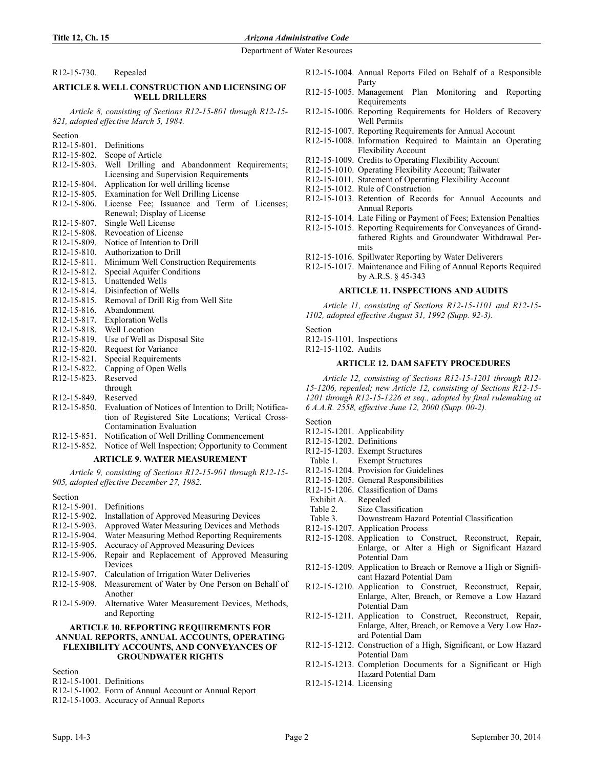R12-15-730. Repealed

## **ARTICLE 8. WELL CONSTRUCTION AND LICENSING OF WELL DRILLERS**

*Article 8, consisting of Sections R12-15-801 through R12-15- 821, adopted effective March 5, 1984.*

| Section                               |                                                        |  |  |  |
|---------------------------------------|--------------------------------------------------------|--|--|--|
| R <sub>12</sub> -15-801. Definitions  |                                                        |  |  |  |
| R <sub>12</sub> -15-802.              | Scope of Article                                       |  |  |  |
| R <sub>12</sub> -15-803.              | Well Drilling and Abandonment Requirements;            |  |  |  |
|                                       | Licensing and Supervision Requirements                 |  |  |  |
| R <sub>12</sub> -15-804.              | Application for well drilling license                  |  |  |  |
| R <sub>12</sub> -15-805.              | Examination for Well Drilling License                  |  |  |  |
| R <sub>12</sub> -15-806.              | License Fee; Issuance and Term of Licenses;            |  |  |  |
|                                       | Renewal; Display of License                            |  |  |  |
| R <sub>12</sub> -15-807.              | Single Well License                                    |  |  |  |
| R <sub>12</sub> -15-808.              | Revocation of License                                  |  |  |  |
| R <sub>12</sub> -15-809.              | Notice of Intention to Drill                           |  |  |  |
| R <sub>12</sub> -15-8 <sub>10</sub>   | Authorization to Drill                                 |  |  |  |
| R <sub>12</sub> -15-8 <sub>11</sub> . | Minimum Well Construction Requirements                 |  |  |  |
| R <sub>12</sub> -15-8 <sub>12</sub> . | Special Aquifer Conditions                             |  |  |  |
| R <sub>12</sub> -15-8 <sub>13</sub> . | <b>Unattended Wells</b>                                |  |  |  |
| R <sub>12</sub> -15-8 <sub>14</sub> . | Disinfection of Wells                                  |  |  |  |
| R <sub>12</sub> -15-8 <sub>15</sub> . | Removal of Drill Rig from Well Site                    |  |  |  |
| R <sub>12</sub> -15-8 <sub>16</sub> . | Abandonment                                            |  |  |  |
| R <sub>12</sub> -15-8 <sub>17</sub> . | <b>Exploration Wells</b>                               |  |  |  |
| R <sub>12</sub> -15-818.              | Well Location                                          |  |  |  |
| R <sub>12</sub> -15-8 <sub>19</sub> . | Use of Well as Disposal Site                           |  |  |  |
| R <sub>12</sub> -15-820.              | Request for Variance                                   |  |  |  |
| R <sub>12</sub> -15-821.              | <b>Special Requirements</b>                            |  |  |  |
| R <sub>12</sub> -15-822.              | Capping of Open Wells                                  |  |  |  |
| R <sub>12</sub> -15-823.              | Reserved                                               |  |  |  |
|                                       | through                                                |  |  |  |
| R <sub>12</sub> -15-849.              | Reserved                                               |  |  |  |
| R <sub>12</sub> -15-850.              | Evaluation of Notices of Intention to Drill; Notifica- |  |  |  |
|                                       | tion of Registered Site Locations; Vertical Cross-     |  |  |  |

- Contamination Evaluation R12-15-851. Notification of Well Drilling Commencement
- R12-15-852. Notice of Well Inspection; Opportunity to Comment

### **ARTICLE 9. WATER MEASUREMENT**

*Article 9, consisting of Sections R12-15-901 through R12-15- 905, adopted effective December 27, 1982.*

Section

- R12-15-901. Definitions
- R12-15-902. Installation of Approved Measuring Devices
- R12-15-903. Approved Water Measuring Devices and Methods
- R12-15-904. Water Measuring Method Reporting Requirements
- R12-15-905. Accuracy of Approved Measuring Devices
- R12-15-906. Repair and Replacement of Approved Measuring Devices
- R12-15-907. Calculation of Irrigation Water Deliveries
- R12-15-908. Measurement of Water by One Person on Behalf of Another
- R12-15-909. Alternative Water Measurement Devices, Methods, and Reporting

#### **ARTICLE 10. REPORTING REQUIREMENTS FOR ANNUAL REPORTS, ANNUAL ACCOUNTS, OPERATING FLEXIBILITY ACCOUNTS, AND CONVEYANCES OF GROUNDWATER RIGHTS**

Section

- R12-15-1001. Definitions
- R12-15-1002. Form of Annual Account or Annual Report
- R12-15-1003. Accuracy of Annual Reports
- R12-15-1004. Annual Reports Filed on Behalf of a Responsible Party
- R12-15-1005. Management Plan Monitoring and Reporting Requirements
- R12-15-1006. Reporting Requirements for Holders of Recovery Well Permits
- R12-15-1007. Reporting Requirements for Annual Account
- R12-15-1008. Information Required to Maintain an Operating Flexibility Account
- R12-15-1009. Credits to Operating Flexibility Account
- R12-15-1010. Operating Flexibility Account; Tailwater
- R12-15-1011. Statement of Operating Flexibility Account
- R12-15-1012. Rule of Construction
- R12-15-1013. Retention of Records for Annual Accounts and Annual Reports
- R12-15-1014. Late Filing or Payment of Fees; Extension Penalties
- R12-15-1015. Reporting Requirements for Conveyances of Grandfathered Rights and Groundwater Withdrawal Permits
- R12-15-1016. Spillwater Reporting by Water Deliverers
- R12-15-1017. Maintenance and Filing of Annual Reports Required by A.R.S. § 45-343

#### **ARTICLE 11. INSPECTIONS AND AUDITS**

*Article 11, consisting of Sections R12-15-1101 and R12-15- 1102, adopted effective August 31, 1992 (Supp. 92-3).*

Section R12-15-1101. Inspections R12-15-1102. Audits

#### **ARTICLE 12. DAM SAFETY PROCEDURES**

*Article 12, consisting of Sections R12-15-1201 through R12- 15-1206, repealed; new Article 12, consisting of Sections R12-15- 1201 through R12-15-1226 et seq., adopted by final rulemaking at 6 A.A.R. 2558, effective June 12, 2000 (Supp. 00-2).*

Section

- R12-15-1201. Applicability
- R12-15-1202. Definitions
- R12-15-1203. Exempt Structures
- Table 1. Exempt Structures
- R12-15-1204. Provision for Guidelines
- R12-15-1205. General Responsibilities
- R12-15-1206. Classification of Dams
- Exhibit A. Repealed
- Table 2. Size Classification
- Table 3. Downstream Hazard Potential Classification
- R12-15-1207. Application Process
- R12-15-1208. Application to Construct, Reconstruct, Repair, Enlarge, or Alter a High or Significant Hazard Potential Dam
- R12-15-1209. Application to Breach or Remove a High or Significant Hazard Potential Dam
- R12-15-1210. Application to Construct, Reconstruct, Repair, Enlarge, Alter, Breach, or Remove a Low Hazard Potential Dam
- R12-15-1211. Application to Construct, Reconstruct, Repair, Enlarge, Alter, Breach, or Remove a Very Low Hazard Potential Dam
- R12-15-1212. Construction of a High, Significant, or Low Hazard Potential Dam
- R12-15-1213. Completion Documents for a Significant or High Hazard Potential Dam
- R12-15-1214. Licensing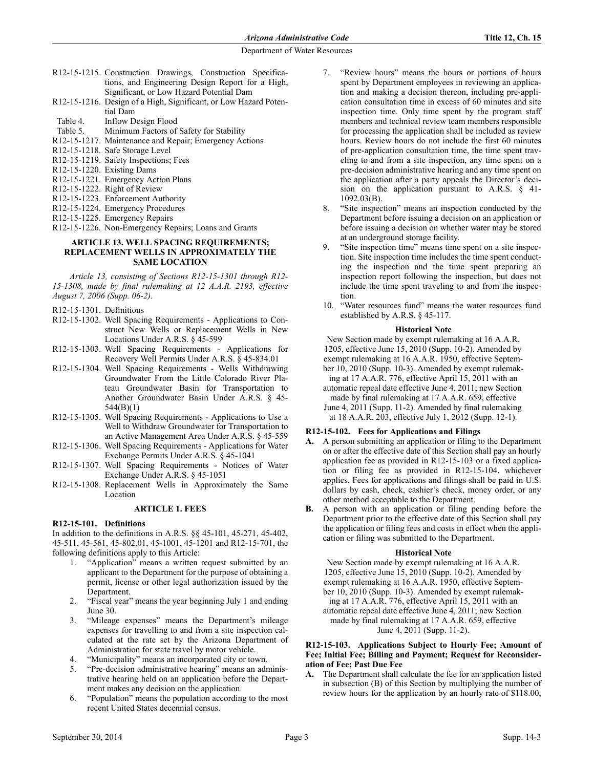- R12-15-1215. Construction Drawings, Construction Specifications, and Engineering Design Report for a High, Significant, or Low Hazard Potential Dam
- R12-15-1216. Design of a High, Significant, or Low Hazard Potential Dam
- Table 4. Inflow Design Flood
- Table 5. Minimum Factors of Safety for Stability
- R12-15-1217. Maintenance and Repair; Emergency Actions
- R12-15-1218. Safe Storage Level
- R12-15-1219. Safety Inspections; Fees
- R12-15-1220. Existing Dams
- R12-15-1221. Emergency Action Plans
- R12-15-1222. Right of Review
- R12-15-1223. Enforcement Authority
- R12-15-1224. Emergency Procedures
- R12-15-1225. Emergency Repairs
- R12-15-1226. Non-Emergency Repairs; Loans and Grants

#### **ARTICLE 13. WELL SPACING REQUIREMENTS; REPLACEMENT WELLS IN APPROXIMATELY THE SAME LOCATION**

*Article 13, consisting of Sections R12-15-1301 through R12- 15-1308, made by final rulemaking at 12 A.A.R. 2193, effective August 7, 2006 (Supp. 06-2).*

- R12-15-1301. Definitions
- R12-15-1302. Well Spacing Requirements Applications to Construct New Wells or Replacement Wells in New Locations Under A.R.S. § 45-599
- R12-15-1303. Well Spacing Requirements Applications for Recovery Well Permits Under A.R.S. § 45-834.01
- R12-15-1304. Well Spacing Requirements Wells Withdrawing Groundwater From the Little Colorado River Plateau Groundwater Basin for Transportation to Another Groundwater Basin Under A.R.S. § 45- 544(B)(1)
- R12-15-1305. Well Spacing Requirements Applications to Use a Well to Withdraw Groundwater for Transportation to an Active Management Area Under A.R.S. § 45-559
- R12-15-1306. Well Spacing Requirements Applications for Water Exchange Permits Under A.R.S. § 45-1041
- R12-15-1307. Well Spacing Requirements Notices of Water Exchange Under A.R.S. § 45-1051
- R12-15-1308. Replacement Wells in Approximately the Same Location

#### **ARTICLE 1. FEES**

# **R12-15-101. Definitions**

In addition to the definitions in A.R.S. §§ 45-101, 45-271, 45-402, 45-511, 45-561, 45-802.01, 45-1001, 45-1201 and R12-15-701, the following definitions apply to this Article:

- 1. "Application" means a written request submitted by an applicant to the Department for the purpose of obtaining a permit, license or other legal authorization issued by the Department.
- 2. "Fiscal year" means the year beginning July 1 and ending June 30.
- 3. "Mileage expenses" means the Department's mileage expenses for travelling to and from a site inspection calculated at the rate set by the Arizona Department of Administration for state travel by motor vehicle.
- "Municipality" means an incorporated city or town.
- 5. "Pre-decision administrative hearing" means an administrative hearing held on an application before the Department makes any decision on the application.
- 6. "Population" means the population according to the most recent United States decennial census.
- 7. "Review hours" means the hours or portions of hours spent by Department employees in reviewing an application and making a decision thereon, including pre-application consultation time in excess of 60 minutes and site inspection time. Only time spent by the program staff members and technical review team members responsible for processing the application shall be included as review hours. Review hours do not include the first 60 minutes of pre-application consultation time, the time spent traveling to and from a site inspection, any time spent on a pre-decision administrative hearing and any time spent on the application after a party appeals the Director's decision on the application pursuant to A.R.S. § 41- 1092.03(B).
- 8. "Site inspection" means an inspection conducted by the Department before issuing a decision on an application or before issuing a decision on whether water may be stored at an underground storage facility.
- 9. "Site inspection time" means time spent on a site inspection. Site inspection time includes the time spent conducting the inspection and the time spent preparing an inspection report following the inspection, but does not include the time spent traveling to and from the inspection.
- 10. "Water resources fund" means the water resources fund established by A.R.S. § 45-117.

## **Historical Note**

New Section made by exempt rulemaking at 16 A.A.R. 1205, effective June 15, 2010 (Supp. 10-2). Amended by exempt rulemaking at 16 A.A.R. 1950, effective September 10, 2010 (Supp. 10-3). Amended by exempt rulemaking at 17 A.A.R. 776, effective April 15, 2011 with an automatic repeal date effective June 4, 2011; new Section made by final rulemaking at 17 A.A.R. 659, effective

June 4, 2011 (Supp. 11-2). Amended by final rulemaking at 18 A.A.R. 203, effective July 1, 2012 (Supp. 12-1).

# **R12-15-102. Fees for Applications and Filings**

- **A.** A person submitting an application or filing to the Department on or after the effective date of this Section shall pay an hourly application fee as provided in R12-15-103 or a fixed application or filing fee as provided in R12-15-104, whichever applies. Fees for applications and filings shall be paid in U.S. dollars by cash, check, cashier's check, money order, or any other method acceptable to the Department.
- **B.** A person with an application or filing pending before the Department prior to the effective date of this Section shall pay the application or filing fees and costs in effect when the application or filing was submitted to the Department.

#### **Historical Note**

New Section made by exempt rulemaking at 16 A.A.R. 1205, effective June 15, 2010 (Supp. 10-2). Amended by exempt rulemaking at 16 A.A.R. 1950, effective September 10, 2010 (Supp. 10-3). Amended by exempt rulemaking at 17 A.A.R. 776, effective April 15, 2011 with an automatic repeal date effective June 4, 2011; new Section made by final rulemaking at 17 A.A.R. 659, effective June 4, 2011 (Supp. 11-2).

#### **R12-15-103. Applications Subject to Hourly Fee; Amount of Fee; Initial Fee; Billing and Payment; Request for Reconsideration of Fee; Past Due Fee**

**A.** The Department shall calculate the fee for an application listed in subsection (B) of this Section by multiplying the number of review hours for the application by an hourly rate of \$118.00,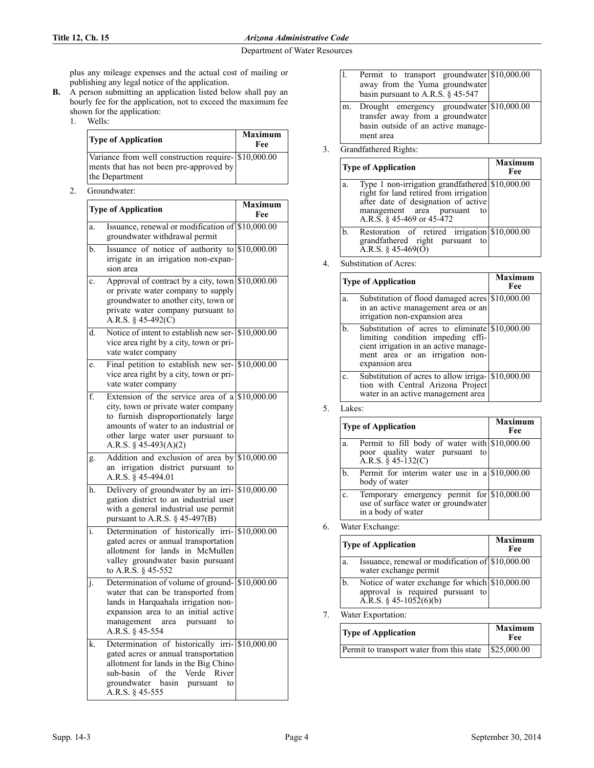## **Title 12, Ch. 15** *Arizona Administrative Code*

#### Department of Water Resources

plus any mileage expenses and the actual cost of mailing or publishing any legal notice of the application.

- **B.** A person submitting an application listed below shall pay an hourly fee for the application, not to exceed the maximum fee shown for the application:
	- 1. Wells:

| <b>Type of Application</b>                                                                                        | <b>Maximum</b><br>Fee |
|-------------------------------------------------------------------------------------------------------------------|-----------------------|
| Variance from well construction require- \$10,000.00<br>ments that has not been pre-approved by<br>the Department |                       |

2. Groundwater:

| <b>Type of Application</b> |                                                                                                                                                                                                                                               | Maximum<br>Fee |
|----------------------------|-----------------------------------------------------------------------------------------------------------------------------------------------------------------------------------------------------------------------------------------------|----------------|
| a.                         | Issuance, renewal or modification of \$10,000.00<br>groundwater withdrawal permit                                                                                                                                                             |                |
| b.                         | Issuance of notice of authority to \$10,000.00<br>irrigate in an irrigation non-expan-<br>sion area                                                                                                                                           |                |
| c.                         | Approval of contract by a city, town \$10,000.00<br>or private water company to supply<br>groundwater to another city, town or<br>private water company pursuant to<br>A.R.S. § 45-492(C)                                                     |                |
| d.                         | Notice of intent to establish new ser- \$10,000.00<br>vice area right by a city, town or pri-<br>vate water company                                                                                                                           |                |
| e.                         | Final petition to establish new ser- \$10,000.00<br>vice area right by a city, town or pri-<br>vate water company                                                                                                                             |                |
| f.                         | Extension of the service area of a $$10,000.00$<br>city, town or private water company<br>to furnish disproportionately large<br>amounts of water to an industrial or<br>other large water user pursuant to<br>A.R.S. § 45-493(A)(2)          |                |
| g.                         | Addition and exclusion of area by \$10,000.00<br>irrigation district pursuant<br>to<br>an<br>A.R.S. § 45-494.01                                                                                                                               |                |
| h.                         | Delivery of groundwater by an irri- \$10,000.00<br>gation district to an industrial user<br>with a general industrial use permit<br>pursuant to A.R.S. $\S$ 45-497( $\overline{B}$ )                                                          |                |
| i.                         | Determination of historically irri- \$10,000.00<br>gated acres or annual transportation<br>allotment for lands in McMullen<br>valley groundwater basin pursuant<br>to A.R.S. § 45-552                                                         |                |
| J.                         | Determination of volume of ground- \$10,000.00<br>water that can be transported from<br>lands in Harquahala irrigation non-<br>expansion area to an initial active<br>management<br>area<br>pursuant<br>to<br>A.R.S. § 45-554                 |                |
| k.                         | Determination of historically irri- \$10,000.00<br>gated acres or annual transportation<br>allotment for lands in the Big Chino<br>$\sigma$ f<br>the<br>Verde<br>sub-basin<br>River<br>groundwater basin<br>pursuant<br>to<br>A.R.S. § 45-555 |                |

| l. | Permit to transport groundwater \$10,000.00<br>away from the Yuma groundwater<br>basin pursuant to A.R.S. $\S$ 45-547 |  |
|----|-----------------------------------------------------------------------------------------------------------------------|--|
| m. | Drought emergency groundwater \$10,000.00<br>transfer away from a groundwater<br>basin outside of an active manage-   |  |

# 3. Grandfathered Rights: ment area

| <b>Type of Application</b> |                                                                                                                                                                                                 | Maximum<br>Fee |
|----------------------------|-------------------------------------------------------------------------------------------------------------------------------------------------------------------------------------------------|----------------|
| a.                         | Type 1 non-irrigation grandfathered \$10,000.00<br>right for land retired from irrigation<br>after date of designation of active<br>management area pursuant<br>to<br>A.R.S. § 45-469 or 45-472 |                |
| b.                         | Restoration of retired irrigation \$10,000.00<br>grandfathered right pursuant to<br>A.R.S. § 45-469( $\check{O}$ )                                                                              |                |

4. Substitution of Acres:

| <b>Type of Application</b> |                                                                                                                                                                                   | Maximum<br>Fee |
|----------------------------|-----------------------------------------------------------------------------------------------------------------------------------------------------------------------------------|----------------|
| a.                         | Substitution of flood damaged acres \$10,000.00<br>in an active management area or an<br>irrigation non-expansion area                                                            |                |
| b.                         | Substitution of acres to eliminate \$10,000.00<br>limiting condition impeding effi-<br>cient irrigation in an active manage-<br>ment area or an irrigation non-<br>expansion area |                |
| C.                         | Substitution of acres to allow irriga- \$10,000.00<br>tion with Central Arizona Project<br>water in an active management area                                                     |                |

| Lakes: |
|--------|
|        |

| <b>Type of Application</b> |                                                                                                                | Maximum<br>Fee |
|----------------------------|----------------------------------------------------------------------------------------------------------------|----------------|
| a.                         | Permit to fill body of water with \$10,000.00<br>poor quality water pursuant to<br>A.R.S. $\hat{\S}$ 45-132(C) |                |
| b.                         | Permit for interim water use in a $$10,000.00$<br>body of water                                                |                |
| c.                         | Temporary emergency permit for \$10,000.00<br>use of surface water or groundwater<br>in a body of water        |                |

6. Water Exchange:

|    | <b>Type of Application</b>                                                                                      | <b>Maximum</b><br>Fee |
|----|-----------------------------------------------------------------------------------------------------------------|-----------------------|
| a. | Issuance, renewal or modification of \$10,000.00<br>water exchange permit                                       |                       |
| b. | Notice of water exchange for which \$10,000.00<br>approval is required pursuant to<br>A.R.S. $\S$ 45-1052(6)(b) |                       |

7. Water Exportation:

| <b>Type of Application</b>                                      | <b>Maximum</b><br>Fee |  |
|-----------------------------------------------------------------|-----------------------|--|
| Permit to transport water from this state $\frac{1}{25,000.00}$ |                       |  |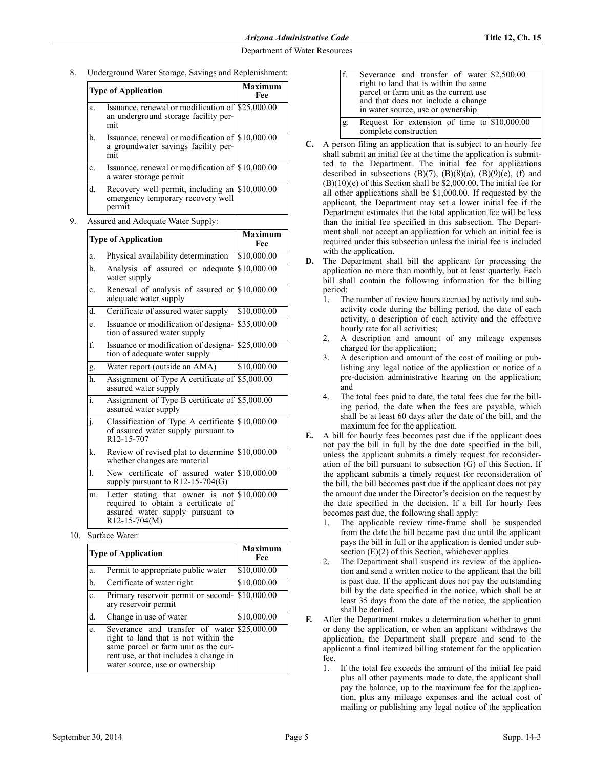8. Underground Water Storage, Savings and Replenishment:

| <b>Type of Application</b> |                                                                                                 | Maximum<br>Fee |  |
|----------------------------|-------------------------------------------------------------------------------------------------|----------------|--|
| a.                         | Issuance, renewal or modification of \$25,000.00<br>an underground storage facility per-<br>mit |                |  |
| b.                         | Issuance, renewal or modification of \$10,000.00<br>a groundwater savings facility per-<br>mıt  |                |  |
| $\mathbf{c}$ .             | Issuance, renewal or modification of \$10,000.00<br>a water storage permit                      |                |  |
| d.                         | Recovery well permit, including an \$10,000.00<br>emergency temporary recovery well<br>permit   |                |  |

|                | <b>Type of Application</b>                                                                                                                  | <b>Maximum</b><br>Fee |
|----------------|---------------------------------------------------------------------------------------------------------------------------------------------|-----------------------|
| a.             | Physical availability determination                                                                                                         | \$10,000.00           |
| b.             | Analysis of assured or adequate<br>water supply                                                                                             | \$10,000.00           |
| c.             | Renewal of analysis of assured or $$10,000.00$<br>adequate water supply                                                                     |                       |
| d.             | Certificate of assured water supply                                                                                                         | \$10,000.00           |
| e.             | Issuance or modification of designa-<br>tion of assured water supply                                                                        | \$35,000.00           |
| f.             | Issuance or modification of designa-<br>tion of adequate water supply                                                                       | \$25,000.00           |
| g.             | Water report (outside an AMA)                                                                                                               | \$10,000.00           |
| h.             | Assignment of Type A certificate of \$5,000.00<br>assured water supply                                                                      |                       |
| i.             | Assignment of Type B certificate of \$5,000.00<br>assured water supply                                                                      |                       |
| j.             | Classification of Type A certificate \$10,000.00<br>of assured water supply pursuant to<br>R <sub>12</sub> -15-707                          |                       |
| k.             | Review of revised plat to determine \$10,000.00<br>whether changes are material                                                             |                       |
| $\mathbf{1}$ . | New certificate of assured water \$10,000.00<br>supply pursuant to $R12-15-704(G)$                                                          |                       |
| m.             | Letter stating that owner is not $$10,000.00$<br>required to obtain a certificate of<br>assured water supply pursuant to<br>$R12-15-704(M)$ |                       |

10. Surface Water:

|                | <b>Type of Application</b>                                                                                                                                                                              | Maximum<br>Fee |
|----------------|---------------------------------------------------------------------------------------------------------------------------------------------------------------------------------------------------------|----------------|
| a.             | Permit to appropriate public water                                                                                                                                                                      | \$10,000.00    |
| b.             | Certificate of water right                                                                                                                                                                              | \$10,000.00    |
| $\mathbf{c}$ . | Primary reservoir permit or second-<br>ary reservoir permit                                                                                                                                             | \$10,000.00    |
| d.             | Change in use of water                                                                                                                                                                                  | \$10,000.00    |
| e.             | Severance and transfer of water \$25,000.00<br>right to land that is not within the<br>same parcel or farm unit as the cur-<br>rent use, or that includes a change in<br>water source, use or ownership |                |

|    | Severance and transfer of water \$2,500.00<br>right to land that is within the same<br>parcel or farm unit as the current use<br>and that does not include a change<br>in water source, use or ownership |  |
|----|----------------------------------------------------------------------------------------------------------------------------------------------------------------------------------------------------------|--|
| g. | Request for extension of time to $$10,000.00$<br>complete construction                                                                                                                                   |  |

- **C.** A person filing an application that is subject to an hourly fee shall submit an initial fee at the time the application is submitted to the Department. The initial fee for applications described in subsections  $(B)(7)$ ,  $(B)(8)(a)$ ,  $(B)(9)(e)$ ,  $(f)$  and (B)(10)(e) of this Section shall be \$2,000.00. The initial fee for all other applications shall be \$1,000.00. If requested by the applicant, the Department may set a lower initial fee if the Department estimates that the total application fee will be less than the initial fee specified in this subsection. The Department shall not accept an application for which an initial fee is required under this subsection unless the initial fee is included with the application.
- **D.** The Department shall bill the applicant for processing the application no more than monthly, but at least quarterly. Each bill shall contain the following information for the billing period:
	- 1. The number of review hours accrued by activity and subactivity code during the billing period, the date of each activity, a description of each activity and the effective hourly rate for all activities;
	- 2. A description and amount of any mileage expenses charged for the application;
	- 3. A description and amount of the cost of mailing or publishing any legal notice of the application or notice of a pre-decision administrative hearing on the application; and
	- The total fees paid to date, the total fees due for the billing period, the date when the fees are payable, which shall be at least 60 days after the date of the bill, and the maximum fee for the application.
- **E.** A bill for hourly fees becomes past due if the applicant does not pay the bill in full by the due date specified in the bill, unless the applicant submits a timely request for reconsideration of the bill pursuant to subsection (G) of this Section. If the applicant submits a timely request for reconsideration of the bill, the bill becomes past due if the applicant does not pay the amount due under the Director's decision on the request by the date specified in the decision. If a bill for hourly fees becomes past due, the following shall apply:
	- 1. The applicable review time-frame shall be suspended from the date the bill became past due until the applicant pays the bill in full or the application is denied under subsection  $(E)(2)$  of this Section, whichever applies.
	- 2. The Department shall suspend its review of the application and send a written notice to the applicant that the bill is past due. If the applicant does not pay the outstanding bill by the date specified in the notice, which shall be at least 35 days from the date of the notice, the application shall be denied.
- **F.** After the Department makes a determination whether to grant or deny the application, or when an applicant withdraws the application, the Department shall prepare and send to the applicant a final itemized billing statement for the application fee.
	- 1. If the total fee exceeds the amount of the initial fee paid plus all other payments made to date, the applicant shall pay the balance, up to the maximum fee for the application, plus any mileage expenses and the actual cost of mailing or publishing any legal notice of the application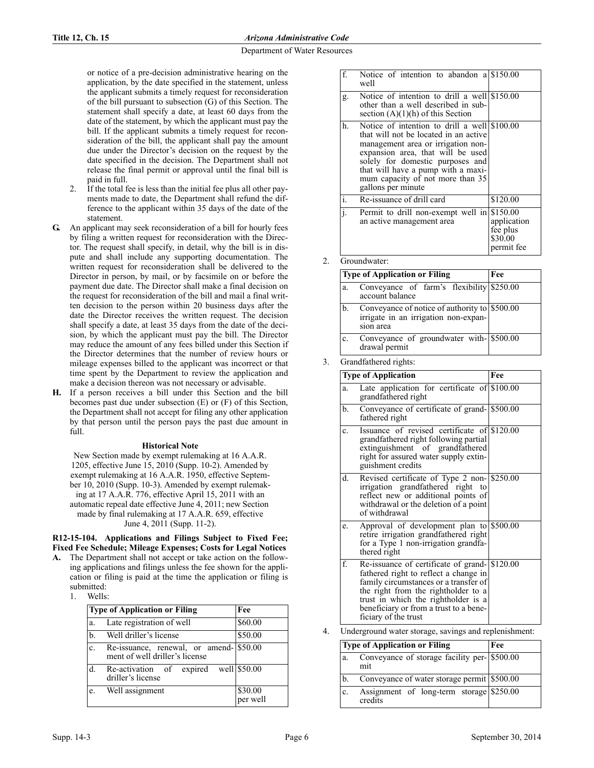or notice of a pre-decision administrative hearing on the application, by the date specified in the statement, unless the applicant submits a timely request for reconsideration of the bill pursuant to subsection (G) of this Section. The statement shall specify a date, at least 60 days from the date of the statement, by which the applicant must pay the bill. If the applicant submits a timely request for reconsideration of the bill, the applicant shall pay the amount due under the Director's decision on the request by the date specified in the decision. The Department shall not release the final permit or approval until the final bill is paid in full.

- If the total fee is less than the initial fee plus all other payments made to date, the Department shall refund the difference to the applicant within 35 days of the date of the statement.
- **G.** An applicant may seek reconsideration of a bill for hourly fees by filing a written request for reconsideration with the Director. The request shall specify, in detail, why the bill is in dispute and shall include any supporting documentation. The written request for reconsideration shall be delivered to the Director in person, by mail, or by facsimile on or before the payment due date. The Director shall make a final decision on the request for reconsideration of the bill and mail a final written decision to the person within 20 business days after the date the Director receives the written request. The decision shall specify a date, at least 35 days from the date of the decision, by which the applicant must pay the bill. The Director may reduce the amount of any fees billed under this Section if the Director determines that the number of review hours or mileage expenses billed to the applicant was incorrect or that time spent by the Department to review the application and make a decision thereon was not necessary or advisable.
- **H.** If a person receives a bill under this Section and the bill becomes past due under subsection (E) or (F) of this Section, the Department shall not accept for filing any other application by that person until the person pays the past due amount in  $f<sub>1</sub>11$

#### **Historical Note**

New Section made by exempt rulemaking at 16 A.A.R. 1205, effective June 15, 2010 (Supp. 10-2). Amended by exempt rulemaking at 16 A.A.R. 1950, effective September 10, 2010 (Supp. 10-3). Amended by exempt rulemaking at 17 A.A.R. 776, effective April 15, 2011 with an automatic repeal date effective June 4, 2011; new Section made by final rulemaking at 17 A.A.R. 659, effective June 4, 2011 (Supp. 11-2).

**R12-15-104. Applications and Filings Subject to Fixed Fee; Fixed Fee Schedule; Mileage Expenses; Costs for Legal Notices**

- **A.** The Department shall not accept or take action on the following applications and filings unless the fee shown for the application or filing is paid at the time the application or filing is submitted:
	- 1. Wells:

|                | <b>Type of Application or Filing</b>                                      | Fee                 |
|----------------|---------------------------------------------------------------------------|---------------------|
| a.             | Late registration of well                                                 | \$60.00             |
| $b$            | Well driller's license                                                    | \$50.00             |
| $\mathbf{c}$ . | Re-issuance, renewal, or amend-1\$50.00<br>ment of well driller's license |                     |
| d.             | Re-activation of expired well \$50.00<br>driller's license                |                     |
| e.             | Well assignment                                                           | \$30.00<br>per well |

| $f_{\cdot}$ | Notice of intention to abandon a \$150.00<br>well                                                                                                                                                                                                                                                    |                                                  |
|-------------|------------------------------------------------------------------------------------------------------------------------------------------------------------------------------------------------------------------------------------------------------------------------------------------------------|--------------------------------------------------|
| g.          | Notice of intention to drill a well \$150.00<br>other than a well described in sub-<br>section $(A)(1)(h)$ of this Section                                                                                                                                                                           |                                                  |
| h.          | Notice of intention to drill a well \$100.00<br>that will not be located in an active<br>management area or irrigation non-<br>expansion area, that will be used<br>solely for domestic purposes and<br>that will have a pump with a maxi-<br>mum capacity of not more than 35<br>gallons per minute |                                                  |
| i.          | Re-issuance of drill card                                                                                                                                                                                                                                                                            | \$120.00                                         |
| i.          | Permit to drill non-exempt well in \$150.00<br>an active management area                                                                                                                                                                                                                             | application<br>fee plus<br>\$30.00<br>permit fee |

Groundwater:

|    | Type of Application or Filing                                                                      | Fee |
|----|----------------------------------------------------------------------------------------------------|-----|
| a. | Conveyance of farm's flexibility \$250.00<br>account balance                                       |     |
| b. | Conveyance of notice of authority to \$500.00<br>irrigate in an irrigation non-expan-<br>sion area |     |
| c. | Conveyance of groundwater with-1\$500.00<br>drawal permit                                          |     |

3. Grandfathered rights:

|              | <b>Type of Application</b>                                                                                                                                                                                                                                                      | Fee |
|--------------|---------------------------------------------------------------------------------------------------------------------------------------------------------------------------------------------------------------------------------------------------------------------------------|-----|
| a.           | Late application for certificate of $$100.00$<br>grandfathered right                                                                                                                                                                                                            |     |
| $\mathbf{b}$ | Conveyance of certificate of grand-1\$500.00<br>fathered right                                                                                                                                                                                                                  |     |
| c.           | Issuance of revised certificate of \$120.00<br>grandfathered right following partial<br>extinguishment of grandfathered<br>right for assured water supply extin-<br>guishment credits                                                                                           |     |
| d.           | Revised certificate of Type 2 non- \$250.00<br>irrigation grandfathered right<br>to<br>reflect new or additional points of<br>withdrawal or the deletion of a point<br>of withdrawal                                                                                            |     |
| e.           | Approval of development plan to $\frac{$500.00}{500.00}$<br>retire irrigation grandfathered right<br>for a Type 1 non-irrigation grandfa-<br>thered right                                                                                                                       |     |
| f.           | Re-issuance of certificate of grand- \$120.00<br>fathered right to reflect a change in<br>family circumstances or a transfer of<br>the right from the rightholder to a<br>trust in which the rightholder is a<br>beneficiary or from a trust to a bene-<br>ficiary of the trust |     |

Underground water storage, savings and replenishment:

|    | <b>Type of Application or Filing</b>                | Fee |
|----|-----------------------------------------------------|-----|
| a. | Conveyance of storage facility per- \$500.00<br>mit |     |
|    | Conveyance of water storage permit \$500.00         |     |
| c. | Assignment of long-term storage \$250.00<br>credits |     |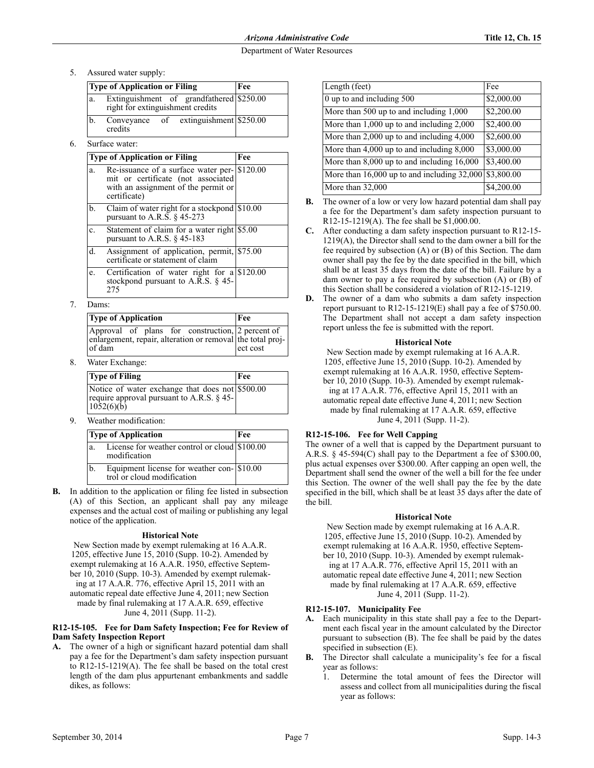5. Assured water supply:

| <b>Type of Application or Filing</b>                                               |         |  |                                       | Fee |
|------------------------------------------------------------------------------------|---------|--|---------------------------------------|-----|
| Extinguishment of grandfathered \$250.00<br>a.<br>right for extinguishment credits |         |  |                                       |     |
| b.                                                                                 | credits |  | Conveyance of extinguishment \$250.00 |     |

Surface water:

|    | <b>Type of Application or Filing</b>                                                                                                      | Fee |
|----|-------------------------------------------------------------------------------------------------------------------------------------------|-----|
| a. | Re-issuance of a surface water per-1\$120.00<br>mit or certificate (not associated<br>with an assignment of the permit or<br>certificate) |     |
| b. | Claim of water right for a stockpond \$10.00<br>pursuant to A.R.S. $\&$ 45-273                                                            |     |
| c. | Statement of claim for a water right \$5.00<br>pursuant to A.R.S. $\S$ 45-183                                                             |     |
| d. | Assignment of application, permit, \$75.00<br>certificate or statement of claim                                                           |     |
| e. | Certification of water right for $a\$ \$120.00<br>stockpond pursuant to A.R.S. $\S$ 45-<br>275                                            |     |

7. Dams:

| <b>Type of Application</b>                                                                                               | Fee      |
|--------------------------------------------------------------------------------------------------------------------------|----------|
| Approval of plans for construction, 2 percent of<br>enlargement, repair, alteration or removal the total proj-<br>of dam | ect cost |

8. Water Exchange:

| <b>Type of Filing</b>                                                                                              | Fee |
|--------------------------------------------------------------------------------------------------------------------|-----|
| Notice of water exchange that does not \$500.00<br>require approval pursuant to A.R.S. § 45-<br>$10\bar{5}2(6)(b)$ |     |

9. Weather modification:

|                | <b>Type of Application</b>                                             | Fee |
|----------------|------------------------------------------------------------------------|-----|
| a.             | License for weather control or cloud \$100.00<br>modification          |     |
| b <sub>1</sub> | Equipment license for weather con-810.00<br>trol or cloud modification |     |

**B.** In addition to the application or filing fee listed in subsection (A) of this Section, an applicant shall pay any mileage expenses and the actual cost of mailing or publishing any legal notice of the application.

# **Historical Note**

New Section made by exempt rulemaking at 16 A.A.R. 1205, effective June 15, 2010 (Supp. 10-2). Amended by exempt rulemaking at 16 A.A.R. 1950, effective September 10, 2010 (Supp. 10-3). Amended by exempt rulemaking at 17 A.A.R. 776, effective April 15, 2011 with an automatic repeal date effective June 4, 2011; new Section made by final rulemaking at 17 A.A.R. 659, effective June 4, 2011 (Supp. 11-2).

## **R12-15-105. Fee for Dam Safety Inspection; Fee for Review of Dam Safety Inspection Report**

**A.** The owner of a high or significant hazard potential dam shall pay a fee for the Department's dam safety inspection pursuant to R12-15-1219(A). The fee shall be based on the total crest length of the dam plus appurtenant embankments and saddle dikes, as follows:

| Length (feet)                                  | Fee                    |
|------------------------------------------------|------------------------|
| $0$ up to and including $500$                  | \$2,000.00             |
| More than 500 up to and including 1,000        | $$2,200.\overline{00}$ |
| More than $1,000$ up to and including $2,000$  | \$2,400.00             |
| More than $2,000$ up to and including $4,000$  | \$2,600.00             |
| More than $4,000$ up to and including $8,000$  | \$3,000.00             |
| More than $8,000$ up to and including $16,000$ | \$3,400.00             |
| More than 16,000 up to and including 32,000    | \$3,800.00             |
| More than 32,000                               | \$4,200.00             |

- **B.** The owner of a low or very low hazard potential dam shall pay a fee for the Department's dam safety inspection pursuant to R12-15-1219(A). The fee shall be \$1,000.00.
- **C.** After conducting a dam safety inspection pursuant to R12-15- 1219(A), the Director shall send to the dam owner a bill for the fee required by subsection (A) or (B) of this Section. The dam owner shall pay the fee by the date specified in the bill, which shall be at least 35 days from the date of the bill. Failure by a dam owner to pay a fee required by subsection (A) or (B) of this Section shall be considered a violation of R12-15-1219.
- **D.** The owner of a dam who submits a dam safety inspection report pursuant to R12-15-1219(E) shall pay a fee of \$750.00. The Department shall not accept a dam safety inspection report unless the fee is submitted with the report.

# **Historical Note**

New Section made by exempt rulemaking at 16 A.A.R. 1205, effective June 15, 2010 (Supp. 10-2). Amended by exempt rulemaking at 16 A.A.R. 1950, effective September 10, 2010 (Supp. 10-3). Amended by exempt rulemaking at 17 A.A.R. 776, effective April 15, 2011 with an automatic repeal date effective June 4, 2011; new Section made by final rulemaking at 17 A.A.R. 659, effective June 4, 2011 (Supp. 11-2).

# **R12-15-106. Fee for Well Capping**

The owner of a well that is capped by the Department pursuant to A.R.S. § 45-594(C) shall pay to the Department a fee of \$300.00, plus actual expenses over \$300.00. After capping an open well, the Department shall send the owner of the well a bill for the fee under this Section. The owner of the well shall pay the fee by the date specified in the bill, which shall be at least 35 days after the date of the bill.

# **Historical Note**

New Section made by exempt rulemaking at 16 A.A.R. 1205, effective June 15, 2010 (Supp. 10-2). Amended by exempt rulemaking at 16 A.A.R. 1950, effective September 10, 2010 (Supp. 10-3). Amended by exempt rulemaking at 17 A.A.R. 776, effective April 15, 2011 with an automatic repeal date effective June 4, 2011; new Section made by final rulemaking at 17 A.A.R. 659, effective June 4, 2011 (Supp. 11-2).

# **R12-15-107. Municipality Fee**

- **A.** Each municipality in this state shall pay a fee to the Department each fiscal year in the amount calculated by the Director pursuant to subsection (B). The fee shall be paid by the dates specified in subsection (E).
- **B.** The Director shall calculate a municipality's fee for a fiscal year as follows:
	- 1. Determine the total amount of fees the Director will assess and collect from all municipalities during the fiscal year as follows: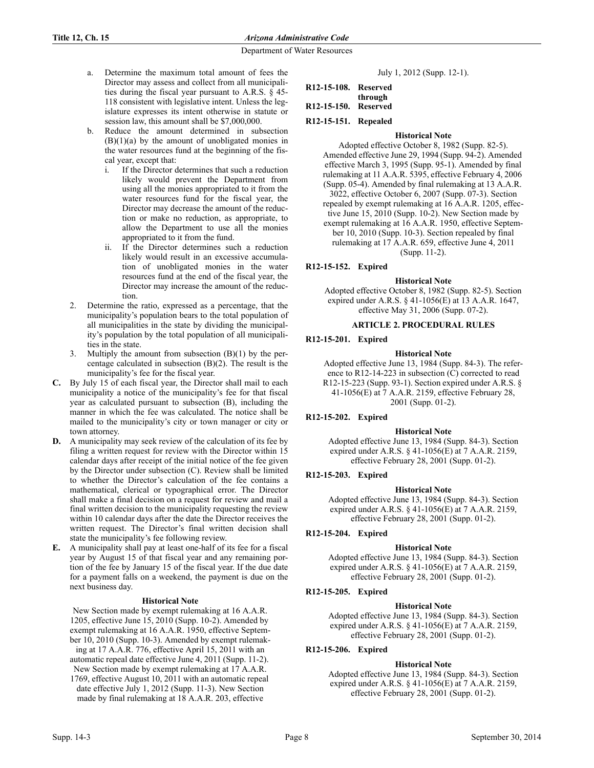- a. Determine the maximum total amount of fees the Director may assess and collect from all municipalities during the fiscal year pursuant to A.R.S. § 45- 118 consistent with legislative intent. Unless the legislature expresses its intent otherwise in statute or session law, this amount shall be \$7,000,000.
- b. Reduce the amount determined in subsection  $(B)(1)(a)$  by the amount of unobligated monies in the water resources fund at the beginning of the fiscal year, except that:
	- i. If the Director determines that such a reduction likely would prevent the Department from using all the monies appropriated to it from the water resources fund for the fiscal year, the Director may decrease the amount of the reduction or make no reduction, as appropriate, to allow the Department to use all the monies appropriated to it from the fund.
	- ii. If the Director determines such a reduction likely would result in an excessive accumulation of unobligated monies in the water resources fund at the end of the fiscal year, the Director may increase the amount of the reduction.
- 2. Determine the ratio, expressed as a percentage, that the municipality's population bears to the total population of all municipalities in the state by dividing the municipality's population by the total population of all municipalities in the state.
- 3. Multiply the amount from subsection (B)(1) by the percentage calculated in subsection (B)(2). The result is the municipality's fee for the fiscal year.
- **C.** By July 15 of each fiscal year, the Director shall mail to each municipality a notice of the municipality's fee for that fiscal year as calculated pursuant to subsection (B), including the manner in which the fee was calculated. The notice shall be mailed to the municipality's city or town manager or city or town attorney.
- **D.** A municipality may seek review of the calculation of its fee by filing a written request for review with the Director within 15 calendar days after receipt of the initial notice of the fee given by the Director under subsection (C). Review shall be limited to whether the Director's calculation of the fee contains a mathematical, clerical or typographical error. The Director shall make a final decision on a request for review and mail a final written decision to the municipality requesting the review within 10 calendar days after the date the Director receives the written request. The Director's final written decision shall state the municipality's fee following review.
- **E.** A municipality shall pay at least one-half of its fee for a fiscal year by August 15 of that fiscal year and any remaining portion of the fee by January 15 of the fiscal year. If the due date for a payment falls on a weekend, the payment is due on the next business day.

# **Historical Note**

New Section made by exempt rulemaking at 16 A.A.R. 1205, effective June 15, 2010 (Supp. 10-2). Amended by exempt rulemaking at 16 A.A.R. 1950, effective September 10, 2010 (Supp. 10-3). Amended by exempt rulemaking at 17 A.A.R. 776, effective April 15, 2011 with an

- automatic repeal date effective June 4, 2011 (Supp. 11-2). New Section made by exempt rulemaking at 17 A.A.R.
- 1769, effective August 10, 2011 with an automatic repeal date effective July 1, 2012 (Supp. 11-3). New Section made by final rulemaking at 18 A.A.R. 203, effective

|  |  |  | July 1, 2012 (Supp. 12-1). |  |
|--|--|--|----------------------------|--|
|--|--|--|----------------------------|--|

| R12-15-108. Reserved |         |
|----------------------|---------|
|                      | through |
| R12-15-150. Reserved |         |

- 
- **R12-15-151. Repealed**

## **Historical Note**

Adopted effective October 8, 1982 (Supp. 82-5). Amended effective June 29, 1994 (Supp. 94-2). Amended effective March 3, 1995 (Supp. 95-1). Amended by final rulemaking at 11 A.A.R. 5395, effective February 4, 2006 (Supp. 05-4). Amended by final rulemaking at 13 A.A.R. 3022, effective October 6, 2007 (Supp. 07-3). Section repealed by exempt rulemaking at 16 A.A.R. 1205, effective June 15, 2010 (Supp. 10-2). New Section made by exempt rulemaking at 16 A.A.R. 1950, effective September 10, 2010 (Supp. 10-3). Section repealed by final rulemaking at 17 A.A.R. 659, effective June 4, 2011 (Supp. 11-2).

# **R12-15-152. Expired**

#### **Historical Note**

Adopted effective October 8, 1982 (Supp. 82-5). Section expired under A.R.S. § 41-1056(E) at 13 A.A.R. 1647, effective May 31, 2006 (Supp. 07-2).

## **ARTICLE 2. PROCEDURAL RULES**

## **R12-15-201. Expired**

## **Historical Note**

Adopted effective June 13, 1984 (Supp. 84-3). The reference to R12-14-223 in subsection (C) corrected to read R12-15-223 (Supp. 93-1). Section expired under A.R.S. § 41-1056(E) at 7 A.A.R. 2159, effective February 28, 2001 (Supp. 01-2).

# **R12-15-202. Expired**

#### **Historical Note**

Adopted effective June 13, 1984 (Supp. 84-3). Section expired under A.R.S. § 41-1056(E) at 7 A.A.R. 2159, effective February 28, 2001 (Supp. 01-2).

#### **R12-15-203. Expired**

# **Historical Note**

Adopted effective June 13, 1984 (Supp. 84-3). Section expired under A.R.S. § 41-1056(E) at 7 A.A.R. 2159, effective February 28, 2001 (Supp. 01-2).

#### **R12-15-204. Expired**

#### **Historical Note**

Adopted effective June 13, 1984 (Supp. 84-3). Section expired under A.R.S. § 41-1056(E) at 7 A.A.R. 2159, effective February 28, 2001 (Supp. 01-2).

# **R12-15-205. Expired**

#### **Historical Note**

Adopted effective June 13, 1984 (Supp. 84-3). Section expired under A.R.S. § 41-1056(E) at 7 A.A.R. 2159, effective February 28, 2001 (Supp. 01-2).

# **R12-15-206. Expired**

#### **Historical Note**

Adopted effective June 13, 1984 (Supp. 84-3). Section expired under A.R.S. § 41-1056(E) at 7 A.A.R. 2159, effective February 28, 2001 (Supp. 01-2).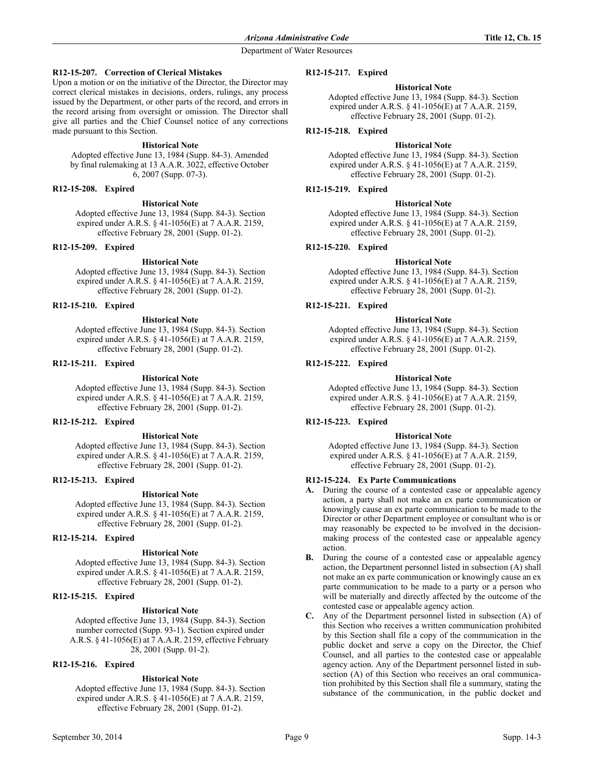# **R12-15-207. Correction of Clerical Mistakes**

Upon a motion or on the initiative of the Director, the Director may correct clerical mistakes in decisions, orders, rulings, any process issued by the Department, or other parts of the record, and errors in the record arising from oversight or omission. The Director shall give all parties and the Chief Counsel notice of any corrections made pursuant to this Section.

#### **Historical Note**

Adopted effective June 13, 1984 (Supp. 84-3). Amended by final rulemaking at 13 A.A.R. 3022, effective October 6, 2007 (Supp. 07-3).

#### **R12-15-208. Expired**

#### **Historical Note**

Adopted effective June 13, 1984 (Supp. 84-3). Section expired under A.R.S. § 41-1056(E) at 7 A.A.R. 2159, effective February 28, 2001 (Supp. 01-2).

#### **R12-15-209. Expired**

#### **Historical Note**

Adopted effective June 13, 1984 (Supp. 84-3). Section expired under A.R.S. § 41-1056(E) at 7 A.A.R. 2159, effective February 28, 2001 (Supp. 01-2).

#### **R12-15-210. Expired**

#### **Historical Note**

Adopted effective June 13, 1984 (Supp. 84-3). Section expired under A.R.S. § 41-1056(E) at 7 A.A.R. 2159, effective February 28, 2001 (Supp. 01-2).

#### **R12-15-211. Expired**

#### **Historical Note**

Adopted effective June 13, 1984 (Supp. 84-3). Section expired under A.R.S. § 41-1056(E) at 7 A.A.R. 2159, effective February 28, 2001 (Supp. 01-2).

#### **R12-15-212. Expired**

#### **Historical Note**

Adopted effective June 13, 1984 (Supp. 84-3). Section expired under A.R.S. § 41-1056(E) at 7 A.A.R. 2159, effective February 28, 2001 (Supp. 01-2).

## **R12-15-213. Expired**

#### **Historical Note**

Adopted effective June 13, 1984 (Supp. 84-3). Section expired under A.R.S. § 41-1056(E) at 7 A.A.R. 2159, effective February 28, 2001 (Supp. 01-2).

# **R12-15-214. Expired**

#### **Historical Note**

Adopted effective June 13, 1984 (Supp. 84-3). Section expired under A.R.S. § 41-1056(E) at 7 A.A.R. 2159, effective February 28, 2001 (Supp. 01-2).

# **R12-15-215. Expired**

#### **Historical Note**

Adopted effective June 13, 1984 (Supp. 84-3). Section number corrected (Supp. 93-1). Section expired under A.R.S. § 41-1056(E) at 7 A.A.R. 2159, effective February 28, 2001 (Supp. 01-2).

## **R12-15-216. Expired**

#### **Historical Note**

Adopted effective June 13, 1984 (Supp. 84-3). Section expired under A.R.S. § 41-1056(E) at 7 A.A.R. 2159, effective February 28, 2001 (Supp. 01-2).

#### **R12-15-217. Expired**

#### **Historical Note**

Adopted effective June 13, 1984 (Supp. 84-3). Section expired under A.R.S. § 41-1056(E) at 7 A.A.R. 2159, effective February 28, 2001 (Supp. 01-2).

#### **R12-15-218. Expired**

#### **Historical Note**

Adopted effective June 13, 1984 (Supp. 84-3). Section expired under A.R.S. § 41-1056(E) at 7 A.A.R. 2159, effective February 28, 2001 (Supp. 01-2).

#### **R12-15-219. Expired**

#### **Historical Note**

Adopted effective June 13, 1984 (Supp. 84-3). Section expired under A.R.S. § 41-1056(E) at 7 A.A.R. 2159, effective February 28, 2001 (Supp. 01-2).

#### **R12-15-220. Expired**

#### **Historical Note**

Adopted effective June 13, 1984 (Supp. 84-3). Section expired under A.R.S. § 41-1056(E) at 7 A.A.R. 2159, effective February 28, 2001 (Supp. 01-2).

#### **R12-15-221. Expired**

#### **Historical Note**

Adopted effective June 13, 1984 (Supp. 84-3). Section expired under A.R.S. § 41-1056(E) at 7 A.A.R. 2159, effective February 28, 2001 (Supp. 01-2).

# **R12-15-222. Expired**

#### **Historical Note**

Adopted effective June 13, 1984 (Supp. 84-3). Section expired under A.R.S. § 41-1056(E) at 7 A.A.R. 2159, effective February 28, 2001 (Supp. 01-2).

## **R12-15-223. Expired**

#### **Historical Note**

Adopted effective June 13, 1984 (Supp. 84-3). Section expired under A.R.S. § 41-1056(E) at 7 A.A.R. 2159, effective February 28, 2001 (Supp. 01-2).

#### **R12-15-224. Ex Parte Communications**

- **A.** During the course of a contested case or appealable agency action, a party shall not make an ex parte communication or knowingly cause an ex parte communication to be made to the Director or other Department employee or consultant who is or may reasonably be expected to be involved in the decisionmaking process of the contested case or appealable agency action.
- **B.** During the course of a contested case or appealable agency action, the Department personnel listed in subsection (A) shall not make an ex parte communication or knowingly cause an ex parte communication to be made to a party or a person who will be materially and directly affected by the outcome of the contested case or appealable agency action.
- **C.** Any of the Department personnel listed in subsection (A) of this Section who receives a written communication prohibited by this Section shall file a copy of the communication in the public docket and serve a copy on the Director, the Chief Counsel, and all parties to the contested case or appealable agency action. Any of the Department personnel listed in subsection (A) of this Section who receives an oral communication prohibited by this Section shall file a summary, stating the substance of the communication, in the public docket and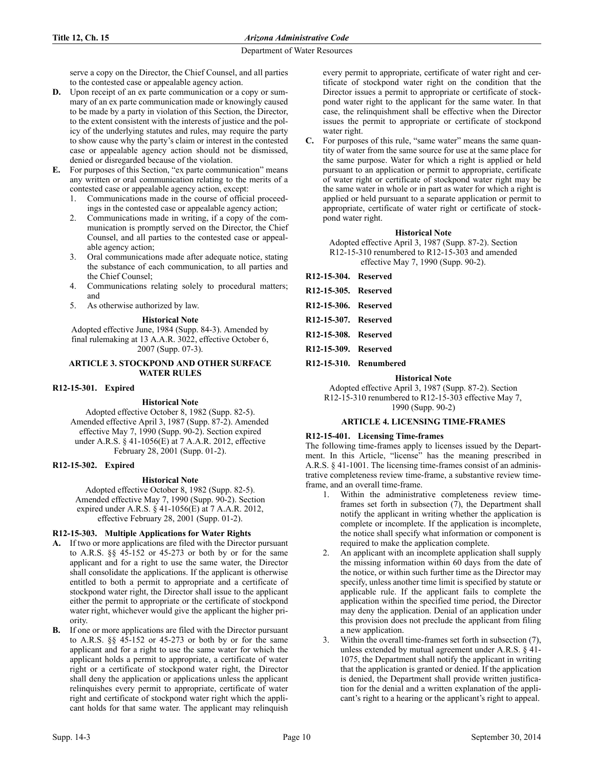serve a copy on the Director, the Chief Counsel, and all parties to the contested case or appealable agency action.

- **D.** Upon receipt of an ex parte communication or a copy or summary of an ex parte communication made or knowingly caused to be made by a party in violation of this Section, the Director, to the extent consistent with the interests of justice and the policy of the underlying statutes and rules, may require the party to show cause why the party's claim or interest in the contested case or appealable agency action should not be dismissed, denied or disregarded because of the violation.
- **E.** For purposes of this Section, "ex parte communication" means any written or oral communication relating to the merits of a contested case or appealable agency action, except:
	- 1. Communications made in the course of official proceedings in the contested case or appealable agency action;
	- 2. Communications made in writing, if a copy of the communication is promptly served on the Director, the Chief Counsel, and all parties to the contested case or appealable agency action;
	- 3. Oral communications made after adequate notice, stating the substance of each communication, to all parties and the Chief Counsel;
	- 4. Communications relating solely to procedural matters; and
	- 5. As otherwise authorized by law.

## **Historical Note**

Adopted effective June, 1984 (Supp. 84-3). Amended by final rulemaking at 13 A.A.R. 3022, effective October 6, 2007 (Supp. 07-3).

#### **ARTICLE 3. STOCKPOND AND OTHER SURFACE WATER RULES**

#### **R12-15-301. Expired**

#### **Historical Note**

Adopted effective October 8, 1982 (Supp. 82-5). Amended effective April 3, 1987 (Supp. 87-2). Amended effective May 7, 1990 (Supp. 90-2). Section expired under A.R.S. § 41-1056(E) at 7 A.A.R. 2012, effective February 28, 2001 (Supp. 01-2).

#### **R12-15-302. Expired**

#### **Historical Note**

Adopted effective October 8, 1982 (Supp. 82-5). Amended effective May 7, 1990 (Supp. 90-2). Section expired under A.R.S. § 41-1056(E) at 7 A.A.R. 2012, effective February 28, 2001 (Supp. 01-2).

# **R12-15-303. Multiple Applications for Water Rights**

- **A.** If two or more applications are filed with the Director pursuant to A.R.S. §§ 45-152 or 45-273 or both by or for the same applicant and for a right to use the same water, the Director shall consolidate the applications. If the applicant is otherwise entitled to both a permit to appropriate and a certificate of stockpond water right, the Director shall issue to the applicant either the permit to appropriate or the certificate of stockpond water right, whichever would give the applicant the higher priority.
- **B.** If one or more applications are filed with the Director pursuant to A.R.S. §§ 45-152 or 45-273 or both by or for the same applicant and for a right to use the same water for which the applicant holds a permit to appropriate, a certificate of water right or a certificate of stockpond water right, the Director shall deny the application or applications unless the applicant relinquishes every permit to appropriate, certificate of water right and certificate of stockpond water right which the applicant holds for that same water. The applicant may relinquish

every permit to appropriate, certificate of water right and certificate of stockpond water right on the condition that the Director issues a permit to appropriate or certificate of stockpond water right to the applicant for the same water. In that case, the relinquishment shall be effective when the Director issues the permit to appropriate or certificate of stockpond water right.

For purposes of this rule, "same water" means the same quantity of water from the same source for use at the same place for the same purpose. Water for which a right is applied or held pursuant to an application or permit to appropriate, certificate of water right or certificate of stockpond water right may be the same water in whole or in part as water for which a right is applied or held pursuant to a separate application or permit to appropriate, certificate of water right or certificate of stockpond water right.

#### **Historical Note**

Adopted effective April 3, 1987 (Supp. 87-2). Section R12-15-310 renumbered to R12-15-303 and amended effective May 7, 1990 (Supp. 90-2).

| R12-15-304. Reserved |  |
|----------------------|--|
| R12-15-305. Reserved |  |
| R12-15-306. Reserved |  |
| R12-15-307. Reserved |  |
| R12-15-308. Reserved |  |
| R12-15-309. Reserved |  |
|                      |  |

**R12-15-310. Renumbered**

#### **Historical Note**

Adopted effective April 3, 1987 (Supp. 87-2). Section R12-15-310 renumbered to R12-15-303 effective May 7, 1990 (Supp. 90-2)

#### **ARTICLE 4. LICENSING TIME-FRAMES**

#### **R12-15-401. Licensing Time-frames**

The following time-frames apply to licenses issued by the Department. In this Article, "license" has the meaning prescribed in A.R.S. § 41-1001. The licensing time-frames consist of an administrative completeness review time-frame, a substantive review timeframe, and an overall time-frame.

- 1. Within the administrative completeness review timeframes set forth in subsection (7), the Department shall notify the applicant in writing whether the application is complete or incomplete. If the application is incomplete, the notice shall specify what information or component is required to make the application complete.
- An applicant with an incomplete application shall supply the missing information within 60 days from the date of the notice, or within such further time as the Director may specify, unless another time limit is specified by statute or applicable rule. If the applicant fails to complete the application within the specified time period, the Director may deny the application. Denial of an application under this provision does not preclude the applicant from filing a new application.
- 3. Within the overall time-frames set forth in subsection (7), unless extended by mutual agreement under A.R.S. § 41- 1075, the Department shall notify the applicant in writing that the application is granted or denied. If the application is denied, the Department shall provide written justification for the denial and a written explanation of the applicant's right to a hearing or the applicant's right to appeal.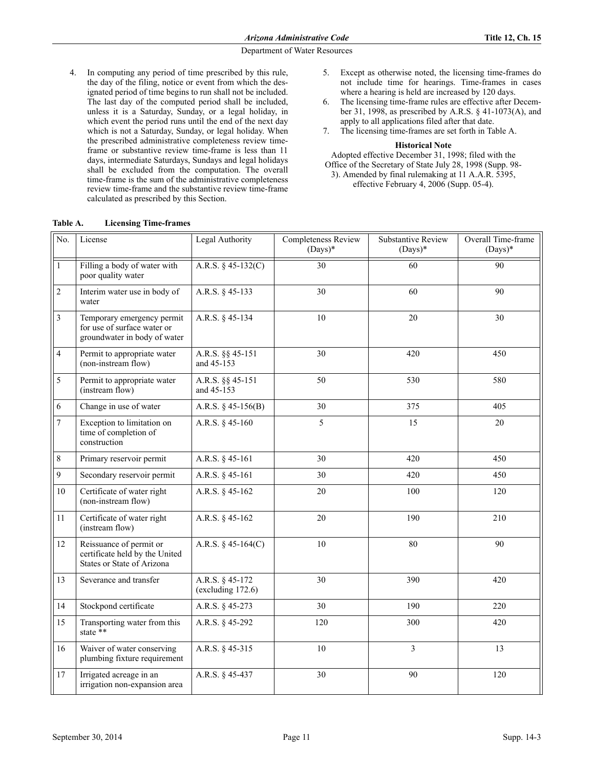- 4. In computing any period of time prescribed by this rule, the day of the filing, notice or event from which the designated period of time begins to run shall not be included. The last day of the computed period shall be included, unless it is a Saturday, Sunday, or a legal holiday, in which event the period runs until the end of the next day which is not a Saturday, Sunday, or legal holiday. When the prescribed administrative completeness review timeframe or substantive review time-frame is less than 11 days, intermediate Saturdays, Sundays and legal holidays shall be excluded from the computation. The overall time-frame is the sum of the administrative completeness review time-frame and the substantive review time-frame calculated as prescribed by this Section.
- 5. Except as otherwise noted, the licensing time-frames do not include time for hearings. Time-frames in cases where a hearing is held are increased by 120 days.
- 6. The licensing time-frame rules are effective after December 31, 1998, as prescribed by A.R.S. § 41-1073(A), and apply to all applications filed after that date.
- 7. The licensing time-frames are set forth in Table A.

#### **Historical Note**

Adopted effective December 31, 1998; filed with the Office of the Secretary of State July 28, 1998 (Supp. 98- 3). Amended by final rulemaking at 11 A.A.R. 5395,

effective February 4, 2006 (Supp. 05-4).

| No.            | License                                                                                   | Legal Authority                      | Completeness Review<br>$(Days)*$ | <b>Substantive Review</b><br>$(Days)*$ | Overall Time-frame<br>$(Days)*$ |
|----------------|-------------------------------------------------------------------------------------------|--------------------------------------|----------------------------------|----------------------------------------|---------------------------------|
| $\mathbf 1$    | Filling a body of water with<br>poor quality water                                        | A.R.S. $§$ 45-132(C)                 | $\overline{30}$                  | 60                                     | 90                              |
| $\sqrt{2}$     | Interim water use in body of<br>water                                                     | A.R.S. § 45-133                      | 30                               | 60                                     | 90                              |
| $\overline{3}$ | Temporary emergency permit<br>for use of surface water or<br>groundwater in body of water | A.R.S. § 45-134                      | 10                               | 20                                     | 30                              |
| $\overline{4}$ | Permit to appropriate water<br>(non-instream flow)                                        | A.R.S. §§ 45-151<br>and 45-153       | 30                               | 420                                    | 450                             |
| $\sqrt{5}$     | Permit to appropriate water<br>(instream flow)                                            | A.R.S. §§ 45-151<br>and 45-153       | 50                               | 530                                    | 580                             |
| 6              | Change in use of water                                                                    | A.R.S. $§$ 45-156(B)                 | 30                               | 375                                    | 405                             |
| $\overline{7}$ | Exception to limitation on<br>time of completion of<br>construction                       | A.R.S. § 45-160                      | 5                                | 15                                     | 20                              |
| $\,8\,$        | Primary reservoir permit                                                                  | A.R.S. § 45-161                      | 30                               | 420                                    | 450                             |
| $\overline{9}$ | Secondary reservoir permit                                                                | A.R.S. § 45-161                      | 30                               | 420                                    | 450                             |
| 10             | Certificate of water right<br>(non-instream flow)                                         | A.R.S. § 45-162                      | 20                               | 100                                    | 120                             |
| 11             | Certificate of water right<br>(instream flow)                                             | A.R.S. § 45-162                      | 20                               | 190                                    | 210                             |
| 12             | Reissuance of permit or<br>certificate held by the United<br>States or State of Arizona   | A.R.S. § 45-164(C)                   | 10                               | 80                                     | 90                              |
| 13             | Severance and transfer                                                                    | A.R.S. § 45-172<br>(excluding 172.6) | 30                               | 390                                    | 420                             |
| 14             | Stockpond certificate                                                                     | A.R.S. § 45-273                      | 30                               | 190                                    | 220                             |
| 15             | Transporting water from this<br>state **                                                  | A.R.S. § 45-292                      | 120                              | 300                                    | 420                             |
| 16             | Waiver of water conserving<br>plumbing fixture requirement                                | A.R.S. § 45-315                      | $10\,$                           | $\overline{3}$                         | 13                              |
| 17             | Irrigated acreage in an<br>irrigation non-expansion area                                  | A.R.S. § 45-437                      | 30                               | 90                                     | 120                             |

**Table A. Licensing Time-frames**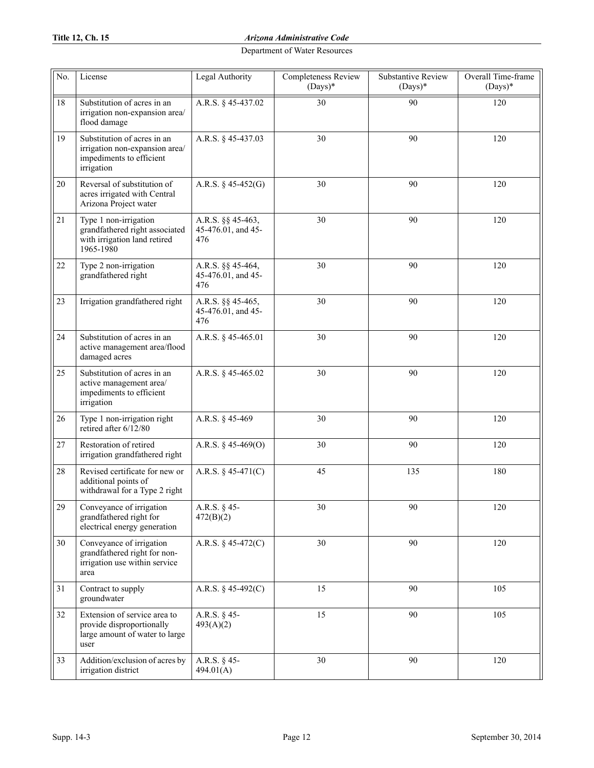# **Title 12, Ch. 15** *Arizona Administrative Code*

| No.    | License                                                                                                 | Legal Authority                                | Completeness Review<br>$(Days)*$ | <b>Substantive Review</b><br>$(Days)*$ | Overall Time-frame<br>$(Days)*$ |
|--------|---------------------------------------------------------------------------------------------------------|------------------------------------------------|----------------------------------|----------------------------------------|---------------------------------|
| 18     | Substitution of acres in an<br>irrigation non-expansion area/<br>flood damage                           | A.R.S. § 45-437.02                             | 30                               | 90                                     | 120                             |
| 19     | Substitution of acres in an<br>irrigation non-expansion area/<br>impediments to efficient<br>irrigation | A.R.S. § 45-437.03                             | 30                               | 90                                     | 120                             |
| 20     | Reversal of substitution of<br>acres irrigated with Central<br>Arizona Project water                    | A.R.S. $§$ 45-452(G)                           | 30                               | 90                                     | 120                             |
| 21     | Type 1 non-irrigation<br>grandfathered right associated<br>with irrigation land retired<br>1965-1980    | A.R.S. §§ 45-463,<br>45-476.01, and 45-<br>476 | 30                               | 90                                     | 120                             |
| 22     | Type 2 non-irrigation<br>grandfathered right                                                            | A.R.S. §§ 45-464,<br>45-476.01, and 45-<br>476 | 30                               | 90                                     | 120                             |
| 23     | Irrigation grandfathered right                                                                          | A.R.S. §§ 45-465,<br>45-476.01, and 45-<br>476 | 30                               | 90                                     | 120                             |
| 24     | Substitution of acres in an<br>active management area/flood<br>damaged acres                            | A.R.S. § 45-465.01                             | 30                               | 90                                     | 120                             |
| 25     | Substitution of acres in an<br>active management area/<br>impediments to efficient<br>irrigation        | A.R.S. § 45-465.02                             | 30                               | 90                                     | 120                             |
| 26     | Type 1 non-irrigation right<br>retired after 6/12/80                                                    | A.R.S. § 45-469                                | 30                               | 90                                     | 120                             |
| 27     | Restoration of retired<br>irrigation grandfathered right                                                | A.R.S. $§$ 45-469(O)                           | 30                               | 90                                     | 120                             |
| $28\,$ | Revised certificate for new or<br>additional points of<br>withdrawal for a Type 2 right                 | A.R.S. § 45-471(C)                             | 45                               | 135                                    | 180                             |
| 29     | Conveyance of irrigation<br>grandfathered right for<br>electrical energy generation                     | A.R.S. § 45-<br>472(B)(2)                      | 30                               | 90                                     | 120                             |
| 30     | Conveyance of irrigation<br>grandfathered right for non-<br>irrigation use within service<br>area       | A.R.S. $§$ 45-472(C)                           | 30                               | 90                                     | 120                             |
| 31     | Contract to supply<br>groundwater                                                                       | A.R.S. § 45-492(C)                             | 15                               | 90                                     | 105                             |
| 32     | Extension of service area to<br>provide disproportionally<br>large amount of water to large<br>user     | A.R.S. § 45-<br>493(A)(2)                      | 15                               | 90                                     | 105                             |
| 33     | Addition/exclusion of acres by<br>irrigation district                                                   | A.R.S. § 45-<br>494.01(A)                      | 30                               | 90                                     | 120                             |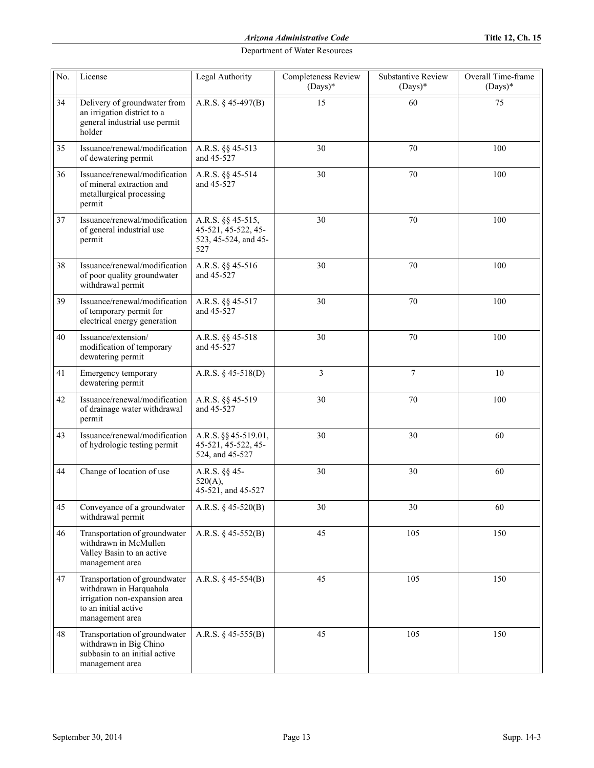| No. | License                                                                                                                              | Legal Authority                                                         | Completeness Review<br>$(Days)*$ | <b>Substantive Review</b><br>$(Days)*$ | Overall Time-frame<br>$(Days)*$ |
|-----|--------------------------------------------------------------------------------------------------------------------------------------|-------------------------------------------------------------------------|----------------------------------|----------------------------------------|---------------------------------|
| 34  | Delivery of groundwater from<br>an irrigation district to a<br>general industrial use permit<br>holder                               | A.R.S. § 45-497(B)                                                      | 15                               | 60                                     | 75                              |
| 35  | Issuance/renewal/modification<br>of dewatering permit                                                                                | A.R.S. §§ 45-513<br>and 45-527                                          | 30                               | 70                                     | 100                             |
| 36  | Issuance/renewal/modification<br>of mineral extraction and<br>metallurgical processing<br>permit                                     | A.R.S. §§ 45-514<br>and 45-527                                          | 30                               | 70                                     | 100                             |
| 37  | Issuance/renewal/modification<br>of general industrial use<br>permit                                                                 | A.R.S. §§ 45-515,<br>45-521, 45-522, 45-<br>523, 45-524, and 45-<br>527 | 30                               | 70                                     | 100                             |
| 38  | Issuance/renewal/modification<br>of poor quality groundwater<br>withdrawal permit                                                    | A.R.S. §§ 45-516<br>and 45-527                                          | 30                               | 70                                     | 100                             |
| 39  | Issuance/renewal/modification<br>of temporary permit for<br>electrical energy generation                                             | A.R.S. §§ 45-517<br>and 45-527                                          | 30                               | 70                                     | 100                             |
| 40  | Issuance/extension/<br>modification of temporary<br>dewatering permit                                                                | A.R.S. §§ 45-518<br>and 45-527                                          | 30                               | 70                                     | 100                             |
| 41  | Emergency temporary<br>dewatering permit                                                                                             | A.R.S. $§$ 45-518(D)                                                    | 3                                | $\tau$                                 | 10                              |
| 42  | Issuance/renewal/modification<br>of drainage water withdrawal<br>permit                                                              | A.R.S. §§ 45-519<br>and 45-527                                          | 30                               | 70                                     | 100                             |
| 43  | Issuance/renewal/modification<br>of hydrologic testing permit                                                                        | A.R.S. §§ 45-519.01,<br>45-521, 45-522, 45-<br>524, and 45-527          | 30                               | 30                                     | 60                              |
| 44  | Change of location of use                                                                                                            | A.R.S. §§ 45-<br>520(A),<br>45-521, and 45-527                          | 30                               | 30                                     | 60                              |
| 45  | Conveyance of a groundwater<br>withdrawal permit                                                                                     | A.R.S. $§$ 45-520(B)                                                    | 30                               | 30                                     | 60                              |
| 46  | Transportation of groundwater<br>withdrawn in McMullen<br>Valley Basin to an active<br>management area                               | A.R.S. § 45-552(B)                                                      | 45                               | 105                                    | 150                             |
| 47  | Transportation of groundwater<br>withdrawn in Harquahala<br>irrigation non-expansion area<br>to an initial active<br>management area | A.R.S. $§$ 45-554(B)                                                    | 45                               | 105                                    | 150                             |
| 48  | Transportation of groundwater<br>withdrawn in Big Chino<br>subbasin to an initial active<br>management area                          | A.R.S. $§$ 45-555(B)                                                    | 45                               | 105                                    | 150                             |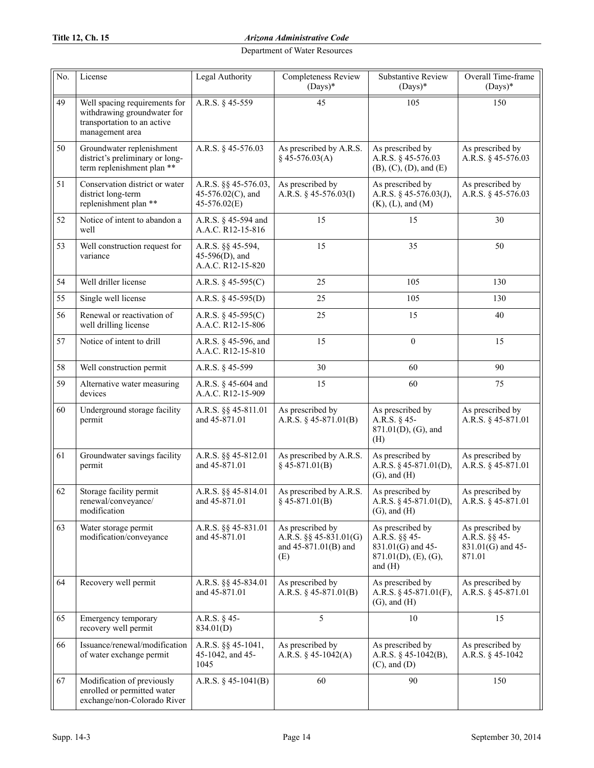# **Title 12, Ch. 15** *Arizona Administrative Code*

| No. | License                                                                                                        | Legal Authority                                             | <b>Completeness Review</b><br>$(Days)*$                                       | <b>Substantive Review</b><br>$(Days)*$                                                         | Overall Time-frame<br>$(Days)*$                                  |
|-----|----------------------------------------------------------------------------------------------------------------|-------------------------------------------------------------|-------------------------------------------------------------------------------|------------------------------------------------------------------------------------------------|------------------------------------------------------------------|
| 49  | Well spacing requirements for<br>withdrawing groundwater for<br>transportation to an active<br>management area | A.R.S. § 45-559                                             | 45                                                                            | 105                                                                                            | 150                                                              |
| 50  | Groundwater replenishment<br>district's preliminary or long-<br>term replenishment plan **                     | A.R.S. § 45-576.03                                          | As prescribed by A.R.S.<br>$§$ 45-576.03(A)                                   | As prescribed by<br>A.R.S. § 45-576.03<br>(B), (C), (D), and (E)                               | As prescribed by<br>A.R.S. § 45-576.03                           |
| 51  | Conservation district or water<br>district long-term<br>replenishment plan **                                  | A.R.S. §§ 45-576.03,<br>45-576.02(C), and<br>45-576.02(E)   | As prescribed by<br>A.R.S. § 45-576.03(I)                                     | As prescribed by<br>A.R.S. § 45-576.03(J),<br>$(K)$ , $(L)$ , and $(M)$                        | As prescribed by<br>A.R.S. § 45-576.03                           |
| 52  | Notice of intent to abandon a<br>well                                                                          | A.R.S. § 45-594 and<br>A.A.C. R12-15-816                    | 15                                                                            | 15                                                                                             | 30                                                               |
| 53  | Well construction request for<br>variance                                                                      | A.R.S. §§ 45-594,<br>$45-596(D)$ , and<br>A.A.C. R12-15-820 | 15                                                                            | 35                                                                                             | 50                                                               |
| 54  | Well driller license                                                                                           | A.R.S. $\S$ 45-595(C)                                       | 25                                                                            | 105                                                                                            | 130                                                              |
| 55  | Single well license                                                                                            | A.R.S. $§$ 45-595(D)                                        | 25                                                                            | 105                                                                                            | 130                                                              |
| 56  | Renewal or reactivation of<br>well drilling license                                                            | A.R.S. $§$ 45-595(C)<br>A.A.C. R12-15-806                   | 25                                                                            | 15                                                                                             | 40                                                               |
| 57  | Notice of intent to drill                                                                                      | A.R.S. § 45-596, and<br>A.A.C. R12-15-810                   | 15                                                                            | $\mathbf{0}$                                                                                   | 15                                                               |
| 58  | Well construction permit                                                                                       | A.R.S. § 45-599                                             | 30                                                                            | 60                                                                                             | 90                                                               |
| 59  | Alternative water measuring<br>devices                                                                         | A.R.S. § 45-604 and<br>A.A.C. R12-15-909                    | 15                                                                            | 60                                                                                             | 75                                                               |
| 60  | Underground storage facility<br>permit                                                                         | A.R.S. §§ 45-811.01<br>and 45-871.01                        | As prescribed by<br>A.R.S. $\S$ 45-871.01(B)                                  | As prescribed by<br>A.R.S. $§$ 45-<br>871.01(D), (G), and<br>(H)                               | As prescribed by<br>A.R.S. § 45-871.01                           |
| 61  | Groundwater savings facility<br>permit                                                                         | A.R.S. §§ 45-812.01<br>and 45-871.01                        | As prescribed by A.R.S.<br>$§$ 45-871.01(B)                                   | As prescribed by<br>A.R.S. $§$ 45-871.01(D),<br>$(G)$ , and $(H)$                              | As prescribed by<br>A.R.S. § 45-871.01                           |
| 62  | Storage facility permit<br>renewal/conveyance/<br>modification                                                 | A.R.S. §§ 45-814.01<br>and 45-871.01                        | As prescribed by A.R.S.<br>$\S$ 45-871.01(B)                                  | As prescribed by<br>A.R.S. $§$ 45-871.01(D),<br>$(G)$ , and $(H)$                              | As prescribed by<br>A.R.S. § 45-871.01                           |
| 63  | Water storage permit<br>modification/conveyance                                                                | A.R.S. §§ 45-831.01<br>and 45-871.01                        | As prescribed by<br>A.R.S. $\S\S 45-831.01(G)$<br>and 45-871.01(B) and<br>(E) | As prescribed by<br>A.R.S. §§ 45-<br>831.01(G) and 45-<br>$871.01(D)$ , (E), (G),<br>and $(H)$ | As prescribed by<br>A.R.S. §§ 45-<br>831.01(G) and 45-<br>871.01 |
| 64  | Recovery well permit                                                                                           | A.R.S. §§ 45-834.01<br>and 45-871.01                        | As prescribed by<br>A.R.S. $\S$ 45-871.01(B)                                  | As prescribed by<br>A.R.S. $§$ 45-871.01(F),<br>$(G)$ , and $(H)$                              | As prescribed by<br>A.R.S. § 45-871.01                           |
| 65  | Emergency temporary<br>recovery well permit                                                                    | A.R.S. § 45-<br>834.01(D)                                   | 5                                                                             | 10                                                                                             | 15                                                               |
| 66  | Issuance/renewal/modification<br>of water exchange permit                                                      | A.R.S. §§ 45-1041,<br>45-1042, and 45-<br>1045              | As prescribed by<br>A.R.S. $§$ 45-1042(A)                                     | As prescribed by<br>A.R.S. § 45-1042(B),<br>$(C)$ , and $(D)$                                  | As prescribed by<br>A.R.S. § 45-1042                             |
| 67  | Modification of previously<br>enrolled or permitted water<br>exchange/non-Colorado River                       | A.R.S. $§$ 45-1041(B)                                       | 60                                                                            | 90                                                                                             | 150                                                              |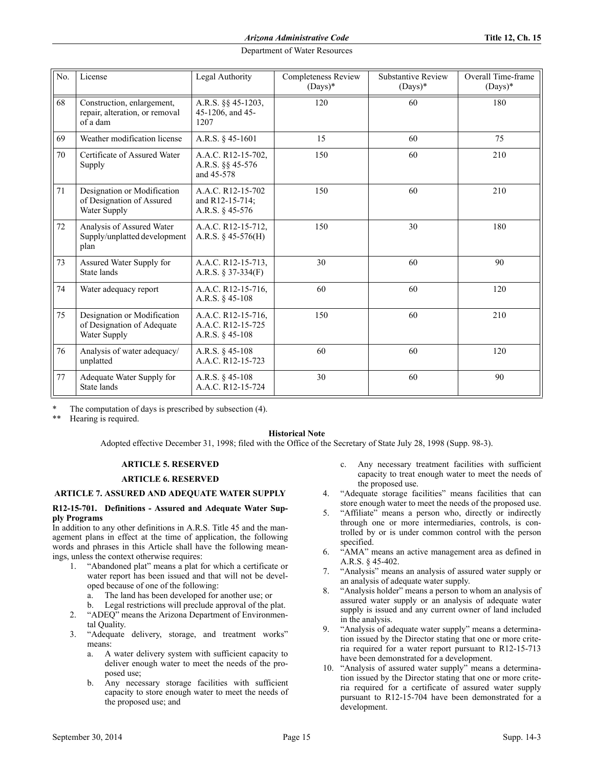| No. | License                                                                   | Legal Authority                                              | <b>Completeness Review</b><br>$(Days)*$ | <b>Substantive Review</b><br>$(Days)*$ | Overall Time-frame<br>$(Days)*$ |
|-----|---------------------------------------------------------------------------|--------------------------------------------------------------|-----------------------------------------|----------------------------------------|---------------------------------|
| 68  | Construction, enlargement,<br>repair, alteration, or removal<br>of a dam  | A.R.S. §§ 45-1203,<br>45-1206, and 45-<br>1207               | 120                                     | 60                                     | 180                             |
| 69  | Weather modification license                                              | A.R.S. § 45-1601                                             | 15                                      | 60                                     | 75                              |
| 70  | Certificate of Assured Water<br>Supply                                    | A.A.C. R12-15-702,<br>A.R.S. §§ 45-576<br>and 45-578         | 150                                     | 60                                     | 210                             |
| 71  | Designation or Modification<br>of Designation of Assured<br>Water Supply  | A.A.C. R12-15-702<br>and R12-15-714;<br>A.R.S. § 45-576      | 150                                     | 60                                     | 210                             |
| 72  | Analysis of Assured Water<br>Supply/unplatted development<br>plan         | A.A.C. R12-15-712,<br>A.R.S. $§$ 45-576(H)                   | 150                                     | 30                                     | 180                             |
| 73  | Assured Water Supply for<br>State lands                                   | A.A.C. R12-15-713.<br>A.R.S. § 37-334(F)                     | 30                                      | 60                                     | 90                              |
| 74  | Water adequacy report                                                     | A.A.C. R12-15-716,<br>A.R.S. $§$ 45-108                      | 60                                      | 60                                     | 120                             |
| 75  | Designation or Modification<br>of Designation of Adequate<br>Water Supply | A.A.C. R12-15-716,<br>A.A.C. R12-15-725<br>A.R.S. $§$ 45-108 | 150                                     | 60                                     | 210                             |
| 76  | Analysis of water adequacy/<br>unplatted                                  | A.R.S. $§$ 45-108<br>A.A.C. R12-15-723                       | 60                                      | 60                                     | 120                             |
| 77  | Adequate Water Supply for<br>State lands                                  | A.R.S. $§$ 45-108<br>A.A.C. R12-15-724                       | 30                                      | 60                                     | 90                              |

The computation of days is prescribed by subsection (4).

Hearing is required.

#### **Historical Note**

Adopted effective December 31, 1998; filed with the Office of the Secretary of State July 28, 1998 (Supp. 98-3).

#### **ARTICLE 5. RESERVED**

## **ARTICLE 6. RESERVED**

## **ARTICLE 7. ASSURED AND ADEQUATE WATER SUPPLY**

#### **R12-15-701. Definitions - Assured and Adequate Water Supply Programs**

In addition to any other definitions in A.R.S. Title 45 and the management plans in effect at the time of application, the following words and phrases in this Article shall have the following meanings, unless the context otherwise requires:

- 1. "Abandoned plat" means a plat for which a certificate or water report has been issued and that will not be developed because of one of the following:
	- a. The land has been developed for another use; or
- b. Legal restrictions will preclude approval of the plat. 2. "ADEQ" means the Arizona Department of Environmen-
- tal Quality. 3. "Adequate delivery, storage, and treatment works" means:
	- a. A water delivery system with sufficient capacity to deliver enough water to meet the needs of the proposed use;
	- b. Any necessary storage facilities with sufficient capacity to store enough water to meet the needs of the proposed use; and
- c. Any necessary treatment facilities with sufficient capacity to treat enough water to meet the needs of the proposed use.
- 4. "Adequate storage facilities" means facilities that can store enough water to meet the needs of the proposed use.
- 5. "Affiliate" means a person who, directly or indirectly through one or more intermediaries, controls, is controlled by or is under common control with the person specified.
- 6. "AMA" means an active management area as defined in A.R.S. § 45-402.
- 7. "Analysis" means an analysis of assured water supply or an analysis of adequate water supply.
- 8. "Analysis holder" means a person to whom an analysis of assured water supply or an analysis of adequate water supply is issued and any current owner of land included in the analysis.
- 9. "Analysis of adequate water supply" means a determination issued by the Director stating that one or more criteria required for a water report pursuant to R12-15-713 have been demonstrated for a development.
- 10. "Analysis of assured water supply" means a determination issued by the Director stating that one or more criteria required for a certificate of assured water supply pursuant to R12-15-704 have been demonstrated for a development.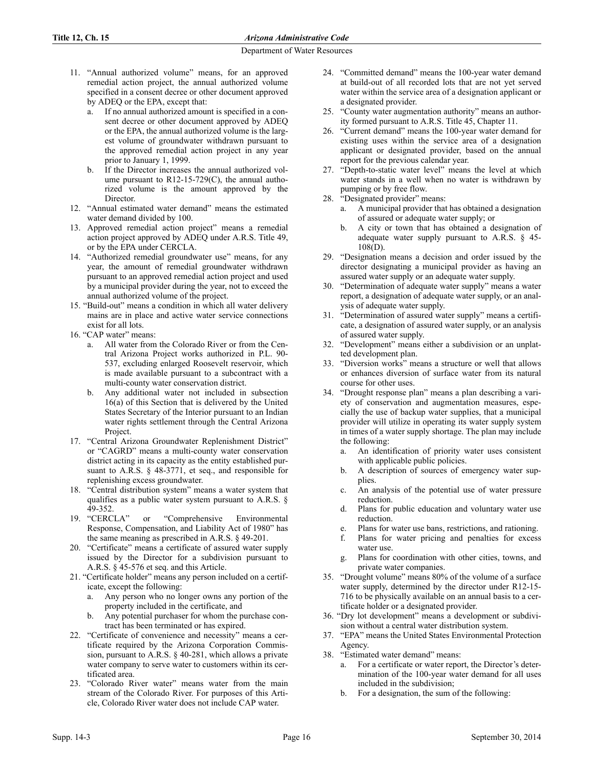- 11. "Annual authorized volume" means, for an approved remedial action project, the annual authorized volume specified in a consent decree or other document approved by ADEQ or the EPA, except that:
	- a. If no annual authorized amount is specified in a consent decree or other document approved by ADEQ or the EPA, the annual authorized volume is the largest volume of groundwater withdrawn pursuant to the approved remedial action project in any year prior to January 1, 1999.
	- b. If the Director increases the annual authorized volume pursuant to  $R12-15-729(C)$ , the annual authorized volume is the amount approved by the Director.
- 12. "Annual estimated water demand" means the estimated water demand divided by 100.
- 13. Approved remedial action project" means a remedial action project approved by ADEQ under A.R.S. Title 49, or by the EPA under CERCLA.
- 14. "Authorized remedial groundwater use" means, for any year, the amount of remedial groundwater withdrawn pursuant to an approved remedial action project and used by a municipal provider during the year, not to exceed the annual authorized volume of the project.
- 15. "Build-out" means a condition in which all water delivery mains are in place and active water service connections exist for all lots.
- 16. "CAP water" means:
	- a. All water from the Colorado River or from the Central Arizona Project works authorized in P.L. 90- 537, excluding enlarged Roosevelt reservoir, which is made available pursuant to a subcontract with a multi-county water conservation district.
	- b. Any additional water not included in subsection 16(a) of this Section that is delivered by the United States Secretary of the Interior pursuant to an Indian water rights settlement through the Central Arizona Project.
- 17. "Central Arizona Groundwater Replenishment District" or "CAGRD" means a multi-county water conservation district acting in its capacity as the entity established pursuant to A.R.S. § 48-3771, et seq., and responsible for replenishing excess groundwater.
- 18. "Central distribution system" means a water system that qualifies as a public water system pursuant to A.R.S. § 49-352.
- 19. "CERCLA" or "Comprehensive Environmental Response, Compensation, and Liability Act of 1980" has the same meaning as prescribed in A.R.S. § 49-201.
- 20. "Certificate" means a certificate of assured water supply issued by the Director for a subdivision pursuant to A.R.S. § 45-576 et seq. and this Article.
- 21. "Certificate holder" means any person included on a certificate, except the following:
	- a. Any person who no longer owns any portion of the property included in the certificate, and
	- b. Any potential purchaser for whom the purchase contract has been terminated or has expired.
- 22. "Certificate of convenience and necessity" means a certificate required by the Arizona Corporation Commission, pursuant to A.R.S. § 40-281, which allows a private water company to serve water to customers within its certificated area.
- 23. "Colorado River water" means water from the main stream of the Colorado River. For purposes of this Article, Colorado River water does not include CAP water.
- 24. "Committed demand" means the 100-year water demand at build-out of all recorded lots that are not yet served water within the service area of a designation applicant or a designated provider.
- 25. "County water augmentation authority" means an authority formed pursuant to A.R.S. Title 45, Chapter 11.
- 26. "Current demand" means the 100-year water demand for existing uses within the service area of a designation applicant or designated provider, based on the annual report for the previous calendar year.
- 27. "Depth-to-static water level" means the level at which water stands in a well when no water is withdrawn by pumping or by free flow.
- 28. "Designated provider" means:
	- a. A municipal provider that has obtained a designation of assured or adequate water supply; or
	- b. A city or town that has obtained a designation of adequate water supply pursuant to A.R.S. § 45-  $108(D)$ .
- 29. "Designation means a decision and order issued by the director designating a municipal provider as having an assured water supply or an adequate water supply.
- 30. "Determination of adequate water supply" means a water report, a designation of adequate water supply, or an analysis of adequate water supply.
- 31. "Determination of assured water supply" means a certificate, a designation of assured water supply, or an analysis of assured water supply.
- 32. "Development" means either a subdivision or an unplatted development plan.
- 33. "Diversion works" means a structure or well that allows or enhances diversion of surface water from its natural course for other uses.
- 34. "Drought response plan" means a plan describing a variety of conservation and augmentation measures, especially the use of backup water supplies, that a municipal provider will utilize in operating its water supply system in times of a water supply shortage. The plan may include the following:
	- a. An identification of priority water uses consistent with applicable public policies.
	- b. A description of sources of emergency water supplies.
	- c. An analysis of the potential use of water pressure reduction.
	- d. Plans for public education and voluntary water use reduction.
	- e. Plans for water use bans, restrictions, and rationing.
	- f. Plans for water pricing and penalties for excess water use.
	- g. Plans for coordination with other cities, towns, and private water companies.
- 35. "Drought volume" means 80% of the volume of a surface water supply, determined by the director under R12-15- 716 to be physically available on an annual basis to a certificate holder or a designated provider.
- 36. "Dry lot development" means a development or subdivision without a central water distribution system.
- 37. "EPA" means the United States Environmental Protection Agency.
- 38. "Estimated water demand" means:
	- a. For a certificate or water report, the Director's determination of the 100-year water demand for all uses included in the subdivision;
	- For a designation, the sum of the following: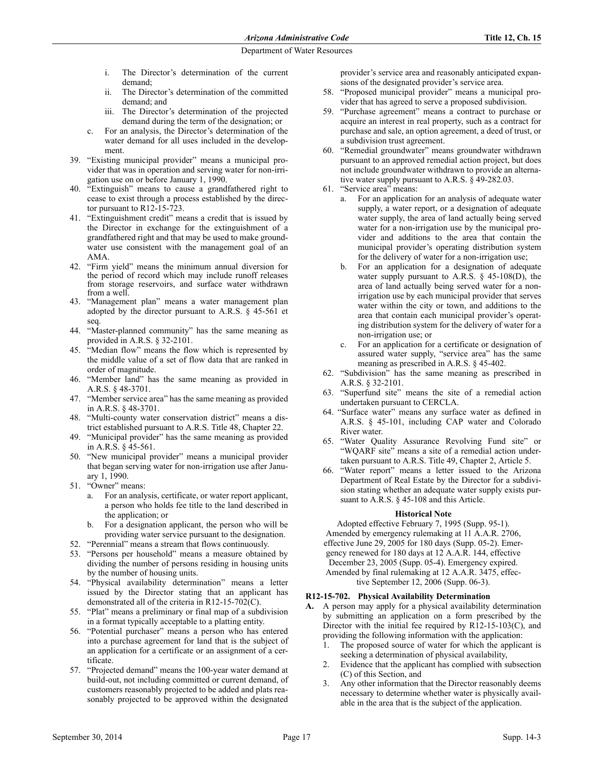- i. The Director's determination of the current demand;
- ii. The Director's determination of the committed demand; and
- iii. The Director's determination of the projected demand during the term of the designation; or
- c. For an analysis, the Director's determination of the water demand for all uses included in the development.
- 39. "Existing municipal provider" means a municipal provider that was in operation and serving water for non-irrigation use on or before January 1, 1990.
- 40. "Extinguish" means to cause a grandfathered right to cease to exist through a process established by the director pursuant to R12-15-723.
- 41. "Extinguishment credit" means a credit that is issued by the Director in exchange for the extinguishment of a grandfathered right and that may be used to make groundwater use consistent with the management goal of an AMA.
- 42. "Firm yield" means the minimum annual diversion for the period of record which may include runoff releases from storage reservoirs, and surface water withdrawn from a well.
- "Management plan" means a water management plan adopted by the director pursuant to A.R.S. § 45-561 et seq.
- 44. "Master-planned community" has the same meaning as provided in A.R.S. § 32-2101.
- 45. "Median flow" means the flow which is represented by the middle value of a set of flow data that are ranked in order of magnitude.
- 46. "Member land" has the same meaning as provided in A.R.S. § 48-3701.
- 47. "Member service area" has the same meaning as provided in A.R.S. § 48-3701.
- 48. "Multi-county water conservation district" means a district established pursuant to A.R.S. Title 48, Chapter 22.
- 49. "Municipal provider" has the same meaning as provided in A.R.S. § 45-561.
- 50. "New municipal provider" means a municipal provider that began serving water for non-irrigation use after January 1, 1990.
- 51. "Owner" means:
	- a. For an analysis, certificate, or water report applicant, a person who holds fee title to the land described in the application; or
	- b. For a designation applicant, the person who will be providing water service pursuant to the designation.
- 52. "Perennial" means a stream that flows continuously.
- 53. "Persons per household" means a measure obtained by dividing the number of persons residing in housing units by the number of housing units.
- 54. "Physical availability determination" means a letter issued by the Director stating that an applicant has demonstrated all of the criteria in R12-15-702(C).
- 55. "Plat" means a preliminary or final map of a subdivision in a format typically acceptable to a platting entity.
- 56. "Potential purchaser" means a person who has entered into a purchase agreement for land that is the subject of an application for a certificate or an assignment of a certificate.
- 57. "Projected demand" means the 100-year water demand at build-out, not including committed or current demand, of customers reasonably projected to be added and plats reasonably projected to be approved within the designated

provider's service area and reasonably anticipated expansions of the designated provider's service area.

- 58. "Proposed municipal provider" means a municipal provider that has agreed to serve a proposed subdivision.
- 59. "Purchase agreement" means a contract to purchase or acquire an interest in real property, such as a contract for purchase and sale, an option agreement, a deed of trust, or a subdivision trust agreement.
- 60. "Remedial groundwater" means groundwater withdrawn pursuant to an approved remedial action project, but does not include groundwater withdrawn to provide an alternative water supply pursuant to A.R.S. § 49-282.03.
- 61. "Service area" means:
	- a. For an application for an analysis of adequate water supply, a water report, or a designation of adequate water supply, the area of land actually being served water for a non-irrigation use by the municipal provider and additions to the area that contain the municipal provider's operating distribution system for the delivery of water for a non-irrigation use;
	- b. For an application for a designation of adequate water supply pursuant to A.R.S. § 45-108(D), the area of land actually being served water for a nonirrigation use by each municipal provider that serves water within the city or town, and additions to the area that contain each municipal provider's operating distribution system for the delivery of water for a non-irrigation use; or
	- c. For an application for a certificate or designation of assured water supply, "service area" has the same meaning as prescribed in A.R.S. § 45-402.
- 62. "Subdivision" has the same meaning as prescribed in A.R.S. § 32-2101.
- 63. "Superfund site" means the site of a remedial action undertaken pursuant to CERCLA.
- 64. "Surface water" means any surface water as defined in A.R.S. § 45-101, including CAP water and Colorado River water.
- 65. "Water Quality Assurance Revolving Fund site" or "WQARF site" means a site of a remedial action undertaken pursuant to A.R.S. Title 49, Chapter 2, Article 5.
- 66. "Water report" means a letter issued to the Arizona Department of Real Estate by the Director for a subdivision stating whether an adequate water supply exists pursuant to A.R.S. § 45-108 and this Article.

#### **Historical Note**

Adopted effective February 7, 1995 (Supp. 95-1). Amended by emergency rulemaking at 11 A.A.R. 2706, effective June 29, 2005 for 180 days (Supp. 05-2). Emergency renewed for 180 days at 12 A.A.R. 144, effective December 23, 2005 (Supp. 05-4). Emergency expired. Amended by final rulemaking at 12 A.A.R. 3475, effective September 12, 2006 (Supp. 06-3).

# **R12-15-702. Physical Availability Determination**

- **A.** A person may apply for a physical availability determination by submitting an application on a form prescribed by the Director with the initial fee required by R12-15-103(C), and providing the following information with the application:
	- 1. The proposed source of water for which the applicant is seeking a determination of physical availability,
	- 2. Evidence that the applicant has complied with subsection (C) of this Section, and
	- 3. Any other information that the Director reasonably deems necessary to determine whether water is physically available in the area that is the subject of the application.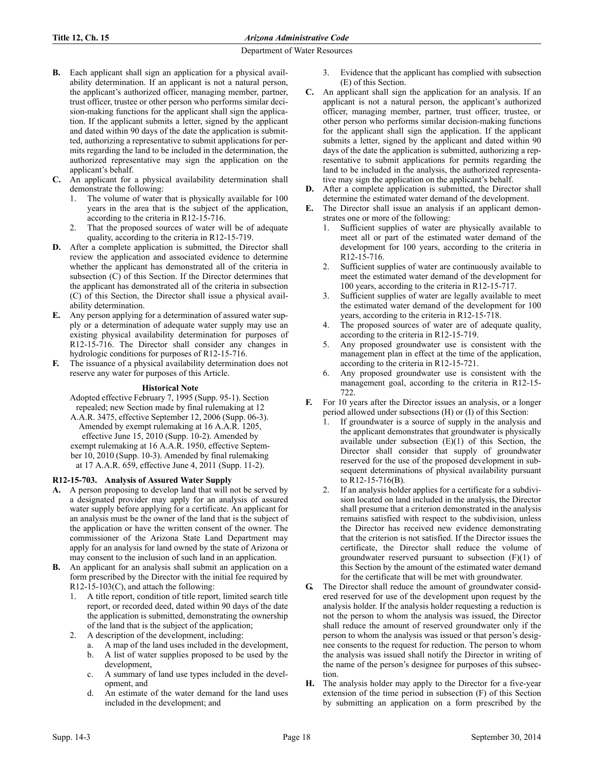- **B.** Each applicant shall sign an application for a physical availability determination. If an applicant is not a natural person, the applicant's authorized officer, managing member, partner, trust officer, trustee or other person who performs similar decision-making functions for the applicant shall sign the application. If the applicant submits a letter, signed by the applicant and dated within 90 days of the date the application is submitted, authorizing a representative to submit applications for permits regarding the land to be included in the determination, the authorized representative may sign the application on the applicant's behalf.
- **C.** An applicant for a physical availability determination shall demonstrate the following:
	- The volume of water that is physically available for 100 years in the area that is the subject of the application, according to the criteria in R12-15-716.
	- That the proposed sources of water will be of adequate quality, according to the criteria in R12-15-719.
- **D.** After a complete application is submitted, the Director shall review the application and associated evidence to determine whether the applicant has demonstrated all of the criteria in subsection (C) of this Section. If the Director determines that the applicant has demonstrated all of the criteria in subsection (C) of this Section, the Director shall issue a physical availability determination.
- **E.** Any person applying for a determination of assured water supply or a determination of adequate water supply may use an existing physical availability determination for purposes of R12-15-716. The Director shall consider any changes in hydrologic conditions for purposes of R12-15-716.
- **F.** The issuance of a physical availability determination does not reserve any water for purposes of this Article.

# **Historical Note**

Adopted effective February 7, 1995 (Supp. 95-1). Section repealed; new Section made by final rulemaking at 12

A.A.R. 3475, effective September 12, 2006 (Supp. 06-3). Amended by exempt rulemaking at 16 A.A.R. 1205, effective June 15, 2010 (Supp. 10-2). Amended by exempt rulemaking at 16 A.A.R. 1950, effective September 10, 2010 (Supp. 10-3). Amended by final rulemaking at 17 A.A.R. 659, effective June 4, 2011 (Supp. 11-2).

# **R12-15-703. Analysis of Assured Water Supply**

- **A.** A person proposing to develop land that will not be served by a designated provider may apply for an analysis of assured water supply before applying for a certificate. An applicant for an analysis must be the owner of the land that is the subject of the application or have the written consent of the owner. The commissioner of the Arizona State Land Department may apply for an analysis for land owned by the state of Arizona or may consent to the inclusion of such land in an application.
- **B.** An applicant for an analysis shall submit an application on a form prescribed by the Director with the initial fee required by R12-15-103(C), and attach the following:
	- 1. A title report, condition of title report, limited search title report, or recorded deed, dated within 90 days of the date the application is submitted, demonstrating the ownership of the land that is the subject of the application;
	- 2. A description of the development, including:
		- a. A map of the land uses included in the development,
		- b. A list of water supplies proposed to be used by the development,
		- c. A summary of land use types included in the development, and
		- d. An estimate of the water demand for the land uses included in the development; and
- 3. Evidence that the applicant has complied with subsection (E) of this Section.
- **C.** An applicant shall sign the application for an analysis. If an applicant is not a natural person, the applicant's authorized officer, managing member, partner, trust officer, trustee, or other person who performs similar decision-making functions for the applicant shall sign the application. If the applicant submits a letter, signed by the applicant and dated within 90 days of the date the application is submitted, authorizing a representative to submit applications for permits regarding the land to be included in the analysis, the authorized representative may sign the application on the applicant's behalf.
- **D.** After a complete application is submitted, the Director shall determine the estimated water demand of the development.
- **E.** The Director shall issue an analysis if an applicant demonstrates one or more of the following:
	- 1. Sufficient supplies of water are physically available to meet all or part of the estimated water demand of the development for 100 years, according to the criteria in R12-15-716.
	- 2. Sufficient supplies of water are continuously available to meet the estimated water demand of the development for 100 years, according to the criteria in R12-15-717.
	- Sufficient supplies of water are legally available to meet the estimated water demand of the development for 100 years, according to the criteria in R12-15-718.
	- 4. The proposed sources of water are of adequate quality, according to the criteria in R12-15-719.
	- 5. Any proposed groundwater use is consistent with the management plan in effect at the time of the application, according to the criteria in R12-15-721.
	- 6. Any proposed groundwater use is consistent with the management goal, according to the criteria in R12-15- 722.
- **F.** For 10 years after the Director issues an analysis, or a longer period allowed under subsections (H) or (I) of this Section:
	- If groundwater is a source of supply in the analysis and the applicant demonstrates that groundwater is physically available under subsection  $(E)(1)$  of this Section, the Director shall consider that supply of groundwater reserved for the use of the proposed development in subsequent determinations of physical availability pursuant to R12-15-716(B).
	- 2. If an analysis holder applies for a certificate for a subdivision located on land included in the analysis, the Director shall presume that a criterion demonstrated in the analysis remains satisfied with respect to the subdivision, unless the Director has received new evidence demonstrating that the criterion is not satisfied. If the Director issues the certificate, the Director shall reduce the volume of groundwater reserved pursuant to subsection  $(F)(1)$  of this Section by the amount of the estimated water demand for the certificate that will be met with groundwater.
- **G.** The Director shall reduce the amount of groundwater considered reserved for use of the development upon request by the analysis holder. If the analysis holder requesting a reduction is not the person to whom the analysis was issued, the Director shall reduce the amount of reserved groundwater only if the person to whom the analysis was issued or that person's designee consents to the request for reduction. The person to whom the analysis was issued shall notify the Director in writing of the name of the person's designee for purposes of this subsection.
- **H.** The analysis holder may apply to the Director for a five-year extension of the time period in subsection (F) of this Section by submitting an application on a form prescribed by the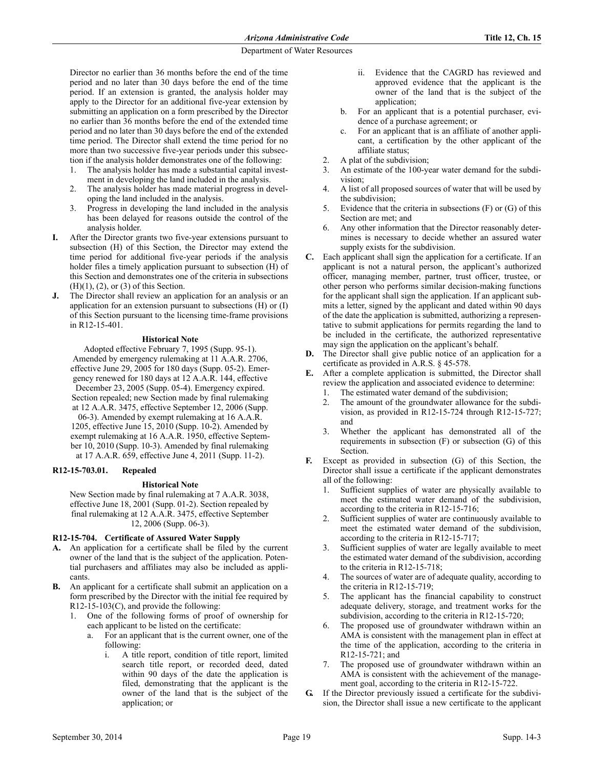Director no earlier than 36 months before the end of the time period and no later than 30 days before the end of the time period. If an extension is granted, the analysis holder may apply to the Director for an additional five-year extension by submitting an application on a form prescribed by the Director no earlier than 36 months before the end of the extended time period and no later than 30 days before the end of the extended time period. The Director shall extend the time period for no more than two successive five-year periods under this subsection if the analysis holder demonstrates one of the following:

- 1. The analysis holder has made a substantial capital investment in developing the land included in the analysis.
- 2. The analysis holder has made material progress in developing the land included in the analysis.
- 3. Progress in developing the land included in the analysis has been delayed for reasons outside the control of the analysis holder.
- **I.** After the Director grants two five-year extensions pursuant to subsection (H) of this Section, the Director may extend the time period for additional five-year periods if the analysis holder files a timely application pursuant to subsection (H) of this Section and demonstrates one of the criteria in subsections  $(H)(1)$ ,  $(2)$ , or  $(3)$  of this Section.
- **J.** The Director shall review an application for an analysis or an application for an extension pursuant to subsections (H) or (I) of this Section pursuant to the licensing time-frame provisions in R12-15-401.

#### **Historical Note**

Adopted effective February 7, 1995 (Supp. 95-1). Amended by emergency rulemaking at 11 A.A.R. 2706, effective June 29, 2005 for 180 days (Supp. 05-2). Emergency renewed for 180 days at 12 A.A.R. 144, effective December 23, 2005 (Supp. 05-4). Emergency expired. Section repealed; new Section made by final rulemaking at 12 A.A.R. 3475, effective September 12, 2006 (Supp. 06-3). Amended by exempt rulemaking at 16 A.A.R. 1205, effective June 15, 2010 (Supp. 10-2). Amended by exempt rulemaking at 16 A.A.R. 1950, effective September 10, 2010 (Supp. 10-3). Amended by final rulemaking at 17 A.A.R. 659, effective June 4, 2011 (Supp. 11-2).

#### **R12-15-703.01. Repealed**

#### **Historical Note**

New Section made by final rulemaking at 7 A.A.R. 3038, effective June 18, 2001 (Supp. 01-2). Section repealed by final rulemaking at 12 A.A.R. 3475, effective September 12, 2006 (Supp. 06-3).

#### **R12-15-704. Certificate of Assured Water Supply**

- **A.** An application for a certificate shall be filed by the current owner of the land that is the subject of the application. Potential purchasers and affiliates may also be included as applicants.
- **B.** An applicant for a certificate shall submit an application on a form prescribed by the Director with the initial fee required by R12-15-103(C), and provide the following:
	- 1. One of the following forms of proof of ownership for each applicant to be listed on the certificate:
		- a. For an applicant that is the current owner, one of the following:
			- A title report, condition of title report, limited search title report, or recorded deed, dated within 90 days of the date the application is filed, demonstrating that the applicant is the owner of the land that is the subject of the application; or
- ii. Evidence that the CAGRD has reviewed and approved evidence that the applicant is the owner of the land that is the subject of the application;
- b. For an applicant that is a potential purchaser, evidence of a purchase agreement; or
- c. For an applicant that is an affiliate of another applicant, a certification by the other applicant of the affiliate status;
- 2. A plat of the subdivision;
- 3. An estimate of the 100-year water demand for the subdivision;
- 4. A list of all proposed sources of water that will be used by the subdivision;
- 5. Evidence that the criteria in subsections (F) or (G) of this Section are met: and
- 6. Any other information that the Director reasonably determines is necessary to decide whether an assured water supply exists for the subdivision.
- **C.** Each applicant shall sign the application for a certificate. If an applicant is not a natural person, the applicant's authorized officer, managing member, partner, trust officer, trustee, or other person who performs similar decision-making functions for the applicant shall sign the application. If an applicant submits a letter, signed by the applicant and dated within 90 days of the date the application is submitted, authorizing a representative to submit applications for permits regarding the land to be included in the certificate, the authorized representative may sign the application on the applicant's behalf.
- **D.** The Director shall give public notice of an application for a certificate as provided in A.R.S. § 45-578.
- **E.** After a complete application is submitted, the Director shall review the application and associated evidence to determine:
	- 1. The estimated water demand of the subdivision;
	- 2. The amount of the groundwater allowance for the subdivision, as provided in R12-15-724 through R12-15-727; and
	- 3. Whether the applicant has demonstrated all of the requirements in subsection (F) or subsection (G) of this Section.
- **F.** Except as provided in subsection (G) of this Section, the Director shall issue a certificate if the applicant demonstrates all of the following:
	- 1. Sufficient supplies of water are physically available to meet the estimated water demand of the subdivision, according to the criteria in R12-15-716;
	- 2. Sufficient supplies of water are continuously available to meet the estimated water demand of the subdivision, according to the criteria in R12-15-717;
	- Sufficient supplies of water are legally available to meet the estimated water demand of the subdivision, according to the criteria in R12-15-718;
	- 4. The sources of water are of adequate quality, according to the criteria in R12-15-719;
	- 5. The applicant has the financial capability to construct adequate delivery, storage, and treatment works for the subdivision, according to the criteria in R12-15-720;
	- 6. The proposed use of groundwater withdrawn within an AMA is consistent with the management plan in effect at the time of the application, according to the criteria in R12-15-721; and
	- 7. The proposed use of groundwater withdrawn within an AMA is consistent with the achievement of the management goal, according to the criteria in R12-15-722.
- **G.** If the Director previously issued a certificate for the subdivision, the Director shall issue a new certificate to the applicant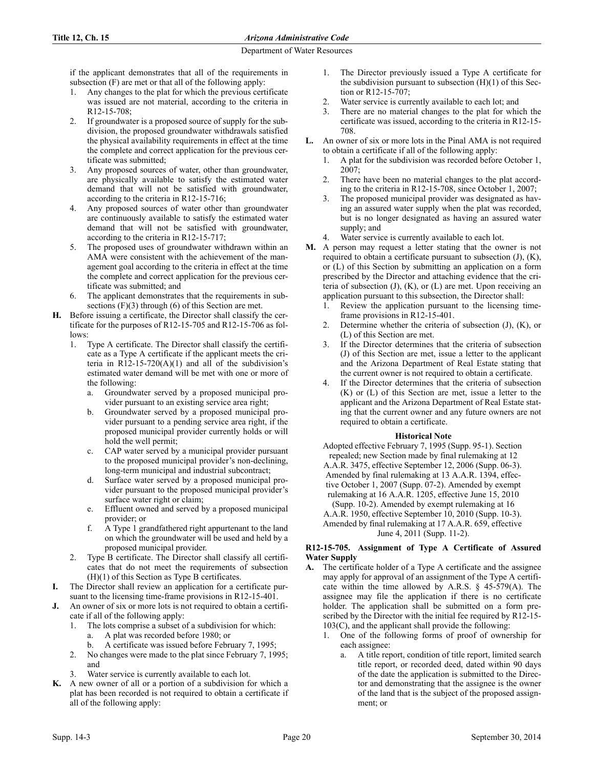if the applicant demonstrates that all of the requirements in subsection (F) are met or that all of the following apply:

- 1. Any changes to the plat for which the previous certificate was issued are not material, according to the criteria in R12-15-708;
- 2. If groundwater is a proposed source of supply for the subdivision, the proposed groundwater withdrawals satisfied the physical availability requirements in effect at the time the complete and correct application for the previous certificate was submitted;
- 3. Any proposed sources of water, other than groundwater, are physically available to satisfy the estimated water demand that will not be satisfied with groundwater, according to the criteria in R12-15-716;
- 4. Any proposed sources of water other than groundwater are continuously available to satisfy the estimated water demand that will not be satisfied with groundwater, according to the criteria in R12-15-717;
- 5. The proposed uses of groundwater withdrawn within an AMA were consistent with the achievement of the management goal according to the criteria in effect at the time the complete and correct application for the previous certificate was submitted; and
- 6. The applicant demonstrates that the requirements in subsections  $(F)(3)$  through  $(6)$  of this Section are met.
- **H.** Before issuing a certificate, the Director shall classify the certificate for the purposes of R12-15-705 and R12-15-706 as follows:
	- 1. Type A certificate. The Director shall classify the certificate as a Type A certificate if the applicant meets the criteria in R12-15-720(A)(1) and all of the subdivision's estimated water demand will be met with one or more of the following:
		- a. Groundwater served by a proposed municipal provider pursuant to an existing service area right;
		- b. Groundwater served by a proposed municipal provider pursuant to a pending service area right, if the proposed municipal provider currently holds or will hold the well permit;
		- c. CAP water served by a municipal provider pursuant to the proposed municipal provider's non-declining, long-term municipal and industrial subcontract;
		- d. Surface water served by a proposed municipal provider pursuant to the proposed municipal provider's surface water right or claim;
		- e. Effluent owned and served by a proposed municipal provider; or
		- f. A Type 1 grandfathered right appurtenant to the land on which the groundwater will be used and held by a proposed municipal provider.
	- 2. Type B certificate. The Director shall classify all certificates that do not meet the requirements of subsection (H)(1) of this Section as Type B certificates.
- **I.** The Director shall review an application for a certificate pursuant to the licensing time-frame provisions in R12-15-401.
- **J.** An owner of six or more lots is not required to obtain a certificate if all of the following apply:
	- 1. The lots comprise a subset of a subdivision for which: a. A plat was recorded before 1980; or
		- b. A certificate was issued before February 7, 1995;
	- 2. No changes were made to the plat since February 7, 1995; and
	- Water service is currently available to each lot.
- **K.** A new owner of all or a portion of a subdivision for which a plat has been recorded is not required to obtain a certificate if all of the following apply:
- 1. The Director previously issued a Type A certificate for the subdivision pursuant to subsection (H)(1) of this Section or R12-15-707;
- 2. Water service is currently available to each lot; and
- 3. There are no material changes to the plat for which the certificate was issued, according to the criteria in R12-15- 708.
- **L.** An owner of six or more lots in the Pinal AMA is not required to obtain a certificate if all of the following apply:
	- 1. A plat for the subdivision was recorded before October 1,  $2007$
	- 2. There have been no material changes to the plat according to the criteria in R12-15-708, since October 1, 2007;
	- 3. The proposed municipal provider was designated as having an assured water supply when the plat was recorded, but is no longer designated as having an assured water supply; and
	- Water service is currently available to each lot.
- **M.** A person may request a letter stating that the owner is not required to obtain a certificate pursuant to subsection  $(J)$ ,  $(K)$ , or (L) of this Section by submitting an application on a form prescribed by the Director and attaching evidence that the criteria of subsection  $(J)$ ,  $(K)$ , or  $(L)$  are met. Upon receiving an application pursuant to this subsection, the Director shall:
	- 1. Review the application pursuant to the licensing timeframe provisions in R12-15-401.
	- 2. Determine whether the criteria of subsection (J), (K), or (L) of this Section are met.
	- 3. If the Director determines that the criteria of subsection (J) of this Section are met, issue a letter to the applicant and the Arizona Department of Real Estate stating that the current owner is not required to obtain a certificate.
	- 4. If the Director determines that the criteria of subsection (K) or (L) of this Section are met, issue a letter to the applicant and the Arizona Department of Real Estate stating that the current owner and any future owners are not required to obtain a certificate.

# **Historical Note**

Adopted effective February 7, 1995 (Supp. 95-1). Section repealed; new Section made by final rulemaking at 12 A.A.R. 3475, effective September 12, 2006 (Supp. 06-3). Amended by final rulemaking at 13 A.A.R. 1394, effective October 1, 2007 (Supp. 07-2). Amended by exempt rulemaking at 16 A.A.R. 1205, effective June 15, 2010 (Supp. 10-2). Amended by exempt rulemaking at 16 A.A.R. 1950, effective September 10, 2010 (Supp. 10-3). Amended by final rulemaking at 17 A.A.R. 659, effective June 4, 2011 (Supp. 11-2).

## **R12-15-705. Assignment of Type A Certificate of Assured Water Supply**

- **A.** The certificate holder of a Type A certificate and the assignee may apply for approval of an assignment of the Type A certificate within the time allowed by A.R.S. § 45-579(A). The assignee may file the application if there is no certificate holder. The application shall be submitted on a form prescribed by the Director with the initial fee required by R12-15- 103(C), and the applicant shall provide the following:
	- 1. One of the following forms of proof of ownership for each assignee:
		- a. A title report, condition of title report, limited search title report, or recorded deed, dated within 90 days of the date the application is submitted to the Director and demonstrating that the assignee is the owner of the land that is the subject of the proposed assignment; or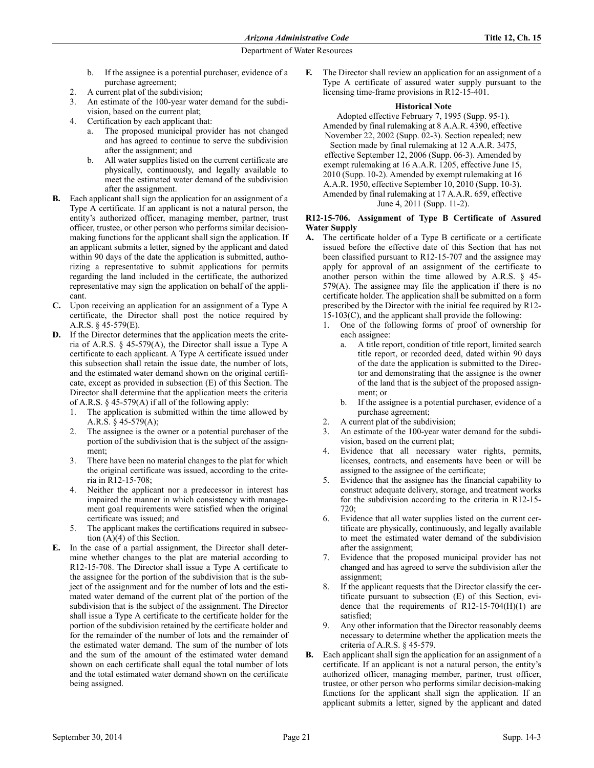- b. If the assignee is a potential purchaser, evidence of a purchase agreement;
- 2. A current plat of the subdivision;
- 3. An estimate of the 100-year water demand for the subdivision, based on the current plat;
- 4. Certification by each applicant that:
	- The proposed municipal provider has not changed and has agreed to continue to serve the subdivision after the assignment; and
	- b. All water supplies listed on the current certificate are physically, continuously, and legally available to meet the estimated water demand of the subdivision after the assignment.
- **B.** Each applicant shall sign the application for an assignment of a Type A certificate. If an applicant is not a natural person, the entity's authorized officer, managing member, partner, trust officer, trustee, or other person who performs similar decisionmaking functions for the applicant shall sign the application. If an applicant submits a letter, signed by the applicant and dated within 90 days of the date the application is submitted, authorizing a representative to submit applications for permits regarding the land included in the certificate, the authorized representative may sign the application on behalf of the applicant.
- **C.** Upon receiving an application for an assignment of a Type A certificate, the Director shall post the notice required by A.R.S. § 45-579(E).
- **D.** If the Director determines that the application meets the criteria of A.R.S. § 45-579(A), the Director shall issue a Type A certificate to each applicant. A Type A certificate issued under this subsection shall retain the issue date, the number of lots, and the estimated water demand shown on the original certificate, except as provided in subsection (E) of this Section. The Director shall determine that the application meets the criteria of A.R.S. § 45-579(A) if all of the following apply:
	- 1. The application is submitted within the time allowed by A.R.S. § 45-579(A);
	- 2. The assignee is the owner or a potential purchaser of the portion of the subdivision that is the subject of the assignment;
	- 3. There have been no material changes to the plat for which the original certificate was issued, according to the criteria in R12-15-708;
	- 4. Neither the applicant nor a predecessor in interest has impaired the manner in which consistency with management goal requirements were satisfied when the original certificate was issued; and
	- The applicant makes the certifications required in subsection (A)(4) of this Section.
- **E.** In the case of a partial assignment, the Director shall determine whether changes to the plat are material according to R12-15-708. The Director shall issue a Type A certificate to the assignee for the portion of the subdivision that is the subject of the assignment and for the number of lots and the estimated water demand of the current plat of the portion of the subdivision that is the subject of the assignment. The Director shall issue a Type A certificate to the certificate holder for the portion of the subdivision retained by the certificate holder and for the remainder of the number of lots and the remainder of the estimated water demand. The sum of the number of lots and the sum of the amount of the estimated water demand shown on each certificate shall equal the total number of lots and the total estimated water demand shown on the certificate being assigned.

**F.** The Director shall review an application for an assignment of a Type A certificate of assured water supply pursuant to the licensing time-frame provisions in R12-15-401.

#### **Historical Note**

Adopted effective February 7, 1995 (Supp. 95-1). Amended by final rulemaking at 8 A.A.R. 4390, effective November 22, 2002 (Supp. 02-3). Section repealed; new Section made by final rulemaking at 12 A.A.R. 3475, effective September 12, 2006 (Supp. 06-3). Amended by exempt rulemaking at 16 A.A.R. 1205, effective June 15, 2010 (Supp. 10-2). Amended by exempt rulemaking at 16 A.A.R. 1950, effective September 10, 2010 (Supp. 10-3). Amended by final rulemaking at 17 A.A.R. 659, effective June 4, 2011 (Supp. 11-2).

## **R12-15-706. Assignment of Type B Certificate of Assured Water Supply**

- **A.** The certificate holder of a Type B certificate or a certificate issued before the effective date of this Section that has not been classified pursuant to R12-15-707 and the assignee may apply for approval of an assignment of the certificate to another person within the time allowed by A.R.S. § 45- 579(A). The assignee may file the application if there is no certificate holder. The application shall be submitted on a form prescribed by the Director with the initial fee required by R12- 15-103(C), and the applicant shall provide the following:
	- 1. One of the following forms of proof of ownership for each assignee:
		- a. A title report, condition of title report, limited search title report, or recorded deed, dated within 90 days of the date the application is submitted to the Director and demonstrating that the assignee is the owner of the land that is the subject of the proposed assignment; or
		- b. If the assignee is a potential purchaser, evidence of a purchase agreement;
	- 2. A current plat of the subdivision;
	- 3. An estimate of the 100-year water demand for the subdivision, based on the current plat;
	- 4. Evidence that all necessary water rights, permits, licenses, contracts, and easements have been or will be assigned to the assignee of the certificate;
	- 5. Evidence that the assignee has the financial capability to construct adequate delivery, storage, and treatment works for the subdivision according to the criteria in R12-15- 720;
	- 6. Evidence that all water supplies listed on the current certificate are physically, continuously, and legally available to meet the estimated water demand of the subdivision after the assignment;
	- 7. Evidence that the proposed municipal provider has not changed and has agreed to serve the subdivision after the assignment;
	- If the applicant requests that the Director classify the certificate pursuant to subsection (E) of this Section, evidence that the requirements of  $R12-15-704(H)(1)$  are satisfied;
	- 9. Any other information that the Director reasonably deems necessary to determine whether the application meets the criteria of A.R.S. § 45-579.
- **B.** Each applicant shall sign the application for an assignment of a certificate. If an applicant is not a natural person, the entity's authorized officer, managing member, partner, trust officer, trustee, or other person who performs similar decision-making functions for the applicant shall sign the application. If an applicant submits a letter, signed by the applicant and dated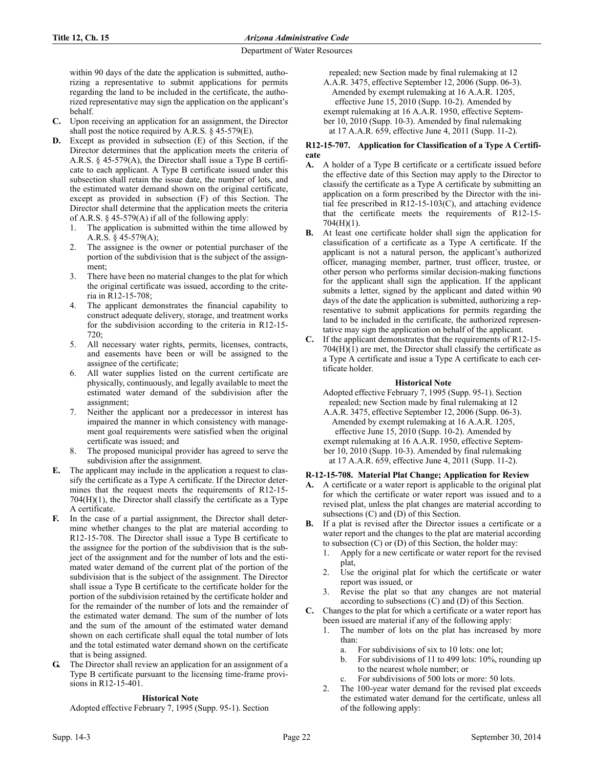within 90 days of the date the application is submitted, authorizing a representative to submit applications for permits regarding the land to be included in the certificate, the authorized representative may sign the application on the applicant's behalf.

- **C.** Upon receiving an application for an assignment, the Director shall post the notice required by A.R.S. § 45-579(E).
- **D.** Except as provided in subsection (E) of this Section, if the Director determines that the application meets the criteria of A.R.S. § 45-579(A), the Director shall issue a Type B certificate to each applicant. A Type B certificate issued under this subsection shall retain the issue date, the number of lots, and the estimated water demand shown on the original certificate, except as provided in subsection (F) of this Section. The Director shall determine that the application meets the criteria of A.R.S. § 45-579(A) if all of the following apply:
	- 1. The application is submitted within the time allowed by A.R.S. § 45-579(A);
	- 2. The assignee is the owner or potential purchaser of the portion of the subdivision that is the subject of the assignment;
	- 3. There have been no material changes to the plat for which the original certificate was issued, according to the criteria in R12-15-708;
	- The applicant demonstrates the financial capability to construct adequate delivery, storage, and treatment works for the subdivision according to the criteria in R12-15- 720;
	- 5. All necessary water rights, permits, licenses, contracts, and easements have been or will be assigned to the assignee of the certificate;
	- 6. All water supplies listed on the current certificate are physically, continuously, and legally available to meet the estimated water demand of the subdivision after the assignment;
	- 7. Neither the applicant nor a predecessor in interest has impaired the manner in which consistency with management goal requirements were satisfied when the original certificate was issued; and
	- 8. The proposed municipal provider has agreed to serve the subdivision after the assignment.
- **E.** The applicant may include in the application a request to classify the certificate as a Type A certificate. If the Director determines that the request meets the requirements of R12-15-  $704(H)(1)$ , the Director shall classify the certificate as a Type A certificate.
- **F.** In the case of a partial assignment, the Director shall determine whether changes to the plat are material according to R12-15-708. The Director shall issue a Type B certificate to the assignee for the portion of the subdivision that is the subject of the assignment and for the number of lots and the estimated water demand of the current plat of the portion of the subdivision that is the subject of the assignment. The Director shall issue a Type B certificate to the certificate holder for the portion of the subdivision retained by the certificate holder and for the remainder of the number of lots and the remainder of the estimated water demand. The sum of the number of lots and the sum of the amount of the estimated water demand shown on each certificate shall equal the total number of lots and the total estimated water demand shown on the certificate that is being assigned.
- **G.** The Director shall review an application for an assignment of a Type B certificate pursuant to the licensing time-frame provisions in R12-15-401.

# **Historical Note**

Adopted effective February 7, 1995 (Supp. 95-1). Section

repealed; new Section made by final rulemaking at 12

A.A.R. 3475, effective September 12, 2006 (Supp. 06-3). Amended by exempt rulemaking at 16 A.A.R. 1205, effective June 15, 2010 (Supp. 10-2). Amended by exempt rulemaking at 16 A.A.R. 1950, effective September 10, 2010 (Supp. 10-3). Amended by final rulemaking at 17 A.A.R. 659, effective June 4, 2011 (Supp. 11-2).

## **R12-15-707. Application for Classification of a Type A Certificate**

- **A.** A holder of a Type B certificate or a certificate issued before the effective date of this Section may apply to the Director to classify the certificate as a Type A certificate by submitting an application on a form prescribed by the Director with the initial fee prescribed in R12-15-103(C), and attaching evidence that the certificate meets the requirements of R12-15- 704(H)(1).
- **B.** At least one certificate holder shall sign the application for classification of a certificate as a Type A certificate. If the applicant is not a natural person, the applicant's authorized officer, managing member, partner, trust officer, trustee, or other person who performs similar decision-making functions for the applicant shall sign the application. If the applicant submits a letter, signed by the applicant and dated within 90 days of the date the application is submitted, authorizing a representative to submit applications for permits regarding the land to be included in the certificate, the authorized representative may sign the application on behalf of the applicant.
- **C.** If the applicant demonstrates that the requirements of R12-15-  $704(H)(1)$  are met, the Director shall classify the certificate as a Type A certificate and issue a Type A certificate to each certificate holder.

# **Historical Note**

Adopted effective February 7, 1995 (Supp. 95-1). Section repealed; new Section made by final rulemaking at 12

A.A.R. 3475, effective September 12, 2006 (Supp. 06-3). Amended by exempt rulemaking at 16 A.A.R. 1205, effective June 15, 2010 (Supp. 10-2). Amended by exempt rulemaking at 16 A.A.R. 1950, effective September 10, 2010 (Supp. 10-3). Amended by final rulemaking at 17 A.A.R. 659, effective June 4, 2011 (Supp. 11-2).

# **R-12-15-708. Material Plat Change; Application for Review**

- **A.** A certificate or a water report is applicable to the original plat for which the certificate or water report was issued and to a revised plat, unless the plat changes are material according to subsections (C) and (D) of this Section.
- **B.** If a plat is revised after the Director issues a certificate or a water report and the changes to the plat are material according to subsection (C) or (D) of this Section, the holder may:
	- 1. Apply for a new certificate or water report for the revised plat,
	- 2. Use the original plat for which the certificate or water report was issued, or
	- Revise the plat so that any changes are not material according to subsections (C) and (D) of this Section.
- **C.** Changes to the plat for which a certificate or a water report has been issued are material if any of the following apply:
	- 1. The number of lots on the plat has increased by more than:
		- a. For subdivisions of six to 10 lots: one lot;
		- b. For subdivisions of 11 to 499 lots: 10%, rounding up to the nearest whole number; or
		- For subdivisions of 500 lots or more: 50 lots.
	- 2. The 100-year water demand for the revised plat exceeds the estimated water demand for the certificate, unless all of the following apply: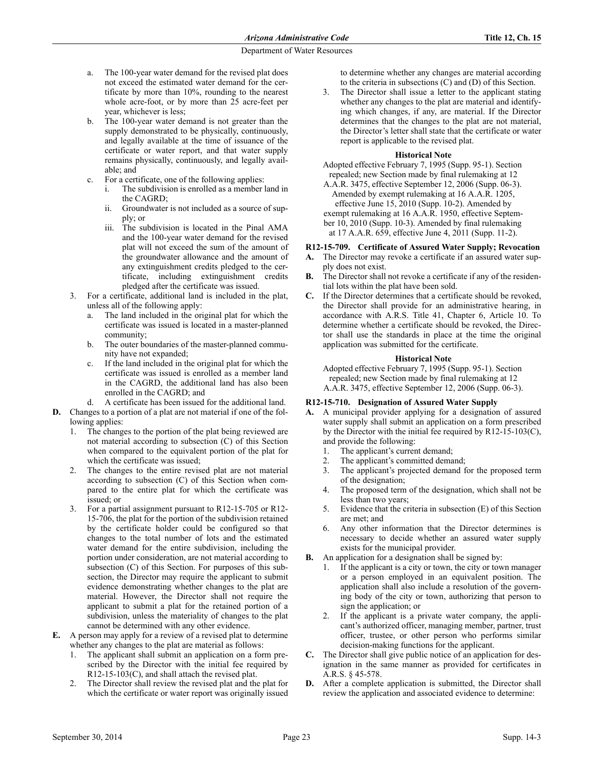- a. The 100-year water demand for the revised plat does not exceed the estimated water demand for the certificate by more than 10%, rounding to the nearest whole acre-foot, or by more than 25 acre-feet per year, whichever is less;
- b. The 100-year water demand is not greater than the supply demonstrated to be physically, continuously, and legally available at the time of issuance of the certificate or water report, and that water supply remains physically, continuously, and legally available; and
- c. For a certificate, one of the following applies:
	- The subdivision is enrolled as a member land in the CAGRD;
	- ii. Groundwater is not included as a source of supply; or
	- iii. The subdivision is located in the Pinal AMA and the 100-year water demand for the revised plat will not exceed the sum of the amount of the groundwater allowance and the amount of any extinguishment credits pledged to the certificate, including extinguishment credits pledged after the certificate was issued.
- 3. For a certificate, additional land is included in the plat, unless all of the following apply:
	- a. The land included in the original plat for which the certificate was issued is located in a master-planned community;
	- b. The outer boundaries of the master-planned community have not expanded;
	- c. If the land included in the original plat for which the certificate was issued is enrolled as a member land in the CAGRD, the additional land has also been enrolled in the CAGRD; and
	- d. A certificate has been issued for the additional land.
- **D.** Changes to a portion of a plat are not material if one of the following applies:
	- 1. The changes to the portion of the plat being reviewed are not material according to subsection (C) of this Section when compared to the equivalent portion of the plat for which the certificate was issued;
	- 2. The changes to the entire revised plat are not material according to subsection (C) of this Section when compared to the entire plat for which the certificate was issued; or
	- 3. For a partial assignment pursuant to R12-15-705 or R12- 15-706, the plat for the portion of the subdivision retained by the certificate holder could be configured so that changes to the total number of lots and the estimated water demand for the entire subdivision, including the portion under consideration, are not material according to subsection (C) of this Section. For purposes of this subsection, the Director may require the applicant to submit evidence demonstrating whether changes to the plat are material. However, the Director shall not require the applicant to submit a plat for the retained portion of a subdivision, unless the materiality of changes to the plat cannot be determined with any other evidence.
- **E.** A person may apply for a review of a revised plat to determine whether any changes to the plat are material as follows:
	- The applicant shall submit an application on a form prescribed by the Director with the initial fee required by R12-15-103(C), and shall attach the revised plat.
	- 2. The Director shall review the revised plat and the plat for which the certificate or water report was originally issued

to determine whether any changes are material according to the criteria in subsections (C) and (D) of this Section.

3. The Director shall issue a letter to the applicant stating whether any changes to the plat are material and identifying which changes, if any, are material. If the Director determines that the changes to the plat are not material, the Director's letter shall state that the certificate or water report is applicable to the revised plat.

## **Historical Note**

Adopted effective February 7, 1995 (Supp. 95-1). Section repealed; new Section made by final rulemaking at 12

A.A.R. 3475, effective September 12, 2006 (Supp. 06-3). Amended by exempt rulemaking at 16 A.A.R. 1205, effective June 15, 2010 (Supp. 10-2). Amended by exempt rulemaking at 16 A.A.R. 1950, effective September 10, 2010 (Supp. 10-3). Amended by final rulemaking at 17 A.A.R. 659, effective June 4, 2011 (Supp. 11-2).

## **R12-15-709. Certificate of Assured Water Supply; Revocation**

- **A.** The Director may revoke a certificate if an assured water supply does not exist.
- **B.** The Director shall not revoke a certificate if any of the residential lots within the plat have been sold.
- **C.** If the Director determines that a certificate should be revoked, the Director shall provide for an administrative hearing, in accordance with A.R.S. Title 41, Chapter 6, Article 10. To determine whether a certificate should be revoked, the Director shall use the standards in place at the time the original application was submitted for the certificate.

#### **Historical Note**

Adopted effective February 7, 1995 (Supp. 95-1). Section repealed; new Section made by final rulemaking at 12 A.A.R. 3475, effective September 12, 2006 (Supp. 06-3).

#### **R12-15-710. Designation of Assured Water Supply**

- **A.** A municipal provider applying for a designation of assured water supply shall submit an application on a form prescribed by the Director with the initial fee required by R12-15-103(C), and provide the following:
	- 1. The applicant's current demand;
	- 2. The applicant's committed demand;
	- 3. The applicant's projected demand for the proposed term of the designation;
	- 4. The proposed term of the designation, which shall not be less than two years;
	- 5. Evidence that the criteria in subsection (E) of this Section are met; and
	- 6. Any other information that the Director determines is necessary to decide whether an assured water supply exists for the municipal provider.
- **B.** An application for a designation shall be signed by:
	- If the applicant is a city or town, the city or town manager or a person employed in an equivalent position. The application shall also include a resolution of the governing body of the city or town, authorizing that person to sign the application; or
	- 2. If the applicant is a private water company, the applicant's authorized officer, managing member, partner, trust officer, trustee, or other person who performs similar decision-making functions for the applicant.
- **C.** The Director shall give public notice of an application for designation in the same manner as provided for certificates in A.R.S. § 45-578.
- **D.** After a complete application is submitted, the Director shall review the application and associated evidence to determine: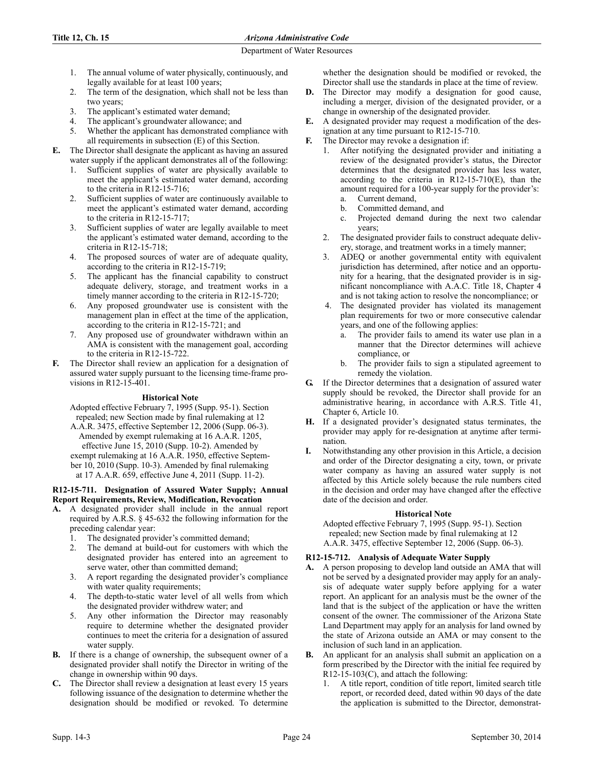## **Title 12, Ch. 15** *Arizona Administrative Code*

### Department of Water Resources

- 1. The annual volume of water physically, continuously, and legally available for at least 100 years;
- 2. The term of the designation, which shall not be less than two years;
- 3. The applicant's estimated water demand;
- The applicant's groundwater allowance; and
- 5. Whether the applicant has demonstrated compliance with all requirements in subsection (E) of this Section.
- **E.** The Director shall designate the applicant as having an assured water supply if the applicant demonstrates all of the following:
	- 1. Sufficient supplies of water are physically available to meet the applicant's estimated water demand, according to the criteria in R12-15-716;
	- 2. Sufficient supplies of water are continuously available to meet the applicant's estimated water demand, according to the criteria in R12-15-717;
	- 3. Sufficient supplies of water are legally available to meet the applicant's estimated water demand, according to the criteria in R12-15-718;
	- 4. The proposed sources of water are of adequate quality, according to the criteria in R12-15-719;
	- 5. The applicant has the financial capability to construct adequate delivery, storage, and treatment works in a timely manner according to the criteria in R12-15-720;
	- 6. Any proposed groundwater use is consistent with the management plan in effect at the time of the application, according to the criteria in R12-15-721; and
	- Any proposed use of groundwater withdrawn within an AMA is consistent with the management goal, according to the criteria in R12-15-722.
- **F.** The Director shall review an application for a designation of assured water supply pursuant to the licensing time-frame provisions in R12-15-401.

# **Historical Note**

Adopted effective February 7, 1995 (Supp. 95-1). Section repealed; new Section made by final rulemaking at 12

A.A.R. 3475, effective September 12, 2006 (Supp. 06-3). Amended by exempt rulemaking at 16 A.A.R. 1205, effective June 15, 2010 (Supp. 10-2). Amended by exempt rulemaking at 16 A.A.R. 1950, effective September 10, 2010 (Supp. 10-3). Amended by final rulemaking at 17 A.A.R. 659, effective June 4, 2011 (Supp. 11-2).

# **R12-15-711. Designation of Assured Water Supply; Annual Report Requirements, Review, Modification, Revocation**

- **A.** A designated provider shall include in the annual report required by A.R.S. § 45-632 the following information for the preceding calendar year:
	- 1. The designated provider's committed demand;
	- 2. The demand at build-out for customers with which the designated provider has entered into an agreement to serve water, other than committed demand;
	- 3. A report regarding the designated provider's compliance with water quality requirements;
	- 4. The depth-to-static water level of all wells from which the designated provider withdrew water; and
	- 5. Any other information the Director may reasonably require to determine whether the designated provider continues to meet the criteria for a designation of assured water supply.
- **B.** If there is a change of ownership, the subsequent owner of a designated provider shall notify the Director in writing of the change in ownership within 90 days.
- **C.** The Director shall review a designation at least every 15 years following issuance of the designation to determine whether the designation should be modified or revoked. To determine

whether the designation should be modified or revoked, the Director shall use the standards in place at the time of review.

- **D.** The Director may modify a designation for good cause, including a merger, division of the designated provider, or a change in ownership of the designated provider.
- **E.** A designated provider may request a modification of the designation at any time pursuant to R12-15-710.
- **F.** The Director may revoke a designation if:
	- After notifying the designated provider and initiating a review of the designated provider's status, the Director determines that the designated provider has less water, according to the criteria in  $R12-15-710(E)$ , than the amount required for a 100-year supply for the provider's:
		- a. Current demand, b. Committed demand, and
		- c. Projected demand during the next two calendar years;
	- 2. The designated provider fails to construct adequate delivery, storage, and treatment works in a timely manner;
	- 3. ADEQ or another governmental entity with equivalent jurisdiction has determined, after notice and an opportunity for a hearing, that the designated provider is in significant noncompliance with A.A.C. Title 18, Chapter 4 and is not taking action to resolve the noncompliance; or
	- 4. The designated provider has violated its management plan requirements for two or more consecutive calendar years, and one of the following applies:
		- a. The provider fails to amend its water use plan in a manner that the Director determines will achieve compliance, or
		- b. The provider fails to sign a stipulated agreement to remedy the violation.
- **G.** If the Director determines that a designation of assured water supply should be revoked, the Director shall provide for an administrative hearing, in accordance with A.R.S. Title 41, Chapter 6, Article 10.
- **H.** If a designated provider's designated status terminates, the provider may apply for re-designation at anytime after termination.
- **I.** Notwithstanding any other provision in this Article, a decision and order of the Director designating a city, town, or private water company as having an assured water supply is not affected by this Article solely because the rule numbers cited in the decision and order may have changed after the effective date of the decision and order.

# **Historical Note**

Adopted effective February 7, 1995 (Supp. 95-1). Section repealed; new Section made by final rulemaking at 12 A.A.R. 3475, effective September 12, 2006 (Supp. 06-3).

# **R12-15-712. Analysis of Adequate Water Supply**

- **A.** A person proposing to develop land outside an AMA that will not be served by a designated provider may apply for an analysis of adequate water supply before applying for a water report. An applicant for an analysis must be the owner of the land that is the subject of the application or have the written consent of the owner. The commissioner of the Arizona State Land Department may apply for an analysis for land owned by the state of Arizona outside an AMA or may consent to the inclusion of such land in an application.
- **B.** An applicant for an analysis shall submit an application on a form prescribed by the Director with the initial fee required by R12-15-103(C), and attach the following:
	- 1. A title report, condition of title report, limited search title report, or recorded deed, dated within 90 days of the date the application is submitted to the Director, demonstrat-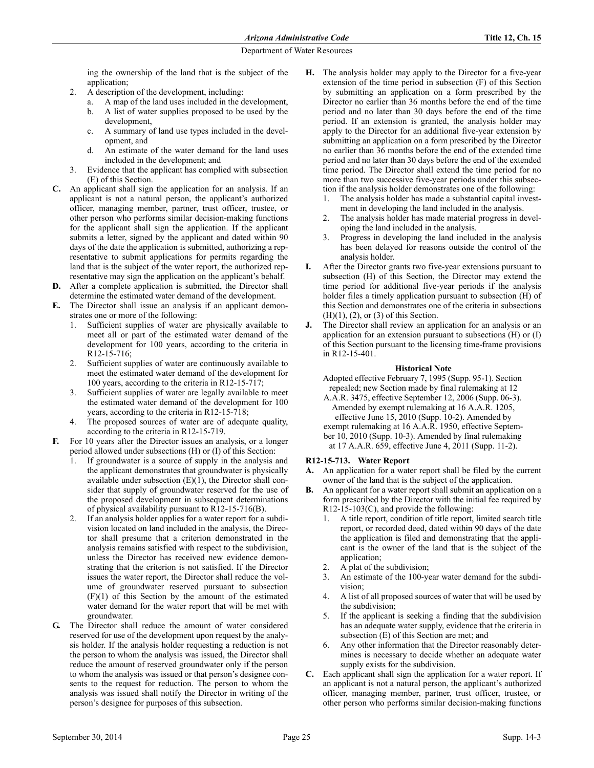ing the ownership of the land that is the subject of the application;

- 2. A description of the development, including:
	- a. A map of the land uses included in the development, b. A list of water supplies proposed to be used by the development,
	- c. A summary of land use types included in the development, and
	- An estimate of the water demand for the land uses included in the development; and
- 3. Evidence that the applicant has complied with subsection (E) of this Section.
- **C.** An applicant shall sign the application for an analysis. If an applicant is not a natural person, the applicant's authorized officer, managing member, partner, trust officer, trustee, or other person who performs similar decision-making functions for the applicant shall sign the application. If the applicant submits a letter, signed by the applicant and dated within 90 days of the date the application is submitted, authorizing a representative to submit applications for permits regarding the land that is the subject of the water report, the authorized representative may sign the application on the applicant's behalf.
- **D.** After a complete application is submitted, the Director shall determine the estimated water demand of the development.
- **E.** The Director shall issue an analysis if an applicant demonstrates one or more of the following:
	- Sufficient supplies of water are physically available to meet all or part of the estimated water demand of the development for 100 years, according to the criteria in R12-15-716;
	- 2. Sufficient supplies of water are continuously available to meet the estimated water demand of the development for 100 years, according to the criteria in R12-15-717;
	- 3. Sufficient supplies of water are legally available to meet the estimated water demand of the development for 100 years, according to the criteria in R12-15-718;
	- 4. The proposed sources of water are of adequate quality, according to the criteria in R12-15-719.
- **F.** For 10 years after the Director issues an analysis, or a longer period allowed under subsections (H) or (I) of this Section:
	- If groundwater is a source of supply in the analysis and the applicant demonstrates that groundwater is physically available under subsection  $(E)(1)$ , the Director shall consider that supply of groundwater reserved for the use of the proposed development in subsequent determinations of physical availability pursuant to R12-15-716(B).
	- 2. If an analysis holder applies for a water report for a subdivision located on land included in the analysis, the Director shall presume that a criterion demonstrated in the analysis remains satisfied with respect to the subdivision, unless the Director has received new evidence demonstrating that the criterion is not satisfied. If the Director issues the water report, the Director shall reduce the volume of groundwater reserved pursuant to subsection (F)(1) of this Section by the amount of the estimated water demand for the water report that will be met with groundwater.
- **G.** The Director shall reduce the amount of water considered reserved for use of the development upon request by the analysis holder. If the analysis holder requesting a reduction is not the person to whom the analysis was issued, the Director shall reduce the amount of reserved groundwater only if the person to whom the analysis was issued or that person's designee consents to the request for reduction. The person to whom the analysis was issued shall notify the Director in writing of the person's designee for purposes of this subsection.
- **H.** The analysis holder may apply to the Director for a five-year extension of the time period in subsection (F) of this Section by submitting an application on a form prescribed by the Director no earlier than 36 months before the end of the time period and no later than 30 days before the end of the time period. If an extension is granted, the analysis holder may apply to the Director for an additional five-year extension by submitting an application on a form prescribed by the Director no earlier than 36 months before the end of the extended time period and no later than 30 days before the end of the extended time period. The Director shall extend the time period for no more than two successive five-year periods under this subsection if the analysis holder demonstrates one of the following:
	- 1. The analysis holder has made a substantial capital investment in developing the land included in the analysis.
	- 2. The analysis holder has made material progress in developing the land included in the analysis.
	- Progress in developing the land included in the analysis has been delayed for reasons outside the control of the analysis holder.
- **I.** After the Director grants two five-year extensions pursuant to subsection (H) of this Section, the Director may extend the time period for additional five-year periods if the analysis holder files a timely application pursuant to subsection (H) of this Section and demonstrates one of the criteria in subsections  $(H)(1)$ ,  $(2)$ , or  $(3)$  of this Section.
- **J.** The Director shall review an application for an analysis or an application for an extension pursuant to subsections (H) or (I) of this Section pursuant to the licensing time-frame provisions in R12-15-401.

#### **Historical Note**

Adopted effective February 7, 1995 (Supp. 95-1). Section repealed; new Section made by final rulemaking at 12

A.A.R. 3475, effective September 12, 2006 (Supp. 06-3). Amended by exempt rulemaking at 16 A.A.R. 1205, effective June 15, 2010 (Supp. 10-2). Amended by exempt rulemaking at 16 A.A.R. 1950, effective September 10, 2010 (Supp. 10-3). Amended by final rulemaking at 17 A.A.R. 659, effective June 4, 2011 (Supp. 11-2).

#### **R12-15-713. Water Report**

- **A.** An application for a water report shall be filed by the current owner of the land that is the subject of the application.
- **B.** An applicant for a water report shall submit an application on a form prescribed by the Director with the initial fee required by R12-15-103(C), and provide the following:
	- 1. A title report, condition of title report, limited search title report, or recorded deed, dated within 90 days of the date the application is filed and demonstrating that the applicant is the owner of the land that is the subject of the application;
	- 2. A plat of the subdivision;
	- 3. An estimate of the 100-year water demand for the subdivision;
	- 4. A list of all proposed sources of water that will be used by the subdivision;
	- 5. If the applicant is seeking a finding that the subdivision has an adequate water supply, evidence that the criteria in subsection (E) of this Section are met; and
	- 6. Any other information that the Director reasonably determines is necessary to decide whether an adequate water supply exists for the subdivision.
- **C.** Each applicant shall sign the application for a water report. If an applicant is not a natural person, the applicant's authorized officer, managing member, partner, trust officer, trustee, or other person who performs similar decision-making functions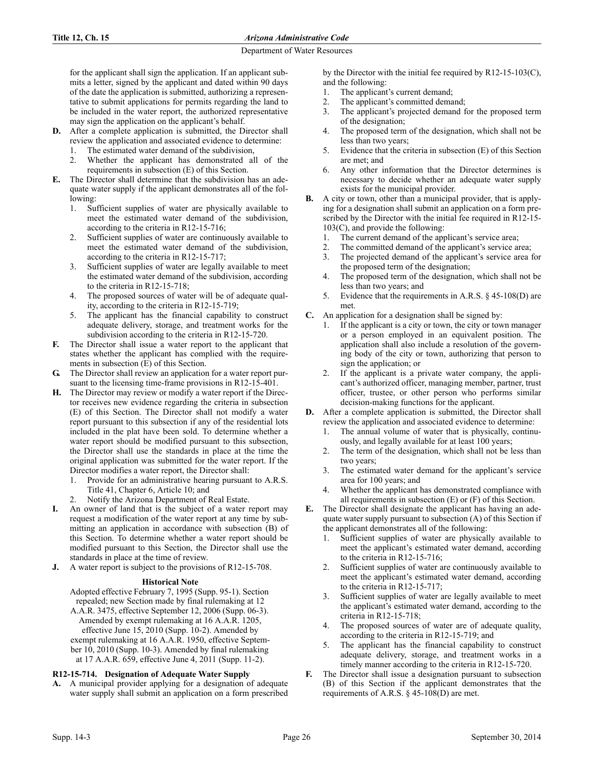for the applicant shall sign the application. If an applicant submits a letter, signed by the applicant and dated within 90 days of the date the application is submitted, authorizing a representative to submit applications for permits regarding the land to be included in the water report, the authorized representative may sign the application on the applicant's behalf.

- **D.** After a complete application is submitted, the Director shall review the application and associated evidence to determine:
	- The estimated water demand of the subdivision,
	- 2. Whether the applicant has demonstrated all of the requirements in subsection (E) of this Section.
- **E.** The Director shall determine that the subdivision has an adequate water supply if the applicant demonstrates all of the following:
	- 1. Sufficient supplies of water are physically available to meet the estimated water demand of the subdivision, according to the criteria in R12-15-716;
	- 2. Sufficient supplies of water are continuously available to meet the estimated water demand of the subdivision, according to the criteria in R12-15-717;
	- 3. Sufficient supplies of water are legally available to meet the estimated water demand of the subdivision, according to the criteria in R12-15-718;
	- 4. The proposed sources of water will be of adequate quality, according to the criteria in R12-15-719;
	- 5. The applicant has the financial capability to construct adequate delivery, storage, and treatment works for the subdivision according to the criteria in R12-15-720.
- **F.** The Director shall issue a water report to the applicant that states whether the applicant has complied with the requirements in subsection (E) of this Section.
- The Director shall review an application for a water report pursuant to the licensing time-frame provisions in R12-15-401.
- **H.** The Director may review or modify a water report if the Director receives new evidence regarding the criteria in subsection (E) of this Section. The Director shall not modify a water report pursuant to this subsection if any of the residential lots included in the plat have been sold. To determine whether a water report should be modified pursuant to this subsection, the Director shall use the standards in place at the time the original application was submitted for the water report. If the Director modifies a water report, the Director shall:
	- 1. Provide for an administrative hearing pursuant to A.R.S. Title 41, Chapter 6, Article 10; and
	- 2. Notify the Arizona Department of Real Estate.
- An owner of land that is the subject of a water report may request a modification of the water report at any time by submitting an application in accordance with subsection (B) of this Section. To determine whether a water report should be modified pursuant to this Section, the Director shall use the standards in place at the time of review.
- **J.** A water report is subject to the provisions of R12-15-708.

# **Historical Note**

Adopted effective February 7, 1995 (Supp. 95-1). Section repealed; new Section made by final rulemaking at 12 A.A.R. 3475, effective September 12, 2006 (Supp. 06-3). Amended by exempt rulemaking at 16 A.A.R. 1205, effective June 15, 2010 (Supp. 10-2). Amended by exempt rulemaking at 16 A.A.R. 1950, effective September 10, 2010 (Supp. 10-3). Amended by final rulemaking at 17 A.A.R. 659, effective June 4, 2011 (Supp. 11-2).

# **R12-15-714. Designation of Adequate Water Supply**

**A.** A municipal provider applying for a designation of adequate water supply shall submit an application on a form prescribed by the Director with the initial fee required by R12-15-103(C), and the following:

- 1. The applicant's current demand;
- 2. The applicant's committed demand;
- 3. The applicant's projected demand for the proposed term of the designation;
- 4. The proposed term of the designation, which shall not be less than two years;
- 5. Evidence that the criteria in subsection (E) of this Section are met; and
- 6. Any other information that the Director determines is necessary to decide whether an adequate water supply exists for the municipal provider.
- **B.** A city or town, other than a municipal provider, that is applying for a designation shall submit an application on a form prescribed by the Director with the initial fee required in R12-15- 103(C), and provide the following:
	- 1. The current demand of the applicant's service area;
	- 2. The committed demand of the applicant's service area;
	- 3. The projected demand of the applicant's service area for the proposed term of the designation;
	- 4. The proposed term of the designation, which shall not be less than two years; and
	- 5. Evidence that the requirements in A.R.S. § 45-108(D) are met.
- **C.** An application for a designation shall be signed by:
	- 1. If the applicant is a city or town, the city or town manager or a person employed in an equivalent position. The application shall also include a resolution of the governing body of the city or town, authorizing that person to sign the application; or
	- If the applicant is a private water company, the applicant's authorized officer, managing member, partner, trust officer, trustee, or other person who performs similar decision-making functions for the applicant.
- **D.** After a complete application is submitted, the Director shall review the application and associated evidence to determine:
	- 1. The annual volume of water that is physically, continuously, and legally available for at least 100 years;
	- 2. The term of the designation, which shall not be less than two years;
	- 3. The estimated water demand for the applicant's service area for 100 years; and
	- 4. Whether the applicant has demonstrated compliance with all requirements in subsection (E) or (F) of this Section.
- **E.** The Director shall designate the applicant has having an adequate water supply pursuant to subsection (A) of this Section if the applicant demonstrates all of the following:
	- 1. Sufficient supplies of water are physically available to meet the applicant's estimated water demand, according to the criteria in R12-15-716;
	- 2. Sufficient supplies of water are continuously available to meet the applicant's estimated water demand, according to the criteria in R12-15-717;
	- 3. Sufficient supplies of water are legally available to meet the applicant's estimated water demand, according to the criteria in R12-15-718;
	- 4. The proposed sources of water are of adequate quality, according to the criteria in R12-15-719; and
	- 5. The applicant has the financial capability to construct adequate delivery, storage, and treatment works in a timely manner according to the criteria in R12-15-720.
- **F.** The Director shall issue a designation pursuant to subsection (B) of this Section if the applicant demonstrates that the requirements of A.R.S. § 45-108(D) are met.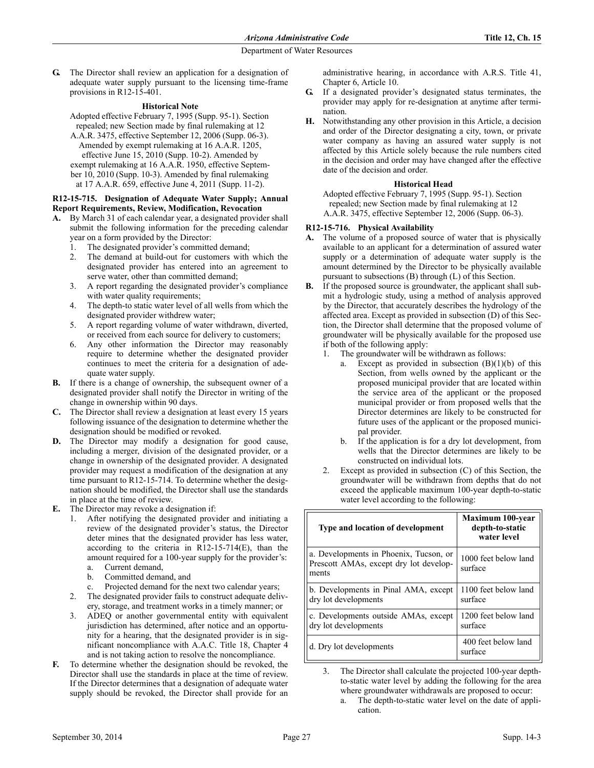**G.** The Director shall review an application for a designation of adequate water supply pursuant to the licensing time-frame provisions in R12-15-401.

#### **Historical Note**

Adopted effective February 7, 1995 (Supp. 95-1). Section repealed; new Section made by final rulemaking at 12 A.A.R. 3475, effective September 12, 2006 (Supp. 06-3). Amended by exempt rulemaking at 16 A.A.R. 1205, effective June 15, 2010 (Supp. 10-2). Amended by exempt rulemaking at 16 A.A.R. 1950, effective September 10, 2010 (Supp. 10-3). Amended by final rulemaking at 17 A.A.R. 659, effective June 4, 2011 (Supp. 11-2).

### **R12-15-715. Designation of Adequate Water Supply; Annual Report Requirements, Review, Modification, Revocation**

**A.** By March 31 of each calendar year, a designated provider shall submit the following information for the preceding calendar year on a form provided by the Director:

1. The designated provider's committed demand;

- 2. The demand at build-out for customers with which the designated provider has entered into an agreement to serve water, other than committed demand;
- 3. A report regarding the designated provider's compliance with water quality requirements;
- 4. The depth-to static water level of all wells from which the designated provider withdrew water;
- 5. A report regarding volume of water withdrawn, diverted, or received from each source for delivery to customers;
- 6. Any other information the Director may reasonably require to determine whether the designated provider continues to meet the criteria for a designation of adequate water supply.
- **B.** If there is a change of ownership, the subsequent owner of a designated provider shall notify the Director in writing of the change in ownership within 90 days.
- **C.** The Director shall review a designation at least every 15 years following issuance of the designation to determine whether the designation should be modified or revoked.
- **D.** The Director may modify a designation for good cause, including a merger, division of the designated provider, or a change in ownership of the designated provider. A designated provider may request a modification of the designation at any time pursuant to R12-15-714. To determine whether the designation should be modified, the Director shall use the standards in place at the time of review.
- **E.** The Director may revoke a designation if:
	- 1. After notifying the designated provider and initiating a review of the designated provider's status, the Director deter mines that the designated provider has less water, according to the criteria in R12-15-714(E), than the amount required for a 100-year supply for the provider's: a. Current demand,
		- b. Committed demand, and
		- c. Projected demand for the next two calendar years;
	- The designated provider fails to construct adequate delivery, storage, and treatment works in a timely manner; or
	- 3. ADEQ or another governmental entity with equivalent jurisdiction has determined, after notice and an opportunity for a hearing, that the designated provider is in significant noncompliance with A.A.C. Title 18, Chapter 4 and is not taking action to resolve the noncompliance.
- **F.** To determine whether the designation should be revoked, the Director shall use the standards in place at the time of review. If the Director determines that a designation of adequate water supply should be revoked, the Director shall provide for an

administrative hearing, in accordance with A.R.S. Title 41, Chapter 6, Article 10.

- **G.** If a designated provider's designated status terminates, the provider may apply for re-designation at anytime after termination.
- **H.** Notwithstanding any other provision in this Article, a decision and order of the Director designating a city, town, or private water company as having an assured water supply is not affected by this Article solely because the rule numbers cited in the decision and order may have changed after the effective date of the decision and order.

#### **Historical Head**

Adopted effective February 7, 1995 (Supp. 95-1). Section repealed; new Section made by final rulemaking at 12 A.A.R. 3475, effective September 12, 2006 (Supp. 06-3).

## **R12-15-716. Physical Availability**

- **A.** The volume of a proposed source of water that is physically available to an applicant for a determination of assured water supply or a determination of adequate water supply is the amount determined by the Director to be physically available pursuant to subsections (B) through (L) of this Section.
- **B.** If the proposed source is groundwater, the applicant shall submit a hydrologic study, using a method of analysis approved by the Director, that accurately describes the hydrology of the affected area. Except as provided in subsection (D) of this Section, the Director shall determine that the proposed volume of groundwater will be physically available for the proposed use if both of the following apply:
	- 1. The groundwater will be withdrawn as follows:
		- a. Except as provided in subsection  $(B)(1)(b)$  of this Section, from wells owned by the applicant or the proposed municipal provider that are located within the service area of the applicant or the proposed municipal provider or from proposed wells that the Director determines are likely to be constructed for future uses of the applicant or the proposed municipal provider.
		- b. If the application is for a dry lot development, from wells that the Director determines are likely to be constructed on individual lots.
	- 2. Except as provided in subsection (C) of this Section, the groundwater will be withdrawn from depths that do not exceed the applicable maximum 100-year depth-to-static water level according to the following:

| Type and location of development                                                          | <b>Maximum 100-year</b><br>depth-to-static<br>water level |
|-------------------------------------------------------------------------------------------|-----------------------------------------------------------|
| a. Developments in Phoenix, Tucson, or<br>Prescott AMAs, except dry lot develop-<br>ments | 1000 feet below land<br>surface                           |
| b. Developments in Pinal AMA, except<br>dry lot developments                              | 1100 feet below land<br>surface                           |
| c. Developments outside AMAs, except<br>dry lot developments                              | 1200 feet below land<br>surface                           |
| d. Dry lot developments                                                                   | 400 feet below land<br>surface                            |

3. The Director shall calculate the projected 100-year depthto-static water level by adding the following for the area where groundwater withdrawals are proposed to occur:

a. The depth-to-static water level on the date of application.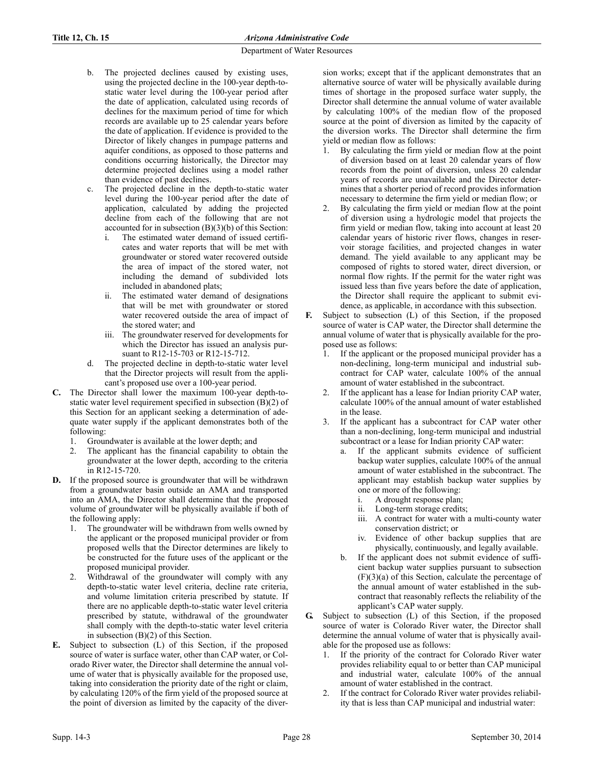- b. The projected declines caused by existing uses, using the projected decline in the 100-year depth-tostatic water level during the 100-year period after the date of application, calculated using records of declines for the maximum period of time for which records are available up to 25 calendar years before the date of application. If evidence is provided to the Director of likely changes in pumpage patterns and aquifer conditions, as opposed to those patterns and conditions occurring historically, the Director may determine projected declines using a model rather than evidence of past declines.
- c. The projected decline in the depth-to-static water level during the 100-year period after the date of application, calculated by adding the projected decline from each of the following that are not accounted for in subsection (B)(3)(b) of this Section:
	- i. The estimated water demand of issued certificates and water reports that will be met with groundwater or stored water recovered outside the area of impact of the stored water, not including the demand of subdivided lots included in abandoned plats;
	- ii. The estimated water demand of designations that will be met with groundwater or stored water recovered outside the area of impact of the stored water; and
	- iii. The groundwater reserved for developments for which the Director has issued an analysis pursuant to R12-15-703 or R12-15-712.
- d. The projected decline in depth-to-static water level that the Director projects will result from the applicant's proposed use over a 100-year period.
- **C.** The Director shall lower the maximum 100-year depth-tostatic water level requirement specified in subsection (B)(2) of this Section for an applicant seeking a determination of adequate water supply if the applicant demonstrates both of the following:
	- 1. Groundwater is available at the lower depth; and
	- 2. The applicant has the financial capability to obtain the groundwater at the lower depth, according to the criteria in R12-15-720.
- **D.** If the proposed source is groundwater that will be withdrawn from a groundwater basin outside an AMA and transported into an AMA, the Director shall determine that the proposed volume of groundwater will be physically available if both of the following apply:
	- 1. The groundwater will be withdrawn from wells owned by the applicant or the proposed municipal provider or from proposed wells that the Director determines are likely to be constructed for the future uses of the applicant or the proposed municipal provider.
	- 2. Withdrawal of the groundwater will comply with any depth-to-static water level criteria, decline rate criteria, and volume limitation criteria prescribed by statute. If there are no applicable depth-to-static water level criteria prescribed by statute, withdrawal of the groundwater shall comply with the depth-to-static water level criteria in subsection (B)(2) of this Section.
- **E.** Subject to subsection (L) of this Section, if the proposed source of water is surface water, other than CAP water, or Colorado River water, the Director shall determine the annual volume of water that is physically available for the proposed use, taking into consideration the priority date of the right or claim, by calculating 120% of the firm yield of the proposed source at the point of diversion as limited by the capacity of the diver-

sion works; except that if the applicant demonstrates that an alternative source of water will be physically available during times of shortage in the proposed surface water supply, the Director shall determine the annual volume of water available by calculating 100% of the median flow of the proposed source at the point of diversion as limited by the capacity of the diversion works. The Director shall determine the firm yield or median flow as follows:

- 1. By calculating the firm yield or median flow at the point of diversion based on at least 20 calendar years of flow records from the point of diversion, unless 20 calendar years of records are unavailable and the Director determines that a shorter period of record provides information necessary to determine the firm yield or median flow; or
- 2. By calculating the firm yield or median flow at the point of diversion using a hydrologic model that projects the firm yield or median flow, taking into account at least 20 calendar years of historic river flows, changes in reservoir storage facilities, and projected changes in water demand. The yield available to any applicant may be composed of rights to stored water, direct diversion, or normal flow rights. If the permit for the water right was issued less than five years before the date of application, the Director shall require the applicant to submit evidence, as applicable, in accordance with this subsection.
- **F.** Subject to subsection (L) of this Section, if the proposed source of water is CAP water, the Director shall determine the annual volume of water that is physically available for the proposed use as follows:
	- 1. If the applicant or the proposed municipal provider has a non-declining, long-term municipal and industrial subcontract for CAP water, calculate 100% of the annual amount of water established in the subcontract.
	- If the applicant has a lease for Indian priority CAP water, calculate 100% of the annual amount of water established in the lease.
	- 3. If the applicant has a subcontract for CAP water other than a non-declining, long-term municipal and industrial subcontract or a lease for Indian priority CAP water:
		- a. If the applicant submits evidence of sufficient backup water supplies, calculate 100% of the annual amount of water established in the subcontract. The applicant may establish backup water supplies by one or more of the following:
			- i. A drought response plan;
			- ii. Long-term storage credits;
			- iii. A contract for water with a multi-county water conservation district; or
			- iv. Evidence of other backup supplies that are physically, continuously, and legally available.
		- If the applicant does not submit evidence of sufficient backup water supplies pursuant to subsection (F)(3)(a) of this Section, calculate the percentage of the annual amount of water established in the subcontract that reasonably reflects the reliability of the applicant's CAP water supply.
- **G.** Subject to subsection (L) of this Section, if the proposed source of water is Colorado River water, the Director shall determine the annual volume of water that is physically available for the proposed use as follows:
	- If the priority of the contract for Colorado River water provides reliability equal to or better than CAP municipal and industrial water, calculate 100% of the annual amount of water established in the contract.
	- 2. If the contract for Colorado River water provides reliability that is less than CAP municipal and industrial water: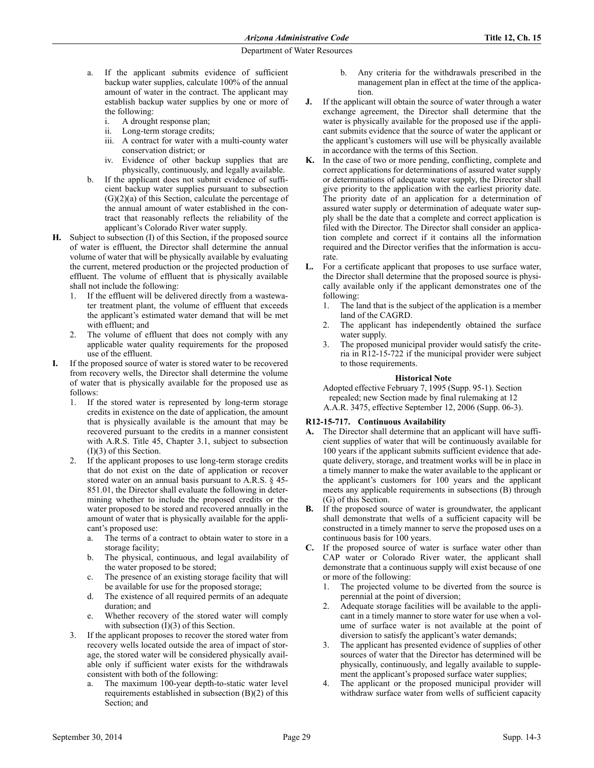- a. If the applicant submits evidence of sufficient backup water supplies, calculate 100% of the annual amount of water in the contract. The applicant may establish backup water supplies by one or more of the following:
	- i. A drought response plan;
	- ii. Long-term storage credits;
	- iii. A contract for water with a multi-county water conservation district; or
	- iv. Evidence of other backup supplies that are physically, continuously, and legally available.
- b. If the applicant does not submit evidence of sufficient backup water supplies pursuant to subsection (G)(2)(a) of this Section, calculate the percentage of the annual amount of water established in the contract that reasonably reflects the reliability of the applicant's Colorado River water supply.
- **H.** Subject to subsection (I) of this Section, if the proposed source of water is effluent, the Director shall determine the annual volume of water that will be physically available by evaluating the current, metered production or the projected production of effluent. The volume of effluent that is physically available shall not include the following:
	- 1. If the effluent will be delivered directly from a wastewater treatment plant, the volume of effluent that exceeds the applicant's estimated water demand that will be met with effluent; and
	- 2. The volume of effluent that does not comply with any applicable water quality requirements for the proposed use of the effluent.
- If the proposed source of water is stored water to be recovered from recovery wells, the Director shall determine the volume of water that is physically available for the proposed use as follows:
	- 1. If the stored water is represented by long-term storage credits in existence on the date of application, the amount that is physically available is the amount that may be recovered pursuant to the credits in a manner consistent with A.R.S. Title 45, Chapter 3.1, subject to subsection (I)(3) of this Section.
	- 2. If the applicant proposes to use long-term storage credits that do not exist on the date of application or recover stored water on an annual basis pursuant to A.R.S. § 45- 851.01, the Director shall evaluate the following in determining whether to include the proposed credits or the water proposed to be stored and recovered annually in the amount of water that is physically available for the applicant's proposed use:
		- a. The terms of a contract to obtain water to store in a storage facility;
		- b. The physical, continuous, and legal availability of the water proposed to be stored;
		- c. The presence of an existing storage facility that will be available for use for the proposed storage;
		- d. The existence of all required permits of an adequate duration; and
		- e. Whether recovery of the stored water will comply with subsection (I)(3) of this Section.
	- 3. If the applicant proposes to recover the stored water from recovery wells located outside the area of impact of storage, the stored water will be considered physically available only if sufficient water exists for the withdrawals consistent with both of the following:
		- a. The maximum 100-year depth-to-static water level requirements established in subsection (B)(2) of this Section; and
- b. Any criteria for the withdrawals prescribed in the management plan in effect at the time of the application.
- **J.** If the applicant will obtain the source of water through a water exchange agreement, the Director shall determine that the water is physically available for the proposed use if the applicant submits evidence that the source of water the applicant or the applicant's customers will use will be physically available in accordance with the terms of this Section.
- **K.** In the case of two or more pending, conflicting, complete and correct applications for determinations of assured water supply or determinations of adequate water supply, the Director shall give priority to the application with the earliest priority date. The priority date of an application for a determination of assured water supply or determination of adequate water supply shall be the date that a complete and correct application is filed with the Director. The Director shall consider an application complete and correct if it contains all the information required and the Director verifies that the information is accurate.
- **L.** For a certificate applicant that proposes to use surface water, the Director shall determine that the proposed source is physically available only if the applicant demonstrates one of the following:
	- 1. The land that is the subject of the application is a member land of the CAGRD.
	- 2. The applicant has independently obtained the surface water supply.
	- 3. The proposed municipal provider would satisfy the criteria in R12-15-722 if the municipal provider were subject to those requirements.

## **Historical Note**

Adopted effective February 7, 1995 (Supp. 95-1). Section repealed; new Section made by final rulemaking at 12 A.A.R. 3475, effective September 12, 2006 (Supp. 06-3).

# **R12-15-717. Continuous Availability**

- **A.** The Director shall determine that an applicant will have sufficient supplies of water that will be continuously available for 100 years if the applicant submits sufficient evidence that adequate delivery, storage, and treatment works will be in place in a timely manner to make the water available to the applicant or the applicant's customers for 100 years and the applicant meets any applicable requirements in subsections (B) through (G) of this Section.
- **B.** If the proposed source of water is groundwater, the applicant shall demonstrate that wells of a sufficient capacity will be constructed in a timely manner to serve the proposed uses on a continuous basis for 100 years.
- **C.** If the proposed source of water is surface water other than CAP water or Colorado River water, the applicant shall demonstrate that a continuous supply will exist because of one or more of the following:
	- 1. The projected volume to be diverted from the source is perennial at the point of diversion;
	- 2. Adequate storage facilities will be available to the applicant in a timely manner to store water for use when a volume of surface water is not available at the point of diversion to satisfy the applicant's water demands;
	- 3. The applicant has presented evidence of supplies of other sources of water that the Director has determined will be physically, continuously, and legally available to supplement the applicant's proposed surface water supplies;
	- The applicant or the proposed municipal provider will withdraw surface water from wells of sufficient capacity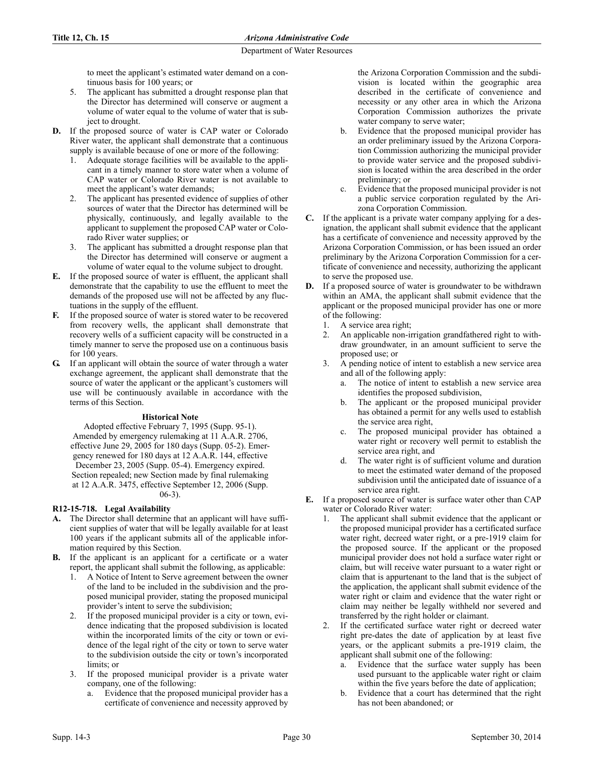to meet the applicant's estimated water demand on a continuous basis for 100 years; or

- 5. The applicant has submitted a drought response plan that the Director has determined will conserve or augment a volume of water equal to the volume of water that is subject to drought.
- **D.** If the proposed source of water is CAP water or Colorado River water, the applicant shall demonstrate that a continuous supply is available because of one or more of the following:
	- 1. Adequate storage facilities will be available to the applicant in a timely manner to store water when a volume of CAP water or Colorado River water is not available to meet the applicant's water demands;
	- 2. The applicant has presented evidence of supplies of other sources of water that the Director has determined will be physically, continuously, and legally available to the applicant to supplement the proposed CAP water or Colorado River water supplies; or
	- 3. The applicant has submitted a drought response plan that the Director has determined will conserve or augment a volume of water equal to the volume subject to drought.
- **E.** If the proposed source of water is effluent, the applicant shall demonstrate that the capability to use the effluent to meet the demands of the proposed use will not be affected by any fluctuations in the supply of the effluent.
- If the proposed source of water is stored water to be recovered from recovery wells, the applicant shall demonstrate that recovery wells of a sufficient capacity will be constructed in a timely manner to serve the proposed use on a continuous basis for 100 years.
- **G.** If an applicant will obtain the source of water through a water exchange agreement, the applicant shall demonstrate that the source of water the applicant or the applicant's customers will use will be continuously available in accordance with the terms of this Section.

# **Historical Note**

Adopted effective February 7, 1995 (Supp. 95-1). Amended by emergency rulemaking at 11 A.A.R. 2706, effective June 29, 2005 for 180 days (Supp. 05-2). Emergency renewed for 180 days at 12 A.A.R. 144, effective December 23, 2005 (Supp. 05-4). Emergency expired. Section repealed; new Section made by final rulemaking at 12 A.A.R. 3475, effective September 12, 2006 (Supp. 06-3).

# **R12-15-718. Legal Availability**

- **A.** The Director shall determine that an applicant will have sufficient supplies of water that will be legally available for at least 100 years if the applicant submits all of the applicable information required by this Section.
- **B.** If the applicant is an applicant for a certificate or a water report, the applicant shall submit the following, as applicable:
	- 1. A Notice of Intent to Serve agreement between the owner of the land to be included in the subdivision and the proposed municipal provider, stating the proposed municipal provider's intent to serve the subdivision;
	- 2. If the proposed municipal provider is a city or town, evidence indicating that the proposed subdivision is located within the incorporated limits of the city or town or evidence of the legal right of the city or town to serve water to the subdivision outside the city or town's incorporated limits; or
	- 3. If the proposed municipal provider is a private water company, one of the following:
		- Evidence that the proposed municipal provider has a certificate of convenience and necessity approved by

the Arizona Corporation Commission and the subdivision is located within the geographic area described in the certificate of convenience and necessity or any other area in which the Arizona Corporation Commission authorizes the private water company to serve water;

- b. Evidence that the proposed municipal provider has an order preliminary issued by the Arizona Corporation Commission authorizing the municipal provider to provide water service and the proposed subdivision is located within the area described in the order preliminary; or
- c. Evidence that the proposed municipal provider is not a public service corporation regulated by the Arizona Corporation Commission.
- **C.** If the applicant is a private water company applying for a designation, the applicant shall submit evidence that the applicant has a certificate of convenience and necessity approved by the Arizona Corporation Commission, or has been issued an order preliminary by the Arizona Corporation Commission for a certificate of convenience and necessity, authorizing the applicant to serve the proposed use.
- **D.** If a proposed source of water is groundwater to be withdrawn within an AMA, the applicant shall submit evidence that the applicant or the proposed municipal provider has one or more of the following:
	- A service area right;
	- 2. An applicable non-irrigation grandfathered right to withdraw groundwater, in an amount sufficient to serve the proposed use; or
	- 3. A pending notice of intent to establish a new service area and all of the following apply:
		- The notice of intent to establish a new service area identifies the proposed subdivision,
		- b. The applicant or the proposed municipal provider has obtained a permit for any wells used to establish the service area right,
		- c. The proposed municipal provider has obtained a water right or recovery well permit to establish the service area right, and
		- d. The water right is of sufficient volume and duration to meet the estimated water demand of the proposed subdivision until the anticipated date of issuance of a service area right.
- **E.** If a proposed source of water is surface water other than CAP water or Colorado River water:
	- 1. The applicant shall submit evidence that the applicant or the proposed municipal provider has a certificated surface water right, decreed water right, or a pre-1919 claim for the proposed source. If the applicant or the proposed municipal provider does not hold a surface water right or claim, but will receive water pursuant to a water right or claim that is appurtenant to the land that is the subject of the application, the applicant shall submit evidence of the water right or claim and evidence that the water right or claim may neither be legally withheld nor severed and transferred by the right holder or claimant.
	- 2. If the certificated surface water right or decreed water right pre-dates the date of application by at least five years, or the applicant submits a pre-1919 claim, the applicant shall submit one of the following:
		- a. Evidence that the surface water supply has been used pursuant to the applicable water right or claim within the five years before the date of application;
		- b. Evidence that a court has determined that the right has not been abandoned; or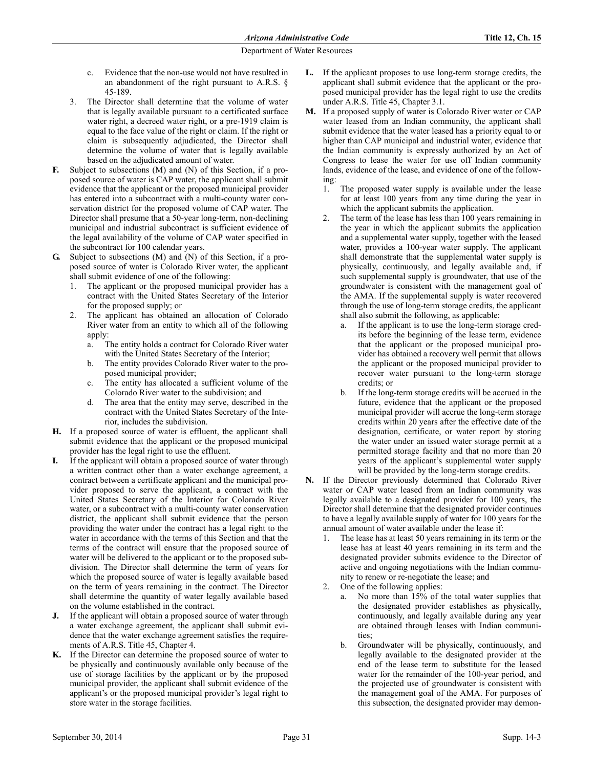- c. Evidence that the non-use would not have resulted in an abandonment of the right pursuant to A.R.S. § 45-189.
- 3. The Director shall determine that the volume of water that is legally available pursuant to a certificated surface water right, a decreed water right, or a pre-1919 claim is equal to the face value of the right or claim. If the right or claim is subsequently adjudicated, the Director shall determine the volume of water that is legally available based on the adjudicated amount of water.
- **F.** Subject to subsections (M) and (N) of this Section, if a proposed source of water is CAP water, the applicant shall submit evidence that the applicant or the proposed municipal provider has entered into a subcontract with a multi-county water conservation district for the proposed volume of CAP water. The Director shall presume that a 50-year long-term, non-declining municipal and industrial subcontract is sufficient evidence of the legal availability of the volume of CAP water specified in the subcontract for 100 calendar years.
- **G.** Subject to subsections (M) and (N) of this Section, if a proposed source of water is Colorado River water, the applicant shall submit evidence of one of the following:
	- The applicant or the proposed municipal provider has a contract with the United States Secretary of the Interior for the proposed supply; or
	- The applicant has obtained an allocation of Colorado River water from an entity to which all of the following apply:
		- a. The entity holds a contract for Colorado River water with the United States Secretary of the Interior;
		- b. The entity provides Colorado River water to the proposed municipal provider;
		- c. The entity has allocated a sufficient volume of the Colorado River water to the subdivision; and
		- d. The area that the entity may serve, described in the contract with the United States Secretary of the Interior, includes the subdivision.
- **H.** If a proposed source of water is effluent, the applicant shall submit evidence that the applicant or the proposed municipal provider has the legal right to use the effluent.
- If the applicant will obtain a proposed source of water through a written contract other than a water exchange agreement, a contract between a certificate applicant and the municipal provider proposed to serve the applicant, a contract with the United States Secretary of the Interior for Colorado River water, or a subcontract with a multi-county water conservation district, the applicant shall submit evidence that the person providing the water under the contract has a legal right to the water in accordance with the terms of this Section and that the terms of the contract will ensure that the proposed source of water will be delivered to the applicant or to the proposed subdivision. The Director shall determine the term of years for which the proposed source of water is legally available based on the term of years remaining in the contract. The Director shall determine the quantity of water legally available based on the volume established in the contract.
- **J.** If the applicant will obtain a proposed source of water through a water exchange agreement, the applicant shall submit evidence that the water exchange agreement satisfies the requirements of A.R.S. Title 45, Chapter 4.
- **K.** If the Director can determine the proposed source of water to be physically and continuously available only because of the use of storage facilities by the applicant or by the proposed municipal provider, the applicant shall submit evidence of the applicant's or the proposed municipal provider's legal right to store water in the storage facilities.
- **L.** If the applicant proposes to use long-term storage credits, the applicant shall submit evidence that the applicant or the proposed municipal provider has the legal right to use the credits under A.R.S. Title 45, Chapter 3.1.
- **M.** If a proposed supply of water is Colorado River water or CAP water leased from an Indian community, the applicant shall submit evidence that the water leased has a priority equal to or higher than CAP municipal and industrial water, evidence that the Indian community is expressly authorized by an Act of Congress to lease the water for use off Indian community lands, evidence of the lease, and evidence of one of the following:
	- 1. The proposed water supply is available under the lease for at least 100 years from any time during the year in which the applicant submits the application.
	- 2. The term of the lease has less than 100 years remaining in the year in which the applicant submits the application and a supplemental water supply, together with the leased water, provides a 100-year water supply. The applicant shall demonstrate that the supplemental water supply is physically, continuously, and legally available and, if such supplemental supply is groundwater, that use of the groundwater is consistent with the management goal of the AMA. If the supplemental supply is water recovered through the use of long-term storage credits, the applicant shall also submit the following, as applicable:
		- a. If the applicant is to use the long-term storage credits before the beginning of the lease term, evidence that the applicant or the proposed municipal provider has obtained a recovery well permit that allows the applicant or the proposed municipal provider to recover water pursuant to the long-term storage credits; or
		- b. If the long-term storage credits will be accrued in the future, evidence that the applicant or the proposed municipal provider will accrue the long-term storage credits within 20 years after the effective date of the designation, certificate, or water report by storing the water under an issued water storage permit at a permitted storage facility and that no more than 20 years of the applicant's supplemental water supply will be provided by the long-term storage credits.
- **N.** If the Director previously determined that Colorado River water or CAP water leased from an Indian community was legally available to a designated provider for 100 years, the Director shall determine that the designated provider continues to have a legally available supply of water for 100 years for the annual amount of water available under the lease if:
	- 1. The lease has at least 50 years remaining in its term or the lease has at least 40 years remaining in its term and the designated provider submits evidence to the Director of active and ongoing negotiations with the Indian community to renew or re-negotiate the lease; and
	- 2. One of the following applies:
		- a. No more than 15% of the total water supplies that the designated provider establishes as physically, continuously, and legally available during any year are obtained through leases with Indian communities;
		- b. Groundwater will be physically, continuously, and legally available to the designated provider at the end of the lease term to substitute for the leased water for the remainder of the 100-year period, and the projected use of groundwater is consistent with the management goal of the AMA. For purposes of this subsection, the designated provider may demon-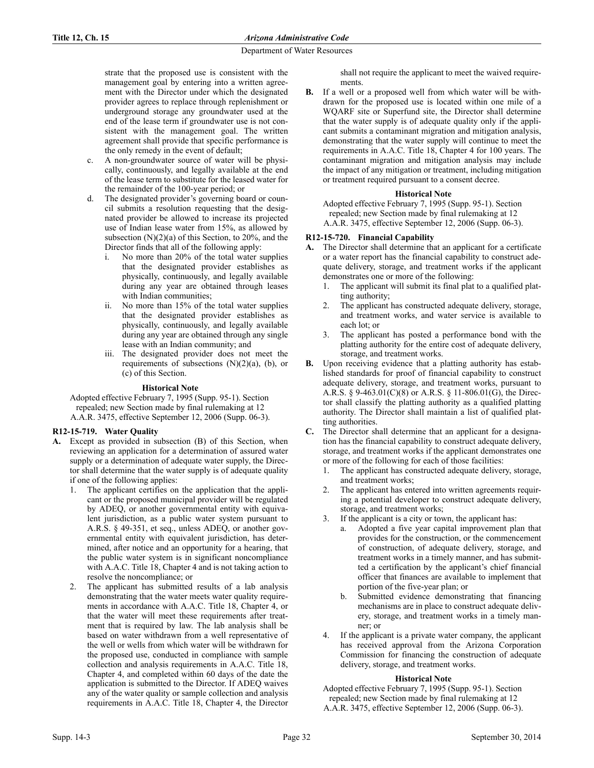strate that the proposed use is consistent with the management goal by entering into a written agreement with the Director under which the designated provider agrees to replace through replenishment or underground storage any groundwater used at the end of the lease term if groundwater use is not consistent with the management goal. The written agreement shall provide that specific performance is the only remedy in the event of default;

- c. A non-groundwater source of water will be physically, continuously, and legally available at the end of the lease term to substitute for the leased water for the remainder of the 100-year period; or
- d. The designated provider's governing board or council submits a resolution requesting that the designated provider be allowed to increase its projected use of Indian lease water from 15%, as allowed by subsection  $(N)(2)(a)$  of this Section, to 20%, and the Director finds that all of the following apply:
	- i. No more than 20% of the total water supplies that the designated provider establishes as physically, continuously, and legally available during any year are obtained through leases with Indian communities;
	- ii. No more than 15% of the total water supplies that the designated provider establishes as physically, continuously, and legally available during any year are obtained through any single lease with an Indian community; and
	- iii. The designated provider does not meet the requirements of subsections (N)(2)(a), (b), or (c) of this Section.

## **Historical Note**

Adopted effective February 7, 1995 (Supp. 95-1). Section repealed; new Section made by final rulemaking at 12 A.A.R. 3475, effective September 12, 2006 (Supp. 06-3).

# **R12-15-719. Water Quality**

- **A.** Except as provided in subsection (B) of this Section, when reviewing an application for a determination of assured water supply or a determination of adequate water supply, the Director shall determine that the water supply is of adequate quality if one of the following applies:
	- 1. The applicant certifies on the application that the applicant or the proposed municipal provider will be regulated by ADEQ, or another governmental entity with equivalent jurisdiction, as a public water system pursuant to A.R.S. § 49-351, et seq., unless ADEQ, or another governmental entity with equivalent jurisdiction, has determined, after notice and an opportunity for a hearing, that the public water system is in significant noncompliance with A.A.C. Title 18, Chapter 4 and is not taking action to resolve the noncompliance; or
	- The applicant has submitted results of a lab analysis demonstrating that the water meets water quality requirements in accordance with A.A.C. Title 18, Chapter 4, or that the water will meet these requirements after treatment that is required by law. The lab analysis shall be based on water withdrawn from a well representative of the well or wells from which water will be withdrawn for the proposed use, conducted in compliance with sample collection and analysis requirements in A.A.C. Title 18, Chapter 4, and completed within 60 days of the date the application is submitted to the Director. If ADEQ waives any of the water quality or sample collection and analysis requirements in A.A.C. Title 18, Chapter 4, the Director

shall not require the applicant to meet the waived requirements.

**B.** If a well or a proposed well from which water will be withdrawn for the proposed use is located within one mile of a WQARF site or Superfund site, the Director shall determine that the water supply is of adequate quality only if the applicant submits a contaminant migration and mitigation analysis, demonstrating that the water supply will continue to meet the requirements in A.A.C. Title 18, Chapter 4 for 100 years. The contaminant migration and mitigation analysis may include the impact of any mitigation or treatment, including mitigation or treatment required pursuant to a consent decree.

## **Historical Note**

Adopted effective February 7, 1995 (Supp. 95-1). Section repealed; new Section made by final rulemaking at 12 A.A.R. 3475, effective September 12, 2006 (Supp. 06-3).

# **R12-15-720. Financial Capability**

- **A.** The Director shall determine that an applicant for a certificate or a water report has the financial capability to construct adequate delivery, storage, and treatment works if the applicant demonstrates one or more of the following:
	- 1. The applicant will submit its final plat to a qualified platting authority;
	- 2. The applicant has constructed adequate delivery, storage, and treatment works, and water service is available to each lot; or
	- 3. The applicant has posted a performance bond with the platting authority for the entire cost of adequate delivery, storage, and treatment works.
- **B.** Upon receiving evidence that a platting authority has established standards for proof of financial capability to construct adequate delivery, storage, and treatment works, pursuant to A.R.S. § 9-463.01(C)(8) or A.R.S. § 11-806.01(G), the Director shall classify the platting authority as a qualified platting authority. The Director shall maintain a list of qualified platting authorities.
- **C.** The Director shall determine that an applicant for a designation has the financial capability to construct adequate delivery, storage, and treatment works if the applicant demonstrates one or more of the following for each of those facilities:
	- 1. The applicant has constructed adequate delivery, storage, and treatment works;
	- 2. The applicant has entered into written agreements requiring a potential developer to construct adequate delivery, storage, and treatment works;
	- 3. If the applicant is a city or town, the applicant has:
		- a. Adopted a five year capital improvement plan that provides for the construction, or the commencement of construction, of adequate delivery, storage, and treatment works in a timely manner, and has submitted a certification by the applicant's chief financial officer that finances are available to implement that portion of the five-year plan; or
		- Submitted evidence demonstrating that financing mechanisms are in place to construct adequate delivery, storage, and treatment works in a timely manner; or
	- 4. If the applicant is a private water company, the applicant has received approval from the Arizona Corporation Commission for financing the construction of adequate delivery, storage, and treatment works.

# **Historical Note**

Adopted effective February 7, 1995 (Supp. 95-1). Section repealed; new Section made by final rulemaking at 12 A.A.R. 3475, effective September 12, 2006 (Supp. 06-3).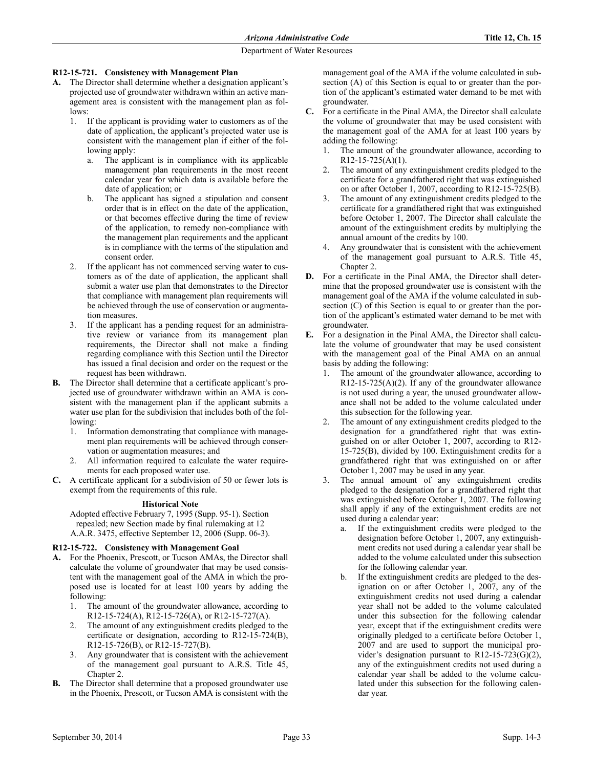### **R12-15-721. Consistency with Management Plan**

- **A.** The Director shall determine whether a designation applicant's projected use of groundwater withdrawn within an active management area is consistent with the management plan as follows:
	- 1. If the applicant is providing water to customers as of the date of application, the applicant's projected water use is consistent with the management plan if either of the following apply:
		- a. The applicant is in compliance with its applicable management plan requirements in the most recent calendar year for which data is available before the date of application; or
		- b. The applicant has signed a stipulation and consent order that is in effect on the date of the application, or that becomes effective during the time of review of the application, to remedy non-compliance with the management plan requirements and the applicant is in compliance with the terms of the stipulation and consent order.
	- 2. If the applicant has not commenced serving water to customers as of the date of application, the applicant shall submit a water use plan that demonstrates to the Director that compliance with management plan requirements will be achieved through the use of conservation or augmentation measures.
	- If the applicant has a pending request for an administrative review or variance from its management plan requirements, the Director shall not make a finding regarding compliance with this Section until the Director has issued a final decision and order on the request or the request has been withdrawn.
- **B.** The Director shall determine that a certificate applicant's projected use of groundwater withdrawn within an AMA is consistent with the management plan if the applicant submits a water use plan for the subdivision that includes both of the following:
	- 1. Information demonstrating that compliance with management plan requirements will be achieved through conservation or augmentation measures; and
	- All information required to calculate the water requirements for each proposed water use.
- **C.** A certificate applicant for a subdivision of 50 or fewer lots is exempt from the requirements of this rule.

# **Historical Note**

Adopted effective February 7, 1995 (Supp. 95-1). Section repealed; new Section made by final rulemaking at 12 A.A.R. 3475, effective September 12, 2006 (Supp. 06-3).

#### **R12-15-722. Consistency with Management Goal**

- **A.** For the Phoenix, Prescott, or Tucson AMAs, the Director shall calculate the volume of groundwater that may be used consistent with the management goal of the AMA in which the proposed use is located for at least 100 years by adding the following:
	- 1. The amount of the groundwater allowance, according to R12-15-724(A), R12-15-726(A), or R12-15-727(A).
	- 2. The amount of any extinguishment credits pledged to the certificate or designation, according to R12-15-724(B), R12-15-726(B), or R12-15-727(B).
	- 3. Any groundwater that is consistent with the achievement of the management goal pursuant to A.R.S. Title 45, Chapter 2.
- **B.** The Director shall determine that a proposed groundwater use in the Phoenix, Prescott, or Tucson AMA is consistent with the

management goal of the AMA if the volume calculated in subsection (A) of this Section is equal to or greater than the portion of the applicant's estimated water demand to be met with groundwater.

- **C.** For a certificate in the Pinal AMA, the Director shall calculate the volume of groundwater that may be used consistent with the management goal of the AMA for at least 100 years by adding the following:
	- The amount of the groundwater allowance, according to  $R12-15-725(A)(1)$ .
	- 2. The amount of any extinguishment credits pledged to the certificate for a grandfathered right that was extinguished on or after October 1, 2007, according to R12-15-725(B).
	- 3. The amount of any extinguishment credits pledged to the certificate for a grandfathered right that was extinguished before October 1, 2007. The Director shall calculate the amount of the extinguishment credits by multiplying the annual amount of the credits by 100.
	- 4. Any groundwater that is consistent with the achievement of the management goal pursuant to A.R.S. Title 45, Chapter 2.
- **D.** For a certificate in the Pinal AMA, the Director shall determine that the proposed groundwater use is consistent with the management goal of the AMA if the volume calculated in subsection (C) of this Section is equal to or greater than the portion of the applicant's estimated water demand to be met with groundwater.
- **E.** For a designation in the Pinal AMA, the Director shall calculate the volume of groundwater that may be used consistent with the management goal of the Pinal AMA on an annual basis by adding the following:
	- The amount of the groundwater allowance, according to  $R12-15-725(A)(2)$ . If any of the groundwater allowance is not used during a year, the unused groundwater allowance shall not be added to the volume calculated under this subsection for the following year.
	- 2. The amount of any extinguishment credits pledged to the designation for a grandfathered right that was extinguished on or after October 1, 2007, according to R12- 15-725(B), divided by 100. Extinguishment credits for a grandfathered right that was extinguished on or after October 1, 2007 may be used in any year.
	- 3. The annual amount of any extinguishment credits pledged to the designation for a grandfathered right that was extinguished before October 1, 2007. The following shall apply if any of the extinguishment credits are not used during a calendar year:
		- a. If the extinguishment credits were pledged to the designation before October 1, 2007, any extinguishment credits not used during a calendar year shall be added to the volume calculated under this subsection for the following calendar year.
		- b. If the extinguishment credits are pledged to the designation on or after October 1, 2007, any of the extinguishment credits not used during a calendar year shall not be added to the volume calculated under this subsection for the following calendar year, except that if the extinguishment credits were originally pledged to a certificate before October 1, 2007 and are used to support the municipal provider's designation pursuant to R12-15-723(G)(2), any of the extinguishment credits not used during a calendar year shall be added to the volume calculated under this subsection for the following calendar year.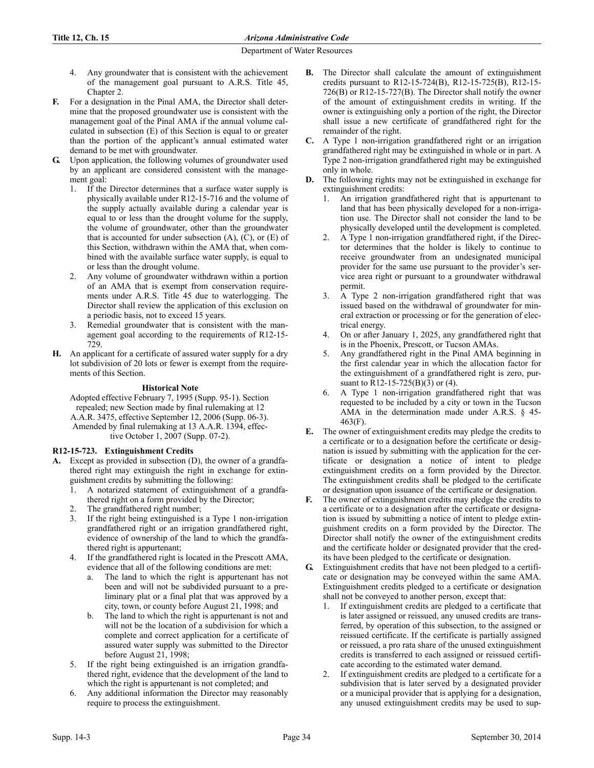- 4. Any groundwater that is consistent with the achievement of the management goal pursuant to A.R.S. Title 45, Chapter 2.
- **F.** For a designation in the Pinal AMA, the Director shall determine that the proposed groundwater use is consistent with the management goal of the Pinal AMA if the annual volume calculated in subsection (E) of this Section is equal to or greater than the portion of the applicant's annual estimated water demand to be met with groundwater.
- **G.** Upon application, the following volumes of groundwater used by an applicant are considered consistent with the management goal:
	- 1. If the Director determines that a surface water supply is physically available under R12-15-716 and the volume of the supply actually available during a calendar year is equal to or less than the drought volume for the supply, the volume of groundwater, other than the groundwater that is accounted for under subsection  $(A)$ ,  $(C)$ , or  $(E)$  of this Section, withdrawn within the AMA that, when combined with the available surface water supply, is equal to or less than the drought volume.
	- 2. Any volume of groundwater withdrawn within a portion of an AMA that is exempt from conservation requirements under A.R.S. Title 45 due to waterlogging. The Director shall review the application of this exclusion on a periodic basis, not to exceed 15 years.
	- 3. Remedial groundwater that is consistent with the management goal according to the requirements of R12-15- 729.
- **H.** An applicant for a certificate of assured water supply for a dry lot subdivision of 20 lots or fewer is exempt from the requirements of this Section.

# **Historical Note**

Adopted effective February 7, 1995 (Supp. 95-1). Section repealed; new Section made by final rulemaking at 12 A.A.R. 3475, effective September 12, 2006 (Supp. 06-3). Amended by final rulemaking at 13 A.A.R. 1394, effective October 1, 2007 (Supp. 07-2).

# **R12-15-723. Extinguishment Credits**

- **A.** Except as provided in subsection (D), the owner of a grandfathered right may extinguish the right in exchange for extinguishment credits by submitting the following:
	- 1. A notarized statement of extinguishment of a grandfathered right on a form provided by the Director;
	- The grandfathered right number;
	- 3. If the right being extinguished is a Type 1 non-irrigation grandfathered right or an irrigation grandfathered right, evidence of ownership of the land to which the grandfathered right is appurtenant;
	- If the grandfathered right is located in the Prescott AMA, evidence that all of the following conditions are met:
		- a. The land to which the right is appurtenant has not been and will not be subdivided pursuant to a preliminary plat or a final plat that was approved by a city, town, or county before August 21, 1998; and
		- b. The land to which the right is appurtenant is not and will not be the location of a subdivision for which a complete and correct application for a certificate of assured water supply was submitted to the Director before August 21, 1998;
	- 5. If the right being extinguished is an irrigation grandfathered right, evidence that the development of the land to which the right is appurtenant is not completed; and
	- Any additional information the Director may reasonably require to process the extinguishment.
- **B.** The Director shall calculate the amount of extinguishment credits pursuant to R12-15-724(B), R12-15-725(B), R12-15- 726(B) or R12-15-727(B). The Director shall notify the owner of the amount of extinguishment credits in writing. If the owner is extinguishing only a portion of the right, the Director shall issue a new certificate of grandfathered right for the remainder of the right.
- **C.** A Type 1 non-irrigation grandfathered right or an irrigation grandfathered right may be extinguished in whole or in part. A Type 2 non-irrigation grandfathered right may be extinguished only in whole.
- **D.** The following rights may not be extinguished in exchange for extinguishment credits:
	- 1. An irrigation grandfathered right that is appurtenant to land that has been physically developed for a non-irrigation use. The Director shall not consider the land to be physically developed until the development is completed.
	- 2. A Type 1 non-irrigation grandfathered right, if the Director determines that the holder is likely to continue to receive groundwater from an undesignated municipal provider for the same use pursuant to the provider's service area right or pursuant to a groundwater withdrawal permit.
	- 3. A Type 2 non-irrigation grandfathered right that was issued based on the withdrawal of groundwater for mineral extraction or processing or for the generation of electrical energy.
	- 4. On or after January 1, 2025, any grandfathered right that is in the Phoenix, Prescott, or Tucson AMAs.
	- 5. Any grandfathered right in the Pinal AMA beginning in the first calendar year in which the allocation factor for the extinguishment of a grandfathered right is zero, pursuant to R12-15-725(B)(3) or (4).
	- 6. A Type 1 non-irrigation grandfathered right that was requested to be included by a city or town in the Tucson AMA in the determination made under A.R.S. § 45- 463(F).
- **E.** The owner of extinguishment credits may pledge the credits to a certificate or to a designation before the certificate or designation is issued by submitting with the application for the certificate or designation a notice of intent to pledge extinguishment credits on a form provided by the Director. The extinguishment credits shall be pledged to the certificate or designation upon issuance of the certificate or designation.
- **F.** The owner of extinguishment credits may pledge the credits to a certificate or to a designation after the certificate or designation is issued by submitting a notice of intent to pledge extinguishment credits on a form provided by the Director. The Director shall notify the owner of the extinguishment credits and the certificate holder or designated provider that the credits have been pledged to the certificate or designation.
- **G.** Extinguishment credits that have not been pledged to a certificate or designation may be conveyed within the same AMA. Extinguishment credits pledged to a certificate or designation shall not be conveyed to another person, except that:
	- 1. If extinguishment credits are pledged to a certificate that is later assigned or reissued, any unused credits are transferred, by operation of this subsection, to the assigned or reissued certificate. If the certificate is partially assigned or reissued, a pro rata share of the unused extinguishment credits is transferred to each assigned or reissued certificate according to the estimated water demand.
	- 2. If extinguishment credits are pledged to a certificate for a subdivision that is later served by a designated provider or a municipal provider that is applying for a designation, any unused extinguishment credits may be used to sup-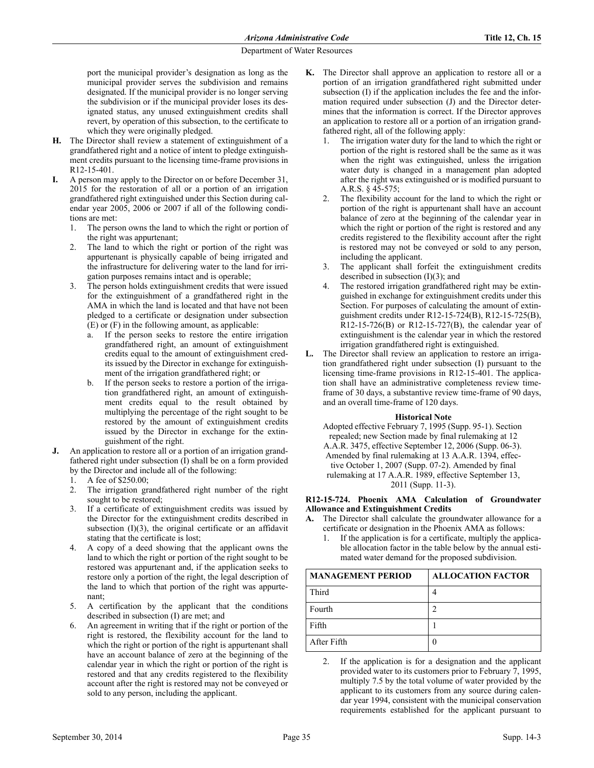port the municipal provider's designation as long as the municipal provider serves the subdivision and remains designated. If the municipal provider is no longer serving the subdivision or if the municipal provider loses its designated status, any unused extinguishment credits shall revert, by operation of this subsection, to the certificate to which they were originally pledged.

- **H.** The Director shall review a statement of extinguishment of a grandfathered right and a notice of intent to pledge extinguishment credits pursuant to the licensing time-frame provisions in R12-15-401.
- **I.** A person may apply to the Director on or before December 31, 2015 for the restoration of all or a portion of an irrigation grandfathered right extinguished under this Section during calendar year 2005, 2006 or 2007 if all of the following conditions are met:
	- 1. The person owns the land to which the right or portion of the right was appurtenant;
	- 2. The land to which the right or portion of the right was appurtenant is physically capable of being irrigated and the infrastructure for delivering water to the land for irrigation purposes remains intact and is operable;
	- 3. The person holds extinguishment credits that were issued for the extinguishment of a grandfathered right in the AMA in which the land is located and that have not been pledged to a certificate or designation under subsection (E) or (F) in the following amount, as applicable:
		- a. If the person seeks to restore the entire irrigation grandfathered right, an amount of extinguishment credits equal to the amount of extinguishment credits issued by the Director in exchange for extinguishment of the irrigation grandfathered right; or
		- If the person seeks to restore a portion of the irrigation grandfathered right, an amount of extinguishment credits equal to the result obtained by multiplying the percentage of the right sought to be restored by the amount of extinguishment credits issued by the Director in exchange for the extinguishment of the right.
- **J.** An application to restore all or a portion of an irrigation grandfathered right under subsection (I) shall be on a form provided by the Director and include all of the following:
	- 1. A fee of \$250.00;
	- 2. The irrigation grandfathered right number of the right sought to be restored;
	- 3. If a certificate of extinguishment credits was issued by the Director for the extinguishment credits described in subsection  $(I)(3)$ , the original certificate or an affidavit stating that the certificate is lost;
	- 4. A copy of a deed showing that the applicant owns the land to which the right or portion of the right sought to be restored was appurtenant and, if the application seeks to restore only a portion of the right, the legal description of the land to which that portion of the right was appurtenant;
	- 5. A certification by the applicant that the conditions described in subsection (I) are met; and
	- 6. An agreement in writing that if the right or portion of the right is restored, the flexibility account for the land to which the right or portion of the right is appurtenant shall have an account balance of zero at the beginning of the calendar year in which the right or portion of the right is restored and that any credits registered to the flexibility account after the right is restored may not be conveyed or sold to any person, including the applicant.
- **K.** The Director shall approve an application to restore all or a portion of an irrigation grandfathered right submitted under subsection (I) if the application includes the fee and the information required under subsection (J) and the Director determines that the information is correct. If the Director approves an application to restore all or a portion of an irrigation grandfathered right, all of the following apply:
	- The irrigation water duty for the land to which the right or portion of the right is restored shall be the same as it was when the right was extinguished, unless the irrigation water duty is changed in a management plan adopted after the right was extinguished or is modified pursuant to A.R.S. § 45-575;
	- 2. The flexibility account for the land to which the right or portion of the right is appurtenant shall have an account balance of zero at the beginning of the calendar year in which the right or portion of the right is restored and any credits registered to the flexibility account after the right is restored may not be conveyed or sold to any person, including the applicant.
	- 3. The applicant shall forfeit the extinguishment credits described in subsection  $(I)(3)$ ; and
	- The restored irrigation grandfathered right may be extinguished in exchange for extinguishment credits under this Section. For purposes of calculating the amount of extinguishment credits under R12-15-724(B), R12-15-725(B), R12-15-726(B) or R12-15-727(B), the calendar year of extinguishment is the calendar year in which the restored irrigation grandfathered right is extinguished.
- **L.** The Director shall review an application to restore an irrigation grandfathered right under subsection (I) pursuant to the licensing time-frame provisions in R12-15-401. The application shall have an administrative completeness review timeframe of 30 days, a substantive review time-frame of 90 days, and an overall time-frame of 120 days.

#### **Historical Note**

Adopted effective February 7, 1995 (Supp. 95-1). Section repealed; new Section made by final rulemaking at 12 A.A.R. 3475, effective September 12, 2006 (Supp. 06-3).

Amended by final rulemaking at 13 A.A.R. 1394, effective October 1, 2007 (Supp. 07-2). Amended by final rulemaking at 17 A.A.R. 1989, effective September 13,

2011 (Supp. 11-3).

## **R12-15-724. Phoenix AMA Calculation of Groundwater Allowance and Extinguishment Credits**

- **A.** The Director shall calculate the groundwater allowance for a certificate or designation in the Phoenix AMA as follows:
	- 1. If the application is for a certificate, multiply the applicable allocation factor in the table below by the annual estimated water demand for the proposed subdivision.

| <b>MANAGEMENT PERIOD</b> | <b>ALLOCATION FACTOR</b> |
|--------------------------|--------------------------|
| Third                    |                          |
| Fourth                   |                          |
| Fifth                    |                          |
| After Fifth              |                          |

2. If the application is for a designation and the applicant provided water to its customers prior to February 7, 1995, multiply 7.5 by the total volume of water provided by the applicant to its customers from any source during calendar year 1994, consistent with the municipal conservation requirements established for the applicant pursuant to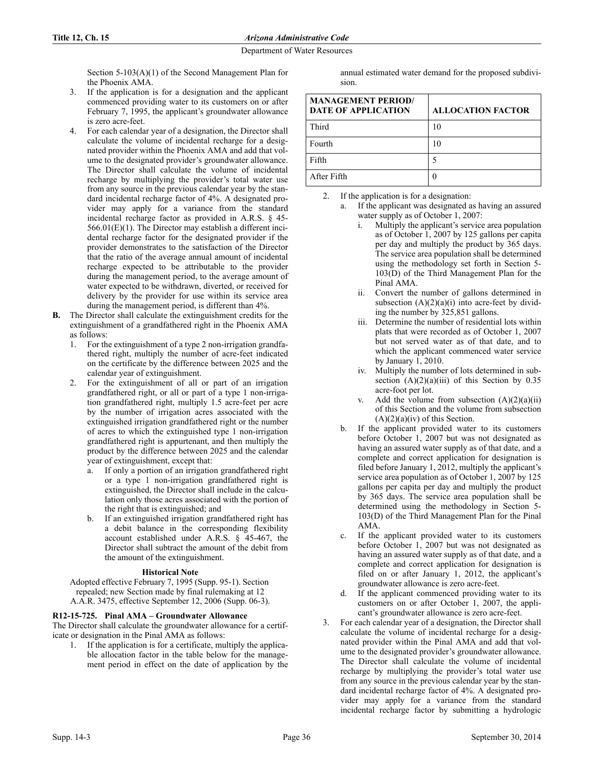Section 5-103(A)(1) of the Second Management Plan for the Phoenix AMA.

- 3. If the application is for a designation and the applicant commenced providing water to its customers on or after February 7, 1995, the applicant's groundwater allowance is zero acre-feet.
- 4. For each calendar year of a designation, the Director shall calculate the volume of incidental recharge for a designated provider within the Phoenix AMA and add that volume to the designated provider's groundwater allowance. The Director shall calculate the volume of incidental recharge by multiplying the provider's total water use from any source in the previous calendar year by the standard incidental recharge factor of 4%. A designated provider may apply for a variance from the standard incidental recharge factor as provided in A.R.S. § 45- 566.01(E)(1). The Director may establish a different incidental recharge factor for the designated provider if the provider demonstrates to the satisfaction of the Director that the ratio of the average annual amount of incidental recharge expected to be attributable to the provider during the management period, to the average amount of water expected to be withdrawn, diverted, or received for delivery by the provider for use within its service area during the management period, is different than 4%.
- **B.** The Director shall calculate the extinguishment credits for the extinguishment of a grandfathered right in the Phoenix AMA as follows:
	- 1. For the extinguishment of a type 2 non-irrigation grandfathered right, multiply the number of acre-feet indicated on the certificate by the difference between 2025 and the calendar year of extinguishment.
	- 2. For the extinguishment of all or part of an irrigation grandfathered right, or all or part of a type 1 non-irrigation grandfathered right, multiply 1.5 acre-feet per acre by the number of irrigation acres associated with the extinguished irrigation grandfathered right or the number of acres to which the extinguished type 1 non-irrigation grandfathered right is appurtenant, and then multiply the product by the difference between 2025 and the calendar year of extinguishment, except that:
		- a. If only a portion of an irrigation grandfathered right or a type 1 non-irrigation grandfathered right is extinguished, the Director shall include in the calculation only those acres associated with the portion of the right that is extinguished; and
		- b. If an extinguished irrigation grandfathered right has a debit balance in the corresponding flexibility account established under A.R.S. § 45-467, the Director shall subtract the amount of the debit from the amount of the extinguishment.

#### **Historical Note**

Adopted effective February 7, 1995 (Supp. 95-1). Section repealed; new Section made by final rulemaking at 12 A.A.R. 3475, effective September 12, 2006 (Supp. 06-3).

# **R12-15-725. Pinal AMA – Groundwater Allowance**

The Director shall calculate the groundwater allowance for a certificate or designation in the Pinal AMA as follows:

1. If the application is for a certificate, multiply the applicable allocation factor in the table below for the management period in effect on the date of application by the

annual estimated water demand for the proposed subdivision.

| <b>MANAGEMENT PERIOD/</b><br><b>DATE OF APPLICATION</b> | <b>ALLOCATION FACTOR</b> |
|---------------------------------------------------------|--------------------------|
| Third                                                   |                          |
| Fourth                                                  |                          |
| Fifth                                                   |                          |
| After Fifth                                             |                          |

- 2. If the application is for a designation:
	- a. If the applicant was designated as having an assured water supply as of October 1, 2007:
		- i. Multiply the applicant's service area population as of October 1, 2007 by 125 gallons per capita per day and multiply the product by 365 days. The service area population shall be determined using the methodology set forth in Section 5- 103(D) of the Third Management Plan for the Pinal AMA.
		- ii. Convert the number of gallons determined in subsection  $(A)(2)(a)(i)$  into acre-feet by dividing the number by 325,851 gallons.
		- Determine the number of residential lots within plats that were recorded as of October 1, 2007 but not served water as of that date, and to which the applicant commenced water service by January 1, 2010.
		- iv. Multiply the number of lots determined in subsection  $(A)(2)(a)(iii)$  of this Section by 0.35 acre-foot per lot.
		- v. Add the volume from subsection  $(A)(2)(a)(ii)$ of this Section and the volume from subsection  $(A)(2)(a)(iv)$  of this Section.
		- b. If the applicant provided water to its customers before October 1, 2007 but was not designated as having an assured water supply as of that date, and a complete and correct application for designation is filed before January 1, 2012, multiply the applicant's service area population as of October 1, 2007 by 125 gallons per capita per day and multiply the product by 365 days. The service area population shall be determined using the methodology in Section 5- 103(D) of the Third Management Plan for the Pinal AMA.
	- c. If the applicant provided water to its customers before October 1, 2007 but was not designated as having an assured water supply as of that date, and a complete and correct application for designation is filed on or after January 1, 2012, the applicant's groundwater allowance is zero acre-feet.
	- d. If the applicant commenced providing water to its customers on or after October 1, 2007, the applicant's groundwater allowance is zero acre-feet.
- 3. For each calendar year of a designation, the Director shall calculate the volume of incidental recharge for a designated provider within the Pinal AMA and add that volume to the designated provider's groundwater allowance. The Director shall calculate the volume of incidental recharge by multiplying the provider's total water use from any source in the previous calendar year by the standard incidental recharge factor of 4%. A designated provider may apply for a variance from the standard incidental recharge factor by submitting a hydrologic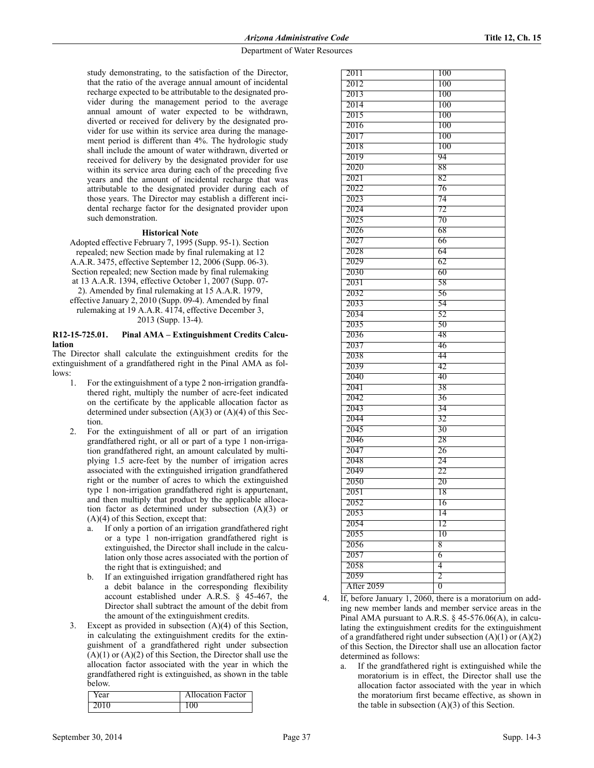study demonstrating, to the satisfaction of the Director, that the ratio of the average annual amount of incidental recharge expected to be attributable to the designated provider during the management period to the average annual amount of water expected to be withdrawn, diverted or received for delivery by the designated provider for use within its service area during the management period is different than 4%. The hydrologic study shall include the amount of water withdrawn, diverted or received for delivery by the designated provider for use within its service area during each of the preceding five years and the amount of incidental recharge that was attributable to the designated provider during each of those years. The Director may establish a different incidental recharge factor for the designated provider upon such demonstration.

### **Historical Note**

Adopted effective February 7, 1995 (Supp. 95-1). Section repealed; new Section made by final rulemaking at 12 A.A.R. 3475, effective September 12, 2006 (Supp. 06-3). Section repealed; new Section made by final rulemaking at 13 A.A.R. 1394, effective October 1, 2007 (Supp. 07- 2). Amended by final rulemaking at 15 A.A.R. 1979, effective January 2, 2010 (Supp. 09-4). Amended by final rulemaking at 19 A.A.R. 4174, effective December 3,

2013 (Supp. 13-4).

### **R12-15-725.01. Pinal AMA – Extinguishment Credits Calculation**

The Director shall calculate the extinguishment credits for the extinguishment of a grandfathered right in the Pinal AMA as follows:

- 1. For the extinguishment of a type 2 non-irrigation grandfathered right, multiply the number of acre-feet indicated on the certificate by the applicable allocation factor as determined under subsection  $(A)(3)$  or  $(A)(4)$  of this Section.
- 2. For the extinguishment of all or part of an irrigation grandfathered right, or all or part of a type 1 non-irrigation grandfathered right, an amount calculated by multiplying 1.5 acre-feet by the number of irrigation acres associated with the extinguished irrigation grandfathered right or the number of acres to which the extinguished type 1 non-irrigation grandfathered right is appurtenant, and then multiply that product by the applicable allocation factor as determined under subsection (A)(3) or (A)(4) of this Section, except that:
	- a. If only a portion of an irrigation grandfathered right or a type 1 non-irrigation grandfathered right is extinguished, the Director shall include in the calculation only those acres associated with the portion of the right that is extinguished; and
	- b. If an extinguished irrigation grandfathered right has a debit balance in the corresponding flexibility account established under A.R.S. § 45-467, the Director shall subtract the amount of the debit from the amount of the extinguishment credits.
- 3. Except as provided in subsection (A)(4) of this Section, in calculating the extinguishment credits for the extinguishment of a grandfathered right under subsection  $(A)(1)$  or  $(A)(2)$  of this Section, the Director shall use the allocation factor associated with the year in which the grandfathered right is extinguished, as shown in the table below.

| rear | <b>Allocation Factor</b> |
|------|--------------------------|
| 2010 |                          |

| 2011       | 100            |
|------------|----------------|
| 2012       | 100            |
| 2013       | 100            |
| 2014       | 100            |
| 2015       | 100            |
| 2016       | 100            |
| 2017       | 100            |
| 2018       | 100            |
| 2019       | 94             |
| 2020       | 88             |
| 2021       | 82             |
| 2022       | 76             |
| 2023       | 74             |
| 2024       | 72             |
| 2025       | 70             |
| 2026       | 68             |
| 2027       | 66             |
| 2028       | 64             |
| 2029       | 62             |
| 2030       | 60             |
| 2031       | 58             |
| 2032       | 56             |
| 2033       | 54             |
| 2034       | 52             |
| 2035       | 50             |
| 2036       | 48             |
| 2037       | 46             |
| 2038       | 44             |
| 2039       | 42             |
| 2040       | 40             |
| 2041       | 38             |
| 2042       | 36             |
| 2043       | 34             |
| 2044       | 32             |
| 2045       | 30             |
| 2046       | 28             |
| 2047       | 26             |
| 2048       | 24             |
| 2049       | 22             |
| 2050       | 20             |
| 2051       | 18             |
| 2052       | 16             |
| 2053       | 14             |
| 2054       | 12             |
| 2055       | 10             |
| 2056       | 8              |
| 2057       | 6              |
| 2058       | 4              |
| 2059       | 2              |
| After 2059 | $\overline{0}$ |
|            |                |

- If, before January 1, 2060, there is a moratorium on adding new member lands and member service areas in the Pinal AMA pursuant to A.R.S. § 45-576.06(A), in calculating the extinguishment credits for the extinguishment of a grandfathered right under subsection  $(A)(1)$  or  $(A)(2)$ of this Section, the Director shall use an allocation factor determined as follows:
	- a. If the grandfathered right is extinguished while the moratorium is in effect, the Director shall use the allocation factor associated with the year in which the moratorium first became effective, as shown in the table in subsection  $(A)(3)$  of this Section.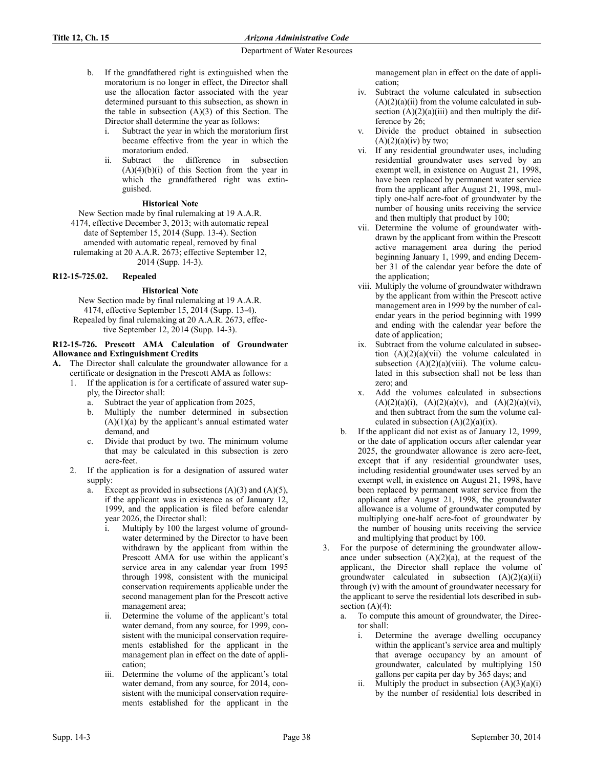- b. If the grandfathered right is extinguished when the moratorium is no longer in effect, the Director shall use the allocation factor associated with the year determined pursuant to this subsection, as shown in the table in subsection  $(A)(3)$  of this Section. The Director shall determine the year as follows:
	- i. Subtract the year in which the moratorium first became effective from the year in which the moratorium ended.
	- ii. Subtract the difference in subsection  $(A)(4)(b)(i)$  of this Section from the year in which the grandfathered right was extinguished.

# **Historical Note**

New Section made by final rulemaking at 19 A.A.R.

4174, effective December 3, 2013; with automatic repeal date of September 15, 2014 (Supp. 13-4). Section amended with automatic repeal, removed by final

rulemaking at 20 A.A.R. 2673; effective September 12, 2014 (Supp. 14-3).

# **R12-15-725.02. Repealed**

# **Historical Note**

New Section made by final rulemaking at 19 A.A.R. 4174, effective September 15, 2014 (Supp. 13-4). Repealed by final rulemaking at 20 A.A.R. 2673, effective September 12, 2014 (Supp. 14-3).

# **R12-15-726. Prescott AMA Calculation of Groundwater Allowance and Extinguishment Credits**

- **A.** The Director shall calculate the groundwater allowance for a certificate or designation in the Prescott AMA as follows:
	- 1. If the application is for a certificate of assured water supply, the Director shall:
		- a. Subtract the year of application from 2025,
		- b. Multiply the number determined in subsection  $(A)(1)(a)$  by the applicant's annual estimated water demand, and
		- c. Divide that product by two. The minimum volume that may be calculated in this subsection is zero acre-feet.
	- 2. If the application is for a designation of assured water supply:
		- a. Except as provided in subsections  $(A)(3)$  and  $(A)(5)$ , if the applicant was in existence as of January 12, 1999, and the application is filed before calendar year 2026, the Director shall:
			- i. Multiply by 100 the largest volume of groundwater determined by the Director to have been withdrawn by the applicant from within the Prescott AMA for use within the applicant's service area in any calendar year from 1995 through 1998, consistent with the municipal conservation requirements applicable under the second management plan for the Prescott active management area;
			- ii. Determine the volume of the applicant's total water demand, from any source, for 1999, consistent with the municipal conservation requirements established for the applicant in the management plan in effect on the date of application;
			- iii. Determine the volume of the applicant's total water demand, from any source, for 2014, consistent with the municipal conservation requirements established for the applicant in the

management plan in effect on the date of application;

- iv. Subtract the volume calculated in subsection  $(A)(2)(a)(ii)$  from the volume calculated in subsection  $(A)(2)(a)(iii)$  and then multiply the difference by 26;
- v. Divide the product obtained in subsection  $(A)(2)(a)(iv)$  by two;
- vi. If any residential groundwater uses, including residential groundwater uses served by an exempt well, in existence on August 21, 1998, have been replaced by permanent water service from the applicant after August 21, 1998, multiply one-half acre-foot of groundwater by the number of housing units receiving the service and then multiply that product by 100;
- vii. Determine the volume of groundwater withdrawn by the applicant from within the Prescott active management area during the period beginning January 1, 1999, and ending December 31 of the calendar year before the date of the application;
- viii. Multiply the volume of groundwater withdrawn by the applicant from within the Prescott active management area in 1999 by the number of calendar years in the period beginning with 1999 and ending with the calendar year before the date of application;
- ix. Subtract from the volume calculated in subsection  $(A)(2)(a)(vii)$  the volume calculated in subsection  $(A)(2)(a)(viii)$ . The volume calculated in this subsection shall not be less than zero; and
- x. Add the volumes calculated in subsections  $(A)(2)(a)(i)$ ,  $(A)(2)(a)(v)$ , and  $(A)(2)(a)(vi)$ . and then subtract from the sum the volume calculated in subsection  $(A)(2)(a)(ix)$ .
- b. If the applicant did not exist as of January 12, 1999, or the date of application occurs after calendar year 2025, the groundwater allowance is zero acre-feet, except that if any residential groundwater uses, including residential groundwater uses served by an exempt well, in existence on August 21, 1998, have been replaced by permanent water service from the applicant after August 21, 1998, the groundwater allowance is a volume of groundwater computed by multiplying one-half acre-foot of groundwater by the number of housing units receiving the service and multiplying that product by 100.
- 3. For the purpose of determining the groundwater allowance under subsection  $(A)(2)(a)$ , at the request of the applicant, the Director shall replace the volume of groundwater calculated in subsection  $(A)(2)(a)(ii)$ through (v) with the amount of groundwater necessary for the applicant to serve the residential lots described in subsection  $(A)(4)$ :
	- a. To compute this amount of groundwater, the Director shall:
		- i. Determine the average dwelling occupancy within the applicant's service area and multiply that average occupancy by an amount of groundwater, calculated by multiplying 150 gallons per capita per day by 365 days; and
		- ii. Multiply the product in subsection  $(A)(3)(a)(i)$ by the number of residential lots described in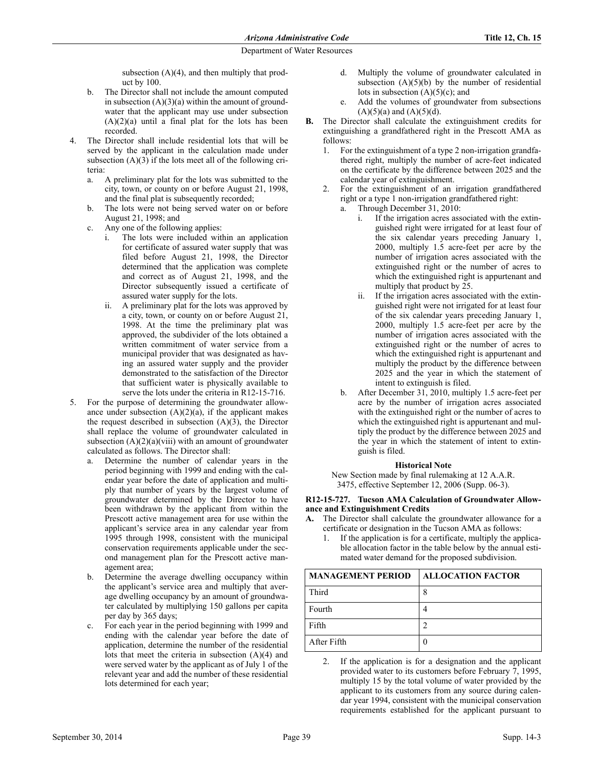subsection (A)(4), and then multiply that product by 100.

- b. The Director shall not include the amount computed in subsection  $(A)(3)(a)$  within the amount of groundwater that the applicant may use under subsection  $(A)(2)(a)$  until a final plat for the lots has been recorded.
- 4. The Director shall include residential lots that will be served by the applicant in the calculation made under subsection  $(A)(3)$  if the lots meet all of the following criteria:
	- a. A preliminary plat for the lots was submitted to the city, town, or county on or before August 21, 1998, and the final plat is subsequently recorded;
	- b. The lots were not being served water on or before August 21, 1998; and
	- c. Any one of the following applies:
		- The lots were included within an application for certificate of assured water supply that was filed before August 21, 1998, the Director determined that the application was complete and correct as of August 21, 1998, and the Director subsequently issued a certificate of assured water supply for the lots.
		- ii. A preliminary plat for the lots was approved by a city, town, or county on or before August 21, 1998. At the time the preliminary plat was approved, the subdivider of the lots obtained a written commitment of water service from a municipal provider that was designated as having an assured water supply and the provider demonstrated to the satisfaction of the Director that sufficient water is physically available to serve the lots under the criteria in R12-15-716.
- 5. For the purpose of determining the groundwater allowance under subsection  $(A)(2)(a)$ , if the applicant makes the request described in subsection  $(A)(3)$ , the Director shall replace the volume of groundwater calculated in subsection  $(A)(2)(a)(viii)$  with an amount of groundwater calculated as follows. The Director shall:
	- a. Determine the number of calendar years in the period beginning with 1999 and ending with the calendar year before the date of application and multiply that number of years by the largest volume of groundwater determined by the Director to have been withdrawn by the applicant from within the Prescott active management area for use within the applicant's service area in any calendar year from 1995 through 1998, consistent with the municipal conservation requirements applicable under the second management plan for the Prescott active management area;
	- b. Determine the average dwelling occupancy within the applicant's service area and multiply that average dwelling occupancy by an amount of groundwater calculated by multiplying 150 gallons per capita per day by 365 days;
	- c. For each year in the period beginning with 1999 and ending with the calendar year before the date of application, determine the number of the residential lots that meet the criteria in subsection (A)(4) and were served water by the applicant as of July 1 of the relevant year and add the number of these residential lots determined for each year;
- d. Multiply the volume of groundwater calculated in subsection  $(A)(5)(b)$  by the number of residential lots in subsection  $(A)(5)(c)$ ; and
- e. Add the volumes of groundwater from subsections  $(A)(5)(a)$  and  $(A)(5)(d)$ .
- **B.** The Director shall calculate the extinguishment credits for extinguishing a grandfathered right in the Prescott AMA as follows:
	- 1. For the extinguishment of a type 2 non-irrigation grandfathered right, multiply the number of acre-feet indicated on the certificate by the difference between 2025 and the calendar year of extinguishment.
	- 2. For the extinguishment of an irrigation grandfathered right or a type 1 non-irrigation grandfathered right:
		- a. Through December 31, 2010:
			- i. If the irrigation acres associated with the extinguished right were irrigated for at least four of the six calendar years preceding January 1, 2000, multiply 1.5 acre-feet per acre by the number of irrigation acres associated with the extinguished right or the number of acres to which the extinguished right is appurtenant and multiply that product by 25.
			- ii. If the irrigation acres associated with the extinguished right were not irrigated for at least four of the six calendar years preceding January 1, 2000, multiply 1.5 acre-feet per acre by the number of irrigation acres associated with the extinguished right or the number of acres to which the extinguished right is appurtenant and multiply the product by the difference between 2025 and the year in which the statement of intent to extinguish is filed.
		- b. After December 31, 2010, multiply 1.5 acre-feet per acre by the number of irrigation acres associated with the extinguished right or the number of acres to which the extinguished right is appurtenant and multiply the product by the difference between 2025 and the year in which the statement of intent to extinguish is filed.

### **Historical Note**

New Section made by final rulemaking at 12 A.A.R. 3475, effective September 12, 2006 (Supp. 06-3).

#### **R12-15-727. Tucson AMA Calculation of Groundwater Allowance and Extinguishment Credits**

- **A.** The Director shall calculate the groundwater allowance for a certificate or designation in the Tucson AMA as follows:
	- 1. If the application is for a certificate, multiply the applicable allocation factor in the table below by the annual estimated water demand for the proposed subdivision.

| <b>MANAGEMENT PERIOD</b> | <b>ALLOCATION FACTOR</b> |
|--------------------------|--------------------------|
| Third                    |                          |
| Fourth                   |                          |
| Fifth                    |                          |
| After Fifth              |                          |

2. If the application is for a designation and the applicant provided water to its customers before February 7, 1995, multiply 15 by the total volume of water provided by the applicant to its customers from any source during calendar year 1994, consistent with the municipal conservation requirements established for the applicant pursuant to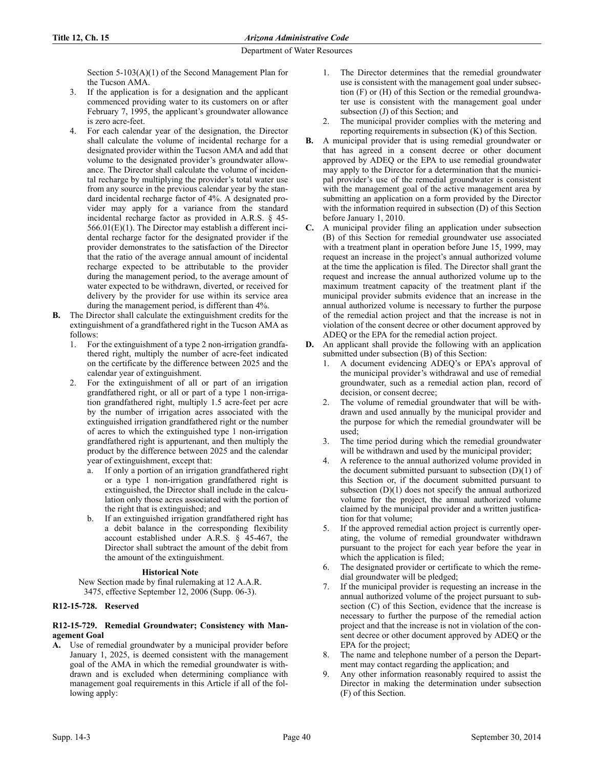Section 5-103(A)(1) of the Second Management Plan for the Tucson AMA.

- 3. If the application is for a designation and the applicant commenced providing water to its customers on or after February 7, 1995, the applicant's groundwater allowance is zero acre-feet.
- 4. For each calendar year of the designation, the Director shall calculate the volume of incidental recharge for a designated provider within the Tucson AMA and add that volume to the designated provider's groundwater allowance. The Director shall calculate the volume of incidental recharge by multiplying the provider's total water use from any source in the previous calendar year by the standard incidental recharge factor of 4%. A designated provider may apply for a variance from the standard incidental recharge factor as provided in A.R.S. § 45- 566.01(E)(1). The Director may establish a different incidental recharge factor for the designated provider if the provider demonstrates to the satisfaction of the Director that the ratio of the average annual amount of incidental recharge expected to be attributable to the provider during the management period, to the average amount of water expected to be withdrawn, diverted, or received for delivery by the provider for use within its service area during the management period, is different than 4%.
- **B.** The Director shall calculate the extinguishment credits for the extinguishment of a grandfathered right in the Tucson AMA as follows:
	- 1. For the extinguishment of a type 2 non-irrigation grandfathered right, multiply the number of acre-feet indicated on the certificate by the difference between 2025 and the calendar year of extinguishment.
	- 2. For the extinguishment of all or part of an irrigation grandfathered right, or all or part of a type 1 non-irrigation grandfathered right, multiply 1.5 acre-feet per acre by the number of irrigation acres associated with the extinguished irrigation grandfathered right or the number of acres to which the extinguished type 1 non-irrigation grandfathered right is appurtenant, and then multiply the product by the difference between 2025 and the calendar year of extinguishment, except that:
		- a. If only a portion of an irrigation grandfathered right or a type 1 non-irrigation grandfathered right is extinguished, the Director shall include in the calculation only those acres associated with the portion of the right that is extinguished; and
		- b. If an extinguished irrigation grandfathered right has a debit balance in the corresponding flexibility account established under A.R.S. § 45-467, the Director shall subtract the amount of the debit from the amount of the extinguishment.

### **Historical Note**

New Section made by final rulemaking at 12 A.A.R. 3475, effective September 12, 2006 (Supp. 06-3).

### **R12-15-728. Reserved**

#### **R12-15-729. Remedial Groundwater; Consistency with Management Goal**

**A.** Use of remedial groundwater by a municipal provider before January 1, 2025, is deemed consistent with the management goal of the AMA in which the remedial groundwater is withdrawn and is excluded when determining compliance with management goal requirements in this Article if all of the following apply:

- 1. The Director determines that the remedial groundwater use is consistent with the management goal under subsection (F) or (H) of this Section or the remedial groundwater use is consistent with the management goal under subsection (J) of this Section; and
- 2. The municipal provider complies with the metering and reporting requirements in subsection (K) of this Section.
- **B.** A municipal provider that is using remedial groundwater or that has agreed in a consent decree or other document approved by ADEQ or the EPA to use remedial groundwater may apply to the Director for a determination that the municipal provider's use of the remedial groundwater is consistent with the management goal of the active management area by submitting an application on a form provided by the Director with the information required in subsection (D) of this Section before January 1, 2010.
- **C.** A municipal provider filing an application under subsection (B) of this Section for remedial groundwater use associated with a treatment plant in operation before June 15, 1999, may request an increase in the project's annual authorized volume at the time the application is filed. The Director shall grant the request and increase the annual authorized volume up to the maximum treatment capacity of the treatment plant if the municipal provider submits evidence that an increase in the annual authorized volume is necessary to further the purpose of the remedial action project and that the increase is not in violation of the consent decree or other document approved by ADEQ or the EPA for the remedial action project.
- **D.** An applicant shall provide the following with an application submitted under subsection (B) of this Section:
	- 1. A document evidencing ADEQ's or EPA's approval of the municipal provider's withdrawal and use of remedial groundwater, such as a remedial action plan, record of decision, or consent decree;
	- 2. The volume of remedial groundwater that will be withdrawn and used annually by the municipal provider and the purpose for which the remedial groundwater will be used;
	- 3. The time period during which the remedial groundwater will be withdrawn and used by the municipal provider;
	- 4. A reference to the annual authorized volume provided in the document submitted pursuant to subsection  $(D)(1)$  of this Section or, if the document submitted pursuant to subsection  $(D)(1)$  does not specify the annual authorized volume for the project, the annual authorized volume claimed by the municipal provider and a written justification for that volume;
	- 5. If the approved remedial action project is currently operating, the volume of remedial groundwater withdrawn pursuant to the project for each year before the year in which the application is filed;
	- 6. The designated provider or certificate to which the remedial groundwater will be pledged;
	- 7. If the municipal provider is requesting an increase in the annual authorized volume of the project pursuant to subsection (C) of this Section, evidence that the increase is necessary to further the purpose of the remedial action project and that the increase is not in violation of the consent decree or other document approved by ADEQ or the EPA for the project;
	- 8. The name and telephone number of a person the Department may contact regarding the application; and
	- 9. Any other information reasonably required to assist the Director in making the determination under subsection (F) of this Section.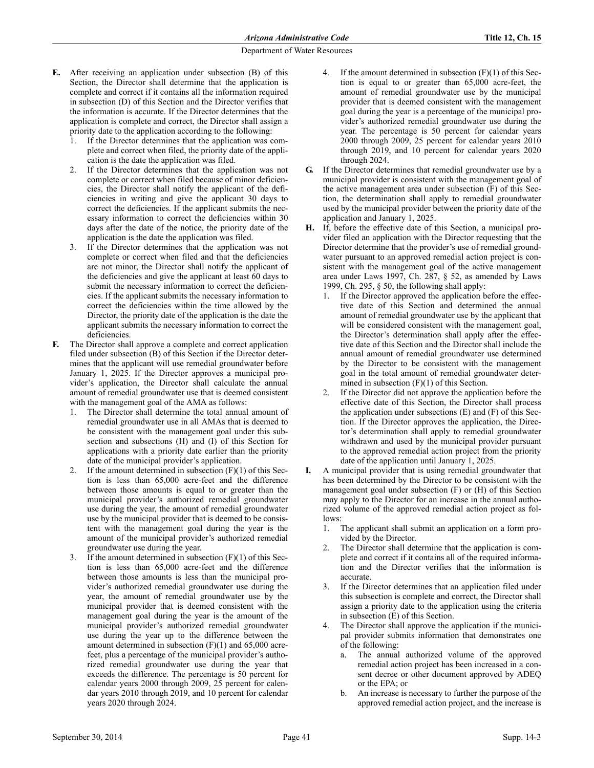- **E.** After receiving an application under subsection (B) of this Section, the Director shall determine that the application is complete and correct if it contains all the information required in subsection (D) of this Section and the Director verifies that the information is accurate. If the Director determines that the application is complete and correct, the Director shall assign a priority date to the application according to the following:
	- If the Director determines that the application was complete and correct when filed, the priority date of the application is the date the application was filed.
	- 2. If the Director determines that the application was not complete or correct when filed because of minor deficiencies, the Director shall notify the applicant of the deficiencies in writing and give the applicant 30 days to correct the deficiencies. If the applicant submits the necessary information to correct the deficiencies within 30 days after the date of the notice, the priority date of the application is the date the application was filed.
	- 3. If the Director determines that the application was not complete or correct when filed and that the deficiencies are not minor, the Director shall notify the applicant of the deficiencies and give the applicant at least 60 days to submit the necessary information to correct the deficiencies. If the applicant submits the necessary information to correct the deficiencies within the time allowed by the Director, the priority date of the application is the date the applicant submits the necessary information to correct the deficiencies.
- **F.** The Director shall approve a complete and correct application filed under subsection (B) of this Section if the Director determines that the applicant will use remedial groundwater before January 1, 2025. If the Director approves a municipal provider's application, the Director shall calculate the annual amount of remedial groundwater use that is deemed consistent with the management goal of the AMA as follows:
	- 1. The Director shall determine the total annual amount of remedial groundwater use in all AMAs that is deemed to be consistent with the management goal under this subsection and subsections (H) and (I) of this Section for applications with a priority date earlier than the priority date of the municipal provider's application.
	- If the amount determined in subsection  $(F)(1)$  of this Section is less than 65,000 acre-feet and the difference between those amounts is equal to or greater than the municipal provider's authorized remedial groundwater use during the year, the amount of remedial groundwater use by the municipal provider that is deemed to be consistent with the management goal during the year is the amount of the municipal provider's authorized remedial groundwater use during the year.
	- If the amount determined in subsection  $(F)(1)$  of this Section is less than 65,000 acre-feet and the difference between those amounts is less than the municipal provider's authorized remedial groundwater use during the year, the amount of remedial groundwater use by the municipal provider that is deemed consistent with the management goal during the year is the amount of the municipal provider's authorized remedial groundwater use during the year up to the difference between the amount determined in subsection (F)(1) and 65,000 acrefeet, plus a percentage of the municipal provider's authorized remedial groundwater use during the year that exceeds the difference. The percentage is 50 percent for calendar years 2000 through 2009, 25 percent for calendar years 2010 through 2019, and 10 percent for calendar years 2020 through 2024.
- 4. If the amount determined in subsection (F)(1) of this Section is equal to or greater than 65,000 acre-feet, the amount of remedial groundwater use by the municipal provider that is deemed consistent with the management goal during the year is a percentage of the municipal provider's authorized remedial groundwater use during the year. The percentage is 50 percent for calendar years 2000 through 2009, 25 percent for calendar years 2010 through 2019, and 10 percent for calendar years 2020 through 2024.
- **G.** If the Director determines that remedial groundwater use by a municipal provider is consistent with the management goal of the active management area under subsection (F) of this Section, the determination shall apply to remedial groundwater used by the municipal provider between the priority date of the application and January 1, 2025.
- **H.** If, before the effective date of this Section, a municipal provider filed an application with the Director requesting that the Director determine that the provider's use of remedial groundwater pursuant to an approved remedial action project is consistent with the management goal of the active management area under Laws 1997, Ch. 287, § 52, as amended by Laws 1999, Ch. 295, § 50, the following shall apply:
	- 1. If the Director approved the application before the effective date of this Section and determined the annual amount of remedial groundwater use by the applicant that will be considered consistent with the management goal, the Director's determination shall apply after the effective date of this Section and the Director shall include the annual amount of remedial groundwater use determined by the Director to be consistent with the management goal in the total amount of remedial groundwater determined in subsection  $(F)(1)$  of this Section.
	- 2. If the Director did not approve the application before the effective date of this Section, the Director shall process the application under subsections (E) and (F) of this Section. If the Director approves the application, the Director's determination shall apply to remedial groundwater withdrawn and used by the municipal provider pursuant to the approved remedial action project from the priority date of the application until January 1, 2025.
- **I.** A municipal provider that is using remedial groundwater that has been determined by the Director to be consistent with the management goal under subsection (F) or (H) of this Section may apply to the Director for an increase in the annual authorized volume of the approved remedial action project as follows:
	- 1. The applicant shall submit an application on a form provided by the Director.
	- The Director shall determine that the application is complete and correct if it contains all of the required information and the Director verifies that the information is accurate.
	- If the Director determines that an application filed under this subsection is complete and correct, the Director shall assign a priority date to the application using the criteria in subsection (E) of this Section.
	- 4. The Director shall approve the application if the municipal provider submits information that demonstrates one of the following:
		- a. The annual authorized volume of the approved remedial action project has been increased in a consent decree or other document approved by ADEQ or the EPA; or
		- b. An increase is necessary to further the purpose of the approved remedial action project, and the increase is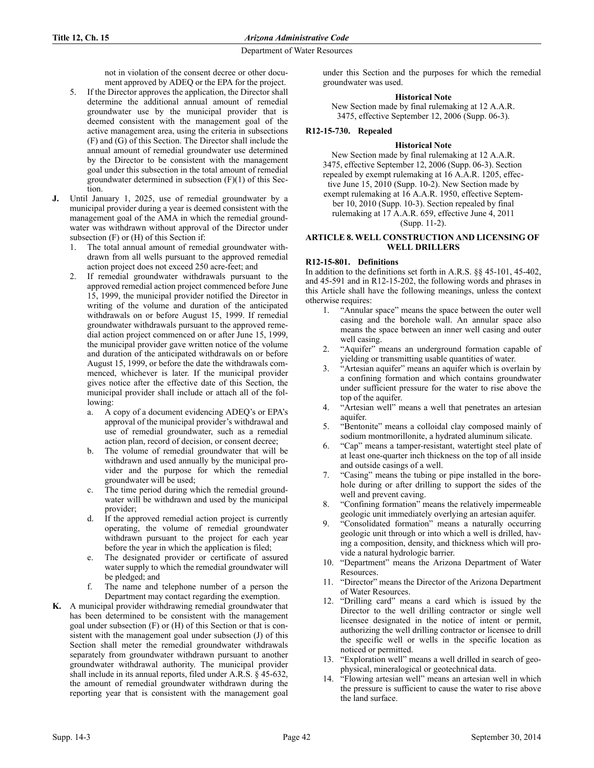not in violation of the consent decree or other document approved by ADEQ or the EPA for the project.

- 5. If the Director approves the application, the Director shall determine the additional annual amount of remedial groundwater use by the municipal provider that is deemed consistent with the management goal of the active management area, using the criteria in subsections (F) and (G) of this Section. The Director shall include the annual amount of remedial groundwater use determined by the Director to be consistent with the management goal under this subsection in the total amount of remedial groundwater determined in subsection (F)(1) of this Section.
- **J.** Until January 1, 2025, use of remedial groundwater by a municipal provider during a year is deemed consistent with the management goal of the AMA in which the remedial groundwater was withdrawn without approval of the Director under subsection (F) or (H) of this Section if:
	- 1. The total annual amount of remedial groundwater withdrawn from all wells pursuant to the approved remedial action project does not exceed 250 acre-feet; and
	- 2. If remedial groundwater withdrawals pursuant to the approved remedial action project commenced before June 15, 1999, the municipal provider notified the Director in writing of the volume and duration of the anticipated withdrawals on or before August 15, 1999. If remedial groundwater withdrawals pursuant to the approved remedial action project commenced on or after June 15, 1999, the municipal provider gave written notice of the volume and duration of the anticipated withdrawals on or before August 15, 1999, or before the date the withdrawals commenced, whichever is later. If the municipal provider gives notice after the effective date of this Section, the municipal provider shall include or attach all of the following:
		- a. A copy of a document evidencing ADEQ's or EPA's approval of the municipal provider's withdrawal and use of remedial groundwater, such as a remedial action plan, record of decision, or consent decree;
		- b. The volume of remedial groundwater that will be withdrawn and used annually by the municipal provider and the purpose for which the remedial groundwater will be used;
		- c. The time period during which the remedial groundwater will be withdrawn and used by the municipal provider;
		- d. If the approved remedial action project is currently operating, the volume of remedial groundwater withdrawn pursuant to the project for each year before the year in which the application is filed;
		- e. The designated provider or certificate of assured water supply to which the remedial groundwater will be pledged; and
		- f. The name and telephone number of a person the Department may contact regarding the exemption.
- **K.** A municipal provider withdrawing remedial groundwater that has been determined to be consistent with the management goal under subsection (F) or (H) of this Section or that is consistent with the management goal under subsection (J) of this Section shall meter the remedial groundwater withdrawals separately from groundwater withdrawn pursuant to another groundwater withdrawal authority. The municipal provider shall include in its annual reports, filed under A.R.S. § 45-632, the amount of remedial groundwater withdrawn during the reporting year that is consistent with the management goal

under this Section and the purposes for which the remedial groundwater was used.

# **Historical Note**

New Section made by final rulemaking at 12 A.A.R. 3475, effective September 12, 2006 (Supp. 06-3).

# **R12-15-730. Repealed**

## **Historical Note**

New Section made by final rulemaking at 12 A.A.R. 3475, effective September 12, 2006 (Supp. 06-3). Section repealed by exempt rulemaking at 16 A.A.R. 1205, effective June 15, 2010 (Supp. 10-2). New Section made by exempt rulemaking at 16 A.A.R. 1950, effective September 10, 2010 (Supp. 10-3). Section repealed by final rulemaking at 17 A.A.R. 659, effective June 4, 2011 (Supp. 11-2).

### **ARTICLE 8. WELL CONSTRUCTION AND LICENSING OF WELL DRILLERS**

# **R12-15-801. Definitions**

In addition to the definitions set forth in A.R.S. §§ 45-101, 45-402, and 45-591 and in R12-15-202, the following words and phrases in this Article shall have the following meanings, unless the context otherwise requires:

- 1. "Annular space" means the space between the outer well casing and the borehole wall. An annular space also means the space between an inner well casing and outer well casing.
- 2. "Aquifer" means an underground formation capable of yielding or transmitting usable quantities of water.
- 3. "Artesian aquifer" means an aquifer which is overlain by a confining formation and which contains groundwater under sufficient pressure for the water to rise above the top of the aquifer.
- 4. "Artesian well" means a well that penetrates an artesian aquifer.
- 5. "Bentonite" means a colloidal clay composed mainly of sodium montmorillonite, a hydrated aluminum silicate.
- 6. "Cap" means a tamper-resistant, watertight steel plate of at least one-quarter inch thickness on the top of all inside and outside casings of a well.
- 7. "Casing" means the tubing or pipe installed in the borehole during or after drilling to support the sides of the well and prevent caving.
- 8. "Confining formation" means the relatively impermeable geologic unit immediately overlying an artesian aquifer.
- 9. "Consolidated formation" means a naturally occurring geologic unit through or into which a well is drilled, having a composition, density, and thickness which will provide a natural hydrologic barrier.
- 10. "Department" means the Arizona Department of Water Resources.
- 11. "Director" means the Director of the Arizona Department of Water Resources.
- 12. "Drilling card" means a card which is issued by the Director to the well drilling contractor or single well licensee designated in the notice of intent or permit, authorizing the well drilling contractor or licensee to drill the specific well or wells in the specific location as noticed or permitted.
- 13. "Exploration well" means a well drilled in search of geophysical, mineralogical or geotechnical data.
- 14. "Flowing artesian well" means an artesian well in which the pressure is sufficient to cause the water to rise above the land surface.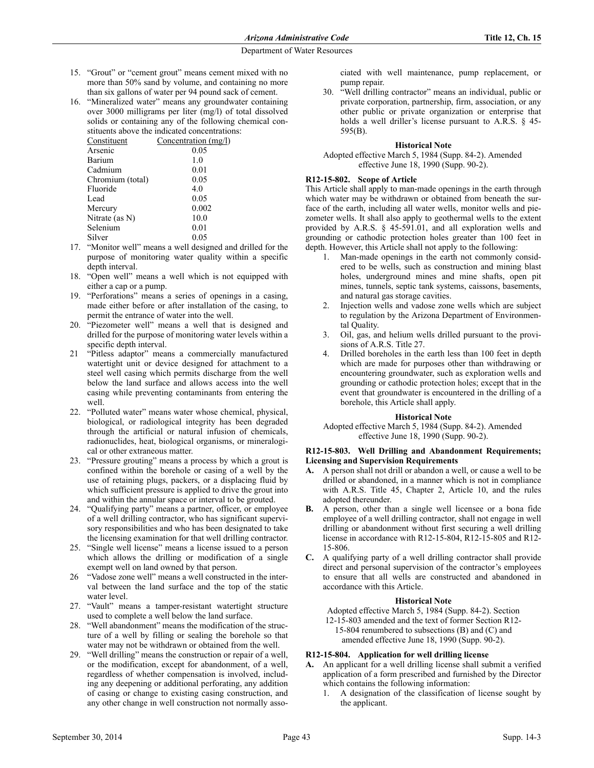- 15. "Grout" or "cement grout" means cement mixed with no more than 50% sand by volume, and containing no more than six gallons of water per 94 pound sack of cement.
- 16. "Mineralized water" means any groundwater containing over 3000 milligrams per liter (mg/l) of total dissolved solids or containing any of the following chemical constituents above the indicated concentrations:

| Constituent      | Concentration $(mg/l)$ |
|------------------|------------------------|
| Arsenic          | 0.05                   |
| Barium           | 1.0                    |
| Cadmium          | 0.01                   |
| Chromium (total) | 0.05                   |
| Fluoride         | 4.0                    |
| Lead             | 0.05                   |
| Mercury          | 0.002                  |
| Nitrate (as N)   | 10.0                   |
| Selenium         | 0.01                   |
| Silver           | 0.05                   |
|                  |                        |

- 17. "Monitor well" means a well designed and drilled for the purpose of monitoring water quality within a specific depth interval.
- 18. "Open well" means a well which is not equipped with either a cap or a pump.
- 19. "Perforations" means a series of openings in a casing, made either before or after installation of the casing, to permit the entrance of water into the well.
- 20. "Piezometer well" means a well that is designed and drilled for the purpose of monitoring water levels within a specific depth interval.
- 21 "Pitless adaptor" means a commercially manufactured watertight unit or device designed for attachment to a steel well casing which permits discharge from the well below the land surface and allows access into the well casing while preventing contaminants from entering the well.
- 22. "Polluted water" means water whose chemical, physical, biological, or radiological integrity has been degraded through the artificial or natural infusion of chemicals, radionuclides, heat, biological organisms, or mineralogical or other extraneous matter.
- 23. "Pressure grouting" means a process by which a grout is confined within the borehole or casing of a well by the use of retaining plugs, packers, or a displacing fluid by which sufficient pressure is applied to drive the grout into and within the annular space or interval to be grouted.
- 24. "Qualifying party" means a partner, officer, or employee of a well drilling contractor, who has significant supervisory responsibilities and who has been designated to take the licensing examination for that well drilling contractor.
- 25. "Single well license" means a license issued to a person which allows the drilling or modification of a single exempt well on land owned by that person.
- 26 "Vadose zone well" means a well constructed in the interval between the land surface and the top of the static water level.
- 27. "Vault" means a tamper-resistant watertight structure used to complete a well below the land surface.
- 28. "Well abandonment" means the modification of the structure of a well by filling or sealing the borehole so that water may not be withdrawn or obtained from the well.
- 29. "Well drilling" means the construction or repair of a well, or the modification, except for abandonment, of a well, regardless of whether compensation is involved, including any deepening or additional perforating, any addition of casing or change to existing casing construction, and any other change in well construction not normally asso-

ciated with well maintenance, pump replacement, or pump repair.

30. "Well drilling contractor" means an individual, public or private corporation, partnership, firm, association, or any other public or private organization or enterprise that holds a well driller's license pursuant to A.R.S. § 45- 595(B).

### **Historical Note**

Adopted effective March 5, 1984 (Supp. 84-2). Amended effective June 18, 1990 (Supp. 90-2).

## **R12-15-802. Scope of Article**

This Article shall apply to man-made openings in the earth through which water may be withdrawn or obtained from beneath the surface of the earth, including all water wells, monitor wells and piezometer wells. It shall also apply to geothermal wells to the extent provided by A.R.S. § 45-591.01, and all exploration wells and grounding or cathodic protection holes greater than 100 feet in depth. However, this Article shall not apply to the following:

- 1. Man-made openings in the earth not commonly considered to be wells, such as construction and mining blast holes, underground mines and mine shafts, open pit mines, tunnels, septic tank systems, caissons, basements, and natural gas storage cavities.
- 2. Injection wells and vadose zone wells which are subject to regulation by the Arizona Department of Environmental Quality.
- 3. Oil, gas, and helium wells drilled pursuant to the provisions of A.R.S. Title 27.
- 4. Drilled boreholes in the earth less than 100 feet in depth which are made for purposes other than withdrawing or encountering groundwater, such as exploration wells and grounding or cathodic protection holes; except that in the event that groundwater is encountered in the drilling of a borehole, this Article shall apply.

### **Historical Note**

Adopted effective March 5, 1984 (Supp. 84-2). Amended effective June 18, 1990 (Supp. 90-2).

#### **R12-15-803. Well Drilling and Abandonment Requirements; Licensing and Supervision Requirements**

- **A.** A person shall not drill or abandon a well, or cause a well to be drilled or abandoned, in a manner which is not in compliance with A.R.S. Title 45, Chapter 2, Article 10, and the rules adopted thereunder.
- **B.** A person, other than a single well licensee or a bona fide employee of a well drilling contractor, shall not engage in well drilling or abandonment without first securing a well drilling license in accordance with R12-15-804, R12-15-805 and R12- 15-806.
- **C.** A qualifying party of a well drilling contractor shall provide direct and personal supervision of the contractor's employees to ensure that all wells are constructed and abandoned in accordance with this Article.

### **Historical Note**

Adopted effective March 5, 1984 (Supp. 84-2). Section

12-15-803 amended and the text of former Section R12-

15-804 renumbered to subsections (B) and (C) and amended effective June 18, 1990 (Supp. 90-2).

### **R12-15-804. Application for well drilling license**

- **A.** An applicant for a well drilling license shall submit a verified application of a form prescribed and furnished by the Director which contains the following information:
	- 1. A designation of the classification of license sought by the applicant.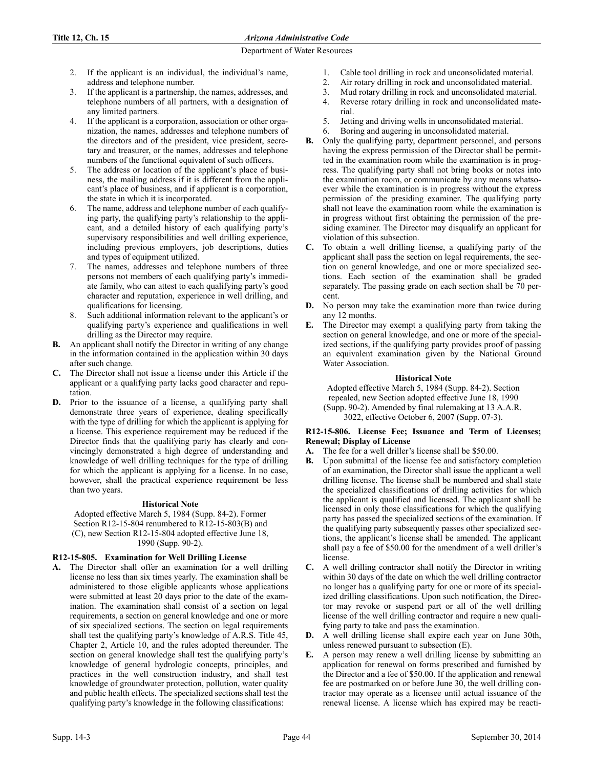- 2. If the applicant is an individual, the individual's name, address and telephone number.
- 3. If the applicant is a partnership, the names, addresses, and telephone numbers of all partners, with a designation of any limited partners.
- If the applicant is a corporation, association or other organization, the names, addresses and telephone numbers of the directors and of the president, vice president, secretary and treasurer, or the names, addresses and telephone numbers of the functional equivalent of such officers.
- 5. The address or location of the applicant's place of business, the mailing address if it is different from the applicant's place of business, and if applicant is a corporation, the state in which it is incorporated.
- The name, address and telephone number of each qualifying party, the qualifying party's relationship to the applicant, and a detailed history of each qualifying party's supervisory responsibilities and well drilling experience, including previous employers, job descriptions, duties and types of equipment utilized.
- 7. The names, addresses and telephone numbers of three persons not members of each qualifying party's immediate family, who can attest to each qualifying party's good character and reputation, experience in well drilling, and qualifications for licensing.
- Such additional information relevant to the applicant's or qualifying party's experience and qualifications in well drilling as the Director may require.
- **B.** An applicant shall notify the Director in writing of any change in the information contained in the application within 30 days after such change.
- **C.** The Director shall not issue a license under this Article if the applicant or a qualifying party lacks good character and reputation.
- **D.** Prior to the issuance of a license, a qualifying party shall demonstrate three years of experience, dealing specifically with the type of drilling for which the applicant is applying for a license. This experience requirement may be reduced if the Director finds that the qualifying party has clearly and convincingly demonstrated a high degree of understanding and knowledge of well drilling techniques for the type of drilling for which the applicant is applying for a license. In no case, however, shall the practical experience requirement be less than two years.

# **Historical Note**

Adopted effective March 5, 1984 (Supp. 84-2). Former Section R12-15-804 renumbered to R12-15-803(B) and (C), new Section R12-15-804 adopted effective June 18, 1990 (Supp. 90-2).

# **R12-15-805. Examination for Well Drilling License**

**A.** The Director shall offer an examination for a well drilling license no less than six times yearly. The examination shall be administered to those eligible applicants whose applications were submitted at least 20 days prior to the date of the examination. The examination shall consist of a section on legal requirements, a section on general knowledge and one or more of six specialized sections. The section on legal requirements shall test the qualifying party's knowledge of A.R.S. Title 45, Chapter 2, Article 10, and the rules adopted thereunder. The section on general knowledge shall test the qualifying party's knowledge of general hydrologic concepts, principles, and practices in the well construction industry, and shall test knowledge of groundwater protection, pollution, water quality and public health effects. The specialized sections shall test the qualifying party's knowledge in the following classifications:

- 1. Cable tool drilling in rock and unconsolidated material.
- 2. Air rotary drilling in rock and unconsolidated material.
- 3. Mud rotary drilling in rock and unconsolidated material.
- 4. Reverse rotary drilling in rock and unconsolidated material.
- 5. Jetting and driving wells in unconsolidated material.
- 6. Boring and augering in unconsolidated material.
- **B.** Only the qualifying party, department personnel, and persons having the express permission of the Director shall be permitted in the examination room while the examination is in progress. The qualifying party shall not bring books or notes into the examination room, or communicate by any means whatsoever while the examination is in progress without the express permission of the presiding examiner. The qualifying party shall not leave the examination room while the examination is in progress without first obtaining the permission of the presiding examiner. The Director may disqualify an applicant for violation of this subsection.
- **C.** To obtain a well drilling license, a qualifying party of the applicant shall pass the section on legal requirements, the section on general knowledge, and one or more specialized sections. Each section of the examination shall be graded separately. The passing grade on each section shall be 70 percent.
- **D.** No person may take the examination more than twice during any 12 months.
- **E.** The Director may exempt a qualifying party from taking the section on general knowledge, and one or more of the specialized sections, if the qualifying party provides proof of passing an equivalent examination given by the National Ground Water Association.

## **Historical Note**

Adopted effective March 5, 1984 (Supp. 84-2). Section repealed, new Section adopted effective June 18, 1990 (Supp. 90-2). Amended by final rulemaking at 13 A.A.R. 3022, effective October 6, 2007 (Supp. 07-3).

### **R12-15-806. License Fee; Issuance and Term of Licenses; Renewal; Display of License**

- **A.** The fee for a well driller's license shall be \$50.00.
- **B.** Upon submittal of the license fee and satisfactory completion of an examination, the Director shall issue the applicant a well drilling license. The license shall be numbered and shall state the specialized classifications of drilling activities for which the applicant is qualified and licensed. The applicant shall be licensed in only those classifications for which the qualifying party has passed the specialized sections of the examination. If the qualifying party subsequently passes other specialized sections, the applicant's license shall be amended. The applicant shall pay a fee of \$50.00 for the amendment of a well driller's license.
- **C.** A well drilling contractor shall notify the Director in writing within 30 days of the date on which the well drilling contractor no longer has a qualifying party for one or more of its specialized drilling classifications. Upon such notification, the Director may revoke or suspend part or all of the well drilling license of the well drilling contractor and require a new qualifying party to take and pass the examination.
- **D.** A well drilling license shall expire each year on June 30th, unless renewed pursuant to subsection (E).
- **E.** A person may renew a well drilling license by submitting an application for renewal on forms prescribed and furnished by the Director and a fee of \$50.00. If the application and renewal fee are postmarked on or before June 30, the well drilling contractor may operate as a licensee until actual issuance of the renewal license. A license which has expired may be reacti-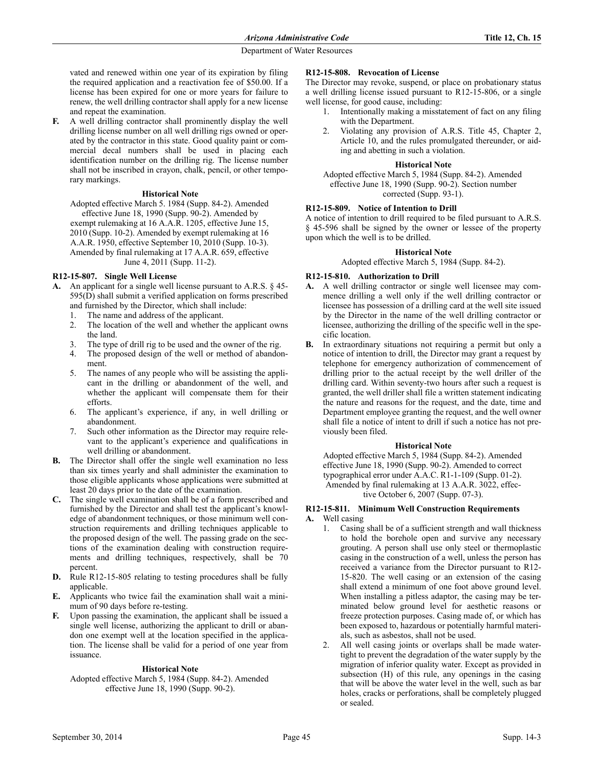vated and renewed within one year of its expiration by filing the required application and a reactivation fee of \$50.00. If a license has been expired for one or more years for failure to renew, the well drilling contractor shall apply for a new license and repeat the examination.

**F.** A well drilling contractor shall prominently display the well drilling license number on all well drilling rigs owned or operated by the contractor in this state. Good quality paint or commercial decal numbers shall be used in placing each identification number on the drilling rig. The license number shall not be inscribed in crayon, chalk, pencil, or other temporary markings.

### **Historical Note**

Adopted effective March 5. 1984 (Supp. 84-2). Amended effective June 18, 1990 (Supp. 90-2). Amended by exempt rulemaking at 16 A.A.R. 1205, effective June 15, 2010 (Supp. 10-2). Amended by exempt rulemaking at 16 A.A.R. 1950, effective September 10, 2010 (Supp. 10-3). Amended by final rulemaking at 17 A.A.R. 659, effective June 4, 2011 (Supp. 11-2).

## **R12-15-807. Single Well License**

- **A.** An applicant for a single well license pursuant to A.R.S. § 45- 595(D) shall submit a verified application on forms prescribed and furnished by the Director, which shall include:
	- 1. The name and address of the applicant.
	- 2. The location of the well and whether the applicant owns the land.
	- 3. The type of drill rig to be used and the owner of the rig.
	- 4. The proposed design of the well or method of abandonment.
	- 5. The names of any people who will be assisting the applicant in the drilling or abandonment of the well, and whether the applicant will compensate them for their efforts.
	- 6. The applicant's experience, if any, in well drilling or abandonment.
	- 7. Such other information as the Director may require relevant to the applicant's experience and qualifications in well drilling or abandonment.
- **B.** The Director shall offer the single well examination no less than six times yearly and shall administer the examination to those eligible applicants whose applications were submitted at least 20 days prior to the date of the examination.
- **C.** The single well examination shall be of a form prescribed and furnished by the Director and shall test the applicant's knowledge of abandonment techniques, or those minimum well construction requirements and drilling techniques applicable to the proposed design of the well. The passing grade on the sections of the examination dealing with construction requirements and drilling techniques, respectively, shall be 70 percent.
- **D.** Rule R12-15-805 relating to testing procedures shall be fully applicable.
- **E.** Applicants who twice fail the examination shall wait a minimum of 90 days before re-testing.
- **F.** Upon passing the examination, the applicant shall be issued a single well license, authorizing the applicant to drill or abandon one exempt well at the location specified in the application. The license shall be valid for a period of one year from issuance.

### **Historical Note**

Adopted effective March 5, 1984 (Supp. 84-2). Amended effective June 18, 1990 (Supp. 90-2).

### **R12-15-808. Revocation of License**

The Director may revoke, suspend, or place on probationary status a well drilling license issued pursuant to R12-15-806, or a single well license, for good cause, including:

- 1. Intentionally making a misstatement of fact on any filing with the Department.
- 2. Violating any provision of A.R.S. Title 45, Chapter 2, Article 10, and the rules promulgated thereunder, or aiding and abetting in such a violation.

### **Historical Note**

Adopted effective March 5, 1984 (Supp. 84-2). Amended effective June 18, 1990 (Supp. 90-2). Section number corrected (Supp. 93-1).

### **R12-15-809. Notice of Intention to Drill**

A notice of intention to drill required to be filed pursuant to A.R.S. § 45-596 shall be signed by the owner or lessee of the property upon which the well is to be drilled.

#### **Historical Note**

Adopted effective March 5, 1984 (Supp. 84-2).

## **R12-15-810. Authorization to Drill**

- **A.** A well drilling contractor or single well licensee may commence drilling a well only if the well drilling contractor or licensee has possession of a drilling card at the well site issued by the Director in the name of the well drilling contractor or licensee, authorizing the drilling of the specific well in the specific location.
- **B.** In extraordinary situations not requiring a permit but only a notice of intention to drill, the Director may grant a request by telephone for emergency authorization of commencement of drilling prior to the actual receipt by the well driller of the drilling card. Within seventy-two hours after such a request is granted, the well driller shall file a written statement indicating the nature and reasons for the request, and the date, time and Department employee granting the request, and the well owner shall file a notice of intent to drill if such a notice has not previously been filed.

### **Historical Note**

Adopted effective March 5, 1984 (Supp. 84-2). Amended effective June 18, 1990 (Supp. 90-2). Amended to correct typographical error under A.A.C. R1-1-109 (Supp. 01-2). Amended by final rulemaking at 13 A.A.R. 3022, effective October 6, 2007 (Supp. 07-3).

# **R12-15-811. Minimum Well Construction Requirements A.** Well casing

- 1. Casing shall be of a sufficient strength and wall thickness to hold the borehole open and survive any necessary grouting. A person shall use only steel or thermoplastic casing in the construction of a well, unless the person has received a variance from the Director pursuant to R12- 15-820. The well casing or an extension of the casing shall extend a minimum of one foot above ground level. When installing a pitless adaptor, the casing may be terminated below ground level for aesthetic reasons or freeze protection purposes. Casing made of, or which has been exposed to, hazardous or potentially harmful materials, such as asbestos, shall not be used.
- 2. All well casing joints or overlaps shall be made watertight to prevent the degradation of the water supply by the migration of inferior quality water. Except as provided in subsection (H) of this rule, any openings in the casing that will be above the water level in the well, such as bar holes, cracks or perforations, shall be completely plugged or sealed.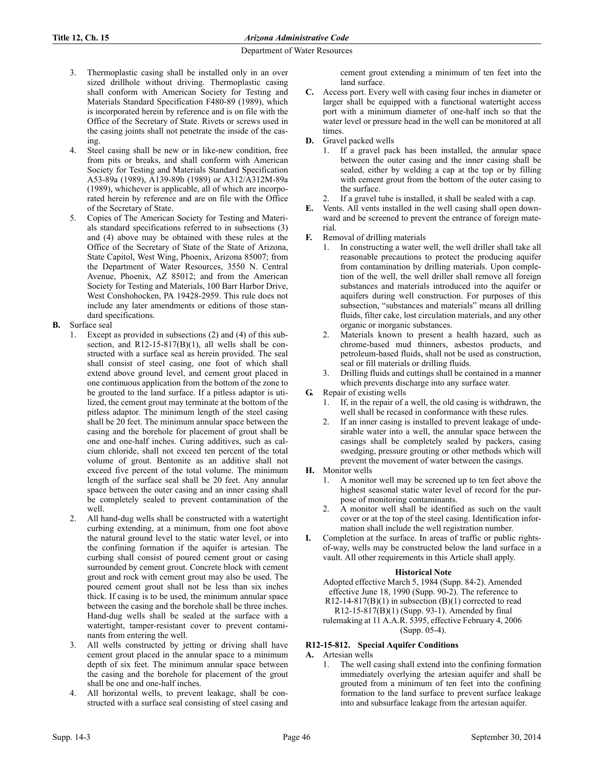- 3. Thermoplastic casing shall be installed only in an over sized drillhole without driving. Thermoplastic casing shall conform with American Society for Testing and Materials Standard Specification F480-89 (1989), which is incorporated herein by reference and is on file with the Office of the Secretary of State. Rivets or screws used in the casing joints shall not penetrate the inside of the casing.
- 4. Steel casing shall be new or in like-new condition, free from pits or breaks, and shall conform with American Society for Testing and Materials Standard Specification A53-89a (1989), A139-89b (1989) or A312/A312M-89a (1989), whichever is applicable, all of which are incorporated herein by reference and are on file with the Office of the Secretary of State.
- 5. Copies of The American Society for Testing and Materials standard specifications referred to in subsections (3) and (4) above may be obtained with these rules at the Office of the Secretary of State of the State of Arizona, State Capitol, West Wing, Phoenix, Arizona 85007; from the Department of Water Resources, 3550 N. Central Avenue, Phoenix, AZ 85012; and from the American Society for Testing and Materials, 100 Barr Harbor Drive, West Conshohocken, PA 19428-2959. This rule does not include any later amendments or editions of those standard specifications.
- **B.** Surface seal
	- 1. Except as provided in subsections (2) and (4) of this subsection, and  $R12-15-817(B)(1)$ , all wells shall be constructed with a surface seal as herein provided. The seal shall consist of steel casing, one foot of which shall extend above ground level, and cement grout placed in one continuous application from the bottom of the zone to be grouted to the land surface. If a pitless adaptor is utilized, the cement grout may terminate at the bottom of the pitless adaptor. The minimum length of the steel casing shall be 20 feet. The minimum annular space between the casing and the borehole for placement of grout shall be one and one-half inches. Curing additives, such as calcium chloride, shall not exceed ten percent of the total volume of grout. Bentonite as an additive shall not exceed five percent of the total volume. The minimum length of the surface seal shall be 20 feet. Any annular space between the outer casing and an inner casing shall be completely sealed to prevent contamination of the well.
	- 2. All hand-dug wells shall be constructed with a watertight curbing extending, at a minimum, from one foot above the natural ground level to the static water level, or into the confining formation if the aquifer is artesian. The curbing shall consist of poured cement grout or casing surrounded by cement grout. Concrete block with cement grout and rock with cement grout may also be used. The poured cement grout shall not be less than six inches thick. If casing is to be used, the minimum annular space between the casing and the borehole shall be three inches. Hand-dug wells shall be sealed at the surface with a watertight, tamper-resistant cover to prevent contaminants from entering the well.
	- 3. All wells constructed by jetting or driving shall have cement grout placed in the annular space to a minimum depth of six feet. The minimum annular space between the casing and the borehole for placement of the grout shall be one and one-half inches.
	- All horizontal wells, to prevent leakage, shall be constructed with a surface seal consisting of steel casing and

cement grout extending a minimum of ten feet into the land surface.

- **C.** Access port. Every well with casing four inches in diameter or larger shall be equipped with a functional watertight access port with a minimum diameter of one-half inch so that the water level or pressure head in the well can be monitored at all times.
- **D.** Gravel packed wells
	- 1. If a gravel pack has been installed, the annular space between the outer casing and the inner casing shall be sealed, either by welding a cap at the top or by filling with cement grout from the bottom of the outer casing to the surface.
	- 2. If a gravel tube is installed, it shall be sealed with a cap.
- **E.** Vents. All vents installed in the well casing shall open downward and be screened to prevent the entrance of foreign material.
- **F.** Removal of drilling materials
	- 1. In constructing a water well, the well driller shall take all reasonable precautions to protect the producing aquifer from contamination by drilling materials. Upon completion of the well, the well driller shall remove all foreign substances and materials introduced into the aquifer or aquifers during well construction. For purposes of this subsection, "substances and materials" means all drilling fluids, filter cake, lost circulation materials, and any other organic or inorganic substances.
	- 2. Materials known to present a health hazard, such as chrome-based mud thinners, asbestos products, and petroleum-based fluids, shall not be used as construction, seal or fill materials or drilling fluids.
	- 3. Drilling fluids and cuttings shall be contained in a manner which prevents discharge into any surface water.
- **G.** Repair of existing wells
	- 1. If, in the repair of a well, the old casing is withdrawn, the well shall be recased in conformance with these rules.
	- 2. If an inner casing is installed to prevent leakage of undesirable water into a well, the annular space between the casings shall be completely sealed by packers, casing swedging, pressure grouting or other methods which will prevent the movement of water between the casings.
- **H.** Monitor wells
	- 1. A monitor well may be screened up to ten feet above the highest seasonal static water level of record for the purpose of monitoring contaminants.
	- 2. A monitor well shall be identified as such on the vault cover or at the top of the steel casing. Identification information shall include the well registration number.
- **I.** Completion at the surface. In areas of traffic or public rightsof-way, wells may be constructed below the land surface in a vault. All other requirements in this Article shall apply.

# **Historical Note**

Adopted effective March 5, 1984 (Supp. 84-2). Amended effective June 18, 1990 (Supp. 90-2). The reference to R12-14-817(B)(1) in subsection  $(B)(1)$  corrected to read R12-15-817(B)(1) (Supp. 93-1). Amended by final rulemaking at 11 A.A.R. 5395, effective February 4, 2006 (Supp. 05-4).

# **R12-15-812. Special Aquifer Conditions**

- **A.** Artesian wells
	- 1. The well casing shall extend into the confining formation immediately overlying the artesian aquifer and shall be grouted from a minimum of ten feet into the confining formation to the land surface to prevent surface leakage into and subsurface leakage from the artesian aquifer.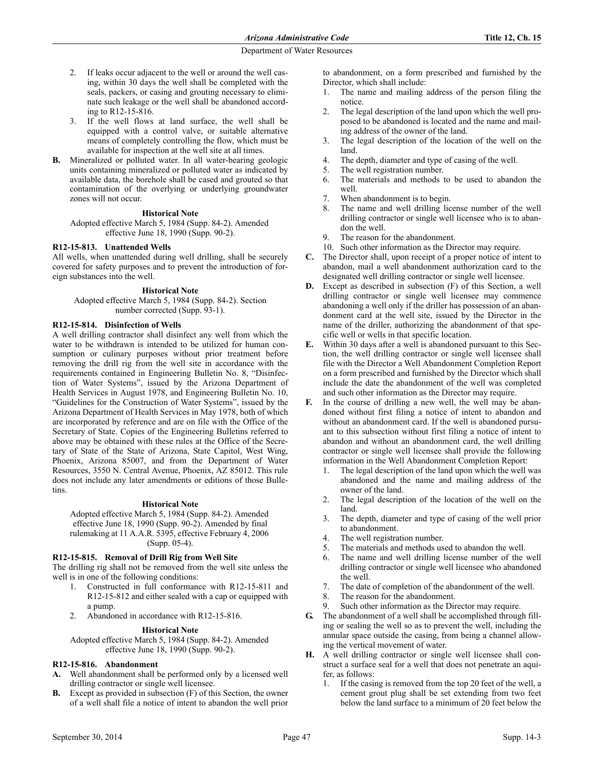- 2. If leaks occur adjacent to the well or around the well casing, within 30 days the well shall be completed with the seals, packers, or casing and grouting necessary to eliminate such leakage or the well shall be abandoned according to R12-15-816.
- 3. If the well flows at land surface, the well shall be equipped with a control valve, or suitable alternative means of completely controlling the flow, which must be available for inspection at the well site at all times.
- **B.** Mineralized or polluted water. In all water-bearing geologic units containing mineralized or polluted water as indicated by available data, the borehole shall be cased and grouted so that contamination of the overlying or underlying groundwater zones will not occur.

### **Historical Note**

Adopted effective March 5, 1984 (Supp. 84-2). Amended effective June 18, 1990 (Supp. 90-2).

#### **R12-15-813. Unattended Wells**

All wells, when unattended during well drilling, shall be securely covered for safety purposes and to prevent the introduction of foreign substances into the well.

#### **Historical Note**

Adopted effective March 5, 1984 (Supp. 84-2). Section number corrected (Supp. 93-1).

#### **R12-15-814. Disinfection of Wells**

A well drilling contractor shall disinfect any well from which the water to be withdrawn is intended to be utilized for human consumption or culinary purposes without prior treatment before removing the drill rig from the well site in accordance with the requirements contained in Engineering Bulletin No. 8, "Disinfection of Water Systems", issued by the Arizona Department of Health Services in August 1978, and Engineering Bulletin No. 10, "Guidelines for the Construction of Water Systems", issued by the Arizona Department of Health Services in May 1978, both of which are incorporated by reference and are on file with the Office of the Secretary of State. Copies of the Engineering Bulletins referred to above may be obtained with these rules at the Office of the Secretary of State of the State of Arizona, State Capitol, West Wing, Phoenix, Arizona 85007, and from the Department of Water Resources, 3550 N. Central Avenue, Phoenix, AZ 85012. This rule does not include any later amendments or editions of those Bulletins.

#### **Historical Note**

Adopted effective March 5, 1984 (Supp. 84-2). Amended effective June 18, 1990 (Supp. 90-2). Amended by final rulemaking at 11 A.A.R. 5395, effective February 4, 2006 (Supp. 05-4).

#### **R12-15-815. Removal of Drill Rig from Well Site**

The drilling rig shall not be removed from the well site unless the well is in one of the following conditions:

- 1. Constructed in full conformance with R12-15-811 and R12-15-812 and either sealed with a cap or equipped with a pump.
- 2. Abandoned in accordance with R12-15-816.

#### **Historical Note**

Adopted effective March 5, 1984 (Supp. 84-2). Amended effective June 18, 1990 (Supp. 90-2).

### **R12-15-816. Abandonment**

- **A.** Well abandonment shall be performed only by a licensed well drilling contractor or single well licensee.
- **B.** Except as provided in subsection (F) of this Section, the owner of a well shall file a notice of intent to abandon the well prior

to abandonment, on a form prescribed and furnished by the Director, which shall include:

- 1. The name and mailing address of the person filing the notice.
- 2. The legal description of the land upon which the well proposed to be abandoned is located and the name and mailing address of the owner of the land.
- 3. The legal description of the location of the well on the land.
- 4. The depth, diameter and type of casing of the well.
- 5. The well registration number.
- 6. The materials and methods to be used to abandon the well.
- 7. When abandonment is to begin.
- 8. The name and well drilling license number of the well drilling contractor or single well licensee who is to abandon the well.
- 9. The reason for the abandonment.
- 10. Such other information as the Director may require.
- **C.** The Director shall, upon receipt of a proper notice of intent to abandon, mail a well abandonment authorization card to the designated well drilling contractor or single well licensee.
- **D.** Except as described in subsection (F) of this Section, a well drilling contractor or single well licensee may commence abandoning a well only if the driller has possession of an abandonment card at the well site, issued by the Director in the name of the driller, authorizing the abandonment of that specific well or wells in that specific location.
- **E.** Within 30 days after a well is abandoned pursuant to this Section, the well drilling contractor or single well licensee shall file with the Director a Well Abandonment Completion Report on a form prescribed and furnished by the Director which shall include the date the abandonment of the well was completed and such other information as the Director may require.
- In the course of drilling a new well, the well may be abandoned without first filing a notice of intent to abandon and without an abandonment card. If the well is abandoned pursuant to this subsection without first filing a notice of intent to abandon and without an abandonment card, the well drilling contractor or single well licensee shall provide the following information in the Well Abandonment Completion Report:
	- 1. The legal description of the land upon which the well was abandoned and the name and mailing address of the owner of the land.
	- 2. The legal description of the location of the well on the land.
	- 3. The depth, diameter and type of casing of the well prior to abandonment.
	- 4. The well registration number.
	- 5. The materials and methods used to abandon the well.
	- 6. The name and well drilling license number of the well drilling contractor or single well licensee who abandoned the well.
	- 7. The date of completion of the abandonment of the well.
	- 8. The reason for the abandonment.
	- 9. Such other information as the Director may require.
- **G.** The abandonment of a well shall be accomplished through filling or sealing the well so as to prevent the well, including the annular space outside the casing, from being a channel allowing the vertical movement of water.
- **H.** A well drilling contractor or single well licensee shall construct a surface seal for a well that does not penetrate an aquifer, as follows:
	- 1. If the casing is removed from the top 20 feet of the well, a cement grout plug shall be set extending from two feet below the land surface to a minimum of 20 feet below the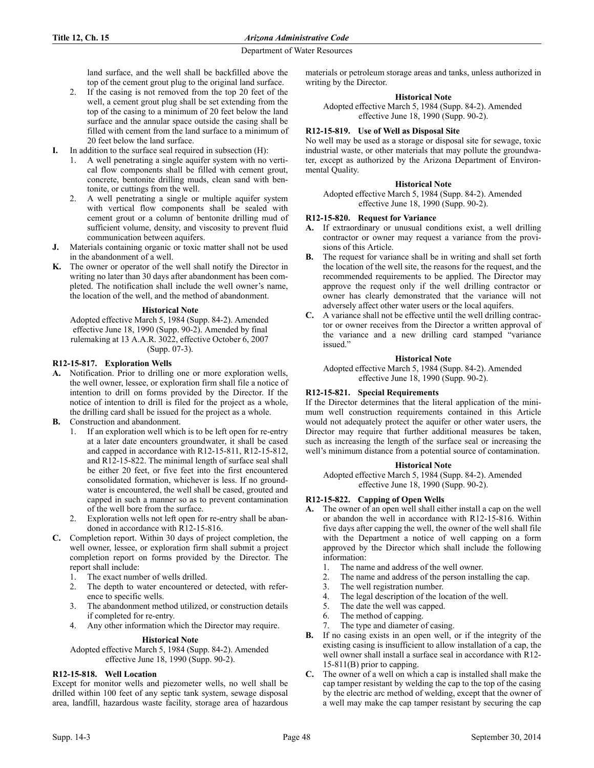land surface, and the well shall be backfilled above the top of the cement grout plug to the original land surface.

- 2. If the casing is not removed from the top 20 feet of the well, a cement grout plug shall be set extending from the top of the casing to a minimum of 20 feet below the land surface and the annular space outside the casing shall be filled with cement from the land surface to a minimum of 20 feet below the land surface.
- **I.** In addition to the surface seal required in subsection (H):
	- 1. A well penetrating a single aquifer system with no vertical flow components shall be filled with cement grout, concrete, bentonite drilling muds, clean sand with bentonite, or cuttings from the well.
	- 2. A well penetrating a single or multiple aquifer system with vertical flow components shall be sealed with cement grout or a column of bentonite drilling mud of sufficient volume, density, and viscosity to prevent fluid communication between aquifers.
- **J.** Materials containing organic or toxic matter shall not be used in the abandonment of a well.
- **K.** The owner or operator of the well shall notify the Director in writing no later than 30 days after abandonment has been completed. The notification shall include the well owner's name, the location of the well, and the method of abandonment.

# **Historical Note**

Adopted effective March 5, 1984 (Supp. 84-2). Amended effective June 18, 1990 (Supp. 90-2). Amended by final rulemaking at 13 A.A.R. 3022, effective October 6, 2007 (Supp. 07-3).

# **R12-15-817. Exploration Wells**

- **A.** Notification. Prior to drilling one or more exploration wells, the well owner, lessee, or exploration firm shall file a notice of intention to drill on forms provided by the Director. If the notice of intention to drill is filed for the project as a whole, the drilling card shall be issued for the project as a whole.
- **B.** Construction and abandonment.
	- 1. If an exploration well which is to be left open for re-entry at a later date encounters groundwater, it shall be cased and capped in accordance with R12-15-811, R12-15-812, and R12-15-822. The minimal length of surface seal shall be either 20 feet, or five feet into the first encountered consolidated formation, whichever is less. If no groundwater is encountered, the well shall be cased, grouted and capped in such a manner so as to prevent contamination of the well bore from the surface.
	- 2. Exploration wells not left open for re-entry shall be abandoned in accordance with R12-15-816.
- **C.** Completion report. Within 30 days of project completion, the well owner, lessee, or exploration firm shall submit a project completion report on forms provided by the Director. The report shall include:
	- 1. The exact number of wells drilled.
	- 2. The depth to water encountered or detected, with reference to specific wells.
	- 3. The abandonment method utilized, or construction details if completed for re-entry.
	- 4. Any other information which the Director may require.

### **Historical Note**

Adopted effective March 5, 1984 (Supp. 84-2). Amended effective June 18, 1990 (Supp. 90-2).

# **R12-15-818. Well Location**

Except for monitor wells and piezometer wells, no well shall be drilled within 100 feet of any septic tank system, sewage disposal area, landfill, hazardous waste facility, storage area of hazardous materials or petroleum storage areas and tanks, unless authorized in writing by the Director.

## **Historical Note**

Adopted effective March 5, 1984 (Supp. 84-2). Amended effective June 18, 1990 (Supp. 90-2).

# **R12-15-819. Use of Well as Disposal Site**

No well may be used as a storage or disposal site for sewage, toxic industrial waste, or other materials that may pollute the groundwater, except as authorized by the Arizona Department of Environmental Quality.

### **Historical Note**

Adopted effective March 5, 1984 (Supp. 84-2). Amended effective June 18, 1990 (Supp. 90-2).

## **R12-15-820. Request for Variance**

- **A.** If extraordinary or unusual conditions exist, a well drilling contractor or owner may request a variance from the provisions of this Article.
- **B.** The request for variance shall be in writing and shall set forth the location of the well site, the reasons for the request, and the recommended requirements to be applied. The Director may approve the request only if the well drilling contractor or owner has clearly demonstrated that the variance will not adversely affect other water users or the local aquifers.
- **C.** A variance shall not be effective until the well drilling contractor or owner receives from the Director a written approval of the variance and a new drilling card stamped "variance issued."

# **Historical Note**

Adopted effective March 5, 1984 (Supp. 84-2). Amended effective June 18, 1990 (Supp. 90-2).

### **R12-15-821. Special Requirements**

If the Director determines that the literal application of the minimum well construction requirements contained in this Article would not adequately protect the aquifer or other water users, the Director may require that further additional measures be taken, such as increasing the length of the surface seal or increasing the well's minimum distance from a potential source of contamination.

### **Historical Note**

Adopted effective March 5, 1984 (Supp. 84-2). Amended effective June 18, 1990 (Supp. 90-2).

# **R12-15-822. Capping of Open Wells**

- **A.** The owner of an open well shall either install a cap on the well or abandon the well in accordance with R12-15-816. Within five days after capping the well, the owner of the well shall file with the Department a notice of well capping on a form approved by the Director which shall include the following information:
	- 1. The name and address of the well owner.
	- 2. The name and address of the person installing the cap.
	- 3. The well registration number.
	- 4. The legal description of the location of the well.
	- 5. The date the well was capped.
	- 6. The method of capping.
	- 7. The type and diameter of casing.
- **B.** If no casing exists in an open well, or if the integrity of the existing casing is insufficient to allow installation of a cap, the well owner shall install a surface seal in accordance with R12- 15-811(B) prior to capping.
- **C.** The owner of a well on which a cap is installed shall make the cap tamper resistant by welding the cap to the top of the casing by the electric arc method of welding, except that the owner of a well may make the cap tamper resistant by securing the cap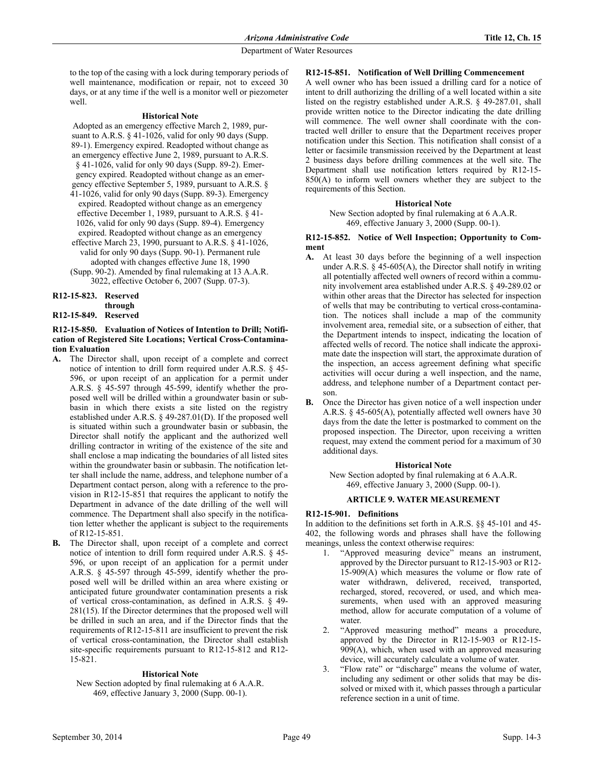to the top of the casing with a lock during temporary periods of well maintenance, modification or repair, not to exceed 30 days, or at any time if the well is a monitor well or piezometer well.

#### **Historical Note**

- Adopted as an emergency effective March 2, 1989, pursuant to A.R.S. § 41-1026, valid for only 90 days (Supp. 89-1). Emergency expired. Readopted without change as an emergency effective June 2, 1989, pursuant to A.R.S. § 41-1026, valid for only 90 days (Supp. 89-2). Emergency expired. Readopted without change as an emergency effective September 5, 1989, pursuant to A.R.S. §
- 41-1026, valid for only 90 days (Supp. 89-3). Emergency expired. Readopted without change as an emergency effective December 1, 1989, pursuant to A.R.S. § 41- 1026, valid for only 90 days (Supp. 89-4). Emergency expired. Readopted without change as an emergency
- effective March 23, 1990, pursuant to A.R.S. § 41-1026, valid for only 90 days (Supp. 90-1). Permanent rule adopted with changes effective June 18, 1990
- (Supp. 90-2). Amended by final rulemaking at 13 A.A.R. 3022, effective October 6, 2007 (Supp. 07-3).
- **R12-15-823. Reserved**

#### **through R12-15-849. Reserved**

# **R12-15-850. Evaluation of Notices of Intention to Drill; Notification of Registered Site Locations; Vertical Cross-Contamination Evaluation**

- **A.** The Director shall, upon receipt of a complete and correct notice of intention to drill form required under A.R.S. § 45- 596, or upon receipt of an application for a permit under A.R.S. § 45-597 through 45-599, identify whether the proposed well will be drilled within a groundwater basin or subbasin in which there exists a site listed on the registry established under A.R.S. § 49-287.01(D). If the proposed well is situated within such a groundwater basin or subbasin, the Director shall notify the applicant and the authorized well drilling contractor in writing of the existence of the site and shall enclose a map indicating the boundaries of all listed sites within the groundwater basin or subbasin. The notification letter shall include the name, address, and telephone number of a Department contact person, along with a reference to the provision in R12-15-851 that requires the applicant to notify the Department in advance of the date drilling of the well will commence. The Department shall also specify in the notification letter whether the applicant is subject to the requirements of R12-15-851.
- **B.** The Director shall, upon receipt of a complete and correct notice of intention to drill form required under A.R.S. § 45- 596, or upon receipt of an application for a permit under A.R.S. § 45-597 through 45-599, identify whether the proposed well will be drilled within an area where existing or anticipated future groundwater contamination presents a risk of vertical cross-contamination, as defined in A.R.S. § 49- 281(15). If the Director determines that the proposed well will be drilled in such an area, and if the Director finds that the requirements of R12-15-811 are insufficient to prevent the risk of vertical cross-contamination, the Director shall establish site-specific requirements pursuant to R12-15-812 and R12- 15-821.

### **Historical Note**

New Section adopted by final rulemaking at 6 A.A.R. 469, effective January 3, 2000 (Supp. 00-1).

# **R12-15-851. Notification of Well Drilling Commencement**

A well owner who has been issued a drilling card for a notice of intent to drill authorizing the drilling of a well located within a site listed on the registry established under A.R.S. § 49-287.01, shall provide written notice to the Director indicating the date drilling will commence. The well owner shall coordinate with the contracted well driller to ensure that the Department receives proper notification under this Section. This notification shall consist of a letter or facsimile transmission received by the Department at least 2 business days before drilling commences at the well site. The Department shall use notification letters required by R12-15- 850(A) to inform well owners whether they are subject to the requirements of this Section.

### **Historical Note**

New Section adopted by final rulemaking at 6 A.A.R. 469, effective January 3, 2000 (Supp. 00-1).

#### **R12-15-852. Notice of Well Inspection; Opportunity to Comment**

- **A.** At least 30 days before the beginning of a well inspection under A.R.S.  $\S$  45-605(A), the Director shall notify in writing all potentially affected well owners of record within a community involvement area established under A.R.S. § 49-289.02 or within other areas that the Director has selected for inspection of wells that may be contributing to vertical cross-contamination. The notices shall include a map of the community involvement area, remedial site, or a subsection of either, that the Department intends to inspect, indicating the location of affected wells of record. The notice shall indicate the approximate date the inspection will start, the approximate duration of the inspection, an access agreement defining what specific activities will occur during a well inspection, and the name, address, and telephone number of a Department contact person.
- **B.** Once the Director has given notice of a well inspection under A.R.S. § 45-605(A), potentially affected well owners have 30 days from the date the letter is postmarked to comment on the proposed inspection. The Director, upon receiving a written request, may extend the comment period for a maximum of 30 additional days.

### **Historical Note**

New Section adopted by final rulemaking at 6 A.A.R. 469, effective January 3, 2000 (Supp. 00-1).

### **ARTICLE 9. WATER MEASUREMENT**

### **R12-15-901. Definitions**

In addition to the definitions set forth in A.R.S. §§ 45-101 and 45- 402, the following words and phrases shall have the following meanings, unless the context otherwise requires:

- 1. "Approved measuring device" means an instrument, approved by the Director pursuant to R12-15-903 or R12- 15-909(A) which measures the volume or flow rate of water withdrawn, delivered, received, transported, recharged, stored, recovered, or used, and which measurements, when used with an approved measuring method, allow for accurate computation of a volume of water.
- 2. "Approved measuring method" means a procedure, approved by the Director in R12-15-903 or R12-15- 909(A), which, when used with an approved measuring device, will accurately calculate a volume of water.
- 3. "Flow rate" or "discharge" means the volume of water, including any sediment or other solids that may be dissolved or mixed with it, which passes through a particular reference section in a unit of time.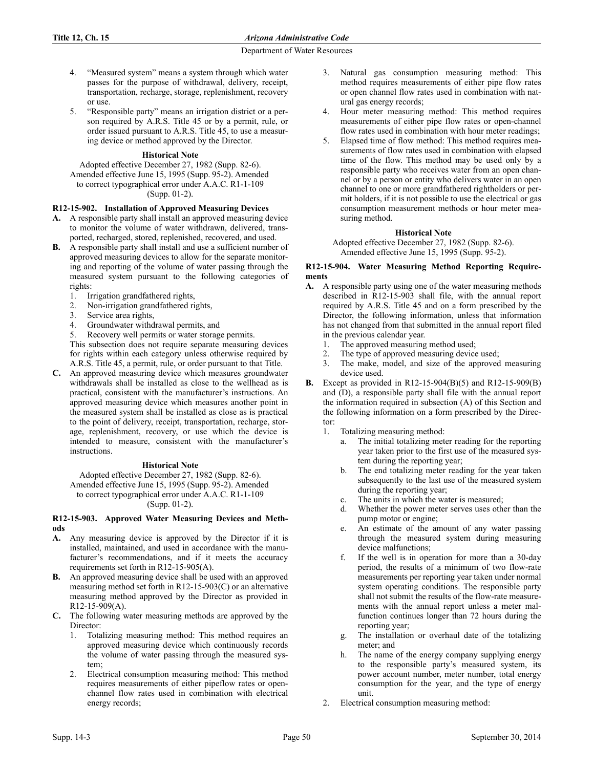- 4. "Measured system" means a system through which water passes for the purpose of withdrawal, delivery, receipt, transportation, recharge, storage, replenishment, recovery or use.
- 5. "Responsible party" means an irrigation district or a person required by A.R.S. Title 45 or by a permit, rule, or order issued pursuant to A.R.S. Title 45, to use a measuring device or method approved by the Director.

# **Historical Note**

Adopted effective December 27, 1982 (Supp. 82-6). Amended effective June 15, 1995 (Supp. 95-2). Amended to correct typographical error under A.A.C. R1-1-109 (Supp. 01-2).

## **R12-15-902. Installation of Approved Measuring Devices**

- **A.** A responsible party shall install an approved measuring device to monitor the volume of water withdrawn, delivered, transported, recharged, stored, replenished, recovered, and used.
- **B.** A responsible party shall install and use a sufficient number of approved measuring devices to allow for the separate monitoring and reporting of the volume of water passing through the measured system pursuant to the following categories of rights:
	- 1. Irrigation grandfathered rights,
	- 2. Non-irrigation grandfathered rights,
	- 3. Service area rights,
	- 4. Groundwater withdrawal permits, and
	- 5. Recovery well permits or water storage permits.

This subsection does not require separate measuring devices for rights within each category unless otherwise required by A.R.S. Title 45, a permit, rule, or order pursuant to that Title.

**C.** An approved measuring device which measures groundwater withdrawals shall be installed as close to the wellhead as is practical, consistent with the manufacturer's instructions. An approved measuring device which measures another point in the measured system shall be installed as close as is practical to the point of delivery, receipt, transportation, recharge, storage, replenishment, recovery, or use which the device is intended to measure, consistent with the manufacturer's instructions.

### **Historical Note**

Adopted effective December 27, 1982 (Supp. 82-6).

Amended effective June 15, 1995 (Supp. 95-2). Amended to correct typographical error under A.A.C. R1-1-109 (Supp. 01-2).

#### **R12-15-903. Approved Water Measuring Devices and Methods**

- **A.** Any measuring device is approved by the Director if it is installed, maintained, and used in accordance with the manufacturer's recommendations, and if it meets the accuracy requirements set forth in R12-15-905(A).
- **B.** An approved measuring device shall be used with an approved measuring method set forth in R12-15-903(C) or an alternative measuring method approved by the Director as provided in R12-15-909(A).
- **C.** The following water measuring methods are approved by the Director:
	- 1. Totalizing measuring method: This method requires an approved measuring device which continuously records the volume of water passing through the measured system;
	- 2. Electrical consumption measuring method: This method requires measurements of either pipeflow rates or openchannel flow rates used in combination with electrical energy records;
- 3. Natural gas consumption measuring method: This method requires measurements of either pipe flow rates or open channel flow rates used in combination with natural gas energy records;
- 4. Hour meter measuring method: This method requires measurements of either pipe flow rates or open-channel flow rates used in combination with hour meter readings;
- Elapsed time of flow method: This method requires measurements of flow rates used in combination with elapsed time of the flow. This method may be used only by a responsible party who receives water from an open channel or by a person or entity who delivers water in an open channel to one or more grandfathered rightholders or permit holders, if it is not possible to use the electrical or gas consumption measurement methods or hour meter measuring method.

# **Historical Note**

Adopted effective December 27, 1982 (Supp. 82-6). Amended effective June 15, 1995 (Supp. 95-2).

### **R12-15-904. Water Measuring Method Reporting Requirements**

- **A.** A responsible party using one of the water measuring methods described in R12-15-903 shall file, with the annual report required by A.R.S. Title 45 and on a form prescribed by the Director, the following information, unless that information has not changed from that submitted in the annual report filed in the previous calendar year.
	- 1. The approved measuring method used;
	- 2. The type of approved measuring device used;
	- 3. The make, model, and size of the approved measuring device used.
- **B.** Except as provided in R12-15-904(B)(5) and R12-15-909(B) and (D), a responsible party shall file with the annual report the information required in subsection (A) of this Section and the following information on a form prescribed by the Director:
	- 1. Totalizing measuring method:
		- a. The initial totalizing meter reading for the reporting year taken prior to the first use of the measured system during the reporting year;
		- b. The end totalizing meter reading for the year taken subsequently to the last use of the measured system during the reporting year;
		- c. The units in which the water is measured;
		- d. Whether the power meter serves uses other than the pump motor or engine;
		- e. An estimate of the amount of any water passing through the measured system during measuring device malfunctions;
		- f. If the well is in operation for more than a 30-day period, the results of a minimum of two flow-rate measurements per reporting year taken under normal system operating conditions. The responsible party shall not submit the results of the flow-rate measurements with the annual report unless a meter malfunction continues longer than 72 hours during the reporting year;
		- g. The installation or overhaul date of the totalizing meter; and
		- h. The name of the energy company supplying energy to the responsible party's measured system, its power account number, meter number, total energy consumption for the year, and the type of energy unit.
	- 2. Electrical consumption measuring method: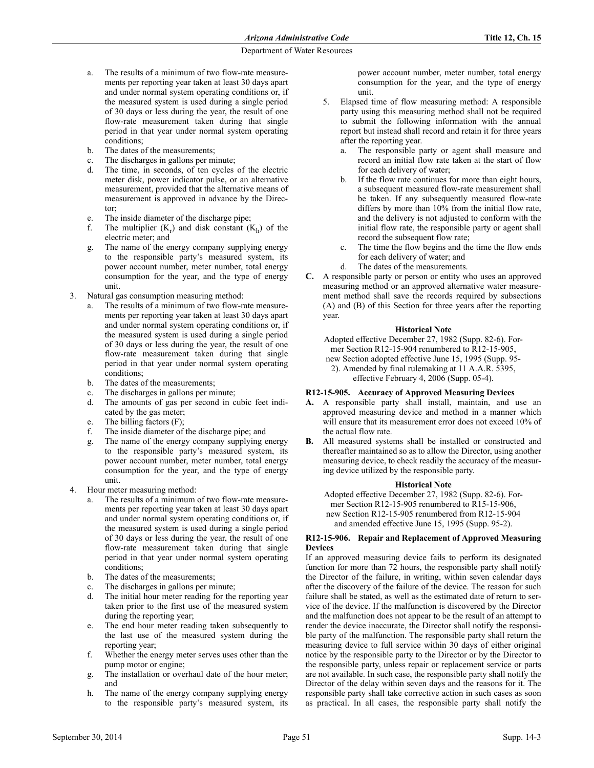- a. The results of a minimum of two flow-rate measurements per reporting year taken at least 30 days apart and under normal system operating conditions or, if the measured system is used during a single period of 30 days or less during the year, the result of one flow-rate measurement taken during that single period in that year under normal system operating conditions;
- b. The dates of the measurements;
- c. The discharges in gallons per minute;
- d. The time, in seconds, of ten cycles of the electric meter disk, power indicator pulse, or an alternative measurement, provided that the alternative means of measurement is approved in advance by the Director;
- e. The inside diameter of the discharge pipe;
- f. The multiplier  $(K_r)$  and disk constant  $(K_h)$  of the electric meter; and
- g. The name of the energy company supplying energy to the responsible party's measured system, its power account number, meter number, total energy consumption for the year, and the type of energy unit.
- 3. Natural gas consumption measuring method:
	- a. The results of a minimum of two flow-rate measurements per reporting year taken at least 30 days apart and under normal system operating conditions or, if the measured system is used during a single period of 30 days or less during the year, the result of one flow-rate measurement taken during that single period in that year under normal system operating conditions;
	- b. The dates of the measurements;
	- c. The discharges in gallons per minute;
	- d. The amounts of gas per second in cubic feet indicated by the gas meter;
	- e. The billing factors (F);
	- f. The inside diameter of the discharge pipe; and
	- g. The name of the energy company supplying energy to the responsible party's measured system, its power account number, meter number, total energy consumption for the year, and the type of energy unit.
- 4. Hour meter measuring method:
	- The results of a minimum of two flow-rate measurements per reporting year taken at least 30 days apart and under normal system operating conditions or, if the measured system is used during a single period of 30 days or less during the year, the result of one flow-rate measurement taken during that single period in that year under normal system operating conditions;
	- b. The dates of the measurements;
	- c. The discharges in gallons per minute;
	- d. The initial hour meter reading for the reporting year taken prior to the first use of the measured system during the reporting year;
	- e. The end hour meter reading taken subsequently to the last use of the measured system during the reporting year;
	- f. Whether the energy meter serves uses other than the pump motor or engine;
	- g. The installation or overhaul date of the hour meter; and
	- h. The name of the energy company supplying energy to the responsible party's measured system, its

power account number, meter number, total energy consumption for the year, and the type of energy unit.

- 5. Elapsed time of flow measuring method: A responsible party using this measuring method shall not be required to submit the following information with the annual report but instead shall record and retain it for three years after the reporting year.
	- The responsible party or agent shall measure and record an initial flow rate taken at the start of flow for each delivery of water;
	- b. If the flow rate continues for more than eight hours, a subsequent measured flow-rate measurement shall be taken. If any subsequently measured flow-rate differs by more than 10% from the initial flow rate, and the delivery is not adjusted to conform with the initial flow rate, the responsible party or agent shall record the subsequent flow rate;
	- c. The time the flow begins and the time the flow ends for each delivery of water; and
	- d. The dates of the measurements.
- **C.** A responsible party or person or entity who uses an approved measuring method or an approved alternative water measurement method shall save the records required by subsections (A) and (B) of this Section for three years after the reporting year.

### **Historical Note**

Adopted effective December 27, 1982 (Supp. 82-6). Former Section R12-15-904 renumbered to R12-15-905, new Section adopted effective June 15, 1995 (Supp. 95-

2). Amended by final rulemaking at 11 A.A.R. 5395,

effective February 4, 2006 (Supp. 05-4).

# **R12-15-905. Accuracy of Approved Measuring Devices**

- **A.** A responsible party shall install, maintain, and use an approved measuring device and method in a manner which will ensure that its measurement error does not exceed 10% of the actual flow rate.
- **B.** All measured systems shall be installed or constructed and thereafter maintained so as to allow the Director, using another measuring device, to check readily the accuracy of the measuring device utilized by the responsible party.

### **Historical Note**

Adopted effective December 27, 1982 (Supp. 82-6). Former Section R12-15-905 renumbered to R15-15-906, new Section R12-15-905 renumbered from R12-15-904 and amended effective June 15, 1995 (Supp. 95-2).

### **R12-15-906. Repair and Replacement of Approved Measuring Devices**

If an approved measuring device fails to perform its designated function for more than 72 hours, the responsible party shall notify the Director of the failure, in writing, within seven calendar days after the discovery of the failure of the device. The reason for such failure shall be stated, as well as the estimated date of return to service of the device. If the malfunction is discovered by the Director and the malfunction does not appear to be the result of an attempt to render the device inaccurate, the Director shall notify the responsible party of the malfunction. The responsible party shall return the measuring device to full service within 30 days of either original notice by the responsible party to the Director or by the Director to the responsible party, unless repair or replacement service or parts are not available. In such case, the responsible party shall notify the Director of the delay within seven days and the reasons for it. The responsible party shall take corrective action in such cases as soon as practical. In all cases, the responsible party shall notify the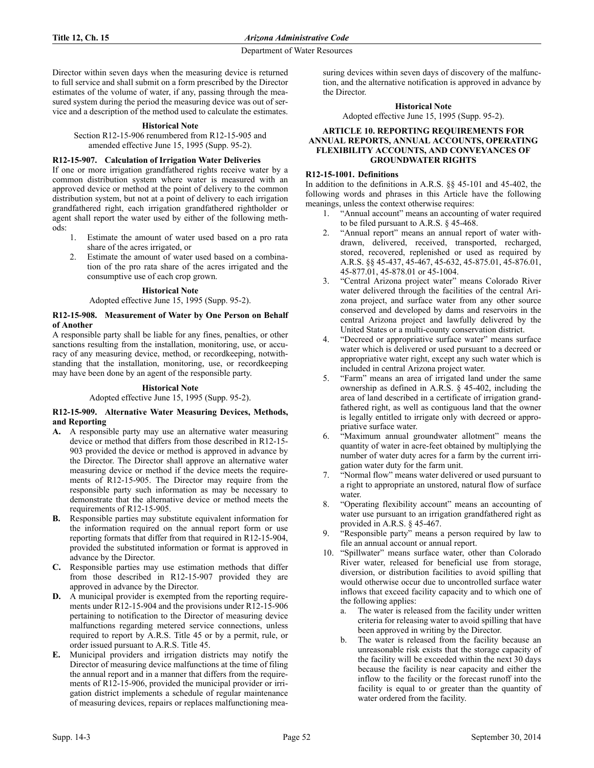Director within seven days when the measuring device is returned to full service and shall submit on a form prescribed by the Director estimates of the volume of water, if any, passing through the measured system during the period the measuring device was out of service and a description of the method used to calculate the estimates.

#### **Historical Note**

Section R12-15-906 renumbered from R12-15-905 and amended effective June 15, 1995 (Supp. 95-2).

### **R12-15-907. Calculation of Irrigation Water Deliveries**

If one or more irrigation grandfathered rights receive water by a common distribution system where water is measured with an approved device or method at the point of delivery to the common distribution system, but not at a point of delivery to each irrigation grandfathered right, each irrigation grandfathered rightholder or agent shall report the water used by either of the following methods:

- 1. Estimate the amount of water used based on a pro rata share of the acres irrigated, or
- 2. Estimate the amount of water used based on a combination of the pro rata share of the acres irrigated and the consumptive use of each crop grown.

#### **Historical Note**

### Adopted effective June 15, 1995 (Supp. 95-2).

#### **R12-15-908. Measurement of Water by One Person on Behalf of Another**

A responsible party shall be liable for any fines, penalties, or other sanctions resulting from the installation, monitoring, use, or accuracy of any measuring device, method, or recordkeeping, notwithstanding that the installation, monitoring, use, or recordkeeping may have been done by an agent of the responsible party.

#### **Historical Note**

# Adopted effective June 15, 1995 (Supp. 95-2).

#### **R12-15-909. Alternative Water Measuring Devices, Methods, and Reporting**

- **A.** A responsible party may use an alternative water measuring device or method that differs from those described in R12-15- 903 provided the device or method is approved in advance by the Director. The Director shall approve an alternative water measuring device or method if the device meets the requirements of R12-15-905. The Director may require from the responsible party such information as may be necessary to demonstrate that the alternative device or method meets the requirements of R12-15-905.
- **B.** Responsible parties may substitute equivalent information for the information required on the annual report form or use reporting formats that differ from that required in R12-15-904, provided the substituted information or format is approved in advance by the Director.
- **C.** Responsible parties may use estimation methods that differ from those described in R12-15-907 provided they are approved in advance by the Director.
- **D.** A municipal provider is exempted from the reporting requirements under R12-15-904 and the provisions under R12-15-906 pertaining to notification to the Director of measuring device malfunctions regarding metered service connections, unless required to report by A.R.S. Title 45 or by a permit, rule, or order issued pursuant to A.R.S. Title 45.
- **E.** Municipal providers and irrigation districts may notify the Director of measuring device malfunctions at the time of filing the annual report and in a manner that differs from the requirements of R12-15-906, provided the municipal provider or irrigation district implements a schedule of regular maintenance of measuring devices, repairs or replaces malfunctioning mea-

suring devices within seven days of discovery of the malfunction, and the alternative notification is approved in advance by the Director.

**Historical Note**

Adopted effective June 15, 1995 (Supp. 95-2).

### **ARTICLE 10. REPORTING REQUIREMENTS FOR ANNUAL REPORTS, ANNUAL ACCOUNTS, OPERATING FLEXIBILITY ACCOUNTS, AND CONVEYANCES OF GROUNDWATER RIGHTS**

# **R12-15-1001. Definitions**

In addition to the definitions in A.R.S. §§ 45-101 and 45-402, the following words and phrases in this Article have the following meanings, unless the context otherwise requires:

- 1. "Annual account" means an accounting of water required to be filed pursuant to A.R.S. § 45-468.
- 2. "Annual report" means an annual report of water withdrawn, delivered, received, transported, recharged, stored, recovered, replenished or used as required by A.R.S. §§ 45-437, 45-467, 45-632, 45-875.01, 45-876.01, 45-877.01, 45-878.01 or 45-1004.
- 3. "Central Arizona project water" means Colorado River water delivered through the facilities of the central Arizona project, and surface water from any other source conserved and developed by dams and reservoirs in the central Arizona project and lawfully delivered by the United States or a multi-county conservation district.
- 4. "Decreed or appropriative surface water" means surface water which is delivered or used pursuant to a decreed or appropriative water right, except any such water which is included in central Arizona project water.
- 5. "Farm" means an area of irrigated land under the same ownership as defined in A.R.S. § 45-402, including the area of land described in a certificate of irrigation grandfathered right, as well as contiguous land that the owner is legally entitled to irrigate only with decreed or appropriative surface water.
- 6. "Maximum annual groundwater allotment" means the quantity of water in acre-feet obtained by multiplying the number of water duty acres for a farm by the current irrigation water duty for the farm unit.
- 7. "Normal flow" means water delivered or used pursuant to a right to appropriate an unstored, natural flow of surface water
- 8. "Operating flexibility account" means an accounting of water use pursuant to an irrigation grandfathered right as provided in A.R.S. § 45-467.
- 9. "Responsible party" means a person required by law to file an annual account or annual report.
- 10. "Spillwater" means surface water, other than Colorado River water, released for beneficial use from storage, diversion, or distribution facilities to avoid spilling that would otherwise occur due to uncontrolled surface water inflows that exceed facility capacity and to which one of the following applies:
	- The water is released from the facility under written criteria for releasing water to avoid spilling that have been approved in writing by the Director.
	- b. The water is released from the facility because an unreasonable risk exists that the storage capacity of the facility will be exceeded within the next 30 days because the facility is near capacity and either the inflow to the facility or the forecast runoff into the facility is equal to or greater than the quantity of water ordered from the facility.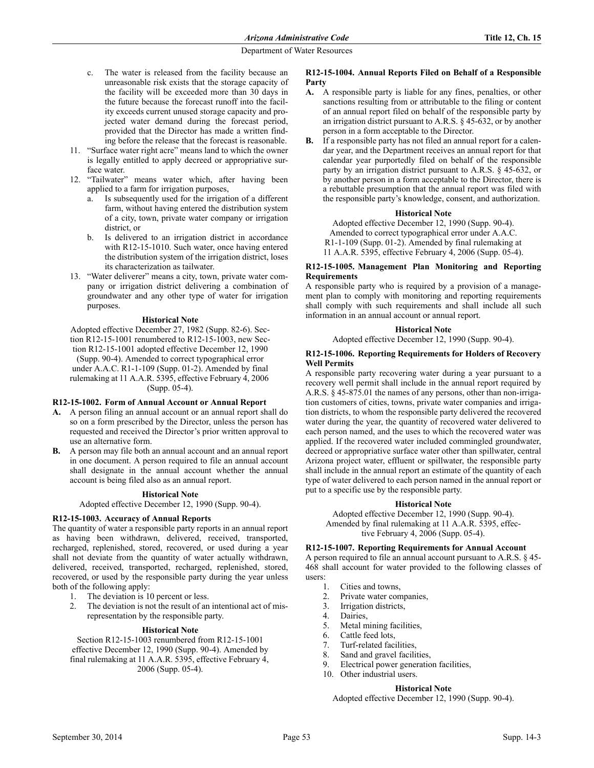- c. The water is released from the facility because an unreasonable risk exists that the storage capacity of the facility will be exceeded more than 30 days in the future because the forecast runoff into the facility exceeds current unused storage capacity and projected water demand during the forecast period, provided that the Director has made a written finding before the release that the forecast is reasonable.
- 11. "Surface water right acre" means land to which the owner is legally entitled to apply decreed or appropriative surface water.
- 12. "Tailwater" means water which, after having been applied to a farm for irrigation purposes,
	- a. Is subsequently used for the irrigation of a different farm, without having entered the distribution system of a city, town, private water company or irrigation district, or
	- b. Is delivered to an irrigation district in accordance with R12-15-1010. Such water, once having entered the distribution system of the irrigation district, loses its characterization as tailwater.
- 13. "Water deliverer" means a city, town, private water company or irrigation district delivering a combination of groundwater and any other type of water for irrigation purposes.

#### **Historical Note**

Adopted effective December 27, 1982 (Supp. 82-6). Section R12-15-1001 renumbered to R12-15-1003, new Section R12-15-1001 adopted effective December 12, 1990 (Supp. 90-4). Amended to correct typographical error under A.A.C. R1-1-109 (Supp. 01-2). Amended by final rulemaking at 11 A.A.R. 5395, effective February 4, 2006 (Supp. 05-4).

### **R12-15-1002. Form of Annual Account or Annual Report**

- **A.** A person filing an annual account or an annual report shall do so on a form prescribed by the Director, unless the person has requested and received the Director's prior written approval to use an alternative form.
- **B.** A person may file both an annual account and an annual report in one document. A person required to file an annual account shall designate in the annual account whether the annual account is being filed also as an annual report.

#### **Historical Note**

Adopted effective December 12, 1990 (Supp. 90-4).

### **R12-15-1003. Accuracy of Annual Reports**

The quantity of water a responsible party reports in an annual report as having been withdrawn, delivered, received, transported, recharged, replenished, stored, recovered, or used during a year shall not deviate from the quantity of water actually withdrawn, delivered, received, transported, recharged, replenished, stored, recovered, or used by the responsible party during the year unless both of the following apply:

- 1. The deviation is 10 percent or less.
- 2. The deviation is not the result of an intentional act of misrepresentation by the responsible party.

### **Historical Note**

Section R12-15-1003 renumbered from R12-15-1001 effective December 12, 1990 (Supp. 90-4). Amended by final rulemaking at 11 A.A.R. 5395, effective February 4, 2006 (Supp. 05-4).

### **R12-15-1004. Annual Reports Filed on Behalf of a Responsible Party**

- **A.** A responsible party is liable for any fines, penalties, or other sanctions resulting from or attributable to the filing or content of an annual report filed on behalf of the responsible party by an irrigation district pursuant to A.R.S. § 45-632, or by another person in a form acceptable to the Director.
- **B.** If a responsible party has not filed an annual report for a calendar year, and the Department receives an annual report for that calendar year purportedly filed on behalf of the responsible party by an irrigation district pursuant to A.R.S. § 45-632, or by another person in a form acceptable to the Director, there is a rebuttable presumption that the annual report was filed with the responsible party's knowledge, consent, and authorization.

#### **Historical Note**

Adopted effective December 12, 1990 (Supp. 90-4). Amended to correct typographical error under A.A.C. R1-1-109 (Supp. 01-2). Amended by final rulemaking at 11 A.A.R. 5395, effective February 4, 2006 (Supp. 05-4).

#### **R12-15-1005. Management Plan Monitoring and Reporting Requirements**

A responsible party who is required by a provision of a management plan to comply with monitoring and reporting requirements shall comply with such requirements and shall include all such information in an annual account or annual report.

#### **Historical Note**

Adopted effective December 12, 1990 (Supp. 90-4).

### **R12-15-1006. Reporting Requirements for Holders of Recovery Well Permits**

A responsible party recovering water during a year pursuant to a recovery well permit shall include in the annual report required by A.R.S. § 45-875.01 the names of any persons, other than non-irrigation customers of cities, towns, private water companies and irrigation districts, to whom the responsible party delivered the recovered water during the year, the quantity of recovered water delivered to each person named, and the uses to which the recovered water was applied. If the recovered water included commingled groundwater, decreed or appropriative surface water other than spillwater, central Arizona project water, effluent or spillwater, the responsible party shall include in the annual report an estimate of the quantity of each type of water delivered to each person named in the annual report or put to a specific use by the responsible party.

### **Historical Note**

Adopted effective December 12, 1990 (Supp. 90-4). Amended by final rulemaking at 11 A.A.R. 5395, effective February 4, 2006 (Supp. 05-4).

# **R12-15-1007. Reporting Requirements for Annual Account**

A person required to file an annual account pursuant to A.R.S. § 45- 468 shall account for water provided to the following classes of users:

- 1. Cities and towns,
- 2. Private water companies,
- 3. Irrigation districts,
- 4. Dairies,
- 5. Metal mining facilities,
- 6. Cattle feed lots,
- 7. Turf-related facilities,
- 8. Sand and gravel facilities,
- 9. Electrical power generation facilities,
- 10. Other industrial users.
	- **Historical Note**

Adopted effective December 12, 1990 (Supp. 90-4).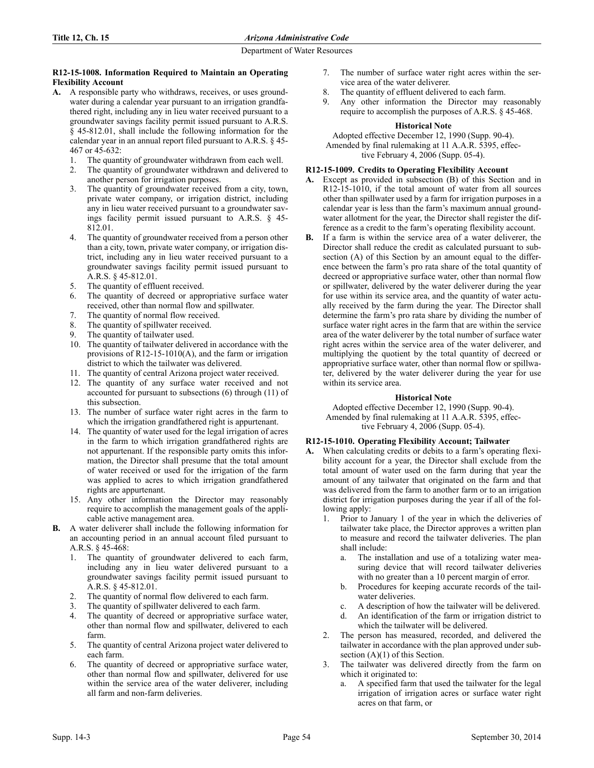### **R12-15-1008. Information Required to Maintain an Operating Flexibility Account**

- **A.** A responsible party who withdraws, receives, or uses groundwater during a calendar year pursuant to an irrigation grandfathered right, including any in lieu water received pursuant to a groundwater savings facility permit issued pursuant to A.R.S. § 45-812.01, shall include the following information for the calendar year in an annual report filed pursuant to A.R.S. § 45- 467 or 45-632:
	- 1. The quantity of groundwater withdrawn from each well.
	- 2. The quantity of groundwater withdrawn and delivered to another person for irrigation purposes.
	- The quantity of groundwater received from a city, town, private water company, or irrigation district, including any in lieu water received pursuant to a groundwater savings facility permit issued pursuant to A.R.S. § 45- 812.01.
	- 4. The quantity of groundwater received from a person other than a city, town, private water company, or irrigation district, including any in lieu water received pursuant to a groundwater savings facility permit issued pursuant to A.R.S. § 45-812.01.
	- 5. The quantity of effluent received.
	- 6. The quantity of decreed or appropriative surface water received, other than normal flow and spillwater.
	- 7. The quantity of normal flow received.
	- 8. The quantity of spillwater received.
	- 9. The quantity of tailwater used.
	- 10. The quantity of tailwater delivered in accordance with the provisions of R12-15-1010(A), and the farm or irrigation district to which the tailwater was delivered.
	- 11. The quantity of central Arizona project water received.
	- 12. The quantity of any surface water received and not accounted for pursuant to subsections (6) through (11) of this subsection.
	- 13. The number of surface water right acres in the farm to which the irrigation grandfathered right is appurtenant.
	- 14. The quantity of water used for the legal irrigation of acres in the farm to which irrigation grandfathered rights are not appurtenant. If the responsible party omits this information, the Director shall presume that the total amount of water received or used for the irrigation of the farm was applied to acres to which irrigation grandfathered rights are appurtenant.
	- 15. Any other information the Director may reasonably require to accomplish the management goals of the applicable active management area.
- **B.** A water deliverer shall include the following information for an accounting period in an annual account filed pursuant to A.R.S. § 45-468:
	- The quantity of groundwater delivered to each farm, including any in lieu water delivered pursuant to a groundwater savings facility permit issued pursuant to A.R.S. § 45-812.01.
	- The quantity of normal flow delivered to each farm.
	- 3. The quantity of spillwater delivered to each farm.
	- 4. The quantity of decreed or appropriative surface water, other than normal flow and spillwater, delivered to each farm.
	- 5. The quantity of central Arizona project water delivered to each farm.
	- 6. The quantity of decreed or appropriative surface water, other than normal flow and spillwater, delivered for use within the service area of the water deliverer, including all farm and non-farm deliveries.
- 7. The number of surface water right acres within the service area of the water deliverer.
- 8. The quantity of effluent delivered to each farm.
- 9. Any other information the Director may reasonably require to accomplish the purposes of A.R.S. § 45-468.

## **Historical Note**

Adopted effective December 12, 1990 (Supp. 90-4). Amended by final rulemaking at 11 A.A.R. 5395, effective February 4, 2006 (Supp. 05-4).

# **R12-15-1009. Credits to Operating Flexibility Account**

- **A.** Except as provided in subsection (B) of this Section and in R12-15-1010, if the total amount of water from all sources other than spillwater used by a farm for irrigation purposes in a calendar year is less than the farm's maximum annual groundwater allotment for the year, the Director shall register the difference as a credit to the farm's operating flexibility account.
- **B.** If a farm is within the service area of a water deliverer, the Director shall reduce the credit as calculated pursuant to subsection (A) of this Section by an amount equal to the difference between the farm's pro rata share of the total quantity of decreed or appropriative surface water, other than normal flow or spillwater, delivered by the water deliverer during the year for use within its service area, and the quantity of water actually received by the farm during the year. The Director shall determine the farm's pro rata share by dividing the number of surface water right acres in the farm that are within the service area of the water deliverer by the total number of surface water right acres within the service area of the water deliverer, and multiplying the quotient by the total quantity of decreed or appropriative surface water, other than normal flow or spillwater, delivered by the water deliverer during the year for use within its service area.

### **Historical Note**

Adopted effective December 12, 1990 (Supp. 90-4). Amended by final rulemaking at 11 A.A.R. 5395, effective February 4, 2006 (Supp. 05-4).

# **R12-15-1010. Operating Flexibility Account; Tailwater**

- **A.** When calculating credits or debits to a farm's operating flexibility account for a year, the Director shall exclude from the total amount of water used on the farm during that year the amount of any tailwater that originated on the farm and that was delivered from the farm to another farm or to an irrigation district for irrigation purposes during the year if all of the following apply:
	- 1. Prior to January 1 of the year in which the deliveries of tailwater take place, the Director approves a written plan to measure and record the tailwater deliveries. The plan shall include:
		- a. The installation and use of a totalizing water measuring device that will record tailwater deliveries with no greater than a 10 percent margin of error.
		- b. Procedures for keeping accurate records of the tailwater deliveries.
		- c. A description of how the tailwater will be delivered.
		- d. An identification of the farm or irrigation district to which the tailwater will be delivered.
	- 2. The person has measured, recorded, and delivered the tailwater in accordance with the plan approved under subsection  $(A)(1)$  of this Section.
	- 3. The tailwater was delivered directly from the farm on which it originated to:
		- a. A specified farm that used the tailwater for the legal irrigation of irrigation acres or surface water right acres on that farm, or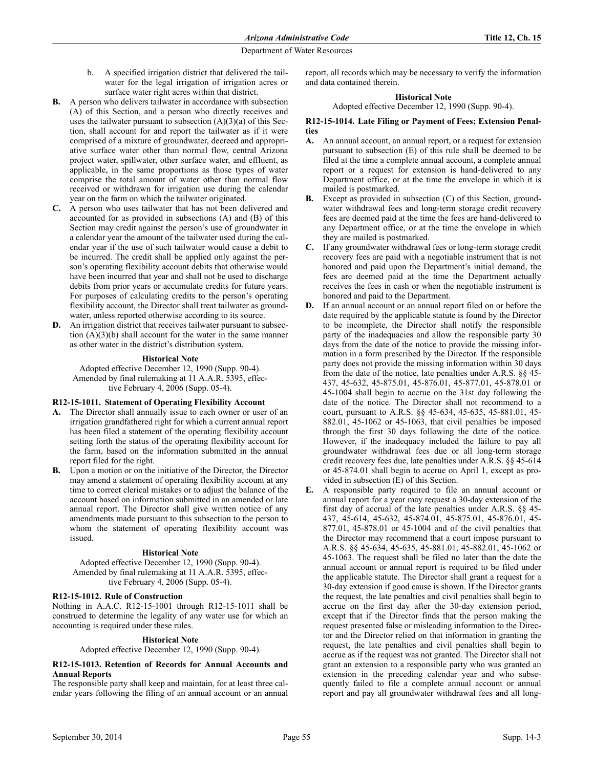- b. A specified irrigation district that delivered the tailwater for the legal irrigation of irrigation acres or surface water right acres within that district.
- **B.** A person who delivers tailwater in accordance with subsection (A) of this Section, and a person who directly receives and uses the tailwater pursuant to subsection  $(A)(3)(a)$  of this Section, shall account for and report the tailwater as if it were comprised of a mixture of groundwater, decreed and appropriative surface water other than normal flow, central Arizona project water, spillwater, other surface water, and effluent, as applicable, in the same proportions as those types of water comprise the total amount of water other than normal flow received or withdrawn for irrigation use during the calendar year on the farm on which the tailwater originated.
- **C.** A person who uses tailwater that has not been delivered and accounted for as provided in subsections (A) and (B) of this Section may credit against the person's use of groundwater in a calendar year the amount of the tailwater used during the calendar year if the use of such tailwater would cause a debit to be incurred. The credit shall be applied only against the person's operating flexibility account debits that otherwise would have been incurred that year and shall not be used to discharge debits from prior years or accumulate credits for future years. For purposes of calculating credits to the person's operating flexibility account, the Director shall treat tailwater as groundwater, unless reported otherwise according to its source.
- **D.** An irrigation district that receives tailwater pursuant to subsection (A)(3)(b) shall account for the water in the same manner as other water in the district's distribution system.

## **Historical Note**

Adopted effective December 12, 1990 (Supp. 90-4). Amended by final rulemaking at 11 A.A.R. 5395, effective February 4, 2006 (Supp. 05-4).

### **R12-15-1011. Statement of Operating Flexibility Account**

- **A.** The Director shall annually issue to each owner or user of an irrigation grandfathered right for which a current annual report has been filed a statement of the operating flexibility account setting forth the status of the operating flexibility account for the farm, based on the information submitted in the annual report filed for the right.
- **B.** Upon a motion or on the initiative of the Director, the Director may amend a statement of operating flexibility account at any time to correct clerical mistakes or to adjust the balance of the account based on information submitted in an amended or late annual report. The Director shall give written notice of any amendments made pursuant to this subsection to the person to whom the statement of operating flexibility account was issued.

### **Historical Note**

Adopted effective December 12, 1990 (Supp. 90-4). Amended by final rulemaking at 11 A.A.R. 5395, effective February 4, 2006 (Supp. 05-4).

# **R12-15-1012. Rule of Construction**

Nothing in A.A.C. R12-15-1001 through R12-15-1011 shall be construed to determine the legality of any water use for which an accounting is required under these rules.

### **Historical Note**

Adopted effective December 12, 1990 (Supp. 90-4).

### **R12-15-1013. Retention of Records for Annual Accounts and Annual Reports**

The responsible party shall keep and maintain, for at least three calendar years following the filing of an annual account or an annual report, all records which may be necessary to verify the information and data contained therein.

### **Historical Note**

Adopted effective December 12, 1990 (Supp. 90-4).

### **R12-15-1014. Late Filing or Payment of Fees; Extension Penalties**

- **A.** An annual account, an annual report, or a request for extension pursuant to subsection (E) of this rule shall be deemed to be filed at the time a complete annual account, a complete annual report or a request for extension is hand-delivered to any Department office, or at the time the envelope in which it is mailed is postmarked.
- **B.** Except as provided in subsection (C) of this Section, groundwater withdrawal fees and long-term storage credit recovery fees are deemed paid at the time the fees are hand-delivered to any Department office, or at the time the envelope in which they are mailed is postmarked.
- **C.** If any groundwater withdrawal fees or long-term storage credit recovery fees are paid with a negotiable instrument that is not honored and paid upon the Department's initial demand, the fees are deemed paid at the time the Department actually receives the fees in cash or when the negotiable instrument is honored and paid to the Department.
- **D.** If an annual account or an annual report filed on or before the date required by the applicable statute is found by the Director to be incomplete, the Director shall notify the responsible party of the inadequacies and allow the responsible party 30 days from the date of the notice to provide the missing information in a form prescribed by the Director. If the responsible party does not provide the missing information within 30 days from the date of the notice, late penalties under A.R.S. §§ 45- 437, 45-632, 45-875.01, 45-876.01, 45-877.01, 45-878.01 or 45-1004 shall begin to accrue on the 31st day following the date of the notice. The Director shall not recommend to a court, pursuant to A.R.S. §§ 45-634, 45-635, 45-881.01, 45- 882.01, 45-1062 or 45-1063, that civil penalties be imposed through the first 30 days following the date of the notice. However, if the inadequacy included the failure to pay all groundwater withdrawal fees due or all long-term storage credit recovery fees due, late penalties under A.R.S. §§ 45-614 or 45-874.01 shall begin to accrue on April 1, except as provided in subsection (E) of this Section.
- **E.** A responsible party required to file an annual account or annual report for a year may request a 30-day extension of the first day of accrual of the late penalties under A.R.S. §§ 45- 437, 45-614, 45-632, 45-874.01, 45-875.01, 45-876.01, 45- 877.01, 45-878.01 or 45-1004 and of the civil penalties that the Director may recommend that a court impose pursuant to A.R.S. §§ 45-634, 45-635, 45-881.01, 45-882.01, 45-1062 or 45-1063. The request shall be filed no later than the date the annual account or annual report is required to be filed under the applicable statute. The Director shall grant a request for a 30-day extension if good cause is shown. If the Director grants the request, the late penalties and civil penalties shall begin to accrue on the first day after the 30-day extension period, except that if the Director finds that the person making the request presented false or misleading information to the Director and the Director relied on that information in granting the request, the late penalties and civil penalties shall begin to accrue as if the request was not granted. The Director shall not grant an extension to a responsible party who was granted an extension in the preceding calendar year and who subsequently failed to file a complete annual account or annual report and pay all groundwater withdrawal fees and all long-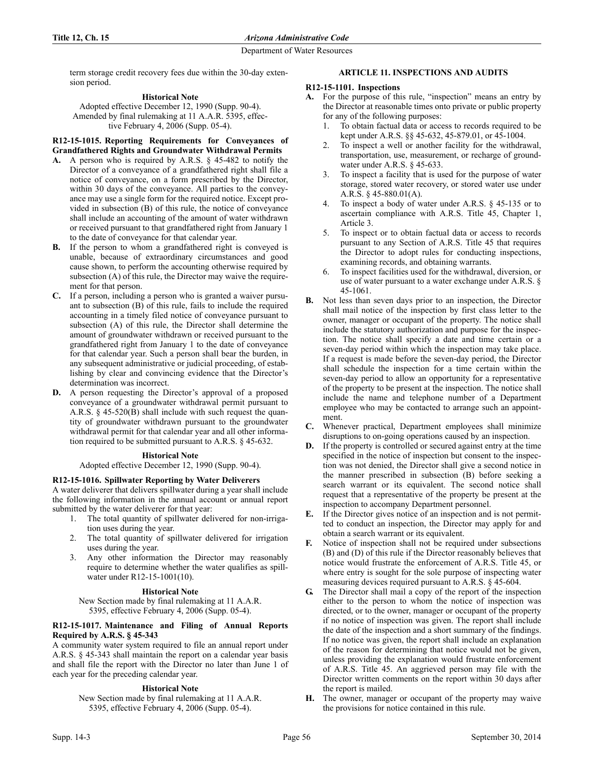term storage credit recovery fees due within the 30-day extension period.

# **Historical Note**

Adopted effective December 12, 1990 (Supp. 90-4). Amended by final rulemaking at 11 A.A.R. 5395, effective February 4, 2006 (Supp. 05-4).

# **R12-15-1015. Reporting Requirements for Conveyances of Grandfathered Rights and Groundwater Withdrawal Permits**

- **A.** A person who is required by A.R.S. § 45-482 to notify the Director of a conveyance of a grandfathered right shall file a notice of conveyance, on a form prescribed by the Director, within 30 days of the conveyance. All parties to the conveyance may use a single form for the required notice. Except provided in subsection (B) of this rule, the notice of conveyance shall include an accounting of the amount of water withdrawn or received pursuant to that grandfathered right from January 1 to the date of conveyance for that calendar year.
- **B.** If the person to whom a grandfathered right is conveyed is unable, because of extraordinary circumstances and good cause shown, to perform the accounting otherwise required by subsection (A) of this rule, the Director may waive the requirement for that person.
- **C.** If a person, including a person who is granted a waiver pursuant to subsection (B) of this rule, fails to include the required accounting in a timely filed notice of conveyance pursuant to subsection (A) of this rule, the Director shall determine the amount of groundwater withdrawn or received pursuant to the grandfathered right from January 1 to the date of conveyance for that calendar year. Such a person shall bear the burden, in any subsequent administrative or judicial proceeding, of establishing by clear and convincing evidence that the Director's determination was incorrect.
- **D.** A person requesting the Director's approval of a proposed conveyance of a groundwater withdrawal permit pursuant to A.R.S. § 45-520(B) shall include with such request the quantity of groundwater withdrawn pursuant to the groundwater withdrawal permit for that calendar year and all other information required to be submitted pursuant to A.R.S. § 45-632.

# **Historical Note**

Adopted effective December 12, 1990 (Supp. 90-4).

# **R12-15-1016. Spillwater Reporting by Water Deliverers**

A water deliverer that delivers spillwater during a year shall include the following information in the annual account or annual report submitted by the water deliverer for that year:

- 1. The total quantity of spillwater delivered for non-irrigation uses during the year.
- 2. The total quantity of spillwater delivered for irrigation uses during the year.
- Any other information the Director may reasonably require to determine whether the water qualifies as spillwater under R12-15-1001(10).

### **Historical Note**

New Section made by final rulemaking at 11 A.A.R. 5395, effective February 4, 2006 (Supp. 05-4).

# **R12-15-1017. Maintenance and Filing of Annual Reports Required by A.R.S. § 45-343**

A community water system required to file an annual report under A.R.S. § 45-343 shall maintain the report on a calendar year basis and shall file the report with the Director no later than June 1 of each year for the preceding calendar year.

# **Historical Note**

New Section made by final rulemaking at 11 A.A.R. 5395, effective February 4, 2006 (Supp. 05-4).

# **ARTICLE 11. INSPECTIONS AND AUDITS**

### **R12-15-1101. Inspections**

- **A.** For the purpose of this rule, "inspection" means an entry by the Director at reasonable times onto private or public property for any of the following purposes:
	- 1. To obtain factual data or access to records required to be kept under A.R.S. §§ 45-632, 45-879.01, or 45-1004.
	- 2. To inspect a well or another facility for the withdrawal, transportation, use, measurement, or recharge of groundwater under A.R.S. § 45-633.
	- 3. To inspect a facility that is used for the purpose of water storage, stored water recovery, or stored water use under A.R.S. § 45-880.01(A).
	- To inspect a body of water under A.R.S. § 45-135 or to ascertain compliance with A.R.S. Title 45, Chapter 1, Article 3.
	- 5. To inspect or to obtain factual data or access to records pursuant to any Section of A.R.S. Title 45 that requires the Director to adopt rules for conducting inspections, examining records, and obtaining warrants.
	- 6. To inspect facilities used for the withdrawal, diversion, or use of water pursuant to a water exchange under A.R.S. § 45-1061.
- **B.** Not less than seven days prior to an inspection, the Director shall mail notice of the inspection by first class letter to the owner, manager or occupant of the property. The notice shall include the statutory authorization and purpose for the inspection. The notice shall specify a date and time certain or a seven-day period within which the inspection may take place. If a request is made before the seven-day period, the Director shall schedule the inspection for a time certain within the seven-day period to allow an opportunity for a representative of the property to be present at the inspection. The notice shall include the name and telephone number of a Department employee who may be contacted to arrange such an appointment.
- **C.** Whenever practical, Department employees shall minimize disruptions to on-going operations caused by an inspection.
- **D.** If the property is controlled or secured against entry at the time specified in the notice of inspection but consent to the inspection was not denied, the Director shall give a second notice in the manner prescribed in subsection (B) before seeking a search warrant or its equivalent. The second notice shall request that a representative of the property be present at the inspection to accompany Department personnel.
- **E.** If the Director gives notice of an inspection and is not permitted to conduct an inspection, the Director may apply for and obtain a search warrant or its equivalent.
- **F.** Notice of inspection shall not be required under subsections (B) and (D) of this rule if the Director reasonably believes that notice would frustrate the enforcement of A.R.S. Title 45, or where entry is sought for the sole purpose of inspecting water measuring devices required pursuant to A.R.S. § 45-604.
- The Director shall mail a copy of the report of the inspection either to the person to whom the notice of inspection was directed, or to the owner, manager or occupant of the property if no notice of inspection was given. The report shall include the date of the inspection and a short summary of the findings. If no notice was given, the report shall include an explanation of the reason for determining that notice would not be given, unless providing the explanation would frustrate enforcement of A.R.S. Title 45. An aggrieved person may file with the Director written comments on the report within 30 days after the report is mailed.
- **H.** The owner, manager or occupant of the property may waive the provisions for notice contained in this rule.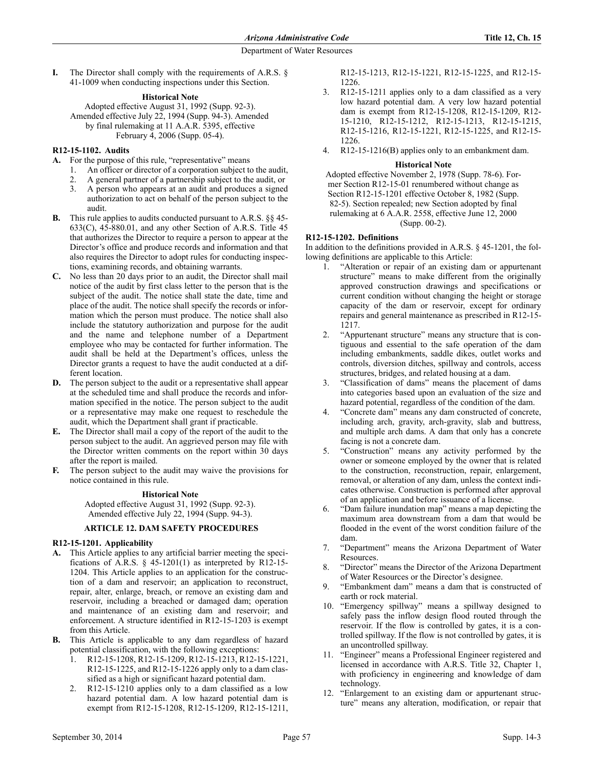**I.** The Director shall comply with the requirements of A.R.S. § 41-1009 when conducting inspections under this Section.

# **Historical Note**

Adopted effective August 31, 1992 (Supp. 92-3). Amended effective July 22, 1994 (Supp. 94-3). Amended by final rulemaking at 11 A.A.R. 5395, effective February 4, 2006 (Supp. 05-4).

# **R12-15-1102. Audits**

**A.** For the purpose of this rule, "representative" means

- 1. An officer or director of a corporation subject to the audit,
- 2. A general partner of a partnership subject to the audit, or
- 3. A person who appears at an audit and produces a signed authorization to act on behalf of the person subject to the audit.
- **B.** This rule applies to audits conducted pursuant to A.R.S. §§ 45-  $633(C)$ ,  $45-880.01$ , and any other Section of A.R.S. Title  $45$ that authorizes the Director to require a person to appear at the Director's office and produce records and information and that also requires the Director to adopt rules for conducting inspections, examining records, and obtaining warrants.
- **C.** No less than 20 days prior to an audit, the Director shall mail notice of the audit by first class letter to the person that is the subject of the audit. The notice shall state the date, time and place of the audit. The notice shall specify the records or information which the person must produce. The notice shall also include the statutory authorization and purpose for the audit and the name and telephone number of a Department employee who may be contacted for further information. The audit shall be held at the Department's offices, unless the Director grants a request to have the audit conducted at a different location.
- **D.** The person subject to the audit or a representative shall appear at the scheduled time and shall produce the records and information specified in the notice. The person subject to the audit or a representative may make one request to reschedule the audit, which the Department shall grant if practicable.
- **E.** The Director shall mail a copy of the report of the audit to the person subject to the audit. An aggrieved person may file with the Director written comments on the report within 30 days after the report is mailed.
- **F.** The person subject to the audit may waive the provisions for notice contained in this rule.

#### **Historical Note**

Adopted effective August 31, 1992 (Supp. 92-3). Amended effective July 22, 1994 (Supp. 94-3).

# **ARTICLE 12. DAM SAFETY PROCEDURES**

## **R12-15-1201. Applicability**

- **A.** This Article applies to any artificial barrier meeting the specifications of A.R.S.  $\S$  45-1201(1) as interpreted by R12-15-1204. This Article applies to an application for the construction of a dam and reservoir; an application to reconstruct, repair, alter, enlarge, breach, or remove an existing dam and reservoir, including a breached or damaged dam; operation and maintenance of an existing dam and reservoir; and enforcement. A structure identified in R12-15-1203 is exempt from this Article.
- **B.** This Article is applicable to any dam regardless of hazard potential classification, with the following exceptions:
	- 1. R12-15-1208, R12-15-1209, R12-15-1213, R12-15-1221, R12-15-1225, and R12-15-1226 apply only to a dam classified as a high or significant hazard potential dam.
	- R12-15-1210 applies only to a dam classified as a low hazard potential dam. A low hazard potential dam is exempt from R12-15-1208, R12-15-1209, R12-15-1211,

R12-15-1213, R12-15-1221, R12-15-1225, and R12-15- 1226.

- 3. R12-15-1211 applies only to a dam classified as a very low hazard potential dam. A very low hazard potential dam is exempt from R12-15-1208, R12-15-1209, R12- 15-1210, R12-15-1212, R12-15-1213, R12-15-1215, R12-15-1216, R12-15-1221, R12-15-1225, and R12-15- 1226.
- 4. R12-15-1216(B) applies only to an embankment dam.

#### **Historical Note**

Adopted effective November 2, 1978 (Supp. 78-6). Former Section R12-15-01 renumbered without change as Section R12-15-1201 effective October 8, 1982 (Supp. 82-5). Section repealed; new Section adopted by final rulemaking at 6 A.A.R. 2558, effective June 12, 2000 (Supp. 00-2).

#### **R12-15-1202. Definitions**

In addition to the definitions provided in A.R.S. § 45-1201, the following definitions are applicable to this Article:

- 1. "Alteration or repair of an existing dam or appurtenant structure" means to make different from the originally approved construction drawings and specifications or current condition without changing the height or storage capacity of the dam or reservoir, except for ordinary repairs and general maintenance as prescribed in R12-15- 1217.
- 2. "Appurtenant structure" means any structure that is contiguous and essential to the safe operation of the dam including embankments, saddle dikes, outlet works and controls, diversion ditches, spillway and controls, access structures, bridges, and related housing at a dam.
- 3. "Classification of dams" means the placement of dams into categories based upon an evaluation of the size and hazard potential, regardless of the condition of the dam.
- 4. "Concrete dam" means any dam constructed of concrete, including arch, gravity, arch-gravity, slab and buttress, and multiple arch dams. A dam that only has a concrete facing is not a concrete dam.
- 5. "Construction" means any activity performed by the owner or someone employed by the owner that is related to the construction, reconstruction, repair, enlargement, removal, or alteration of any dam, unless the context indicates otherwise. Construction is performed after approval of an application and before issuance of a license.
- 6. "Dam failure inundation map" means a map depicting the maximum area downstream from a dam that would be flooded in the event of the worst condition failure of the dam.
- 7. "Department" means the Arizona Department of Water Resources.
- 8. "Director" means the Director of the Arizona Department of Water Resources or the Director's designee.
- 9. "Embankment dam" means a dam that is constructed of earth or rock material.
- 10. "Emergency spillway" means a spillway designed to safely pass the inflow design flood routed through the reservoir. If the flow is controlled by gates, it is a controlled spillway. If the flow is not controlled by gates, it is an uncontrolled spillway.
- "Engineer" means a Professional Engineer registered and licensed in accordance with A.R.S. Title 32, Chapter 1, with proficiency in engineering and knowledge of dam technology.
- 12. "Enlargement to an existing dam or appurtenant structure" means any alteration, modification, or repair that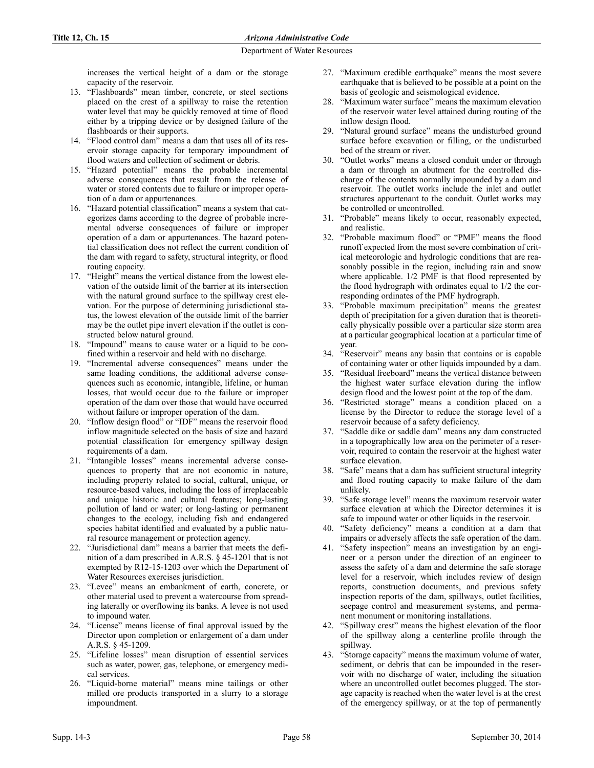increases the vertical height of a dam or the storage capacity of the reservoir.

- 13. "Flashboards" mean timber, concrete, or steel sections placed on the crest of a spillway to raise the retention water level that may be quickly removed at time of flood either by a tripping device or by designed failure of the flashboards or their supports.
- 14. "Flood control dam" means a dam that uses all of its reservoir storage capacity for temporary impoundment of flood waters and collection of sediment or debris.
- 15. "Hazard potential" means the probable incremental adverse consequences that result from the release of water or stored contents due to failure or improper operation of a dam or appurtenances.
- 16. "Hazard potential classification" means a system that categorizes dams according to the degree of probable incremental adverse consequences of failure or improper operation of a dam or appurtenances. The hazard potential classification does not reflect the current condition of the dam with regard to safety, structural integrity, or flood routing capacity.
- 17. "Height" means the vertical distance from the lowest elevation of the outside limit of the barrier at its intersection with the natural ground surface to the spillway crest elevation. For the purpose of determining jurisdictional status, the lowest elevation of the outside limit of the barrier may be the outlet pipe invert elevation if the outlet is constructed below natural ground.
- 18. "Impound" means to cause water or a liquid to be confined within a reservoir and held with no discharge.
- 19. "Incremental adverse consequences" means under the same loading conditions, the additional adverse consequences such as economic, intangible, lifeline, or human losses, that would occur due to the failure or improper operation of the dam over those that would have occurred without failure or improper operation of the dam.
- 20. "Inflow design flood" or "IDF" means the reservoir flood inflow magnitude selected on the basis of size and hazard potential classification for emergency spillway design requirements of a dam.
- 21. "Intangible losses" means incremental adverse consequences to property that are not economic in nature, including property related to social, cultural, unique, or resource-based values, including the loss of irreplaceable and unique historic and cultural features; long-lasting pollution of land or water; or long-lasting or permanent changes to the ecology, including fish and endangered species habitat identified and evaluated by a public natural resource management or protection agency.
- 22. "Jurisdictional dam" means a barrier that meets the definition of a dam prescribed in A.R.S. § 45-1201 that is not exempted by R12-15-1203 over which the Department of Water Resources exercises jurisdiction.
- 23. "Levee" means an embankment of earth, concrete, or other material used to prevent a watercourse from spreading laterally or overflowing its banks. A levee is not used to impound water.
- 24. "License" means license of final approval issued by the Director upon completion or enlargement of a dam under A.R.S. § 45-1209.
- 25. "Lifeline losses" mean disruption of essential services such as water, power, gas, telephone, or emergency medical services.
- 26. "Liquid-borne material" means mine tailings or other milled ore products transported in a slurry to a storage impoundment.
- 27. "Maximum credible earthquake" means the most severe earthquake that is believed to be possible at a point on the basis of geologic and seismological evidence.
- 28. "Maximum water surface" means the maximum elevation of the reservoir water level attained during routing of the inflow design flood.
- 29. "Natural ground surface" means the undisturbed ground surface before excavation or filling, or the undisturbed bed of the stream or river.
- 30. "Outlet works" means a closed conduit under or through a dam or through an abutment for the controlled discharge of the contents normally impounded by a dam and reservoir. The outlet works include the inlet and outlet structures appurtenant to the conduit. Outlet works may be controlled or uncontrolled.
- 31. "Probable" means likely to occur, reasonably expected, and realistic.
- 32. "Probable maximum flood" or "PMF" means the flood runoff expected from the most severe combination of critical meteorologic and hydrologic conditions that are reasonably possible in the region, including rain and snow where applicable. 1/2 PMF is that flood represented by the flood hydrograph with ordinates equal to 1/2 the corresponding ordinates of the PMF hydrograph.
- 33. "Probable maximum precipitation" means the greatest depth of precipitation for a given duration that is theoretically physically possible over a particular size storm area at a particular geographical location at a particular time of year.
- 34. "Reservoir" means any basin that contains or is capable of containing water or other liquids impounded by a dam.
- 35. "Residual freeboard" means the vertical distance between the highest water surface elevation during the inflow design flood and the lowest point at the top of the dam.
- 36. "Restricted storage" means a condition placed on a license by the Director to reduce the storage level of a reservoir because of a safety deficiency.
- 37. "Saddle dike or saddle dam" means any dam constructed in a topographically low area on the perimeter of a reservoir, required to contain the reservoir at the highest water surface elevation.
- 38. "Safe" means that a dam has sufficient structural integrity and flood routing capacity to make failure of the dam unlikely.
- 39. "Safe storage level" means the maximum reservoir water surface elevation at which the Director determines it is safe to impound water or other liquids in the reservoir.
- 40. "Safety deficiency" means a condition at a dam that impairs or adversely affects the safe operation of the dam.
- 41. "Safety inspection" means an investigation by an engineer or a person under the direction of an engineer to assess the safety of a dam and determine the safe storage level for a reservoir, which includes review of design reports, construction documents, and previous safety inspection reports of the dam, spillways, outlet facilities, seepage control and measurement systems, and permanent monument or monitoring installations.
- 42. "Spillway crest" means the highest elevation of the floor of the spillway along a centerline profile through the spillway.
- 43. "Storage capacity" means the maximum volume of water, sediment, or debris that can be impounded in the reservoir with no discharge of water, including the situation where an uncontrolled outlet becomes plugged. The storage capacity is reached when the water level is at the crest of the emergency spillway, or at the top of permanently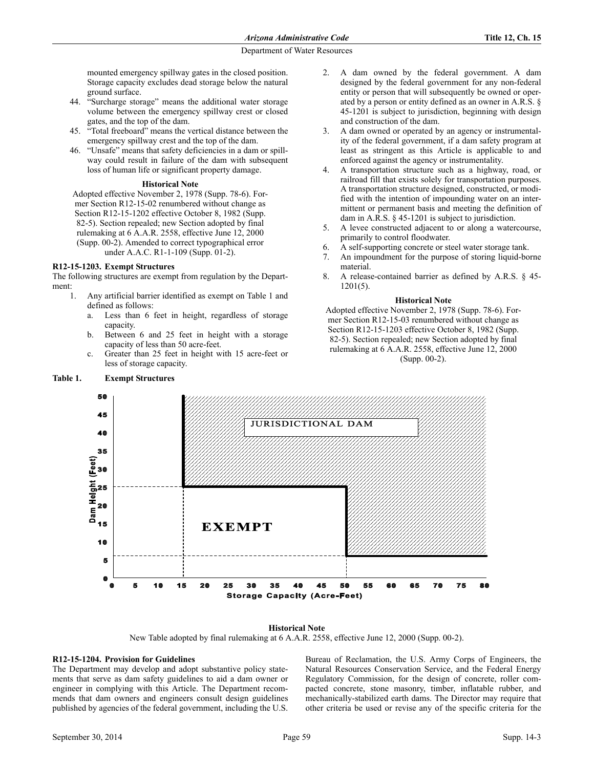mounted emergency spillway gates in the closed position. Storage capacity excludes dead storage below the natural ground surface.

- 44. "Surcharge storage" means the additional water storage volume between the emergency spillway crest or closed gates, and the top of the dam.
- 45. "Total freeboard" means the vertical distance between the emergency spillway crest and the top of the dam.
- 46. "Unsafe" means that safety deficiencies in a dam or spillway could result in failure of the dam with subsequent loss of human life or significant property damage.

### **Historical Note**

Adopted effective November 2, 1978 (Supp. 78-6). Former Section R12-15-02 renumbered without change as Section R12-15-1202 effective October 8, 1982 (Supp. 82-5). Section repealed; new Section adopted by final rulemaking at 6 A.A.R. 2558, effective June 12, 2000 (Supp. 00-2). Amended to correct typographical error under A.A.C. R1-1-109 (Supp. 01-2).

### **R12-15-1203. Exempt Structures**

The following structures are exempt from regulation by the Department:

- 1. Any artificial barrier identified as exempt on Table 1 and defined as follows:
	- a. Less than 6 feet in height, regardless of storage capacity.
	- b. Between 6 and 25 feet in height with a storage capacity of less than 50 acre-feet.
	- c. Greater than 25 feet in height with 15 acre-feet or less of storage capacity.

### **Table 1. Exempt Structures**

- 2. A dam owned by the federal government. A dam designed by the federal government for any non-federal entity or person that will subsequently be owned or operated by a person or entity defined as an owner in A.R.S. § 45-1201 is subject to jurisdiction, beginning with design and construction of the dam.
- 3. A dam owned or operated by an agency or instrumentality of the federal government, if a dam safety program at least as stringent as this Article is applicable to and enforced against the agency or instrumentality.
- 4. A transportation structure such as a highway, road, or railroad fill that exists solely for transportation purposes. A transportation structure designed, constructed, or modified with the intention of impounding water on an intermittent or permanent basis and meeting the definition of dam in A.R.S. § 45-1201 is subject to jurisdiction.
- 5. A levee constructed adjacent to or along a watercourse, primarily to control floodwater.
- 6. A self-supporting concrete or steel water storage tank.
- 7. An impoundment for the purpose of storing liquid-borne material.
- 8. A release-contained barrier as defined by A.R.S. § 45- 1201(5).

#### **Historical Note**

Adopted effective November 2, 1978 (Supp. 78-6). Former Section R12-15-03 renumbered without change as Section R12-15-1203 effective October 8, 1982 (Supp. 82-5). Section repealed; new Section adopted by final rulemaking at 6 A.A.R. 2558, effective June 12, 2000 (Supp. 00-2).



#### **Historical Note**

New Table adopted by final rulemaking at 6 A.A.R. 2558, effective June 12, 2000 (Supp. 00-2).

### **R12-15-1204. Provision for Guidelines**

The Department may develop and adopt substantive policy statements that serve as dam safety guidelines to aid a dam owner or engineer in complying with this Article. The Department recommends that dam owners and engineers consult design guidelines published by agencies of the federal government, including the U.S.

Bureau of Reclamation, the U.S. Army Corps of Engineers, the Natural Resources Conservation Service, and the Federal Energy Regulatory Commission, for the design of concrete, roller compacted concrete, stone masonry, timber, inflatable rubber, and mechanically-stabilized earth dams. The Director may require that other criteria be used or revise any of the specific criteria for the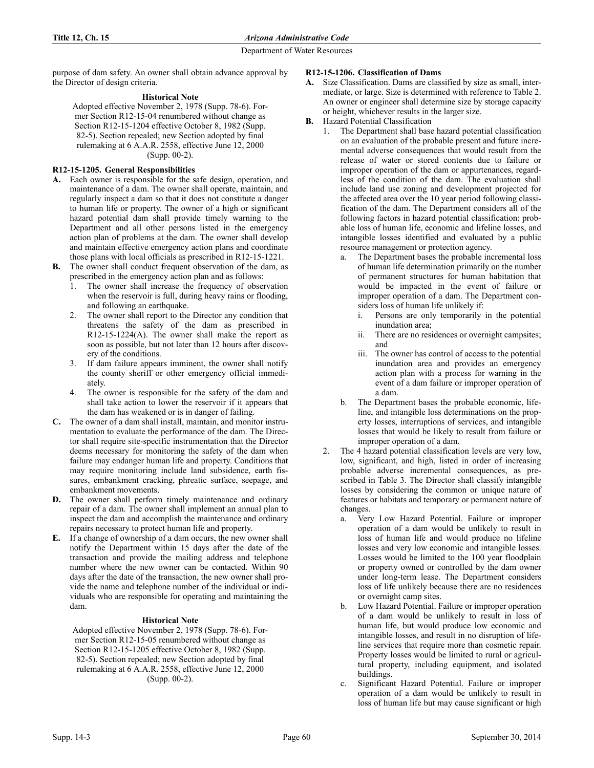purpose of dam safety. An owner shall obtain advance approval by the Director of design criteria.

# **Historical Note**

Adopted effective November 2, 1978 (Supp. 78-6). Former Section R12-15-04 renumbered without change as Section R12-15-1204 effective October 8, 1982 (Supp. 82-5). Section repealed; new Section adopted by final rulemaking at 6 A.A.R. 2558, effective June 12, 2000 (Supp. 00-2).

# **R12-15-1205. General Responsibilities**

- **A.** Each owner is responsible for the safe design, operation, and maintenance of a dam. The owner shall operate, maintain, and regularly inspect a dam so that it does not constitute a danger to human life or property. The owner of a high or significant hazard potential dam shall provide timely warning to the Department and all other persons listed in the emergency action plan of problems at the dam. The owner shall develop and maintain effective emergency action plans and coordinate those plans with local officials as prescribed in R12-15-1221.
- **B.** The owner shall conduct frequent observation of the dam, as prescribed in the emergency action plan and as follows:
	- The owner shall increase the frequency of observation when the reservoir is full, during heavy rains or flooding, and following an earthquake.
	- 2. The owner shall report to the Director any condition that threatens the safety of the dam as prescribed in  $R12-15-1224(A)$ . The owner shall make the report as soon as possible, but not later than 12 hours after discovery of the conditions.
	- 3. If dam failure appears imminent, the owner shall notify the county sheriff or other emergency official immediately.
	- 4. The owner is responsible for the safety of the dam and shall take action to lower the reservoir if it appears that the dam has weakened or is in danger of failing.
- **C.** The owner of a dam shall install, maintain, and monitor instrumentation to evaluate the performance of the dam. The Director shall require site-specific instrumentation that the Director deems necessary for monitoring the safety of the dam when failure may endanger human life and property. Conditions that may require monitoring include land subsidence, earth fissures, embankment cracking, phreatic surface, seepage, and embankment movements.
- **D.** The owner shall perform timely maintenance and ordinary repair of a dam. The owner shall implement an annual plan to inspect the dam and accomplish the maintenance and ordinary repairs necessary to protect human life and property.
- **E.** If a change of ownership of a dam occurs, the new owner shall notify the Department within 15 days after the date of the transaction and provide the mailing address and telephone number where the new owner can be contacted. Within 90 days after the date of the transaction, the new owner shall provide the name and telephone number of the individual or individuals who are responsible for operating and maintaining the dam.

### **Historical Note**

Adopted effective November 2, 1978 (Supp. 78-6). Former Section R12-15-05 renumbered without change as Section R12-15-1205 effective October 8, 1982 (Supp. 82-5). Section repealed; new Section adopted by final rulemaking at 6 A.A.R. 2558, effective June 12, 2000 (Supp. 00-2).

# **R12-15-1206. Classification of Dams**

- **A.** Size Classification. Dams are classified by size as small, intermediate, or large. Size is determined with reference to Table 2. An owner or engineer shall determine size by storage capacity or height, whichever results in the larger size.
- **B.** Hazard Potential Classification
	- 1. The Department shall base hazard potential classification on an evaluation of the probable present and future incremental adverse consequences that would result from the release of water or stored contents due to failure or improper operation of the dam or appurtenances, regardless of the condition of the dam. The evaluation shall include land use zoning and development projected for the affected area over the 10 year period following classification of the dam. The Department considers all of the following factors in hazard potential classification: probable loss of human life, economic and lifeline losses, and intangible losses identified and evaluated by a public resource management or protection agency.
		- a. The Department bases the probable incremental loss of human life determination primarily on the number of permanent structures for human habitation that would be impacted in the event of failure or improper operation of a dam. The Department considers loss of human life unlikely if:
			- i. Persons are only temporarily in the potential inundation area;
			- ii. There are no residences or overnight campsites; and
			- iii. The owner has control of access to the potential inundation area and provides an emergency action plan with a process for warning in the event of a dam failure or improper operation of a dam.
		- b. The Department bases the probable economic, lifeline, and intangible loss determinations on the property losses, interruptions of services, and intangible losses that would be likely to result from failure or improper operation of a dam.
	- 2. The 4 hazard potential classification levels are very low, low, significant, and high, listed in order of increasing probable adverse incremental consequences, as prescribed in Table 3. The Director shall classify intangible losses by considering the common or unique nature of features or habitats and temporary or permanent nature of changes.
		- a. Very Low Hazard Potential. Failure or improper operation of a dam would be unlikely to result in loss of human life and would produce no lifeline losses and very low economic and intangible losses. Losses would be limited to the 100 year floodplain or property owned or controlled by the dam owner under long-term lease. The Department considers loss of life unlikely because there are no residences or overnight camp sites.
		- b. Low Hazard Potential. Failure or improper operation of a dam would be unlikely to result in loss of human life, but would produce low economic and intangible losses, and result in no disruption of lifeline services that require more than cosmetic repair. Property losses would be limited to rural or agricultural property, including equipment, and isolated buildings.
		- c. Significant Hazard Potential. Failure or improper operation of a dam would be unlikely to result in loss of human life but may cause significant or high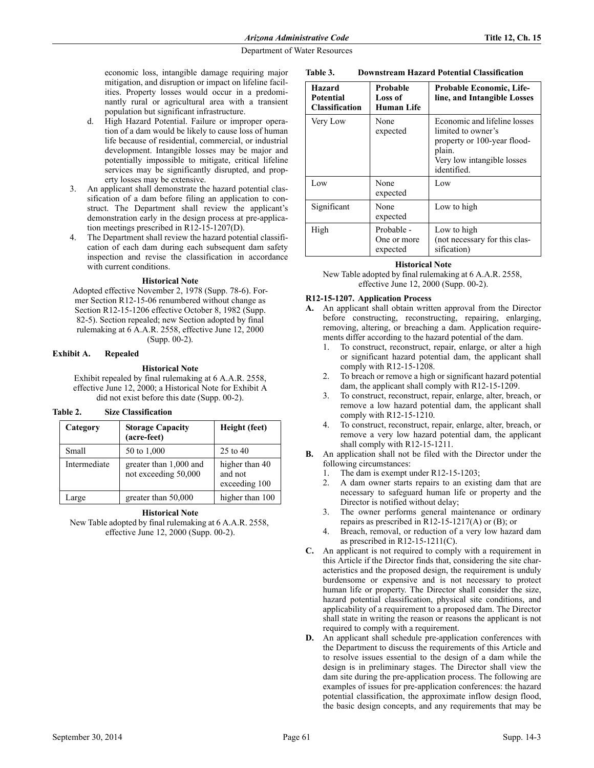economic loss, intangible damage requiring major mitigation, and disruption or impact on lifeline facilities. Property losses would occur in a predominantly rural or agricultural area with a transient population but significant infrastructure.

- High Hazard Potential. Failure or improper operation of a dam would be likely to cause loss of human life because of residential, commercial, or industrial development. Intangible losses may be major and potentially impossible to mitigate, critical lifeline services may be significantly disrupted, and property losses may be extensive.
- 3. An applicant shall demonstrate the hazard potential classification of a dam before filing an application to construct. The Department shall review the applicant's demonstration early in the design process at pre-application meetings prescribed in R12-15-1207(D).
- The Department shall review the hazard potential classification of each dam during each subsequent dam safety inspection and revise the classification in accordance with current conditions.

### **Historical Note**

Adopted effective November 2, 1978 (Supp. 78-6). Former Section R12-15-06 renumbered without change as Section R12-15-1206 effective October 8, 1982 (Supp. 82-5). Section repealed; new Section adopted by final rulemaking at 6 A.A.R. 2558, effective June 12, 2000 (Supp. 00-2).

# **Exhibit A. Repealed**

**Historical Note**

Exhibit repealed by final rulemaking at 6 A.A.R. 2558, effective June 12, 2000; a Historical Note for Exhibit A did not exist before this date (Supp. 00-2).

## **Table 2. Size Classification**

| Category     | <b>Storage Capacity</b><br>(acre-feet)         | Height (feet)                              |
|--------------|------------------------------------------------|--------------------------------------------|
| Small        | 50 to 1,000                                    | $25$ to $40$                               |
| Intermediate | greater than 1,000 and<br>not exceeding 50,000 | higher than 40<br>and not<br>exceeding 100 |
| Large        | greater than 50,000                            | higher than 100                            |

### **Historical Note**

New Table adopted by final rulemaking at 6 A.A.R. 2558, effective June 12, 2000 (Supp. 00-2).

| Table 3. |  | <b>Downstream Hazard Potential Classification</b> |
|----------|--|---------------------------------------------------|
|          |  |                                                   |

| <b>Hazard</b><br><b>Potential</b><br><b>Classification</b> | Probable<br>Loss of<br>Human Life     | <b>Probable Economic, Life-</b><br>line, and Intangible Losses                                                                           |
|------------------------------------------------------------|---------------------------------------|------------------------------------------------------------------------------------------------------------------------------------------|
| Very Low                                                   | None<br>expected                      | Economic and lifeline losses<br>limited to owner's<br>property or 100-year flood-<br>plain.<br>Very low intangible losses<br>identified. |
| Low                                                        | None<br>expected                      | Low                                                                                                                                      |
| Significant                                                | None<br>expected                      | Low to high                                                                                                                              |
| High                                                       | Probable -<br>One or more<br>expected | Low to high<br>(not necessary for this clas-<br>sification)                                                                              |

### **Historical Note**

New Table adopted by final rulemaking at 6 A.A.R. 2558, effective June 12, 2000 (Supp. 00-2).

#### **R12-15-1207. Application Process**

- **A.** An applicant shall obtain written approval from the Director before constructing, reconstructing, repairing, enlarging, removing, altering, or breaching a dam. Application requirements differ according to the hazard potential of the dam.
	- 1. To construct, reconstruct, repair, enlarge, or alter a high or significant hazard potential dam, the applicant shall comply with R12-15-1208.
	- 2. To breach or remove a high or significant hazard potential dam, the applicant shall comply with R12-15-1209.
	- 3. To construct, reconstruct, repair, enlarge, alter, breach, or remove a low hazard potential dam, the applicant shall comply with R12-15-1210.
	- 4. To construct, reconstruct, repair, enlarge, alter, breach, or remove a very low hazard potential dam, the applicant shall comply with R12-15-1211.
- **B.** An application shall not be filed with the Director under the following circumstances:
	- 1. The dam is exempt under R12-15-1203;
	- 2. A dam owner starts repairs to an existing dam that are necessary to safeguard human life or property and the Director is notified without delay;
	- 3. The owner performs general maintenance or ordinary repairs as prescribed in R12-15-1217(A) or (B); or
	- Breach, removal, or reduction of a very low hazard dam as prescribed in R12-15-1211(C).
- **C.** An applicant is not required to comply with a requirement in this Article if the Director finds that, considering the site characteristics and the proposed design, the requirement is unduly burdensome or expensive and is not necessary to protect human life or property. The Director shall consider the size, hazard potential classification, physical site conditions, and applicability of a requirement to a proposed dam. The Director shall state in writing the reason or reasons the applicant is not required to comply with a requirement.
- **D.** An applicant shall schedule pre-application conferences with the Department to discuss the requirements of this Article and to resolve issues essential to the design of a dam while the design is in preliminary stages. The Director shall view the dam site during the pre-application process. The following are examples of issues for pre-application conferences: the hazard potential classification, the approximate inflow design flood, the basic design concepts, and any requirements that may be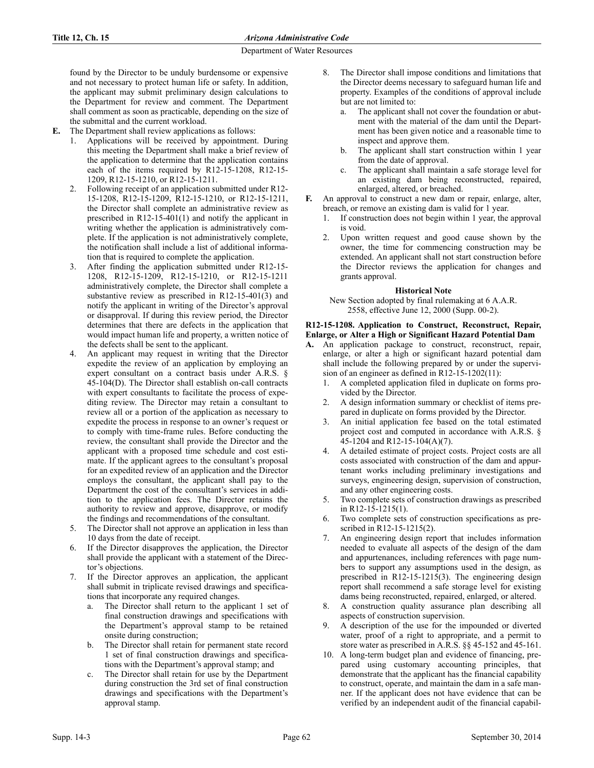found by the Director to be unduly burdensome or expensive and not necessary to protect human life or safety. In addition, the applicant may submit preliminary design calculations to the Department for review and comment. The Department shall comment as soon as practicable, depending on the size of the submittal and the current workload.

**E.** The Department shall review applications as follows:

- 1. Applications will be received by appointment. During this meeting the Department shall make a brief review of the application to determine that the application contains each of the items required by R12-15-1208, R12-15- 1209, R12-15-1210, or R12-15-1211.
- 2. Following receipt of an application submitted under R12- 15-1208, R12-15-1209, R12-15-1210, or R12-15-1211, the Director shall complete an administrative review as prescribed in R12-15-401(1) and notify the applicant in writing whether the application is administratively complete. If the application is not administratively complete, the notification shall include a list of additional information that is required to complete the application.
- 3. After finding the application submitted under R12-15- 1208, R12-15-1209, R12-15-1210, or R12-15-1211 administratively complete, the Director shall complete a substantive review as prescribed in R12-15-401(3) and notify the applicant in writing of the Director's approval or disapproval. If during this review period, the Director determines that there are defects in the application that would impact human life and property, a written notice of the defects shall be sent to the applicant.
- An applicant may request in writing that the Director expedite the review of an application by employing an expert consultant on a contract basis under A.R.S. § 45-104(D). The Director shall establish on-call contracts with expert consultants to facilitate the process of expediting review. The Director may retain a consultant to review all or a portion of the application as necessary to expedite the process in response to an owner's request or to comply with time-frame rules. Before conducting the review, the consultant shall provide the Director and the applicant with a proposed time schedule and cost estimate. If the applicant agrees to the consultant's proposal for an expedited review of an application and the Director employs the consultant, the applicant shall pay to the Department the cost of the consultant's services in addition to the application fees. The Director retains the authority to review and approve, disapprove, or modify the findings and recommendations of the consultant.
- 5. The Director shall not approve an application in less than 10 days from the date of receipt.
- If the Director disapproves the application, the Director shall provide the applicant with a statement of the Director's objections.
- 7. If the Director approves an application, the applicant shall submit in triplicate revised drawings and specifications that incorporate any required changes.
	- a. The Director shall return to the applicant 1 set of final construction drawings and specifications with the Department's approval stamp to be retained onsite during construction;
	- b. The Director shall retain for permanent state record 1 set of final construction drawings and specifications with the Department's approval stamp; and
	- c. The Director shall retain for use by the Department during construction the 3rd set of final construction drawings and specifications with the Department's approval stamp.
- 8. The Director shall impose conditions and limitations that the Director deems necessary to safeguard human life and property. Examples of the conditions of approval include but are not limited to:
	- a. The applicant shall not cover the foundation or abutment with the material of the dam until the Department has been given notice and a reasonable time to inspect and approve them.
	- b. The applicant shall start construction within 1 year from the date of approval.
	- c. The applicant shall maintain a safe storage level for an existing dam being reconstructed, repaired, enlarged, altered, or breached.
- **F.** An approval to construct a new dam or repair, enlarge, alter, breach, or remove an existing dam is valid for 1 year.
	- 1. If construction does not begin within 1 year, the approval is void.
	- 2. Upon written request and good cause shown by the owner, the time for commencing construction may be extended. An applicant shall not start construction before the Director reviews the application for changes and grants approval.

## **Historical Note**

New Section adopted by final rulemaking at 6 A.A.R. 2558, effective June 12, 2000 (Supp. 00-2).

## **R12-15-1208. Application to Construct, Reconstruct, Repair, Enlarge, or Alter a High or Significant Hazard Potential Dam**

- **A.** An application package to construct, reconstruct, repair, enlarge, or alter a high or significant hazard potential dam shall include the following prepared by or under the supervision of an engineer as defined in R12-15-1202(11):
	- 1. A completed application filed in duplicate on forms provided by the Director.
	- 2. A design information summary or checklist of items prepared in duplicate on forms provided by the Director.
	- An initial application fee based on the total estimated project cost and computed in accordance with A.R.S. § 45-1204 and R12-15-104(A)(7).
	- 4. A detailed estimate of project costs. Project costs are all costs associated with construction of the dam and appurtenant works including preliminary investigations and surveys, engineering design, supervision of construction, and any other engineering costs.
	- 5. Two complete sets of construction drawings as prescribed in R12-15-1215(1).
	- 6. Two complete sets of construction specifications as prescribed in R12-15-1215(2).
	- 7. An engineering design report that includes information needed to evaluate all aspects of the design of the dam and appurtenances, including references with page numbers to support any assumptions used in the design, as prescribed in R12-15-1215(3). The engineering design report shall recommend a safe storage level for existing dams being reconstructed, repaired, enlarged, or altered.
	- 8. A construction quality assurance plan describing all aspects of construction supervision.
	- 9. A description of the use for the impounded or diverted water, proof of a right to appropriate, and a permit to store water as prescribed in A.R.S. §§ 45-152 and 45-161.
	- 10. A long-term budget plan and evidence of financing, prepared using customary accounting principles, that demonstrate that the applicant has the financial capability to construct, operate, and maintain the dam in a safe manner. If the applicant does not have evidence that can be verified by an independent audit of the financial capabil-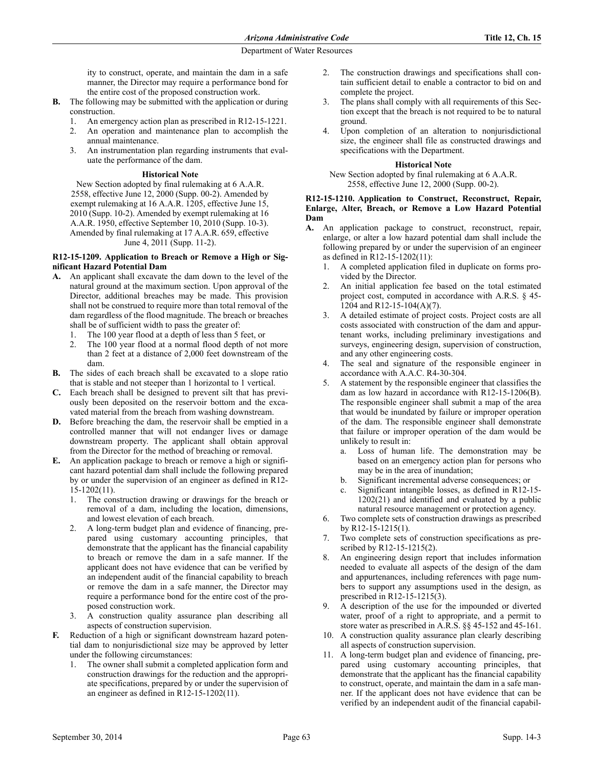ity to construct, operate, and maintain the dam in a safe manner, the Director may require a performance bond for the entire cost of the proposed construction work.

- **B.** The following may be submitted with the application or during construction.
	- An emergency action plan as prescribed in R12-15-1221.
	- 2. An operation and maintenance plan to accomplish the annual maintenance.
	- 3. An instrumentation plan regarding instruments that evaluate the performance of the dam.

### **Historical Note**

New Section adopted by final rulemaking at 6 A.A.R. 2558, effective June 12, 2000 (Supp. 00-2). Amended by exempt rulemaking at 16 A.A.R. 1205, effective June 15, 2010 (Supp. 10-2). Amended by exempt rulemaking at 16 A.A.R. 1950, effective September 10, 2010 (Supp. 10-3). Amended by final rulemaking at 17 A.A.R. 659, effective June 4, 2011 (Supp. 11-2).

### **R12-15-1209. Application to Breach or Remove a High or Significant Hazard Potential Dam**

- **A.** An applicant shall excavate the dam down to the level of the natural ground at the maximum section. Upon approval of the Director, additional breaches may be made. This provision shall not be construed to require more than total removal of the dam regardless of the flood magnitude. The breach or breaches shall be of sufficient width to pass the greater of:
	- 1. The 100 year flood at a depth of less than 5 feet, or
	- 2. The 100 year flood at a normal flood depth of not more than 2 feet at a distance of 2,000 feet downstream of the dam.
- **B.** The sides of each breach shall be excavated to a slope ratio that is stable and not steeper than 1 horizontal to 1 vertical.
- **C.** Each breach shall be designed to prevent silt that has previously been deposited on the reservoir bottom and the excavated material from the breach from washing downstream.
- **D.** Before breaching the dam, the reservoir shall be emptied in a controlled manner that will not endanger lives or damage downstream property. The applicant shall obtain approval from the Director for the method of breaching or removal.
- **E.** An application package to breach or remove a high or significant hazard potential dam shall include the following prepared by or under the supervision of an engineer as defined in R12- 15-1202(11).
	- 1. The construction drawing or drawings for the breach or removal of a dam, including the location, dimensions, and lowest elevation of each breach.
	- 2. A long-term budget plan and evidence of financing, prepared using customary accounting principles, that demonstrate that the applicant has the financial capability to breach or remove the dam in a safe manner. If the applicant does not have evidence that can be verified by an independent audit of the financial capability to breach or remove the dam in a safe manner, the Director may require a performance bond for the entire cost of the proposed construction work.
	- 3. A construction quality assurance plan describing all aspects of construction supervision.
- **F.** Reduction of a high or significant downstream hazard potential dam to nonjurisdictional size may be approved by letter under the following circumstances:
	- 1. The owner shall submit a completed application form and construction drawings for the reduction and the appropriate specifications, prepared by or under the supervision of an engineer as defined in R12-15-1202(11).
- 2. The construction drawings and specifications shall contain sufficient detail to enable a contractor to bid on and complete the project.
- 3. The plans shall comply with all requirements of this Section except that the breach is not required to be to natural ground.
- 4. Upon completion of an alteration to nonjurisdictional size, the engineer shall file as constructed drawings and specifications with the Department.

## **Historical Note**

New Section adopted by final rulemaking at 6 A.A.R. 2558, effective June 12, 2000 (Supp. 00-2).

### **R12-15-1210. Application to Construct, Reconstruct, Repair, Enlarge, Alter, Breach, or Remove a Low Hazard Potential Dam**

- **A.** An application package to construct, reconstruct, repair, enlarge, or alter a low hazard potential dam shall include the following prepared by or under the supervision of an engineer as defined in R12-15-1202(11):
	- 1. A completed application filed in duplicate on forms provided by the Director.
	- 2. An initial application fee based on the total estimated project cost, computed in accordance with A.R.S. § 45- 1204 and R12-15-104(A)(7).
	- 3. A detailed estimate of project costs. Project costs are all costs associated with construction of the dam and appurtenant works, including preliminary investigations and surveys, engineering design, supervision of construction, and any other engineering costs.
	- 4. The seal and signature of the responsible engineer in accordance with A.A.C. R4-30-304.
	- 5. A statement by the responsible engineer that classifies the dam as low hazard in accordance with R12-15-1206(B). The responsible engineer shall submit a map of the area that would be inundated by failure or improper operation of the dam. The responsible engineer shall demonstrate that failure or improper operation of the dam would be unlikely to result in:
		- a. Loss of human life. The demonstration may be based on an emergency action plan for persons who may be in the area of inundation;
		- b. Significant incremental adverse consequences; or
		- c. Significant intangible losses, as defined in R12-15- 1202(21) and identified and evaluated by a public natural resource management or protection agency.
	- 6. Two complete sets of construction drawings as prescribed by R12-15-1215(1).
	- 7. Two complete sets of construction specifications as prescribed by R12-15-1215(2).
	- An engineering design report that includes information needed to evaluate all aspects of the design of the dam and appurtenances, including references with page numbers to support any assumptions used in the design, as prescribed in R12-15-1215(3).
	- 9. A description of the use for the impounded or diverted water, proof of a right to appropriate, and a permit to store water as prescribed in A.R.S. §§ 45-152 and 45-161.
	- 10. A construction quality assurance plan clearly describing all aspects of construction supervision.
	- 11. A long-term budget plan and evidence of financing, prepared using customary accounting principles, that demonstrate that the applicant has the financial capability to construct, operate, and maintain the dam in a safe manner. If the applicant does not have evidence that can be verified by an independent audit of the financial capabil-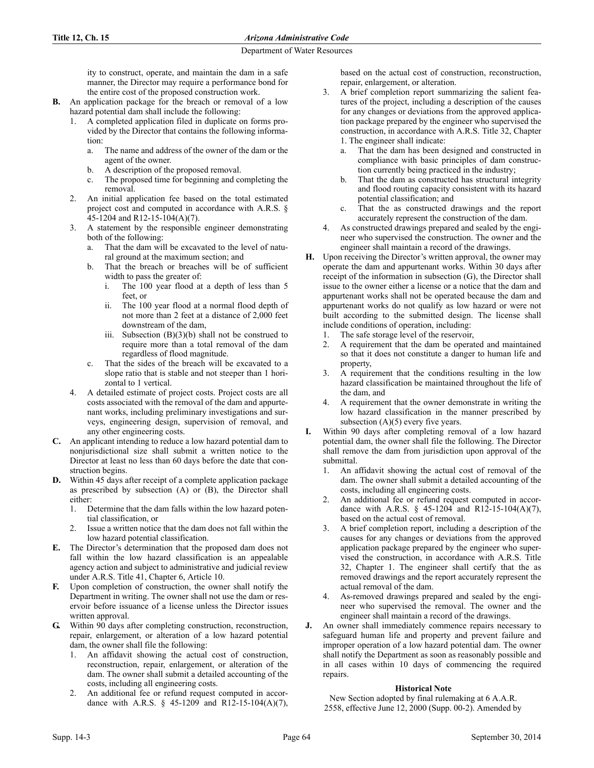ity to construct, operate, and maintain the dam in a safe manner, the Director may require a performance bond for the entire cost of the proposed construction work.

- **B.** An application package for the breach or removal of a low hazard potential dam shall include the following:
	- 1. A completed application filed in duplicate on forms provided by the Director that contains the following information:
		- a. The name and address of the owner of the dam or the agent of the owner.
		- b. A description of the proposed removal.
		- c. The proposed time for beginning and completing the removal.
	- 2. An initial application fee based on the total estimated project cost and computed in accordance with A.R.S. § 45-1204 and R12-15-104(A)(7).
	- 3. A statement by the responsible engineer demonstrating both of the following:
		- a. That the dam will be excavated to the level of natural ground at the maximum section; and
		- b. That the breach or breaches will be of sufficient width to pass the greater of:
			- i. The 100 year flood at a depth of less than 5 feet, or
			- ii. The 100 year flood at a normal flood depth of not more than 2 feet at a distance of 2,000 feet downstream of the dam,
			- iii. Subsection  $(B)(3)(b)$  shall not be construed to require more than a total removal of the dam regardless of flood magnitude.
		- c. That the sides of the breach will be excavated to a slope ratio that is stable and not steeper than 1 horizontal to 1 vertical.
	- 4. A detailed estimate of project costs. Project costs are all costs associated with the removal of the dam and appurtenant works, including preliminary investigations and surveys, engineering design, supervision of removal, and any other engineering costs.
- **C.** An applicant intending to reduce a low hazard potential dam to nonjurisdictional size shall submit a written notice to the Director at least no less than 60 days before the date that construction begins.
- **D.** Within 45 days after receipt of a complete application package as prescribed by subsection (A) or (B), the Director shall either:
	- 1. Determine that the dam falls within the low hazard potential classification, or
	- 2. Issue a written notice that the dam does not fall within the low hazard potential classification.
- **E.** The Director's determination that the proposed dam does not fall within the low hazard classification is an appealable agency action and subject to administrative and judicial review under A.R.S. Title 41, Chapter 6, Article 10.
- **F.** Upon completion of construction, the owner shall notify the Department in writing. The owner shall not use the dam or reservoir before issuance of a license unless the Director issues written approval.
- **G.** Within 90 days after completing construction, reconstruction, repair, enlargement, or alteration of a low hazard potential dam, the owner shall file the following:
	- 1. An affidavit showing the actual cost of construction, reconstruction, repair, enlargement, or alteration of the dam. The owner shall submit a detailed accounting of the costs, including all engineering costs.
	- 2. An additional fee or refund request computed in accordance with A.R.S. § 45-1209 and R12-15-104(A)(7),

based on the actual cost of construction, reconstruction, repair, enlargement, or alteration.

- 3. A brief completion report summarizing the salient features of the project, including a description of the causes for any changes or deviations from the approved application package prepared by the engineer who supervised the construction, in accordance with A.R.S. Title 32, Chapter 1. The engineer shall indicate:
	- a. That the dam has been designed and constructed in compliance with basic principles of dam construction currently being practiced in the industry;
	- b. That the dam as constructed has structural integrity and flood routing capacity consistent with its hazard potential classification; and
	- c. That the as constructed drawings and the report accurately represent the construction of the dam.
- As constructed drawings prepared and sealed by the engineer who supervised the construction. The owner and the engineer shall maintain a record of the drawings.
- **H.** Upon receiving the Director's written approval, the owner may operate the dam and appurtenant works. Within 30 days after receipt of the information in subsection (G), the Director shall issue to the owner either a license or a notice that the dam and appurtenant works shall not be operated because the dam and appurtenant works do not qualify as low hazard or were not built according to the submitted design. The license shall include conditions of operation, including:
	- 1. The safe storage level of the reservoir,
	- 2. A requirement that the dam be operated and maintained so that it does not constitute a danger to human life and property,
	- 3. A requirement that the conditions resulting in the low hazard classification be maintained throughout the life of the dam, and
	- 4. A requirement that the owner demonstrate in writing the low hazard classification in the manner prescribed by subsection  $(A)(5)$  every five years.
- **I.** Within 90 days after completing removal of a low hazard potential dam, the owner shall file the following. The Director shall remove the dam from jurisdiction upon approval of the submittal.
	- 1. An affidavit showing the actual cost of removal of the dam. The owner shall submit a detailed accounting of the costs, including all engineering costs.
	- 2. An additional fee or refund request computed in accordance with A.R.S. § 45-1204 and R12-15-104(A)(7), based on the actual cost of removal.
	- 3. A brief completion report, including a description of the causes for any changes or deviations from the approved application package prepared by the engineer who supervised the construction, in accordance with A.R.S. Title 32, Chapter 1. The engineer shall certify that the as removed drawings and the report accurately represent the actual removal of the dam.
	- 4. As-removed drawings prepared and sealed by the engineer who supervised the removal. The owner and the engineer shall maintain a record of the drawings.
- **J.** An owner shall immediately commence repairs necessary to safeguard human life and property and prevent failure and improper operation of a low hazard potential dam. The owner shall notify the Department as soon as reasonably possible and in all cases within 10 days of commencing the required repairs.

# **Historical Note**

New Section adopted by final rulemaking at 6 A.A.R. 2558, effective June 12, 2000 (Supp. 00-2). Amended by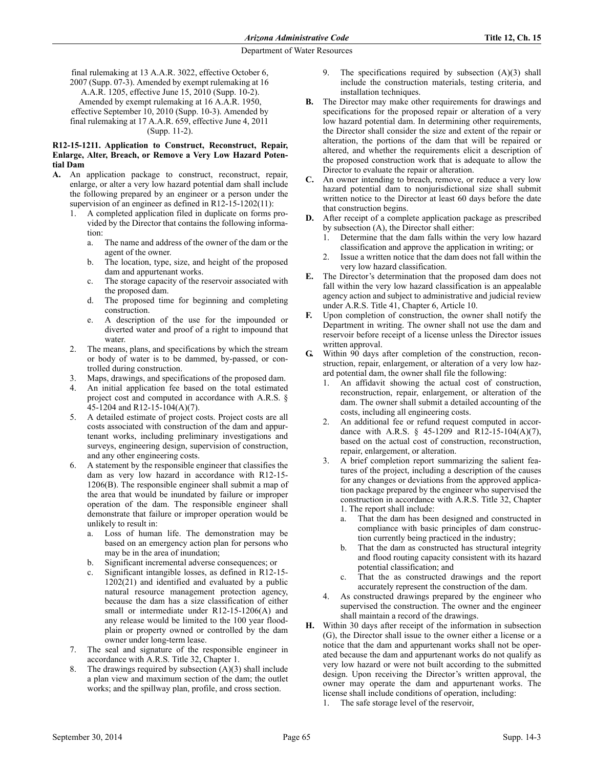final rulemaking at 13 A.A.R. 3022, effective October 6, 2007 (Supp. 07-3). Amended by exempt rulemaking at 16 A.A.R. 1205, effective June 15, 2010 (Supp. 10-2). Amended by exempt rulemaking at 16 A.A.R. 1950, effective September 10, 2010 (Supp. 10-3). Amended by final rulemaking at 17 A.A.R. 659, effective June 4, 2011 (Supp. 11-2).

### **R12-15-1211. Application to Construct, Reconstruct, Repair, Enlarge, Alter, Breach, or Remove a Very Low Hazard Potential Dam**

- **A.** An application package to construct, reconstruct, repair, enlarge, or alter a very low hazard potential dam shall include the following prepared by an engineer or a person under the supervision of an engineer as defined in R12-15-1202(11):
	- 1. A completed application filed in duplicate on forms provided by the Director that contains the following information:
		- a. The name and address of the owner of the dam or the agent of the owner.
		- b. The location, type, size, and height of the proposed dam and appurtenant works.
		- c. The storage capacity of the reservoir associated with the proposed dam.
		- d. The proposed time for beginning and completing construction.
		- e. A description of the use for the impounded or diverted water and proof of a right to impound that water.
	- 2. The means, plans, and specifications by which the stream or body of water is to be dammed, by-passed, or controlled during construction.
	- Maps, drawings, and specifications of the proposed dam.
	- 4. An initial application fee based on the total estimated project cost and computed in accordance with A.R.S. § 45-1204 and R12-15-104(A)(7).
	- 5. A detailed estimate of project costs. Project costs are all costs associated with construction of the dam and appurtenant works, including preliminary investigations and surveys, engineering design, supervision of construction, and any other engineering costs.
	- 6. A statement by the responsible engineer that classifies the dam as very low hazard in accordance with R12-15- 1206(B). The responsible engineer shall submit a map of the area that would be inundated by failure or improper operation of the dam. The responsible engineer shall demonstrate that failure or improper operation would be unlikely to result in:
		- a. Loss of human life. The demonstration may be based on an emergency action plan for persons who may be in the area of inundation;
		- b. Significant incremental adverse consequences; or
		- Significant intangible losses, as defined in R12-15-1202(21) and identified and evaluated by a public natural resource management protection agency, because the dam has a size classification of either small or intermediate under R12-15-1206(A) and any release would be limited to the 100 year floodplain or property owned or controlled by the dam owner under long-term lease.
	- 7. The seal and signature of the responsible engineer in accordance with A.R.S. Title 32, Chapter 1.
	- 8. The drawings required by subsection (A)(3) shall include a plan view and maximum section of the dam; the outlet works; and the spillway plan, profile, and cross section.
- 9. The specifications required by subsection (A)(3) shall include the construction materials, testing criteria, and installation techniques.
- **B.** The Director may make other requirements for drawings and specifications for the proposed repair or alteration of a very low hazard potential dam. In determining other requirements, the Director shall consider the size and extent of the repair or alteration, the portions of the dam that will be repaired or altered, and whether the requirements elicit a description of the proposed construction work that is adequate to allow the Director to evaluate the repair or alteration.
- **C.** An owner intending to breach, remove, or reduce a very low hazard potential dam to nonjurisdictional size shall submit written notice to the Director at least 60 days before the date that construction begins.
- **D.** After receipt of a complete application package as prescribed by subsection (A), the Director shall either:
	- 1. Determine that the dam falls within the very low hazard classification and approve the application in writing; or
	- 2. Issue a written notice that the dam does not fall within the very low hazard classification.
- **E.** The Director's determination that the proposed dam does not fall within the very low hazard classification is an appealable agency action and subject to administrative and judicial review under A.R.S. Title 41, Chapter 6, Article 10.
- **F.** Upon completion of construction, the owner shall notify the Department in writing. The owner shall not use the dam and reservoir before receipt of a license unless the Director issues written approval.
- **G.** Within 90 days after completion of the construction, reconstruction, repair, enlargement, or alteration of a very low hazard potential dam, the owner shall file the following:
	- An affidavit showing the actual cost of construction, reconstruction, repair, enlargement, or alteration of the dam. The owner shall submit a detailed accounting of the costs, including all engineering costs.
	- 2. An additional fee or refund request computed in accordance with A.R.S. § 45-1209 and R12-15-104(A)(7), based on the actual cost of construction, reconstruction, repair, enlargement, or alteration.
	- 3. A brief completion report summarizing the salient features of the project, including a description of the causes for any changes or deviations from the approved application package prepared by the engineer who supervised the construction in accordance with A.R.S. Title 32, Chapter 1. The report shall include:
		- a. That the dam has been designed and constructed in compliance with basic principles of dam construction currently being practiced in the industry;
		- b. That the dam as constructed has structural integrity and flood routing capacity consistent with its hazard potential classification; and
		- c. That the as constructed drawings and the report accurately represent the construction of the dam.
	- As constructed drawings prepared by the engineer who supervised the construction. The owner and the engineer shall maintain a record of the drawings.
- **H.** Within 30 days after receipt of the information in subsection (G), the Director shall issue to the owner either a license or a notice that the dam and appurtenant works shall not be operated because the dam and appurtenant works do not qualify as very low hazard or were not built according to the submitted design. Upon receiving the Director's written approval, the owner may operate the dam and appurtenant works. The license shall include conditions of operation, including:
	- The safe storage level of the reservoir,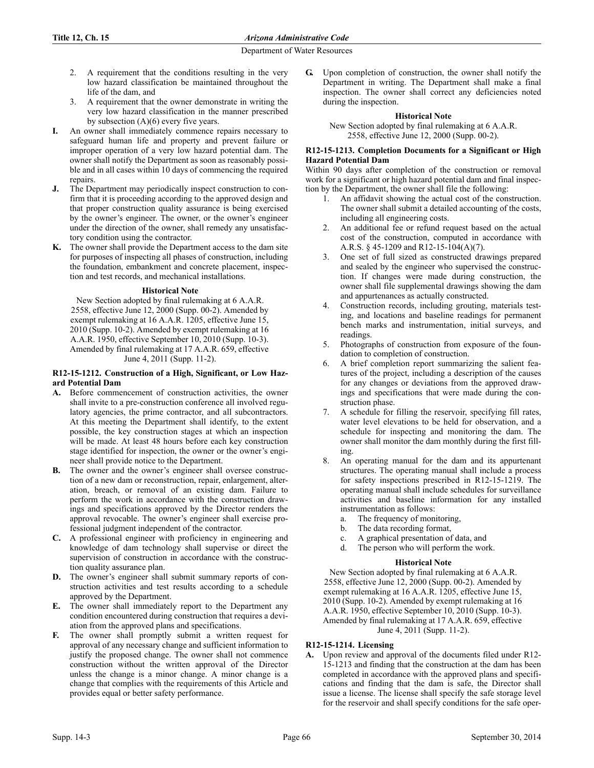- 2. A requirement that the conditions resulting in the very low hazard classification be maintained throughout the life of the dam, and
- 3. A requirement that the owner demonstrate in writing the very low hazard classification in the manner prescribed by subsection  $(A)(6)$  every five years.
- **I.** An owner shall immediately commence repairs necessary to safeguard human life and property and prevent failure or improper operation of a very low hazard potential dam. The owner shall notify the Department as soon as reasonably possible and in all cases within 10 days of commencing the required repairs.
- The Department may periodically inspect construction to confirm that it is proceeding according to the approved design and that proper construction quality assurance is being exercised by the owner's engineer. The owner, or the owner's engineer under the direction of the owner, shall remedy any unsatisfactory condition using the contractor.
- **K.** The owner shall provide the Department access to the dam site for purposes of inspecting all phases of construction, including the foundation, embankment and concrete placement, inspection and test records, and mechanical installations.

## **Historical Note**

New Section adopted by final rulemaking at 6 A.A.R. 2558, effective June 12, 2000 (Supp. 00-2). Amended by exempt rulemaking at 16 A.A.R. 1205, effective June 15, 2010 (Supp. 10-2). Amended by exempt rulemaking at 16 A.A.R. 1950, effective September 10, 2010 (Supp. 10-3). Amended by final rulemaking at 17 A.A.R. 659, effective June 4, 2011 (Supp. 11-2).

### **R12-15-1212. Construction of a High, Significant, or Low Hazard Potential Dam**

- **A.** Before commencement of construction activities, the owner shall invite to a pre-construction conference all involved regulatory agencies, the prime contractor, and all subcontractors. At this meeting the Department shall identify, to the extent possible, the key construction stages at which an inspection will be made. At least 48 hours before each key construction stage identified for inspection, the owner or the owner's engineer shall provide notice to the Department.
- **B.** The owner and the owner's engineer shall oversee construction of a new dam or reconstruction, repair, enlargement, alteration, breach, or removal of an existing dam. Failure to perform the work in accordance with the construction drawings and specifications approved by the Director renders the approval revocable. The owner's engineer shall exercise professional judgment independent of the contractor.
- **C.** A professional engineer with proficiency in engineering and knowledge of dam technology shall supervise or direct the supervision of construction in accordance with the construction quality assurance plan.
- **D.** The owner's engineer shall submit summary reports of construction activities and test results according to a schedule approved by the Department.
- **E.** The owner shall immediately report to the Department any condition encountered during construction that requires a deviation from the approved plans and specifications.
- **F.** The owner shall promptly submit a written request for approval of any necessary change and sufficient information to justify the proposed change. The owner shall not commence construction without the written approval of the Director unless the change is a minor change. A minor change is a change that complies with the requirements of this Article and provides equal or better safety performance.

**G.** Upon completion of construction, the owner shall notify the Department in writing. The Department shall make a final inspection. The owner shall correct any deficiencies noted during the inspection.

### **Historical Note**

New Section adopted by final rulemaking at 6 A.A.R. 2558, effective June 12, 2000 (Supp. 00-2).

### **R12-15-1213. Completion Documents for a Significant or High Hazard Potential Dam**

Within 90 days after completion of the construction or removal work for a significant or high hazard potential dam and final inspection by the Department, the owner shall file the following:

- 1. An affidavit showing the actual cost of the construction. The owner shall submit a detailed accounting of the costs, including all engineering costs.
- 2. An additional fee or refund request based on the actual cost of the construction, computed in accordance with A.R.S. § 45-1209 and R12-15-104(A)(7).
- 3. One set of full sized as constructed drawings prepared and sealed by the engineer who supervised the construction. If changes were made during construction, the owner shall file supplemental drawings showing the dam and appurtenances as actually constructed.
- Construction records, including grouting, materials testing, and locations and baseline readings for permanent bench marks and instrumentation, initial surveys, and readings.
- 5. Photographs of construction from exposure of the foundation to completion of construction.
- 6. A brief completion report summarizing the salient features of the project, including a description of the causes for any changes or deviations from the approved drawings and specifications that were made during the construction phase.
- 7. A schedule for filling the reservoir, specifying fill rates, water level elevations to be held for observation, and a schedule for inspecting and monitoring the dam. The owner shall monitor the dam monthly during the first filling.
- 8. An operating manual for the dam and its appurtenant structures. The operating manual shall include a process for safety inspections prescribed in R12-15-1219. The operating manual shall include schedules for surveillance activities and baseline information for any installed instrumentation as follows:
	- a. The frequency of monitoring,
	- b. The data recording format,
	- c. A graphical presentation of data, and
	- d. The person who will perform the work.

# **Historical Note**

New Section adopted by final rulemaking at 6 A.A.R. 2558, effective June 12, 2000 (Supp. 00-2). Amended by exempt rulemaking at 16 A.A.R. 1205, effective June 15, 2010 (Supp. 10-2). Amended by exempt rulemaking at 16 A.A.R. 1950, effective September 10, 2010 (Supp. 10-3). Amended by final rulemaking at 17 A.A.R. 659, effective June 4, 2011 (Supp. 11-2).

# **R12-15-1214. Licensing**

**A.** Upon review and approval of the documents filed under R12- 15-1213 and finding that the construction at the dam has been completed in accordance with the approved plans and specifications and finding that the dam is safe, the Director shall issue a license. The license shall specify the safe storage level for the reservoir and shall specify conditions for the safe oper-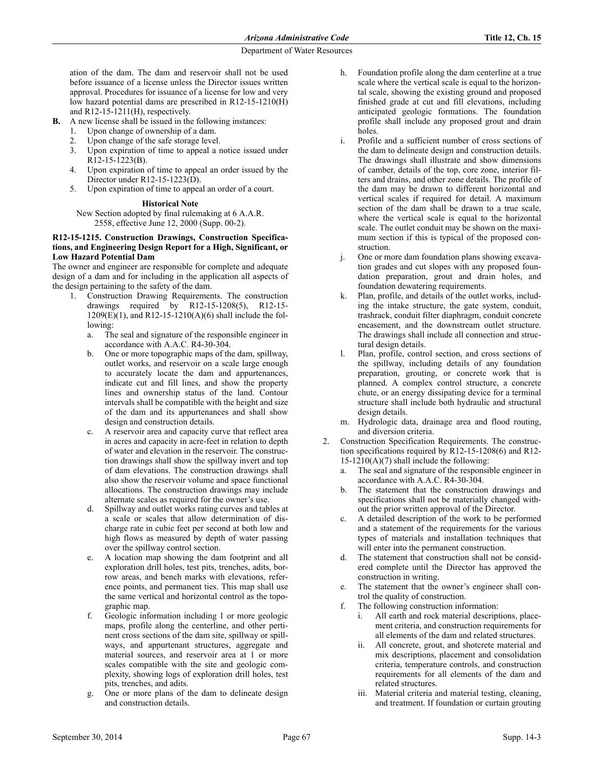ation of the dam. The dam and reservoir shall not be used before issuance of a license unless the Director issues written approval. Procedures for issuance of a license for low and very low hazard potential dams are prescribed in R12-15-1210(H) and R12-15-1211(H), respectively.

- **B.** A new license shall be issued in the following instances:
	- 1. Upon change of ownership of a dam.
	- 2. Upon change of the safe storage level.
	- 3. Upon expiration of time to appeal a notice issued under R12-15-1223(B).
	- 4. Upon expiration of time to appeal an order issued by the Director under R12-15-1223(D).
	- 5. Upon expiration of time to appeal an order of a court.

## **Historical Note**

New Section adopted by final rulemaking at 6 A.A.R. 2558, effective June 12, 2000 (Supp. 00-2).

### **R12-15-1215. Construction Drawings, Construction Specifications, and Engineering Design Report for a High, Significant, or Low Hazard Potential Dam**

The owner and engineer are responsible for complete and adequate design of a dam and for including in the application all aspects of the design pertaining to the safety of the dam.

- 1. Construction Drawing Requirements. The construction drawings required by R12-15-1208(5), R12-15-  $1209(E)(1)$ , and R12-15-1210(A)(6) shall include the following:
	- a. The seal and signature of the responsible engineer in accordance with A.A.C. R4-30-304.
	- b. One or more topographic maps of the dam, spillway, outlet works, and reservoir on a scale large enough to accurately locate the dam and appurtenances, indicate cut and fill lines, and show the property lines and ownership status of the land. Contour intervals shall be compatible with the height and size of the dam and its appurtenances and shall show design and construction details.
	- c. A reservoir area and capacity curve that reflect area in acres and capacity in acre-feet in relation to depth of water and elevation in the reservoir. The construction drawings shall show the spillway invert and top of dam elevations. The construction drawings shall also show the reservoir volume and space functional allocations. The construction drawings may include alternate scales as required for the owner's use.
	- Spillway and outlet works rating curves and tables at a scale or scales that allow determination of discharge rate in cubic feet per second at both low and high flows as measured by depth of water passing over the spillway control section.
	- e. A location map showing the dam footprint and all exploration drill holes, test pits, trenches, adits, borrow areas, and bench marks with elevations, reference points, and permanent ties. This map shall use the same vertical and horizontal control as the topographic map.
	- f. Geologic information including 1 or more geologic maps, profile along the centerline, and other pertinent cross sections of the dam site, spillway or spillways, and appurtenant structures, aggregate and material sources, and reservoir area at 1 or more scales compatible with the site and geologic complexity, showing logs of exploration drill holes, test pits, trenches, and adits.
	- g. One or more plans of the dam to delineate design and construction details.
- h. Foundation profile along the dam centerline at a true scale where the vertical scale is equal to the horizontal scale, showing the existing ground and proposed finished grade at cut and fill elevations, including anticipated geologic formations. The foundation profile shall include any proposed grout and drain holes.
- Profile and a sufficient number of cross sections of the dam to delineate design and construction details. The drawings shall illustrate and show dimensions of camber, details of the top, core zone, interior filters and drains, and other zone details. The profile of the dam may be drawn to different horizontal and vertical scales if required for detail. A maximum section of the dam shall be drawn to a true scale, where the vertical scale is equal to the horizontal scale. The outlet conduit may be shown on the maximum section if this is typical of the proposed construction.
- j. One or more dam foundation plans showing excavation grades and cut slopes with any proposed foundation preparation, grout and drain holes, and foundation dewatering requirements.
- k. Plan, profile, and details of the outlet works, including the intake structure, the gate system, conduit, trashrack, conduit filter diaphragm, conduit concrete encasement, and the downstream outlet structure. The drawings shall include all connection and structural design details.
- l. Plan, profile, control section, and cross sections of the spillway, including details of any foundation preparation, grouting, or concrete work that is planned. A complex control structure, a concrete chute, or an energy dissipating device for a terminal structure shall include both hydraulic and structural design details.
- m. Hydrologic data, drainage area and flood routing, and diversion criteria.
- 2. Construction Specification Requirements. The construction specifications required by R12-15-1208(6) and R12-  $15-1210(A)(7)$  shall include the following:
	- a. The seal and signature of the responsible engineer in accordance with A.A.C. R4-30-304.
	- b. The statement that the construction drawings and specifications shall not be materially changed without the prior written approval of the Director.
	- c. A detailed description of the work to be performed and a statement of the requirements for the various types of materials and installation techniques that will enter into the permanent construction.
	- The statement that construction shall not be considered complete until the Director has approved the construction in writing.
	- e. The statement that the owner's engineer shall control the quality of construction.
	- f. The following construction information:
		- i. All earth and rock material descriptions, placement criteria, and construction requirements for all elements of the dam and related structures.
		- ii. All concrete, grout, and shotcrete material and mix descriptions, placement and consolidation criteria, temperature controls, and construction requirements for all elements of the dam and related structures.
		- iii. Material criteria and material testing, cleaning, and treatment. If foundation or curtain grouting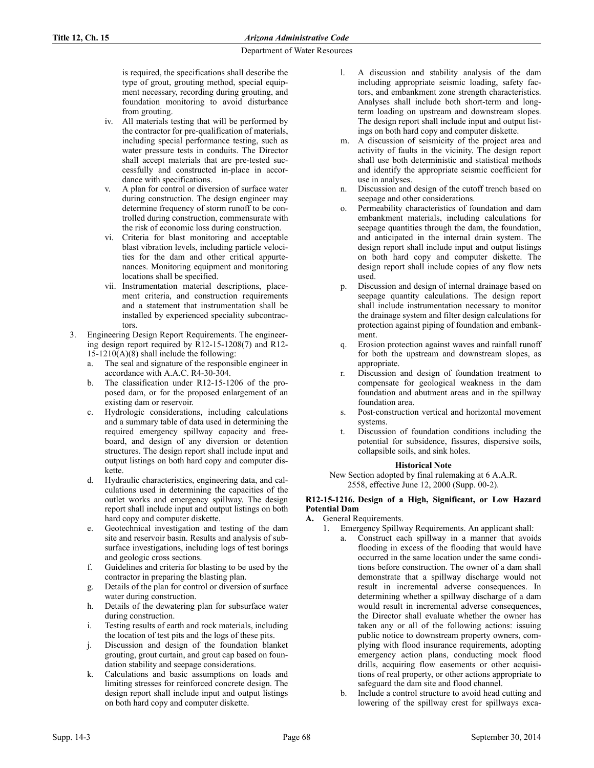is required, the specifications shall describe the type of grout, grouting method, special equipment necessary, recording during grouting, and foundation monitoring to avoid disturbance from grouting.

- iv. All materials testing that will be performed by the contractor for pre-qualification of materials, including special performance testing, such as water pressure tests in conduits. The Director shall accept materials that are pre-tested successfully and constructed in-place in accordance with specifications.
- A plan for control or diversion of surface water during construction. The design engineer may determine frequency of storm runoff to be controlled during construction, commensurate with the risk of economic loss during construction.
- vi. Criteria for blast monitoring and acceptable blast vibration levels, including particle velocities for the dam and other critical appurtenances. Monitoring equipment and monitoring locations shall be specified.
- vii. Instrumentation material descriptions, placement criteria, and construction requirements and a statement that instrumentation shall be installed by experienced speciality subcontractors.
- 3. Engineering Design Report Requirements. The engineering design report required by R12-15-1208(7) and R12-  $15-1210(A)(8)$  shall include the following:
	- a. The seal and signature of the responsible engineer in accordance with A.A.C. R4-30-304.
	- b. The classification under R12-15-1206 of the proposed dam, or for the proposed enlargement of an existing dam or reservoir.
	- c. Hydrologic considerations, including calculations and a summary table of data used in determining the required emergency spillway capacity and freeboard, and design of any diversion or detention structures. The design report shall include input and output listings on both hard copy and computer diskette.
	- d. Hydraulic characteristics, engineering data, and calculations used in determining the capacities of the outlet works and emergency spillway. The design report shall include input and output listings on both hard copy and computer diskette.
	- e. Geotechnical investigation and testing of the dam site and reservoir basin. Results and analysis of subsurface investigations, including logs of test borings and geologic cross sections.
	- f. Guidelines and criteria for blasting to be used by the contractor in preparing the blasting plan.
	- g. Details of the plan for control or diversion of surface water during construction.
	- h. Details of the dewatering plan for subsurface water during construction.
	- i. Testing results of earth and rock materials, including the location of test pits and the logs of these pits.
	- j. Discussion and design of the foundation blanket grouting, grout curtain, and grout cap based on foundation stability and seepage considerations.
	- k. Calculations and basic assumptions on loads and limiting stresses for reinforced concrete design. The design report shall include input and output listings on both hard copy and computer diskette.
- l. A discussion and stability analysis of the dam including appropriate seismic loading, safety factors, and embankment zone strength characteristics. Analyses shall include both short-term and longterm loading on upstream and downstream slopes. The design report shall include input and output listings on both hard copy and computer diskette.
- m. A discussion of seismicity of the project area and activity of faults in the vicinity. The design report shall use both deterministic and statistical methods and identify the appropriate seismic coefficient for use in analyses.
- n. Discussion and design of the cutoff trench based on seepage and other considerations.
- Permeability characteristics of foundation and dam embankment materials, including calculations for seepage quantities through the dam, the foundation, and anticipated in the internal drain system. The design report shall include input and output listings on both hard copy and computer diskette. The design report shall include copies of any flow nets used.
- p. Discussion and design of internal drainage based on seepage quantity calculations. The design report shall include instrumentation necessary to monitor the drainage system and filter design calculations for protection against piping of foundation and embankment.
- Erosion protection against waves and rainfall runoff for both the upstream and downstream slopes, as appropriate.
- r. Discussion and design of foundation treatment to compensate for geological weakness in the dam foundation and abutment areas and in the spillway foundation area.
- s. Post-construction vertical and horizontal movement systems.
- t. Discussion of foundation conditions including the potential for subsidence, fissures, dispersive soils, collapsible soils, and sink holes.

### **Historical Note**

New Section adopted by final rulemaking at 6 A.A.R. 2558, effective June 12, 2000 (Supp. 00-2).

### **R12-15-1216. Design of a High, Significant, or Low Hazard Potential Dam**

- **A.** General Requirements.
	- 1. Emergency Spillway Requirements. An applicant shall:
		- a. Construct each spillway in a manner that avoids flooding in excess of the flooding that would have occurred in the same location under the same conditions before construction. The owner of a dam shall demonstrate that a spillway discharge would not result in incremental adverse consequences. In determining whether a spillway discharge of a dam would result in incremental adverse consequences, the Director shall evaluate whether the owner has taken any or all of the following actions: issuing public notice to downstream property owners, complying with flood insurance requirements, adopting emergency action plans, conducting mock flood drills, acquiring flow easements or other acquisitions of real property, or other actions appropriate to safeguard the dam site and flood channel.
			- b. Include a control structure to avoid head cutting and lowering of the spillway crest for spillways exca-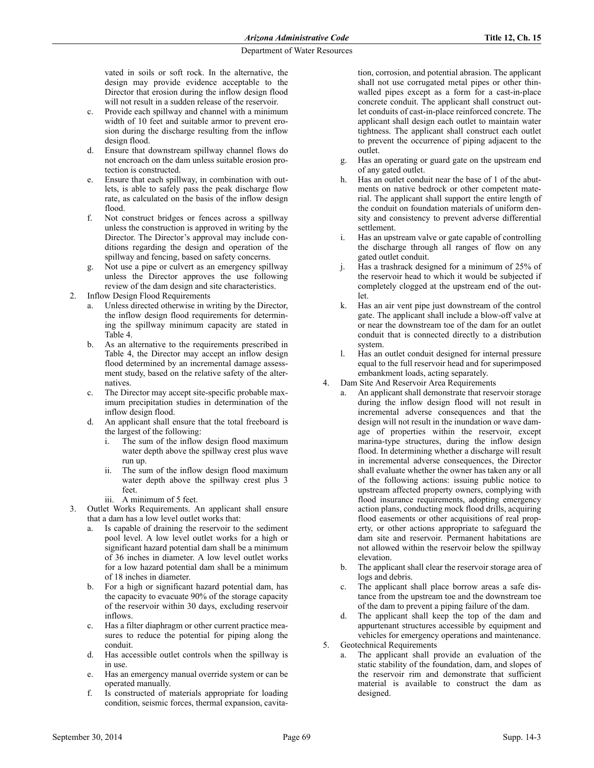vated in soils or soft rock. In the alternative, the design may provide evidence acceptable to the Director that erosion during the inflow design flood will not result in a sudden release of the reservoir.

- c. Provide each spillway and channel with a minimum width of 10 feet and suitable armor to prevent erosion during the discharge resulting from the inflow design flood.
- d. Ensure that downstream spillway channel flows do not encroach on the dam unless suitable erosion protection is constructed.
- e. Ensure that each spillway, in combination with outlets, is able to safely pass the peak discharge flow rate, as calculated on the basis of the inflow design flood.
- f. Not construct bridges or fences across a spillway unless the construction is approved in writing by the Director. The Director's approval may include conditions regarding the design and operation of the spillway and fencing, based on safety concerns.
- g. Not use a pipe or culvert as an emergency spillway unless the Director approves the use following review of the dam design and site characteristics.
- 2. Inflow Design Flood Requirements
	- Unless directed otherwise in writing by the Director, the inflow design flood requirements for determining the spillway minimum capacity are stated in Table 4.
	- b. As an alternative to the requirements prescribed in Table 4, the Director may accept an inflow design flood determined by an incremental damage assessment study, based on the relative safety of the alternatives.
	- c. The Director may accept site-specific probable maximum precipitation studies in determination of the inflow design flood.
	- d. An applicant shall ensure that the total freeboard is the largest of the following:
		- i. The sum of the inflow design flood maximum water depth above the spillway crest plus wave run up.
		- ii. The sum of the inflow design flood maximum water depth above the spillway crest plus 3 feet.
		- iii. A minimum of 5 feet.
- 3. Outlet Works Requirements. An applicant shall ensure that a dam has a low level outlet works that:
	- a. Is capable of draining the reservoir to the sediment pool level. A low level outlet works for a high or significant hazard potential dam shall be a minimum of 36 inches in diameter. A low level outlet works for a low hazard potential dam shall be a minimum of 18 inches in diameter.
	- b. For a high or significant hazard potential dam, has the capacity to evacuate 90% of the storage capacity of the reservoir within 30 days, excluding reservoir inflows.
	- c. Has a filter diaphragm or other current practice measures to reduce the potential for piping along the conduit.
	- d. Has accessible outlet controls when the spillway is in use.
	- e. Has an emergency manual override system or can be operated manually.
	- f. Is constructed of materials appropriate for loading condition, seismic forces, thermal expansion, cavita-

tion, corrosion, and potential abrasion. The applicant shall not use corrugated metal pipes or other thinwalled pipes except as a form for a cast-in-place concrete conduit. The applicant shall construct outlet conduits of cast-in-place reinforced concrete. The applicant shall design each outlet to maintain water tightness. The applicant shall construct each outlet to prevent the occurrence of piping adjacent to the outlet.

- g. Has an operating or guard gate on the upstream end of any gated outlet.
- h. Has an outlet conduit near the base of 1 of the abutments on native bedrock or other competent material. The applicant shall support the entire length of the conduit on foundation materials of uniform density and consistency to prevent adverse differential settlement.
- i. Has an upstream valve or gate capable of controlling the discharge through all ranges of flow on any gated outlet conduit.
- j. Has a trashrack designed for a minimum of 25% of the reservoir head to which it would be subjected if completely clogged at the upstream end of the outlet.
- k. Has an air vent pipe just downstream of the control gate. The applicant shall include a blow-off valve at or near the downstream toe of the dam for an outlet conduit that is connected directly to a distribution system.
- l. Has an outlet conduit designed for internal pressure equal to the full reservoir head and for superimposed embankment loads, acting separately.
- 4. Dam Site And Reservoir Area Requirements
	- An applicant shall demonstrate that reservoir storage during the inflow design flood will not result in incremental adverse consequences and that the design will not result in the inundation or wave damage of properties within the reservoir, except marina-type structures, during the inflow design flood. In determining whether a discharge will result in incremental adverse consequences, the Director shall evaluate whether the owner has taken any or all of the following actions: issuing public notice to upstream affected property owners, complying with flood insurance requirements, adopting emergency action plans, conducting mock flood drills, acquiring flood easements or other acquisitions of real property, or other actions appropriate to safeguard the dam site and reservoir. Permanent habitations are not allowed within the reservoir below the spillway elevation.
	- b. The applicant shall clear the reservoir storage area of logs and debris.
	- c. The applicant shall place borrow areas a safe distance from the upstream toe and the downstream toe of the dam to prevent a piping failure of the dam.
	- d. The applicant shall keep the top of the dam and appurtenant structures accessible by equipment and vehicles for emergency operations and maintenance.
- 5. Geotechnical Requirements
	- The applicant shall provide an evaluation of the static stability of the foundation, dam, and slopes of the reservoir rim and demonstrate that sufficient material is available to construct the dam as designed.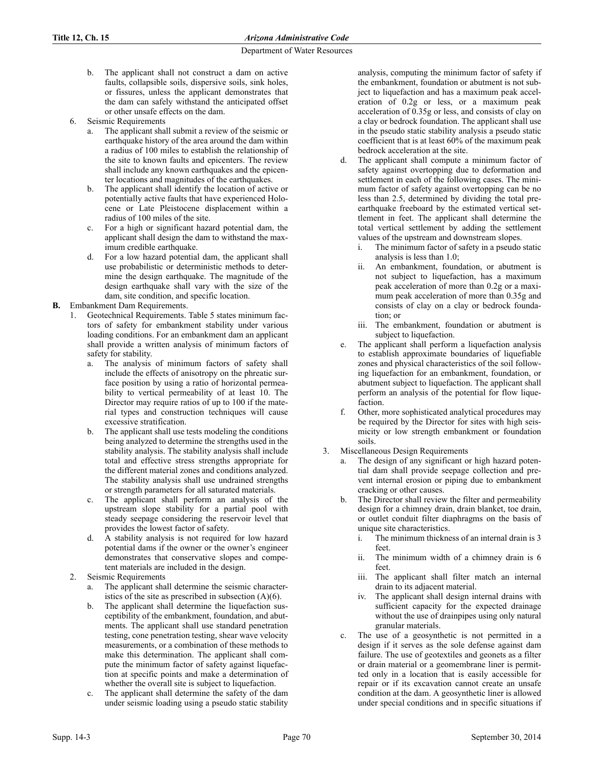- b. The applicant shall not construct a dam on active faults, collapsible soils, dispersive soils, sink holes, or fissures, unless the applicant demonstrates that the dam can safely withstand the anticipated offset or other unsafe effects on the dam.
- 6. Seismic Requirements
	- The applicant shall submit a review of the seismic or earthquake history of the area around the dam within a radius of 100 miles to establish the relationship of the site to known faults and epicenters. The review shall include any known earthquakes and the epicenter locations and magnitudes of the earthquakes.
	- b. The applicant shall identify the location of active or potentially active faults that have experienced Holocene or Late Pleistocene displacement within a radius of 100 miles of the site.
	- c. For a high or significant hazard potential dam, the applicant shall design the dam to withstand the maximum credible earthquake.
	- d. For a low hazard potential dam, the applicant shall use probabilistic or deterministic methods to determine the design earthquake. The magnitude of the design earthquake shall vary with the size of the dam, site condition, and specific location.
- **B.** Embankment Dam Requirements.
	- 1. Geotechnical Requirements. Table 5 states minimum factors of safety for embankment stability under various loading conditions. For an embankment dam an applicant shall provide a written analysis of minimum factors of safety for stability.
		- a. The analysis of minimum factors of safety shall include the effects of anisotropy on the phreatic surface position by using a ratio of horizontal permeability to vertical permeability of at least 10. The Director may require ratios of up to 100 if the material types and construction techniques will cause excessive stratification.
		- b. The applicant shall use tests modeling the conditions being analyzed to determine the strengths used in the stability analysis. The stability analysis shall include total and effective stress strengths appropriate for the different material zones and conditions analyzed. The stability analysis shall use undrained strengths or strength parameters for all saturated materials.
		- c. The applicant shall perform an analysis of the upstream slope stability for a partial pool with steady seepage considering the reservoir level that provides the lowest factor of safety.
		- d. A stability analysis is not required for low hazard potential dams if the owner or the owner's engineer demonstrates that conservative slopes and competent materials are included in the design.
	- 2. Seismic Requirements
		- a. The applicant shall determine the seismic characteristics of the site as prescribed in subsection (A)(6).
		- b. The applicant shall determine the liquefaction susceptibility of the embankment, foundation, and abutments. The applicant shall use standard penetration testing, cone penetration testing, shear wave velocity measurements, or a combination of these methods to make this determination. The applicant shall compute the minimum factor of safety against liquefaction at specific points and make a determination of whether the overall site is subject to liquefaction.
		- The applicant shall determine the safety of the dam under seismic loading using a pseudo static stability

analysis, computing the minimum factor of safety if the embankment, foundation or abutment is not subject to liquefaction and has a maximum peak acceleration of 0.2g or less, or a maximum peak acceleration of 0.35g or less, and consists of clay on a clay or bedrock foundation. The applicant shall use in the pseudo static stability analysis a pseudo static coefficient that is at least 60% of the maximum peak bedrock acceleration at the site.

- d. The applicant shall compute a minimum factor of safety against overtopping due to deformation and settlement in each of the following cases. The minimum factor of safety against overtopping can be no less than 2.5, determined by dividing the total preearthquake freeboard by the estimated vertical settlement in feet. The applicant shall determine the total vertical settlement by adding the settlement values of the upstream and downstream slopes.
	- i. The minimum factor of safety in a pseudo static analysis is less than 1.0;
	- ii. An embankment, foundation, or abutment is not subject to liquefaction, has a maximum peak acceleration of more than 0.2g or a maximum peak acceleration of more than 0.35g and consists of clay on a clay or bedrock foundation; or
	- iii. The embankment, foundation or abutment is subject to liquefaction.
- e. The applicant shall perform a liquefaction analysis to establish approximate boundaries of liquefiable zones and physical characteristics of the soil following liquefaction for an embankment, foundation, or abutment subject to liquefaction. The applicant shall perform an analysis of the potential for flow liquefaction.
- f. Other, more sophisticated analytical procedures may be required by the Director for sites with high seismicity or low strength embankment or foundation soils.
- 3. Miscellaneous Design Requirements
	- a. The design of any significant or high hazard potential dam shall provide seepage collection and prevent internal erosion or piping due to embankment cracking or other causes.
	- b. The Director shall review the filter and permeability design for a chimney drain, drain blanket, toe drain, or outlet conduit filter diaphragms on the basis of unique site characteristics.
		- i. The minimum thickness of an internal drain is 3 feet.
		- ii. The minimum width of a chimney drain is 6 feet.
		- iii. The applicant shall filter match an internal drain to its adjacent material.
		- iv. The applicant shall design internal drains with sufficient capacity for the expected drainage without the use of drainpipes using only natural granular materials.
	- c. The use of a geosynthetic is not permitted in a design if it serves as the sole defense against dam failure. The use of geotextiles and geonets as a filter or drain material or a geomembrane liner is permitted only in a location that is easily accessible for repair or if its excavation cannot create an unsafe condition at the dam. A geosynthetic liner is allowed under special conditions and in specific situations if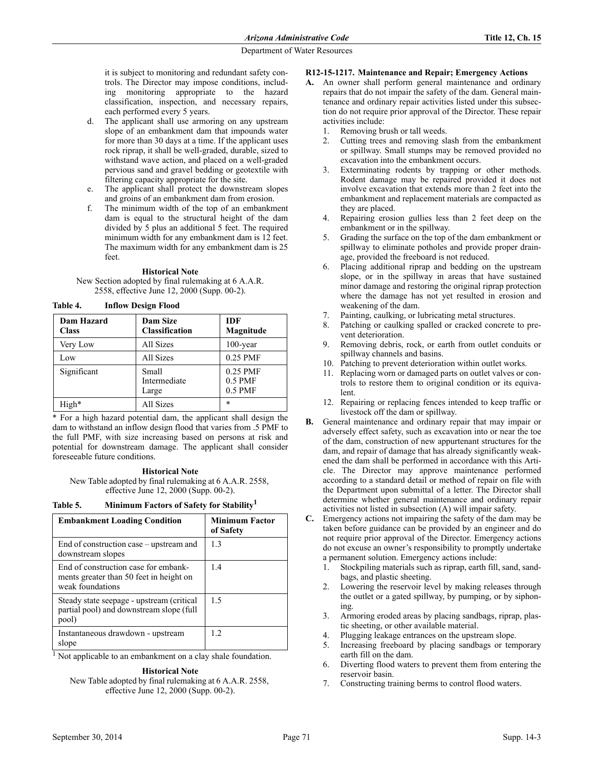it is subject to monitoring and redundant safety controls. The Director may impose conditions, including monitoring appropriate to the hazard classification, inspection, and necessary repairs, each performed every 5 years.

- d. The applicant shall use armoring on any upstream slope of an embankment dam that impounds water for more than 30 days at a time. If the applicant uses rock riprap, it shall be well-graded, durable, sized to withstand wave action, and placed on a well-graded pervious sand and gravel bedding or geotextile with filtering capacity appropriate for the site.
- e. The applicant shall protect the downstream slopes and groins of an embankment dam from erosion.
- f. The minimum width of the top of an embankment dam is equal to the structural height of the dam divided by 5 plus an additional 5 feet. The required minimum width for any embankment dam is 12 feet. The maximum width for any embankment dam is 25 feet.

#### **Historical Note**

New Section adopted by final rulemaking at 6 A.A.R. 2558, effective June 12, 2000 (Supp. 00-2).

**Table 4. Inflow Design Flood**

| Dam Hazard<br><b>Class</b> | <b>Dam Size</b><br><b>Classification</b> | <b>IDF</b><br>Magnitude            |
|----------------------------|------------------------------------------|------------------------------------|
| Very Low                   | All Sizes                                | $100$ -year                        |
| Low                        | All Sizes                                | 0.25 PMF                           |
| Significant                | Small<br>Intermediate<br>Large           | 0.25 PMF<br>$0.5$ PMF<br>$0.5$ PMF |
| High*                      | All Sizes                                | $\ast$                             |

\* For a high hazard potential dam, the applicant shall design the dam to withstand an inflow design flood that varies from .5 PMF to the full PMF, with size increasing based on persons at risk and potential for downstream damage. The applicant shall consider foreseeable future conditions.

### **Historical Note**

New Table adopted by final rulemaking at 6 A.A.R. 2558, effective June 12, 2000 (Supp. 00-2).

**Table 5. Minimum Factors of Safety for Stability<sup>1</sup>**

| <b>Embankment Loading Condition</b>                                                                 | <b>Minimum Factor</b><br>of Safety |
|-----------------------------------------------------------------------------------------------------|------------------------------------|
| End of construction case – upstream and<br>downstream slopes                                        | 13                                 |
| End of construction case for embank-<br>ments greater than 50 feet in height on<br>weak foundations | 1.4                                |
| Steady state seepage - upstream (critical)<br>partial pool) and downstream slope (full<br>pool)     | 1.5                                |
| Instantaneous drawdown - upstream<br>slope                                                          | 12                                 |

<sup>1</sup> Not applicable to an embankment on a clay shale foundation.

**Historical Note** New Table adopted by final rulemaking at 6 A.A.R. 2558, effective June 12, 2000 (Supp. 00-2).

## **R12-15-1217. Maintenance and Repair; Emergency Actions**

- **A.** An owner shall perform general maintenance and ordinary repairs that do not impair the safety of the dam. General maintenance and ordinary repair activities listed under this subsection do not require prior approval of the Director. These repair activities include:
	- 1. Removing brush or tall weeds.
	- 2. Cutting trees and removing slash from the embankment or spillway. Small stumps may be removed provided no excavation into the embankment occurs.
	- 3. Exterminating rodents by trapping or other methods. Rodent damage may be repaired provided it does not involve excavation that extends more than 2 feet into the embankment and replacement materials are compacted as they are placed.
	- 4. Repairing erosion gullies less than 2 feet deep on the embankment or in the spillway.
	- 5. Grading the surface on the top of the dam embankment or spillway to eliminate potholes and provide proper drainage, provided the freeboard is not reduced.
	- 6. Placing additional riprap and bedding on the upstream slope, or in the spillway in areas that have sustained minor damage and restoring the original riprap protection where the damage has not yet resulted in erosion and weakening of the dam.
	- 7. Painting, caulking, or lubricating metal structures.
	- 8. Patching or caulking spalled or cracked concrete to prevent deterioration.
	- 9. Removing debris, rock, or earth from outlet conduits or spillway channels and basins.
	- 10. Patching to prevent deterioration within outlet works.
	- 11. Replacing worn or damaged parts on outlet valves or controls to restore them to original condition or its equivalent.
	- 12. Repairing or replacing fences intended to keep traffic or livestock off the dam or spillway.
- **B.** General maintenance and ordinary repair that may impair or adversely effect safety, such as excavation into or near the toe of the dam, construction of new appurtenant structures for the dam, and repair of damage that has already significantly weakened the dam shall be performed in accordance with this Article. The Director may approve maintenance performed according to a standard detail or method of repair on file with the Department upon submittal of a letter. The Director shall determine whether general maintenance and ordinary repair activities not listed in subsection (A) will impair safety.
- **C.** Emergency actions not impairing the safety of the dam may be taken before guidance can be provided by an engineer and do not require prior approval of the Director. Emergency actions do not excuse an owner's responsibility to promptly undertake a permanent solution. Emergency actions include:
	- 1. Stockpiling materials such as riprap, earth fill, sand, sandbags, and plastic sheeting.
	- 2. Lowering the reservoir level by making releases through the outlet or a gated spillway, by pumping, or by siphoning.
	- 3. Armoring eroded areas by placing sandbags, riprap, plastic sheeting, or other available material.
	- 4. Plugging leakage entrances on the upstream slope.
	- 5. Increasing freeboard by placing sandbags or temporary earth fill on the dam.
	- 6. Diverting flood waters to prevent them from entering the reservoir basin.
	- 7. Constructing training berms to control flood waters.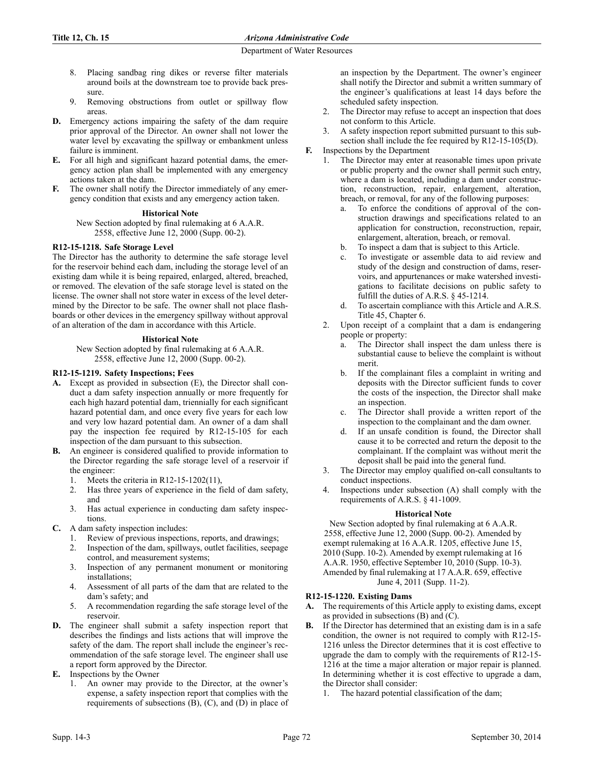- 8. Placing sandbag ring dikes or reverse filter materials around boils at the downstream toe to provide back pressure.
- 9. Removing obstructions from outlet or spillway flow areas.
- **D.** Emergency actions impairing the safety of the dam require prior approval of the Director. An owner shall not lower the water level by excavating the spillway or embankment unless failure is imminent.
- **E.** For all high and significant hazard potential dams, the emergency action plan shall be implemented with any emergency actions taken at the dam.
- The owner shall notify the Director immediately of any emergency condition that exists and any emergency action taken.

## **Historical Note**

New Section adopted by final rulemaking at 6 A.A.R. 2558, effective June 12, 2000 (Supp. 00-2).

### **R12-15-1218. Safe Storage Level**

The Director has the authority to determine the safe storage level for the reservoir behind each dam, including the storage level of an existing dam while it is being repaired, enlarged, altered, breached, or removed. The elevation of the safe storage level is stated on the license. The owner shall not store water in excess of the level determined by the Director to be safe. The owner shall not place flashboards or other devices in the emergency spillway without approval of an alteration of the dam in accordance with this Article.

### **Historical Note**

New Section adopted by final rulemaking at 6 A.A.R. 2558, effective June 12, 2000 (Supp. 00-2).

## **R12-15-1219. Safety Inspections; Fees**

- **A.** Except as provided in subsection (E), the Director shall conduct a dam safety inspection annually or more frequently for each high hazard potential dam, triennially for each significant hazard potential dam, and once every five years for each low and very low hazard potential dam. An owner of a dam shall pay the inspection fee required by R12-15-105 for each inspection of the dam pursuant to this subsection.
- **B.** An engineer is considered qualified to provide information to the Director regarding the safe storage level of a reservoir if the engineer:
	- 1. Meets the criteria in R12-15-1202(11),
	- 2. Has three years of experience in the field of dam safety, and
	- 3. Has actual experience in conducting dam safety inspections.
- **C.** A dam safety inspection includes:
	- 1. Review of previous inspections, reports, and drawings;
	- 2. Inspection of the dam, spillways, outlet facilities, seepage control, and measurement systems;
	- 3. Inspection of any permanent monument or monitoring installations;
	- 4. Assessment of all parts of the dam that are related to the dam's safety; and
	- 5. A recommendation regarding the safe storage level of the reservoir.
- **D.** The engineer shall submit a safety inspection report that describes the findings and lists actions that will improve the safety of the dam. The report shall include the engineer's recommendation of the safe storage level. The engineer shall use a report form approved by the Director.
- **E.** Inspections by the Owner
	- 1. An owner may provide to the Director, at the owner's expense, a safety inspection report that complies with the requirements of subsections (B), (C), and (D) in place of

an inspection by the Department. The owner's engineer shall notify the Director and submit a written summary of the engineer's qualifications at least 14 days before the scheduled safety inspection.

- 2. The Director may refuse to accept an inspection that does not conform to this Article.
- 3. A safety inspection report submitted pursuant to this subsection shall include the fee required by R12-15-105(D).
- **F.** Inspections by the Department
	- 1. The Director may enter at reasonable times upon private or public property and the owner shall permit such entry, where a dam is located, including a dam under construction, reconstruction, repair, enlargement, alteration, breach, or removal, for any of the following purposes:
		- a. To enforce the conditions of approval of the construction drawings and specifications related to an application for construction, reconstruction, repair, enlargement, alteration, breach, or removal.
		- b. To inspect a dam that is subject to this Article.
		- c. To investigate or assemble data to aid review and study of the design and construction of dams, reservoirs, and appurtenances or make watershed investigations to facilitate decisions on public safety to fulfill the duties of A.R.S. § 45-1214.
		- d. To ascertain compliance with this Article and A.R.S. Title 45, Chapter 6.
	- 2. Upon receipt of a complaint that a dam is endangering people or property:
		- a. The Director shall inspect the dam unless there is substantial cause to believe the complaint is without merit.
		- b. If the complainant files a complaint in writing and deposits with the Director sufficient funds to cover the costs of the inspection, the Director shall make an inspection.
		- c. The Director shall provide a written report of the inspection to the complainant and the dam owner.
		- d. If an unsafe condition is found, the Director shall cause it to be corrected and return the deposit to the complainant. If the complaint was without merit the deposit shall be paid into the general fund.
	- 3. The Director may employ qualified on-call consultants to conduct inspections.
	- 4. Inspections under subsection (A) shall comply with the requirements of A.R.S. § 41-1009.

# **Historical Note**

New Section adopted by final rulemaking at 6 A.A.R. 2558, effective June 12, 2000 (Supp. 00-2). Amended by exempt rulemaking at 16 A.A.R. 1205, effective June 15, 2010 (Supp. 10-2). Amended by exempt rulemaking at 16 A.A.R. 1950, effective September 10, 2010 (Supp. 10-3). Amended by final rulemaking at 17 A.A.R. 659, effective June 4, 2011 (Supp. 11-2).

# **R12-15-1220. Existing Dams**

- **A.** The requirements of this Article apply to existing dams, except as provided in subsections (B) and (C).
- **B.** If the Director has determined that an existing dam is in a safe condition, the owner is not required to comply with R12-15- 1216 unless the Director determines that it is cost effective to upgrade the dam to comply with the requirements of R12-15- 1216 at the time a major alteration or major repair is planned. In determining whether it is cost effective to upgrade a dam, the Director shall consider:
	- The hazard potential classification of the dam;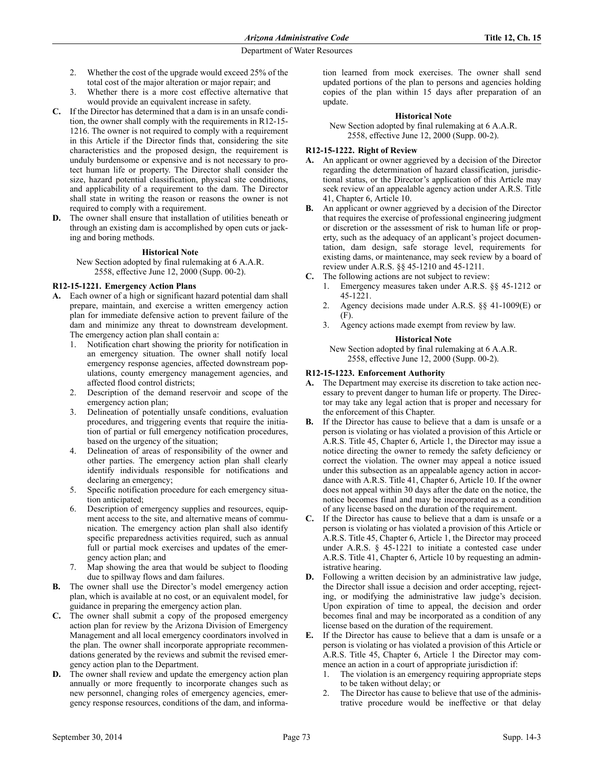- 2. Whether the cost of the upgrade would exceed 25% of the total cost of the major alteration or major repair; and
- 3. Whether there is a more cost effective alternative that would provide an equivalent increase in safety.
- **C.** If the Director has determined that a dam is in an unsafe condition, the owner shall comply with the requirements in R12-15- 1216. The owner is not required to comply with a requirement in this Article if the Director finds that, considering the site characteristics and the proposed design, the requirement is unduly burdensome or expensive and is not necessary to protect human life or property. The Director shall consider the size, hazard potential classification, physical site conditions, and applicability of a requirement to the dam. The Director shall state in writing the reason or reasons the owner is not required to comply with a requirement.
- **D.** The owner shall ensure that installation of utilities beneath or through an existing dam is accomplished by open cuts or jacking and boring methods.

#### **Historical Note**

New Section adopted by final rulemaking at 6 A.A.R. 2558, effective June 12, 2000 (Supp. 00-2).

### **R12-15-1221. Emergency Action Plans**

- **A.** Each owner of a high or significant hazard potential dam shall prepare, maintain, and exercise a written emergency action plan for immediate defensive action to prevent failure of the dam and minimize any threat to downstream development. The emergency action plan shall contain a:
	- 1. Notification chart showing the priority for notification in an emergency situation. The owner shall notify local emergency response agencies, affected downstream populations, county emergency management agencies, and affected flood control districts;
	- 2. Description of the demand reservoir and scope of the emergency action plan;
	- 3. Delineation of potentially unsafe conditions, evaluation procedures, and triggering events that require the initiation of partial or full emergency notification procedures, based on the urgency of the situation;
	- 4. Delineation of areas of responsibility of the owner and other parties. The emergency action plan shall clearly identify individuals responsible for notifications and declaring an emergency;
	- 5. Specific notification procedure for each emergency situation anticipated;
	- Description of emergency supplies and resources, equipment access to the site, and alternative means of communication. The emergency action plan shall also identify specific preparedness activities required, such as annual full or partial mock exercises and updates of the emergency action plan; and
	- Map showing the area that would be subject to flooding due to spillway flows and dam failures.
- **B.** The owner shall use the Director's model emergency action plan, which is available at no cost, or an equivalent model, for guidance in preparing the emergency action plan.
- **C.** The owner shall submit a copy of the proposed emergency action plan for review by the Arizona Division of Emergency Management and all local emergency coordinators involved in the plan. The owner shall incorporate appropriate recommendations generated by the reviews and submit the revised emergency action plan to the Department.
- **D.** The owner shall review and update the emergency action plan annually or more frequently to incorporate changes such as new personnel, changing roles of emergency agencies, emergency response resources, conditions of the dam, and informa-

tion learned from mock exercises. The owner shall send updated portions of the plan to persons and agencies holding copies of the plan within 15 days after preparation of an update.

#### **Historical Note**

New Section adopted by final rulemaking at 6 A.A.R. 2558, effective June 12, 2000 (Supp. 00-2).

### **R12-15-1222. Right of Review**

- **A.** An applicant or owner aggrieved by a decision of the Director regarding the determination of hazard classification, jurisdictional status, or the Director's application of this Article may seek review of an appealable agency action under A.R.S. Title 41, Chapter 6, Article 10.
- **B.** An applicant or owner aggrieved by a decision of the Director that requires the exercise of professional engineering judgment or discretion or the assessment of risk to human life or property, such as the adequacy of an applicant's project documentation, dam design, safe storage level, requirements for existing dams, or maintenance, may seek review by a board of review under A.R.S. §§ 45-1210 and 45-1211.
- **C.** The following actions are not subject to review:
	- 1. Emergency measures taken under A.R.S. §§ 45-1212 or 45-1221.
	- 2. Agency decisions made under A.R.S. §§ 41-1009(E) or (F).
	- 3. Agency actions made exempt from review by law.

#### **Historical Note**

New Section adopted by final rulemaking at 6 A.A.R. 2558, effective June 12, 2000 (Supp. 00-2).

### **R12-15-1223. Enforcement Authority**

- **A.** The Department may exercise its discretion to take action necessary to prevent danger to human life or property. The Director may take any legal action that is proper and necessary for the enforcement of this Chapter.
- **B.** If the Director has cause to believe that a dam is unsafe or a person is violating or has violated a provision of this Article or A.R.S. Title 45, Chapter 6, Article 1, the Director may issue a notice directing the owner to remedy the safety deficiency or correct the violation. The owner may appeal a notice issued under this subsection as an appealable agency action in accordance with A.R.S. Title 41, Chapter 6, Article 10. If the owner does not appeal within 30 days after the date on the notice, the notice becomes final and may be incorporated as a condition of any license based on the duration of the requirement.
- **C.** If the Director has cause to believe that a dam is unsafe or a person is violating or has violated a provision of this Article or A.R.S. Title 45, Chapter 6, Article 1, the Director may proceed under A.R.S. § 45-1221 to initiate a contested case under A.R.S. Title 41, Chapter 6, Article 10 by requesting an administrative hearing.
- **D.** Following a written decision by an administrative law judge, the Director shall issue a decision and order accepting, rejecting, or modifying the administrative law judge's decision. Upon expiration of time to appeal, the decision and order becomes final and may be incorporated as a condition of any license based on the duration of the requirement.
- **E.** If the Director has cause to believe that a dam is unsafe or a person is violating or has violated a provision of this Article or A.R.S. Title 45, Chapter 6, Article 1 the Director may commence an action in a court of appropriate jurisdiction if:
	- 1. The violation is an emergency requiring appropriate steps to be taken without delay; or
	- 2. The Director has cause to believe that use of the administrative procedure would be ineffective or that delay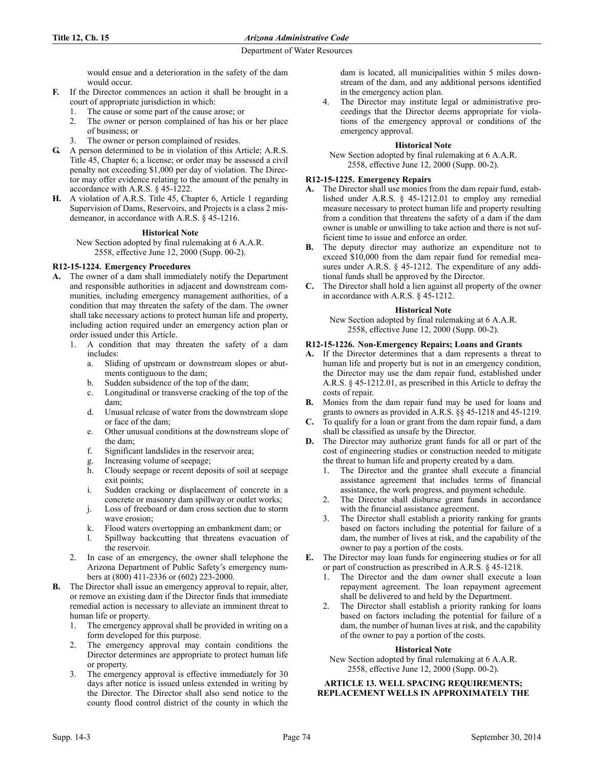would ensue and a deterioration in the safety of the dam would occur.

- **F.** If the Director commences an action it shall be brought in a court of appropriate jurisdiction in which:
	- 1. The cause or some part of the cause arose; or
	- 2. The owner or person complained of has his or her place of business; or
	- 3. The owner or person complained of resides.
- **G.** A person determined to be in violation of this Article; A.R.S. Title 45, Chapter 6; a license; or order may be assessed a civil penalty not exceeding \$1,000 per day of violation. The Director may offer evidence relating to the amount of the penalty in accordance with A.R.S. § 45-1222.
- **H.** A violation of A.R.S. Title 45, Chapter 6, Article 1 regarding Supervision of Dams, Reservoirs, and Projects is a class 2 misdemeanor, in accordance with A.R.S. § 45-1216.

## **Historical Note**

New Section adopted by final rulemaking at 6 A.A.R. 2558, effective June 12, 2000 (Supp. 00-2).

# **R12-15-1224. Emergency Procedures**

- **A.** The owner of a dam shall immediately notify the Department and responsible authorities in adjacent and downstream communities, including emergency management authorities, of a condition that may threaten the safety of the dam. The owner shall take necessary actions to protect human life and property, including action required under an emergency action plan or order issued under this Article.
	- 1. A condition that may threaten the safety of a dam includes:
		- a. Sliding of upstream or downstream slopes or abutments contiguous to the dam;
		- b. Sudden subsidence of the top of the dam;
		- c. Longitudinal or transverse cracking of the top of the dam;
		- d. Unusual release of water from the downstream slope or face of the dam;
		- e. Other unusual conditions at the downstream slope of the dam;
		- f. Significant landslides in the reservoir area;
		- g. Increasing volume of seepage;
		- h. Cloudy seepage or recent deposits of soil at seepage exit points;
		- i. Sudden cracking or displacement of concrete in a concrete or masonry dam spillway or outlet works;
		- j. Loss of freeboard or dam cross section due to storm wave erosion;
		- k. Flood waters overtopping an embankment dam; or
		- l. Spillway backcutting that threatens evacuation of the reservoir.
	- In case of an emergency, the owner shall telephone the Arizona Department of Public Safety's emergency numbers at (800) 411-2336 or (602) 223-2000.
- **B.** The Director shall issue an emergency approval to repair, alter, or remove an existing dam if the Director finds that immediate remedial action is necessary to alleviate an imminent threat to human life or property.
	- 1. The emergency approval shall be provided in writing on a form developed for this purpose.
	- 2. The emergency approval may contain conditions the Director determines are appropriate to protect human life or property.
	- 3. The emergency approval is effective immediately for 30 days after notice is issued unless extended in writing by the Director. The Director shall also send notice to the county flood control district of the county in which the

dam is located, all municipalities within 5 miles downstream of the dam, and any additional persons identified in the emergency action plan.

The Director may institute legal or administrative proceedings that the Director deems appropriate for violations of the emergency approval or conditions of the emergency approval.

## **Historical Note**

New Section adopted by final rulemaking at 6 A.A.R. 2558, effective June 12, 2000 (Supp. 00-2).

# **R12-15-1225. Emergency Repairs**

- **A.** The Director shall use monies from the dam repair fund, established under A.R.S. § 45-1212.01 to employ any remedial measure necessary to protect human life and property resulting from a condition that threatens the safety of a dam if the dam owner is unable or unwilling to take action and there is not sufficient time to issue and enforce an order.
- **B.** The deputy director may authorize an expenditure not to exceed \$10,000 from the dam repair fund for remedial measures under A.R.S. § 45-1212. The expenditure of any additional funds shall be approved by the Director.
- **C.** The Director shall hold a lien against all property of the owner in accordance with A.R.S. § 45-1212.

## **Historical Note**

New Section adopted by final rulemaking at 6 A.A.R. 2558, effective June 12, 2000 (Supp. 00-2).

# **R12-15-1226. Non-Emergency Repairs; Loans and Grants**

- **A.** If the Director determines that a dam represents a threat to human life and property but is not in an emergency condition, the Director may use the dam repair fund, established under A.R.S. § 45-1212.01, as prescribed in this Article to defray the costs of repair.
- **B.** Monies from the dam repair fund may be used for loans and grants to owners as provided in A.R.S. §§ 45-1218 and 45-1219.
- **C.** To qualify for a loan or grant from the dam repair fund, a dam shall be classified as unsafe by the Director.
- **D.** The Director may authorize grant funds for all or part of the cost of engineering studies or construction needed to mitigate the threat to human life and property created by a dam.
	- 1. The Director and the grantee shall execute a financial assistance agreement that includes terms of financial assistance, the work progress, and payment schedule.
	- 2. The Director shall disburse grant funds in accordance with the financial assistance agreement.
	- 3. The Director shall establish a priority ranking for grants based on factors including the potential for failure of a dam, the number of lives at risk, and the capability of the owner to pay a portion of the costs.
- **E.** The Director may loan funds for engineering studies or for all or part of construction as prescribed in A.R.S. § 45-1218.
	- 1. The Director and the dam owner shall execute a loan repayment agreement. The loan repayment agreement shall be delivered to and held by the Department.
	- 2. The Director shall establish a priority ranking for loans based on factors including the potential for failure of a dam, the number of human lives at risk, and the capability of the owner to pay a portion of the costs.

### **Historical Note**

New Section adopted by final rulemaking at 6 A.A.R. 2558, effective June 12, 2000 (Supp. 00-2).

**ARTICLE 13. WELL SPACING REQUIREMENTS; REPLACEMENT WELLS IN APPROXIMATELY THE**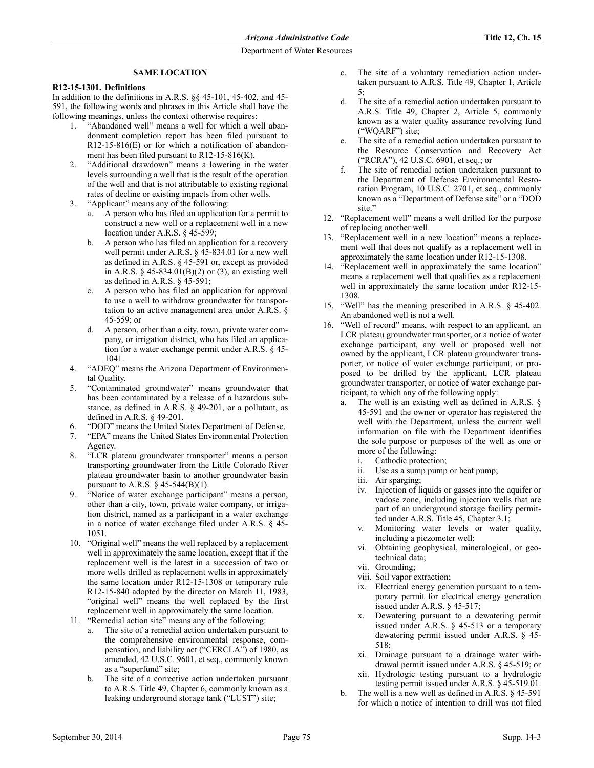# **SAME LOCATION**

## **R12-15-1301. Definitions**

In addition to the definitions in A.R.S. §§ 45-101, 45-402, and 45- 591, the following words and phrases in this Article shall have the following meanings, unless the context otherwise requires:

- 1. "Abandoned well" means a well for which a well abandonment completion report has been filed pursuant to R12-15-816(E) or for which a notification of abandonment has been filed pursuant to R12-15-816(K).
- 2. "Additional drawdown" means a lowering in the water levels surrounding a well that is the result of the operation of the well and that is not attributable to existing regional rates of decline or existing impacts from other wells.
- 3. "Applicant" means any of the following:
	- a. A person who has filed an application for a permit to construct a new well or a replacement well in a new location under A.R.S. § 45-599;
	- b. A person who has filed an application for a recovery well permit under A.R.S. § 45-834.01 for a new well as defined in A.R.S. § 45-591 or, except as provided in A.R.S. § 45-834.01(B)(2) or (3), an existing well as defined in A.R.S. § 45-591;
	- c. A person who has filed an application for approval to use a well to withdraw groundwater for transportation to an active management area under A.R.S. § 45-559; or
	- d. A person, other than a city, town, private water company, or irrigation district, who has filed an application for a water exchange permit under A.R.S. § 45- 1041.
- 4. "ADEQ" means the Arizona Department of Environmental Quality.
- 5. "Contaminated groundwater" means groundwater that has been contaminated by a release of a hazardous substance, as defined in A.R.S. § 49-201, or a pollutant, as defined in A.R.S. § 49-201.
- "DOD" means the United States Department of Defense.
- 7. "EPA" means the United States Environmental Protection Agency.
- 8. "LCR plateau groundwater transporter" means a person transporting groundwater from the Little Colorado River plateau groundwater basin to another groundwater basin pursuant to A.R.S.  $\S$  45-544(B)(1).
- 9. "Notice of water exchange participant" means a person, other than a city, town, private water company, or irrigation district, named as a participant in a water exchange in a notice of water exchange filed under A.R.S. § 45- 1051.
- 10. "Original well" means the well replaced by a replacement well in approximately the same location, except that if the replacement well is the latest in a succession of two or more wells drilled as replacement wells in approximately the same location under R12-15-1308 or temporary rule R12-15-840 adopted by the director on March 11, 1983, "original well" means the well replaced by the first replacement well in approximately the same location.
- 11. "Remedial action site" means any of the following:
	- a. The site of a remedial action undertaken pursuant to the comprehensive environmental response, compensation, and liability act ("CERCLA") of 1980, as amended, 42 U.S.C. 9601, et seq., commonly known as a "superfund" site;
	- b. The site of a corrective action undertaken pursuant to A.R.S. Title 49, Chapter 6, commonly known as a leaking underground storage tank ("LUST") site;
- c. The site of a voluntary remediation action undertaken pursuant to A.R.S. Title 49, Chapter 1, Article 5;
- d. The site of a remedial action undertaken pursuant to A.R.S. Title 49, Chapter 2, Article 5, commonly known as a water quality assurance revolving fund ("WQARF") site;
- e. The site of a remedial action undertaken pursuant to the Resource Conservation and Recovery Act ("RCRA"), 42 U.S.C. 6901, et seq.; or
- f. The site of remedial action undertaken pursuant to the Department of Defense Environmental Restoration Program, 10 U.S.C. 2701, et seq., commonly known as a "Department of Defense site" or a "DOD site."
- 12. "Replacement well" means a well drilled for the purpose of replacing another well.
- 13. "Replacement well in a new location" means a replacement well that does not qualify as a replacement well in approximately the same location under R12-15-1308.
- 14. "Replacement well in approximately the same location" means a replacement well that qualifies as a replacement well in approximately the same location under R12-15- 1308.
- 15. "Well" has the meaning prescribed in A.R.S. § 45-402. An abandoned well is not a well.
- 16. "Well of record" means, with respect to an applicant, an LCR plateau groundwater transporter, or a notice of water exchange participant, any well or proposed well not owned by the applicant, LCR plateau groundwater transporter, or notice of water exchange participant, or proposed to be drilled by the applicant, LCR plateau groundwater transporter, or notice of water exchange participant, to which any of the following apply:
	- a. The well is an existing well as defined in A.R.S. § 45-591 and the owner or operator has registered the well with the Department, unless the current well information on file with the Department identifies the sole purpose or purposes of the well as one or more of the following:
		- i. Cathodic protection;
		- ii. Use as a sump pump or heat pump;
		- iii. Air sparging;
		- iv. Injection of liquids or gasses into the aquifer or vadose zone, including injection wells that are part of an underground storage facility permitted under A.R.S. Title 45, Chapter 3.1;
		- v. Monitoring water levels or water quality, including a piezometer well;
		- vi. Obtaining geophysical, mineralogical, or geotechnical data;
		- vii. Grounding;
		- viii. Soil vapor extraction;
		- ix. Electrical energy generation pursuant to a temporary permit for electrical energy generation issued under A.R.S. § 45-517;
		- x. Dewatering pursuant to a dewatering permit issued under A.R.S. § 45-513 or a temporary dewatering permit issued under A.R.S. § 45- 518;
		- xi. Drainage pursuant to a drainage water withdrawal permit issued under A.R.S. § 45-519; or
		- xii. Hydrologic testing pursuant to a hydrologic testing permit issued under A.R.S. § 45-519.01.
	- b. The well is a new well as defined in A.R.S. § 45-591 for which a notice of intention to drill was not filed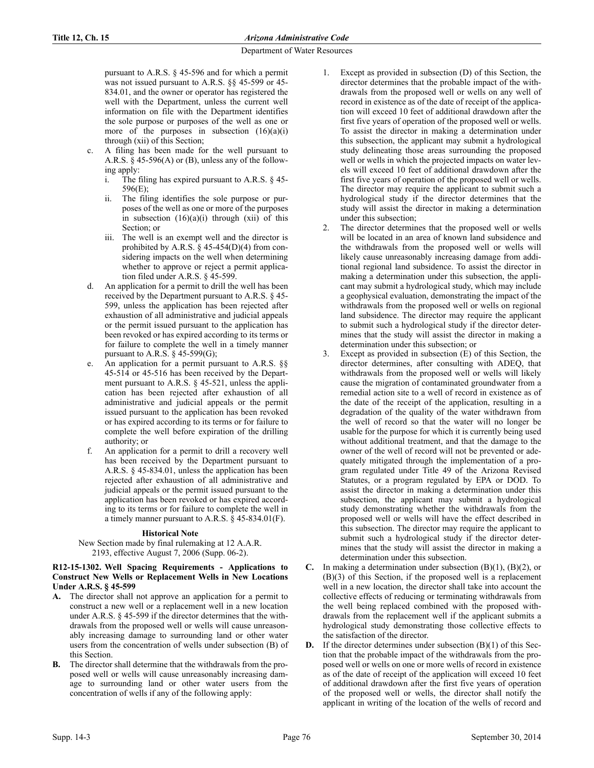pursuant to A.R.S. § 45-596 and for which a permit was not issued pursuant to A.R.S. §§ 45-599 or 45- 834.01, and the owner or operator has registered the well with the Department, unless the current well information on file with the Department identifies the sole purpose or purposes of the well as one or more of the purposes in subsection  $(16)(a)(i)$ through (xii) of this Section;

- A filing has been made for the well pursuant to A.R.S.  $\S$  45-596(A) or (B), unless any of the following apply:
	- i. The filing has expired pursuant to A.R.S. § 45- 596(E);
	- ii. The filing identifies the sole purpose or purposes of the well as one or more of the purposes in subsection  $(16)(a)(i)$  through  $(xii)$  of this Section: or
	- iii. The well is an exempt well and the director is prohibited by A.R.S.  $\S$  45-454(D)(4) from considering impacts on the well when determining whether to approve or reject a permit application filed under A.R.S. § 45-599.
- d. An application for a permit to drill the well has been received by the Department pursuant to A.R.S. § 45- 599, unless the application has been rejected after exhaustion of all administrative and judicial appeals or the permit issued pursuant to the application has been revoked or has expired according to its terms or for failure to complete the well in a timely manner pursuant to A.R.S.  $\S$  45-599(G);
- e. An application for a permit pursuant to A.R.S. §§ 45-514 or 45-516 has been received by the Department pursuant to A.R.S. § 45-521, unless the application has been rejected after exhaustion of all administrative and judicial appeals or the permit issued pursuant to the application has been revoked or has expired according to its terms or for failure to complete the well before expiration of the drilling authority; or
- f. An application for a permit to drill a recovery well has been received by the Department pursuant to A.R.S. § 45-834.01, unless the application has been rejected after exhaustion of all administrative and judicial appeals or the permit issued pursuant to the application has been revoked or has expired according to its terms or for failure to complete the well in a timely manner pursuant to A.R.S. § 45-834.01(F).

# **Historical Note**

## New Section made by final rulemaking at 12 A.A.R. 2193, effective August 7, 2006 (Supp. 06-2).

### **R12-15-1302. Well Spacing Requirements - Applications to Construct New Wells or Replacement Wells in New Locations Under A.R.S. § 45-599**

- **A.** The director shall not approve an application for a permit to construct a new well or a replacement well in a new location under A.R.S. § 45-599 if the director determines that the withdrawals from the proposed well or wells will cause unreasonably increasing damage to surrounding land or other water users from the concentration of wells under subsection (B) of this Section.
- **B.** The director shall determine that the withdrawals from the proposed well or wells will cause unreasonably increasing damage to surrounding land or other water users from the concentration of wells if any of the following apply:
- 1. Except as provided in subsection (D) of this Section, the director determines that the probable impact of the withdrawals from the proposed well or wells on any well of record in existence as of the date of receipt of the application will exceed 10 feet of additional drawdown after the first five years of operation of the proposed well or wells. To assist the director in making a determination under this subsection, the applicant may submit a hydrological study delineating those areas surrounding the proposed well or wells in which the projected impacts on water levels will exceed 10 feet of additional drawdown after the first five years of operation of the proposed well or wells. The director may require the applicant to submit such a hydrological study if the director determines that the study will assist the director in making a determination under this subsection;
- The director determines that the proposed well or wells will be located in an area of known land subsidence and the withdrawals from the proposed well or wells will likely cause unreasonably increasing damage from additional regional land subsidence. To assist the director in making a determination under this subsection, the applicant may submit a hydrological study, which may include a geophysical evaluation, demonstrating the impact of the withdrawals from the proposed well or wells on regional land subsidence. The director may require the applicant to submit such a hydrological study if the director determines that the study will assist the director in making a determination under this subsection; or
- 3. Except as provided in subsection (E) of this Section, the director determines, after consulting with ADEQ, that withdrawals from the proposed well or wells will likely cause the migration of contaminated groundwater from a remedial action site to a well of record in existence as of the date of the receipt of the application, resulting in a degradation of the quality of the water withdrawn from the well of record so that the water will no longer be usable for the purpose for which it is currently being used without additional treatment, and that the damage to the owner of the well of record will not be prevented or adequately mitigated through the implementation of a program regulated under Title 49 of the Arizona Revised Statutes, or a program regulated by EPA or DOD. To assist the director in making a determination under this subsection, the applicant may submit a hydrological study demonstrating whether the withdrawals from the proposed well or wells will have the effect described in this subsection. The director may require the applicant to submit such a hydrological study if the director determines that the study will assist the director in making a determination under this subsection.
- **C.** In making a determination under subsection (B)(1), (B)(2), or (B)(3) of this Section, if the proposed well is a replacement well in a new location, the director shall take into account the collective effects of reducing or terminating withdrawals from the well being replaced combined with the proposed withdrawals from the replacement well if the applicant submits a hydrological study demonstrating those collective effects to the satisfaction of the director.
- **D.** If the director determines under subsection (B)(1) of this Section that the probable impact of the withdrawals from the proposed well or wells on one or more wells of record in existence as of the date of receipt of the application will exceed 10 feet of additional drawdown after the first five years of operation of the proposed well or wells, the director shall notify the applicant in writing of the location of the wells of record and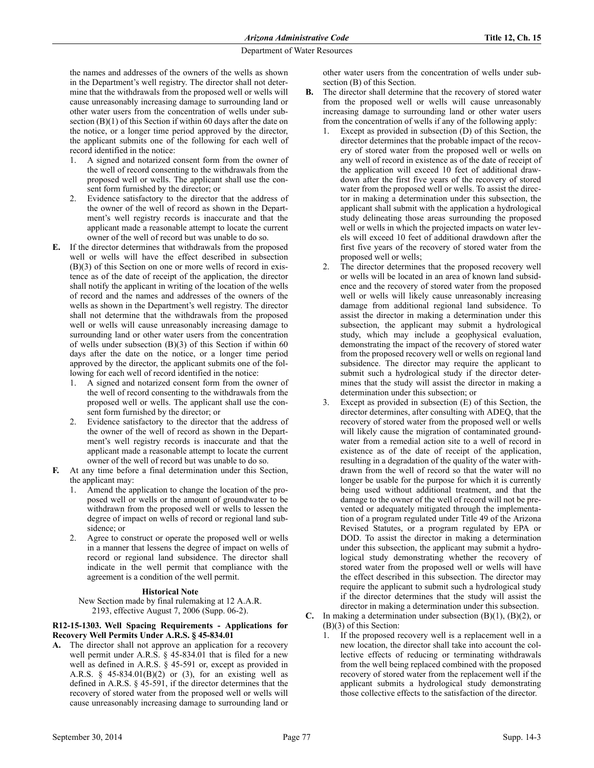the names and addresses of the owners of the wells as shown in the Department's well registry. The director shall not determine that the withdrawals from the proposed well or wells will cause unreasonably increasing damage to surrounding land or other water users from the concentration of wells under subsection (B)(1) of this Section if within 60 days after the date on the notice, or a longer time period approved by the director, the applicant submits one of the following for each well of record identified in the notice:

- 1. A signed and notarized consent form from the owner of the well of record consenting to the withdrawals from the proposed well or wells. The applicant shall use the consent form furnished by the director; or
- 2. Evidence satisfactory to the director that the address of the owner of the well of record as shown in the Department's well registry records is inaccurate and that the applicant made a reasonable attempt to locate the current owner of the well of record but was unable to do so.
- **E.** If the director determines that withdrawals from the proposed well or wells will have the effect described in subsection (B)(3) of this Section on one or more wells of record in existence as of the date of receipt of the application, the director shall notify the applicant in writing of the location of the wells of record and the names and addresses of the owners of the wells as shown in the Department's well registry. The director shall not determine that the withdrawals from the proposed well or wells will cause unreasonably increasing damage to surrounding land or other water users from the concentration of wells under subsection (B)(3) of this Section if within 60 days after the date on the notice, or a longer time period approved by the director, the applicant submits one of the following for each well of record identified in the notice:
	- 1. A signed and notarized consent form from the owner of the well of record consenting to the withdrawals from the proposed well or wells. The applicant shall use the consent form furnished by the director; or
	- 2. Evidence satisfactory to the director that the address of the owner of the well of record as shown in the Department's well registry records is inaccurate and that the applicant made a reasonable attempt to locate the current owner of the well of record but was unable to do so.
- **F.** At any time before a final determination under this Section, the applicant may:
	- Amend the application to change the location of the proposed well or wells or the amount of groundwater to be withdrawn from the proposed well or wells to lessen the degree of impact on wells of record or regional land subsidence; or
	- 2. Agree to construct or operate the proposed well or wells in a manner that lessens the degree of impact on wells of record or regional land subsidence. The director shall indicate in the well permit that compliance with the agreement is a condition of the well permit.

### **Historical Note**

New Section made by final rulemaking at 12 A.A.R. 2193, effective August 7, 2006 (Supp. 06-2).

### **R12-15-1303. Well Spacing Requirements - Applications for Recovery Well Permits Under A.R.S. § 45-834.01**

**A.** The director shall not approve an application for a recovery well permit under A.R.S. § 45-834.01 that is filed for a new well as defined in A.R.S. § 45-591 or, except as provided in A.R.S. § 45-834.01(B)(2) or (3), for an existing well as defined in A.R.S. § 45-591, if the director determines that the recovery of stored water from the proposed well or wells will cause unreasonably increasing damage to surrounding land or

other water users from the concentration of wells under subsection (B) of this Section.

- **B.** The director shall determine that the recovery of stored water from the proposed well or wells will cause unreasonably increasing damage to surrounding land or other water users from the concentration of wells if any of the following apply:
	- 1. Except as provided in subsection (D) of this Section, the director determines that the probable impact of the recovery of stored water from the proposed well or wells on any well of record in existence as of the date of receipt of the application will exceed 10 feet of additional drawdown after the first five years of the recovery of stored water from the proposed well or wells. To assist the director in making a determination under this subsection, the applicant shall submit with the application a hydrological study delineating those areas surrounding the proposed well or wells in which the projected impacts on water levels will exceed 10 feet of additional drawdown after the first five years of the recovery of stored water from the proposed well or wells;
	- 2. The director determines that the proposed recovery well or wells will be located in an area of known land subsidence and the recovery of stored water from the proposed well or wells will likely cause unreasonably increasing damage from additional regional land subsidence. To assist the director in making a determination under this subsection, the applicant may submit a hydrological study, which may include a geophysical evaluation, demonstrating the impact of the recovery of stored water from the proposed recovery well or wells on regional land subsidence. The director may require the applicant to submit such a hydrological study if the director determines that the study will assist the director in making a determination under this subsection; or
	- Except as provided in subsection  $(E)$  of this Section, the director determines, after consulting with ADEQ, that the recovery of stored water from the proposed well or wells will likely cause the migration of contaminated groundwater from a remedial action site to a well of record in existence as of the date of receipt of the application, resulting in a degradation of the quality of the water withdrawn from the well of record so that the water will no longer be usable for the purpose for which it is currently being used without additional treatment, and that the damage to the owner of the well of record will not be prevented or adequately mitigated through the implementation of a program regulated under Title 49 of the Arizona Revised Statutes, or a program regulated by EPA or DOD. To assist the director in making a determination under this subsection, the applicant may submit a hydrological study demonstrating whether the recovery of stored water from the proposed well or wells will have the effect described in this subsection. The director may require the applicant to submit such a hydrological study if the director determines that the study will assist the director in making a determination under this subsection.

#### **C.** In making a determination under subsection (B)(1), (B)(2), or (B)(3) of this Section:

1. If the proposed recovery well is a replacement well in a new location, the director shall take into account the collective effects of reducing or terminating withdrawals from the well being replaced combined with the proposed recovery of stored water from the replacement well if the applicant submits a hydrological study demonstrating those collective effects to the satisfaction of the director.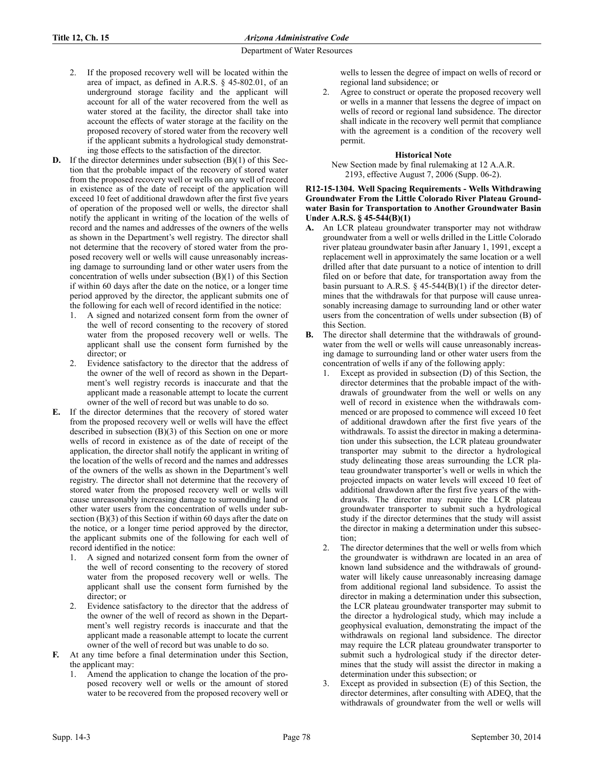- 2. If the proposed recovery well will be located within the area of impact, as defined in A.R.S. § 45-802.01, of an underground storage facility and the applicant will account for all of the water recovered from the well as water stored at the facility, the director shall take into account the effects of water storage at the facility on the proposed recovery of stored water from the recovery well if the applicant submits a hydrological study demonstrating those effects to the satisfaction of the director.
- **D.** If the director determines under subsection (B)(1) of this Section that the probable impact of the recovery of stored water from the proposed recovery well or wells on any well of record in existence as of the date of receipt of the application will exceed 10 feet of additional drawdown after the first five years of operation of the proposed well or wells, the director shall notify the applicant in writing of the location of the wells of record and the names and addresses of the owners of the wells as shown in the Department's well registry. The director shall not determine that the recovery of stored water from the proposed recovery well or wells will cause unreasonably increasing damage to surrounding land or other water users from the concentration of wells under subsection (B)(1) of this Section if within 60 days after the date on the notice, or a longer time period approved by the director, the applicant submits one of the following for each well of record identified in the notice:
	- 1. A signed and notarized consent form from the owner of the well of record consenting to the recovery of stored water from the proposed recovery well or wells. The applicant shall use the consent form furnished by the director; or
	- Evidence satisfactory to the director that the address of the owner of the well of record as shown in the Department's well registry records is inaccurate and that the applicant made a reasonable attempt to locate the current owner of the well of record but was unable to do so.
- **E.** If the director determines that the recovery of stored water from the proposed recovery well or wells will have the effect described in subsection (B)(3) of this Section on one or more wells of record in existence as of the date of receipt of the application, the director shall notify the applicant in writing of the location of the wells of record and the names and addresses of the owners of the wells as shown in the Department's well registry. The director shall not determine that the recovery of stored water from the proposed recovery well or wells will cause unreasonably increasing damage to surrounding land or other water users from the concentration of wells under subsection (B)(3) of this Section if within 60 days after the date on the notice, or a longer time period approved by the director, the applicant submits one of the following for each well of record identified in the notice:
	- 1. A signed and notarized consent form from the owner of the well of record consenting to the recovery of stored water from the proposed recovery well or wells. The applicant shall use the consent form furnished by the director; or
	- 2. Evidence satisfactory to the director that the address of the owner of the well of record as shown in the Department's well registry records is inaccurate and that the applicant made a reasonable attempt to locate the current owner of the well of record but was unable to do so.
- **F.** At any time before a final determination under this Section, the applicant may:
	- 1. Amend the application to change the location of the proposed recovery well or wells or the amount of stored water to be recovered from the proposed recovery well or

wells to lessen the degree of impact on wells of record or regional land subsidence; or

2. Agree to construct or operate the proposed recovery well or wells in a manner that lessens the degree of impact on wells of record or regional land subsidence. The director shall indicate in the recovery well permit that compliance with the agreement is a condition of the recovery well permit.

## **Historical Note**

New Section made by final rulemaking at 12 A.A.R. 2193, effective August 7, 2006 (Supp. 06-2).

### **R12-15-1304. Well Spacing Requirements - Wells Withdrawing Groundwater From the Little Colorado River Plateau Groundwater Basin for Transportation to Another Groundwater Basin Under A.R.S. § 45-544(B)(1)**

- **A.** An LCR plateau groundwater transporter may not withdraw groundwater from a well or wells drilled in the Little Colorado river plateau groundwater basin after January 1, 1991, except a replacement well in approximately the same location or a well drilled after that date pursuant to a notice of intention to drill filed on or before that date, for transportation away from the basin pursuant to A.R.S.  $\S$  45-544(B)(1) if the director determines that the withdrawals for that purpose will cause unreasonably increasing damage to surrounding land or other water users from the concentration of wells under subsection (B) of this Section.
- **B.** The director shall determine that the withdrawals of groundwater from the well or wells will cause unreasonably increasing damage to surrounding land or other water users from the concentration of wells if any of the following apply:
	- Except as provided in subsection (D) of this Section, the director determines that the probable impact of the withdrawals of groundwater from the well or wells on any well of record in existence when the withdrawals commenced or are proposed to commence will exceed 10 feet of additional drawdown after the first five years of the withdrawals. To assist the director in making a determination under this subsection, the LCR plateau groundwater transporter may submit to the director a hydrological study delineating those areas surrounding the LCR plateau groundwater transporter's well or wells in which the projected impacts on water levels will exceed 10 feet of additional drawdown after the first five years of the withdrawals. The director may require the LCR plateau groundwater transporter to submit such a hydrological study if the director determines that the study will assist the director in making a determination under this subsection;
	- 2. The director determines that the well or wells from which the groundwater is withdrawn are located in an area of known land subsidence and the withdrawals of groundwater will likely cause unreasonably increasing damage from additional regional land subsidence. To assist the director in making a determination under this subsection, the LCR plateau groundwater transporter may submit to the director a hydrological study, which may include a geophysical evaluation, demonstrating the impact of the withdrawals on regional land subsidence. The director may require the LCR plateau groundwater transporter to submit such a hydrological study if the director determines that the study will assist the director in making a determination under this subsection; or
	- 3. Except as provided in subsection (E) of this Section, the director determines, after consulting with ADEQ, that the withdrawals of groundwater from the well or wells will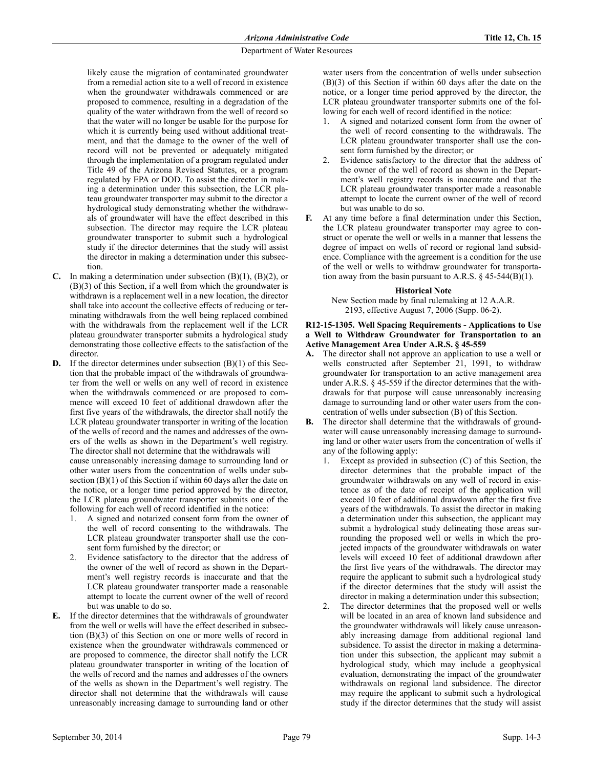likely cause the migration of contaminated groundwater from a remedial action site to a well of record in existence when the groundwater withdrawals commenced or are proposed to commence, resulting in a degradation of the quality of the water withdrawn from the well of record so that the water will no longer be usable for the purpose for which it is currently being used without additional treatment, and that the damage to the owner of the well of record will not be prevented or adequately mitigated through the implementation of a program regulated under Title 49 of the Arizona Revised Statutes, or a program regulated by EPA or DOD. To assist the director in making a determination under this subsection, the LCR plateau groundwater transporter may submit to the director a hydrological study demonstrating whether the withdrawals of groundwater will have the effect described in this subsection. The director may require the LCR plateau groundwater transporter to submit such a hydrological study if the director determines that the study will assist the director in making a determination under this subsection.

- **C.** In making a determination under subsection (B)(1), (B)(2), or (B)(3) of this Section, if a well from which the groundwater is withdrawn is a replacement well in a new location, the director shall take into account the collective effects of reducing or terminating withdrawals from the well being replaced combined with the withdrawals from the replacement well if the LCR plateau groundwater transporter submits a hydrological study demonstrating those collective effects to the satisfaction of the director.
- **D.** If the director determines under subsection (B)(1) of this Section that the probable impact of the withdrawals of groundwater from the well or wells on any well of record in existence when the withdrawals commenced or are proposed to commence will exceed 10 feet of additional drawdown after the first five years of the withdrawals, the director shall notify the LCR plateau groundwater transporter in writing of the location of the wells of record and the names and addresses of the owners of the wells as shown in the Department's well registry. The director shall not determine that the withdrawals will

cause unreasonably increasing damage to surrounding land or other water users from the concentration of wells under subsection (B)(1) of this Section if within 60 days after the date on the notice, or a longer time period approved by the director, the LCR plateau groundwater transporter submits one of the following for each well of record identified in the notice:

- 1. A signed and notarized consent form from the owner of the well of record consenting to the withdrawals. The LCR plateau groundwater transporter shall use the consent form furnished by the director; or
- Evidence satisfactory to the director that the address of the owner of the well of record as shown in the Department's well registry records is inaccurate and that the LCR plateau groundwater transporter made a reasonable attempt to locate the current owner of the well of record but was unable to do so.
- **E.** If the director determines that the withdrawals of groundwater from the well or wells will have the effect described in subsection (B)(3) of this Section on one or more wells of record in existence when the groundwater withdrawals commenced or are proposed to commence, the director shall notify the LCR plateau groundwater transporter in writing of the location of the wells of record and the names and addresses of the owners of the wells as shown in the Department's well registry. The director shall not determine that the withdrawals will cause unreasonably increasing damage to surrounding land or other

water users from the concentration of wells under subsection (B)(3) of this Section if within 60 days after the date on the notice, or a longer time period approved by the director, the LCR plateau groundwater transporter submits one of the following for each well of record identified in the notice:

- 1. A signed and notarized consent form from the owner of the well of record consenting to the withdrawals. The LCR plateau groundwater transporter shall use the consent form furnished by the director; or
- 2. Evidence satisfactory to the director that the address of the owner of the well of record as shown in the Department's well registry records is inaccurate and that the LCR plateau groundwater transporter made a reasonable attempt to locate the current owner of the well of record but was unable to do so.
- **F.** At any time before a final determination under this Section, the LCR plateau groundwater transporter may agree to construct or operate the well or wells in a manner that lessens the degree of impact on wells of record or regional land subsidence. Compliance with the agreement is a condition for the use of the well or wells to withdraw groundwater for transportation away from the basin pursuant to A.R.S.  $\S$  45-544(B)(1).

# **Historical Note**

New Section made by final rulemaking at 12 A.A.R. 2193, effective August 7, 2006 (Supp. 06-2).

### **R12-15-1305. Well Spacing Requirements - Applications to Use a Well to Withdraw Groundwater for Transportation to an Active Management Area Under A.R.S. § 45-559**

- **A.** The director shall not approve an application to use a well or wells constructed after September 21, 1991, to withdraw groundwater for transportation to an active management area under A.R.S. § 45-559 if the director determines that the withdrawals for that purpose will cause unreasonably increasing damage to surrounding land or other water users from the concentration of wells under subsection (B) of this Section.
- **B.** The director shall determine that the withdrawals of groundwater will cause unreasonably increasing damage to surrounding land or other water users from the concentration of wells if any of the following apply:
	- 1. Except as provided in subsection (C) of this Section, the director determines that the probable impact of the groundwater withdrawals on any well of record in existence as of the date of receipt of the application will exceed 10 feet of additional drawdown after the first five years of the withdrawals. To assist the director in making a determination under this subsection, the applicant may submit a hydrological study delineating those areas surrounding the proposed well or wells in which the projected impacts of the groundwater withdrawals on water levels will exceed 10 feet of additional drawdown after the first five years of the withdrawals. The director may require the applicant to submit such a hydrological study if the director determines that the study will assist the director in making a determination under this subsection;
	- 2. The director determines that the proposed well or wells will be located in an area of known land subsidence and the groundwater withdrawals will likely cause unreasonably increasing damage from additional regional land subsidence. To assist the director in making a determination under this subsection, the applicant may submit a hydrological study, which may include a geophysical evaluation, demonstrating the impact of the groundwater withdrawals on regional land subsidence. The director may require the applicant to submit such a hydrological study if the director determines that the study will assist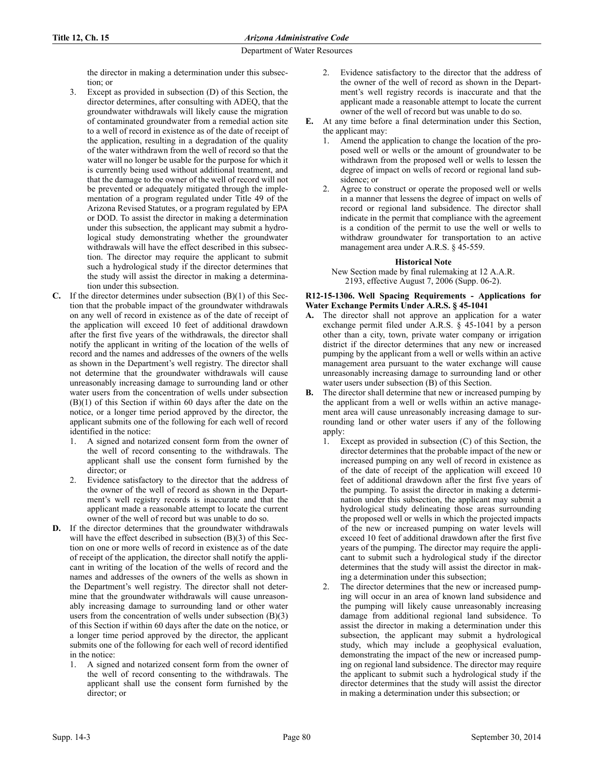the director in making a determination under this subsection; or

- 3. Except as provided in subsection (D) of this Section, the director determines, after consulting with ADEQ, that the groundwater withdrawals will likely cause the migration of contaminated groundwater from a remedial action site to a well of record in existence as of the date of receipt of the application, resulting in a degradation of the quality of the water withdrawn from the well of record so that the water will no longer be usable for the purpose for which it is currently being used without additional treatment, and that the damage to the owner of the well of record will not be prevented or adequately mitigated through the implementation of a program regulated under Title 49 of the Arizona Revised Statutes, or a program regulated by EPA or DOD. To assist the director in making a determination under this subsection, the applicant may submit a hydrological study demonstrating whether the groundwater withdrawals will have the effect described in this subsection. The director may require the applicant to submit such a hydrological study if the director determines that the study will assist the director in making a determination under this subsection.
- **C.** If the director determines under subsection (B)(1) of this Section that the probable impact of the groundwater withdrawals on any well of record in existence as of the date of receipt of the application will exceed 10 feet of additional drawdown after the first five years of the withdrawals, the director shall notify the applicant in writing of the location of the wells of record and the names and addresses of the owners of the wells as shown in the Department's well registry. The director shall not determine that the groundwater withdrawals will cause unreasonably increasing damage to surrounding land or other water users from the concentration of wells under subsection (B)(1) of this Section if within 60 days after the date on the notice, or a longer time period approved by the director, the applicant submits one of the following for each well of record identified in the notice:
	- 1. A signed and notarized consent form from the owner of the well of record consenting to the withdrawals. The applicant shall use the consent form furnished by the director; or
	- 2. Evidence satisfactory to the director that the address of the owner of the well of record as shown in the Department's well registry records is inaccurate and that the applicant made a reasonable attempt to locate the current owner of the well of record but was unable to do so.
- **D.** If the director determines that the groundwater withdrawals will have the effect described in subsection (B)(3) of this Section on one or more wells of record in existence as of the date of receipt of the application, the director shall notify the applicant in writing of the location of the wells of record and the names and addresses of the owners of the wells as shown in the Department's well registry. The director shall not determine that the groundwater withdrawals will cause unreasonably increasing damage to surrounding land or other water users from the concentration of wells under subsection  $(B)(3)$ of this Section if within 60 days after the date on the notice, or a longer time period approved by the director, the applicant submits one of the following for each well of record identified in the notice:
	- 1. A signed and notarized consent form from the owner of the well of record consenting to the withdrawals. The applicant shall use the consent form furnished by the director; or
- 2. Evidence satisfactory to the director that the address of the owner of the well of record as shown in the Department's well registry records is inaccurate and that the applicant made a reasonable attempt to locate the current owner of the well of record but was unable to do so.
- **E.** At any time before a final determination under this Section, the applicant may:
	- Amend the application to change the location of the proposed well or wells or the amount of groundwater to be withdrawn from the proposed well or wells to lessen the degree of impact on wells of record or regional land subsidence; or
	- Agree to construct or operate the proposed well or wells in a manner that lessens the degree of impact on wells of record or regional land subsidence. The director shall indicate in the permit that compliance with the agreement is a condition of the permit to use the well or wells to withdraw groundwater for transportation to an active management area under A.R.S. § 45-559.

## **Historical Note**

New Section made by final rulemaking at 12 A.A.R. 2193, effective August 7, 2006 (Supp. 06-2).

### **R12-15-1306. Well Spacing Requirements - Applications for Water Exchange Permits Under A.R.S. § 45-1041**

- **A.** The director shall not approve an application for a water exchange permit filed under A.R.S. § 45-1041 by a person other than a city, town, private water company or irrigation district if the director determines that any new or increased pumping by the applicant from a well or wells within an active management area pursuant to the water exchange will cause unreasonably increasing damage to surrounding land or other water users under subsection (B) of this Section.
- **B.** The director shall determine that new or increased pumping by the applicant from a well or wells within an active management area will cause unreasonably increasing damage to surrounding land or other water users if any of the following apply:
	- 1. Except as provided in subsection (C) of this Section, the director determines that the probable impact of the new or increased pumping on any well of record in existence as of the date of receipt of the application will exceed 10 feet of additional drawdown after the first five years of the pumping. To assist the director in making a determination under this subsection, the applicant may submit a hydrological study delineating those areas surrounding the proposed well or wells in which the projected impacts of the new or increased pumping on water levels will exceed 10 feet of additional drawdown after the first five years of the pumping. The director may require the applicant to submit such a hydrological study if the director determines that the study will assist the director in making a determination under this subsection;
	- 2. The director determines that the new or increased pumping will occur in an area of known land subsidence and the pumping will likely cause unreasonably increasing damage from additional regional land subsidence. To assist the director in making a determination under this subsection, the applicant may submit a hydrological study, which may include a geophysical evaluation, demonstrating the impact of the new or increased pumping on regional land subsidence. The director may require the applicant to submit such a hydrological study if the director determines that the study will assist the director in making a determination under this subsection; or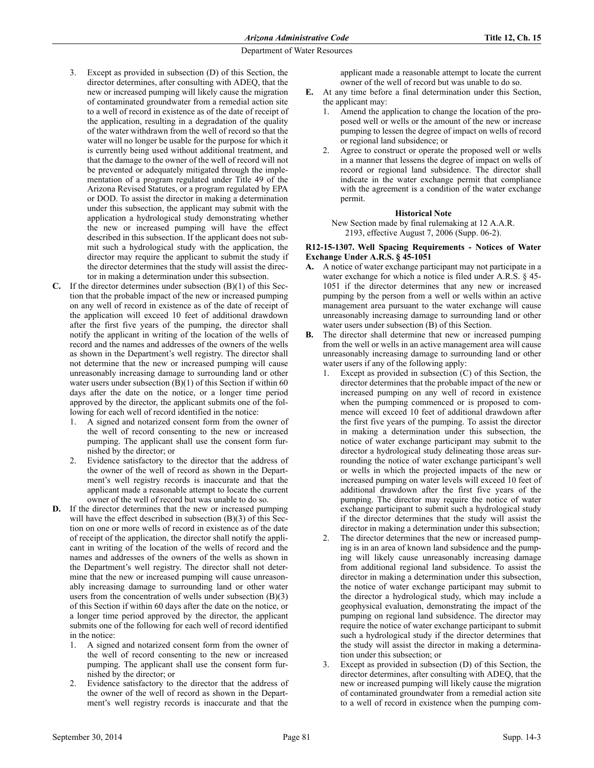- 3. Except as provided in subsection (D) of this Section, the director determines, after consulting with ADEQ, that the new or increased pumping will likely cause the migration of contaminated groundwater from a remedial action site to a well of record in existence as of the date of receipt of the application, resulting in a degradation of the quality of the water withdrawn from the well of record so that the water will no longer be usable for the purpose for which it is currently being used without additional treatment, and that the damage to the owner of the well of record will not be prevented or adequately mitigated through the implementation of a program regulated under Title 49 of the Arizona Revised Statutes, or a program regulated by EPA or DOD. To assist the director in making a determination under this subsection, the applicant may submit with the application a hydrological study demonstrating whether the new or increased pumping will have the effect described in this subsection. If the applicant does not submit such a hydrological study with the application, the director may require the applicant to submit the study if the director determines that the study will assist the director in making a determination under this subsection.
- **C.** If the director determines under subsection (B)(1) of this Section that the probable impact of the new or increased pumping on any well of record in existence as of the date of receipt of the application will exceed 10 feet of additional drawdown after the first five years of the pumping, the director shall notify the applicant in writing of the location of the wells of record and the names and addresses of the owners of the wells as shown in the Department's well registry. The director shall not determine that the new or increased pumping will cause unreasonably increasing damage to surrounding land or other water users under subsection  $(B)(1)$  of this Section if within 60 days after the date on the notice, or a longer time period approved by the director, the applicant submits one of the following for each well of record identified in the notice:
	- 1. A signed and notarized consent form from the owner of the well of record consenting to the new or increased pumping. The applicant shall use the consent form furnished by the director; or
	- 2. Evidence satisfactory to the director that the address of the owner of the well of record as shown in the Department's well registry records is inaccurate and that the applicant made a reasonable attempt to locate the current owner of the well of record but was unable to do so.
- **D.** If the director determines that the new or increased pumping will have the effect described in subsection (B)(3) of this Section on one or more wells of record in existence as of the date of receipt of the application, the director shall notify the applicant in writing of the location of the wells of record and the names and addresses of the owners of the wells as shown in the Department's well registry. The director shall not determine that the new or increased pumping will cause unreasonably increasing damage to surrounding land or other water users from the concentration of wells under subsection (B)(3) of this Section if within 60 days after the date on the notice, or a longer time period approved by the director, the applicant submits one of the following for each well of record identified in the notice:
	- 1. A signed and notarized consent form from the owner of the well of record consenting to the new or increased pumping. The applicant shall use the consent form furnished by the director; or
	- 2. Evidence satisfactory to the director that the address of the owner of the well of record as shown in the Department's well registry records is inaccurate and that the

applicant made a reasonable attempt to locate the current owner of the well of record but was unable to do so.

- **E.** At any time before a final determination under this Section, the applicant may:
	- 1. Amend the application to change the location of the proposed well or wells or the amount of the new or increase pumping to lessen the degree of impact on wells of record or regional land subsidence; or
	- Agree to construct or operate the proposed well or wells in a manner that lessens the degree of impact on wells of record or regional land subsidence. The director shall indicate in the water exchange permit that compliance with the agreement is a condition of the water exchange permit.

### **Historical Note**

New Section made by final rulemaking at 12 A.A.R. 2193, effective August 7, 2006 (Supp. 06-2).

#### **R12-15-1307. Well Spacing Requirements - Notices of Water Exchange Under A.R.S. § 45-1051**

- **A.** A notice of water exchange participant may not participate in a water exchange for which a notice is filed under A.R.S. § 45- 1051 if the director determines that any new or increased pumping by the person from a well or wells within an active management area pursuant to the water exchange will cause unreasonably increasing damage to surrounding land or other water users under subsection (B) of this Section.
- **B.** The director shall determine that new or increased pumping from the well or wells in an active management area will cause unreasonably increasing damage to surrounding land or other water users if any of the following apply:
	- Except as provided in subsection  $(C)$  of this Section, the director determines that the probable impact of the new or increased pumping on any well of record in existence when the pumping commenced or is proposed to commence will exceed 10 feet of additional drawdown after the first five years of the pumping. To assist the director in making a determination under this subsection, the notice of water exchange participant may submit to the director a hydrological study delineating those areas surrounding the notice of water exchange participant's well or wells in which the projected impacts of the new or increased pumping on water levels will exceed 10 feet of additional drawdown after the first five years of the pumping. The director may require the notice of water exchange participant to submit such a hydrological study if the director determines that the study will assist the director in making a determination under this subsection;
	- 2. The director determines that the new or increased pumping is in an area of known land subsidence and the pumping will likely cause unreasonably increasing damage from additional regional land subsidence. To assist the director in making a determination under this subsection, the notice of water exchange participant may submit to the director a hydrological study, which may include a geophysical evaluation, demonstrating the impact of the pumping on regional land subsidence. The director may require the notice of water exchange participant to submit such a hydrological study if the director determines that the study will assist the director in making a determination under this subsection; or
	- 3. Except as provided in subsection (D) of this Section, the director determines, after consulting with ADEQ, that the new or increased pumping will likely cause the migration of contaminated groundwater from a remedial action site to a well of record in existence when the pumping com-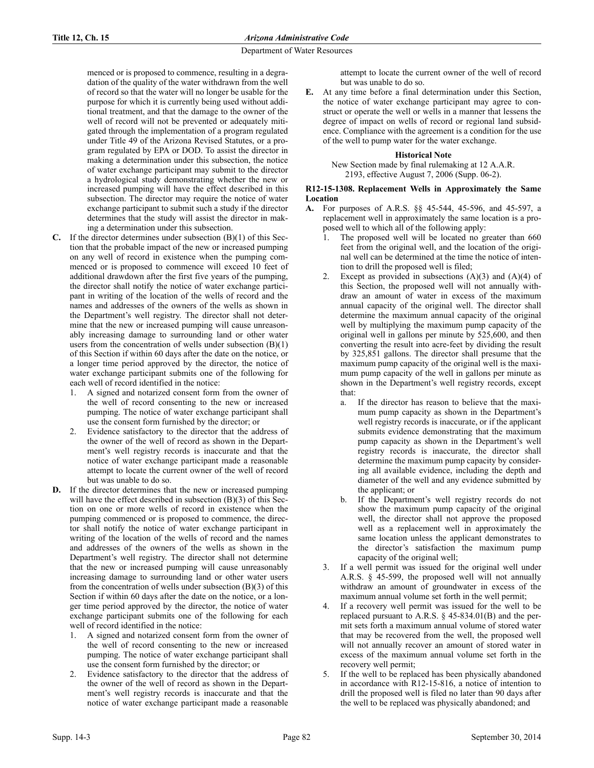menced or is proposed to commence, resulting in a degradation of the quality of the water withdrawn from the well of record so that the water will no longer be usable for the purpose for which it is currently being used without additional treatment, and that the damage to the owner of the well of record will not be prevented or adequately mitigated through the implementation of a program regulated under Title 49 of the Arizona Revised Statutes, or a program regulated by EPA or DOD. To assist the director in making a determination under this subsection, the notice of water exchange participant may submit to the director a hydrological study demonstrating whether the new or increased pumping will have the effect described in this subsection. The director may require the notice of water exchange participant to submit such a study if the director determines that the study will assist the director in making a determination under this subsection.

- **C.** If the director determines under subsection (B)(1) of this Section that the probable impact of the new or increased pumping on any well of record in existence when the pumping commenced or is proposed to commence will exceed 10 feet of additional drawdown after the first five years of the pumping, the director shall notify the notice of water exchange participant in writing of the location of the wells of record and the names and addresses of the owners of the wells as shown in the Department's well registry. The director shall not determine that the new or increased pumping will cause unreasonably increasing damage to surrounding land or other water users from the concentration of wells under subsection  $(B)(1)$ of this Section if within 60 days after the date on the notice, or a longer time period approved by the director, the notice of water exchange participant submits one of the following for each well of record identified in the notice:
	- 1. A signed and notarized consent form from the owner of the well of record consenting to the new or increased pumping. The notice of water exchange participant shall use the consent form furnished by the director; or
	- 2. Evidence satisfactory to the director that the address of the owner of the well of record as shown in the Department's well registry records is inaccurate and that the notice of water exchange participant made a reasonable attempt to locate the current owner of the well of record but was unable to do so.
- **D.** If the director determines that the new or increased pumping will have the effect described in subsection (B)(3) of this Section on one or more wells of record in existence when the pumping commenced or is proposed to commence, the director shall notify the notice of water exchange participant in writing of the location of the wells of record and the names and addresses of the owners of the wells as shown in the Department's well registry. The director shall not determine that the new or increased pumping will cause unreasonably increasing damage to surrounding land or other water users from the concentration of wells under subsection  $(B)(3)$  of this Section if within 60 days after the date on the notice, or a longer time period approved by the director, the notice of water exchange participant submits one of the following for each well of record identified in the notice:
	- 1. A signed and notarized consent form from the owner of the well of record consenting to the new or increased pumping. The notice of water exchange participant shall use the consent form furnished by the director; or
	- 2. Evidence satisfactory to the director that the address of the owner of the well of record as shown in the Department's well registry records is inaccurate and that the notice of water exchange participant made a reasonable

attempt to locate the current owner of the well of record but was unable to do so.

**E.** At any time before a final determination under this Section, the notice of water exchange participant may agree to construct or operate the well or wells in a manner that lessens the degree of impact on wells of record or regional land subsidence. Compliance with the agreement is a condition for the use of the well to pump water for the water exchange.

## **Historical Note**

New Section made by final rulemaking at 12 A.A.R. 2193, effective August 7, 2006 (Supp. 06-2).

#### **R12-15-1308. Replacement Wells in Approximately the Same Location**

- **A.** For purposes of A.R.S. §§ 45-544, 45-596, and 45-597, a replacement well in approximately the same location is a proposed well to which all of the following apply:
	- The proposed well will be located no greater than 660 feet from the original well, and the location of the original well can be determined at the time the notice of intention to drill the proposed well is filed;
	- 2. Except as provided in subsections  $(A)(3)$  and  $(A)(4)$  of this Section, the proposed well will not annually withdraw an amount of water in excess of the maximum annual capacity of the original well. The director shall determine the maximum annual capacity of the original well by multiplying the maximum pump capacity of the original well in gallons per minute by 525,600, and then converting the result into acre-feet by dividing the result by 325,851 gallons. The director shall presume that the maximum pump capacity of the original well is the maximum pump capacity of the well in gallons per minute as shown in the Department's well registry records, except that:
		- a. If the director has reason to believe that the maximum pump capacity as shown in the Department's well registry records is inaccurate, or if the applicant submits evidence demonstrating that the maximum pump capacity as shown in the Department's well registry records is inaccurate, the director shall determine the maximum pump capacity by considering all available evidence, including the depth and diameter of the well and any evidence submitted by the applicant; or
		- b. If the Department's well registry records do not show the maximum pump capacity of the original well, the director shall not approve the proposed well as a replacement well in approximately the same location unless the applicant demonstrates to the director's satisfaction the maximum pump capacity of the original well;
	- 3. If a well permit was issued for the original well under A.R.S. § 45-599, the proposed well will not annually withdraw an amount of groundwater in excess of the maximum annual volume set forth in the well permit;
	- 4. If a recovery well permit was issued for the well to be replaced pursuant to A.R.S. § 45-834.01(B) and the permit sets forth a maximum annual volume of stored water that may be recovered from the well, the proposed well will not annually recover an amount of stored water in excess of the maximum annual volume set forth in the recovery well permit;
	- 5. If the well to be replaced has been physically abandoned in accordance with R12-15-816, a notice of intention to drill the proposed well is filed no later than 90 days after the well to be replaced was physically abandoned; and